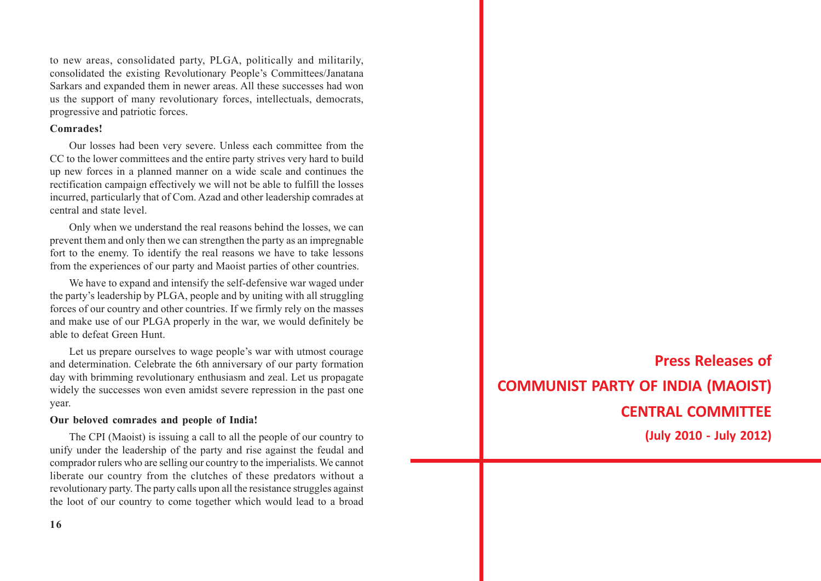to new areas, consolidated party, PLGA, politically and militarily, consolidated the existing Revolutionary People's Committees/Janatana Sarkars and expanded them in newer areas. All these successes had won us the support of many revolutionary forces, intellectuals, democrats, progressive and patriotic forces.

#### **Comrades!**

Our losses had been very severe. Unless each committee from the CC to the lower committees and the entire party strives very hard to build up new forces in a planned manner on a wide scale and continues the rectification campaign effectively we will not be able to fulfill the losses incurred, particularly that of Com. Azad and other leadership comrades at central and state level.

Only when we understand the real reasons behind the losses, we can prevent them and only then we can strengthen the party as an impregnable fort to the enemy. To identify the real reasons we have to take lessons from the experiences of our party and Maoist parties of other countries.

We have to expand and intensify the self-defensive war waged under the party's leadership by PLGA, people and by uniting with all struggling forces of our country and other countries. If we firmly rely on the masses and make use of our PLGA properly in the war, we would definitely be able to defeat Green Hunt.

Let us prepare ourselves to wage people's war with utmost courage and determination. Celebrate the 6th anniversary of our party formation day with brimming revolutionary enthusiasm and zeal. Let us propagate widely the successes won even amidst severe repression in the past one year.

#### **Our beloved comrades and people of India!**

The CPI (Maoist) is issuing a call to all the people of our country to unify under the leadership of the party and rise against the feudal and comprador rulers who are selling our country to the imperialists. We cannot liberate our country from the clutches of these predators without a revolutionary party. The party calls upon all the resistance struggles against the loot of our country to come together which would lead to a broad

**Press Releases of COMMUNIST PARTY OF INDIA (MAOIST) CENTRAL COMMITTEE (July 2010 - July 2012)**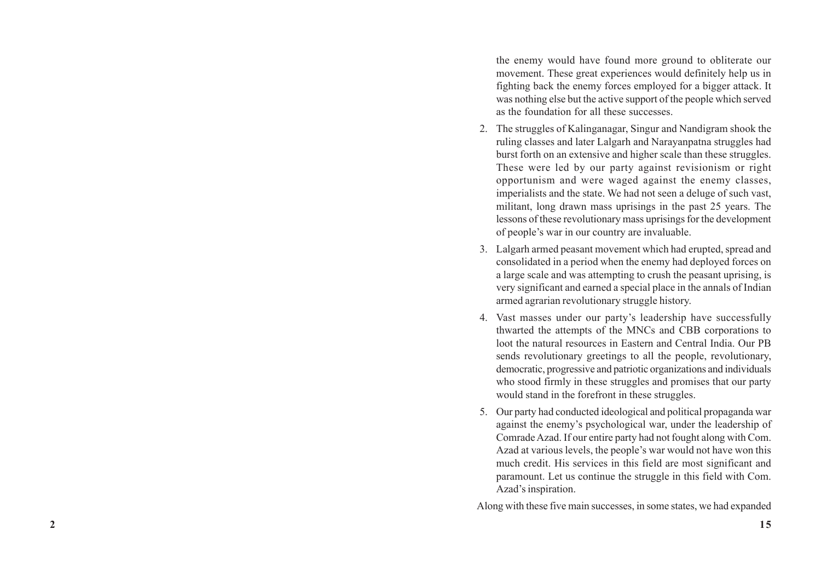the enemy would have found more ground to obliterate our movement. These great experiences would definitely help us in fighting back the enemy forces employed for a bigger attack. It was nothing else but the active support of the people which served as the foundation for all these successes.

- 2. The struggles of Kalinganagar, Singur and Nandigram shook the ruling classes and later Lalgarh and Narayanpatna struggles had burst forth on an extensive and higher scale than these struggles. These were led by our party against revisionism or right opportunism and were waged against the enemy classes, imperialists and the state. We had not seen a deluge of such vast, militant, long drawn mass uprisings in the past 25 years. The lessons of these revolutionary mass uprisings for the development of people's war in our country are invaluable.
- 3. Lalgarh armed peasant movement which had erupted, spread and consolidated in a period when the enemy had deployed forces on a large scale and was attempting to crush the peasant uprising, is very significant and earned a special place in the annals of Indian armed agrarian revolutionary struggle history.
- 4. Vast masses under our party's leadership have successfully thwarted the attempts of the MNCs and CBB corporations to loot the natural resources in Eastern and Central India. Our PB sends revolutionary greetings to all the people, revolutionary, democratic, progressive and patriotic organizations and individuals who stood firmly in these struggles and promises that our party would stand in the forefront in these struggles.
- 5. Our party had conducted ideological and political propaganda war against the enemy's psychological war, under the leadership of Comrade Azad. If our entire party had not fought along with Com. Azad at various levels, the people's war would not have won this much credit. His services in this field are most significant and paramount. Let us continue the struggle in this field with Com. Azad's inspiration.

Along with these five main successes, in some states, we had expanded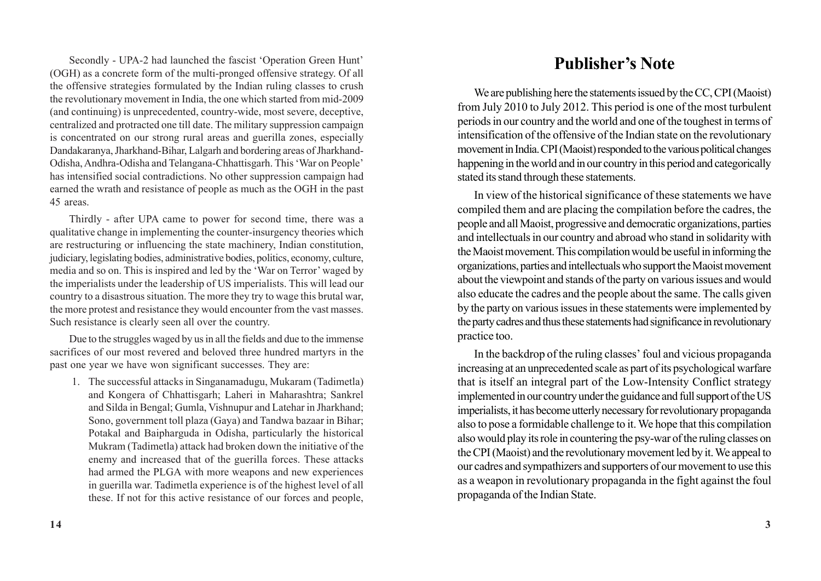Secondly - UPA-2 had launched the fascist 'Operation Green Hunt' (OGH) as a concrete form of the multi-pronged offensive strategy. Of all the offensive strategies formulated by the Indian ruling classes to crush the revolutionary movement in India, the one which started from mid-2009 (and continuing) is unprecedented, country-wide, most severe, deceptive, centralized and protracted one till date. The military suppression campaign is concentrated on our strong rural areas and guerilla zones, especially Dandakaranya, Jharkhand-Bihar, Lalgarh and bordering areas of Jharkhand-Odisha, Andhra-Odisha and Telangana-Chhattisgarh. This 'War on People' has intensified social contradictions. No other suppression campaign had earned the wrath and resistance of people as much as the OGH in the past 45 areas.

Thirdly - after UPA came to power for second time, there was a qualitative change in implementing the counter-insurgency theories which are restructuring or influencing the state machinery, Indian constitution, judiciary, legislating bodies, administrative bodies, politics, economy, culture, media and so on. This is inspired and led by the 'War on Terror' waged by the imperialists under the leadership of US imperialists. This will lead our country to a disastrous situation. The more they try to wage this brutal war, the more protest and resistance they would encounter from the vast masses. Such resistance is clearly seen all over the country.

Due to the struggles waged by us in all the fields and due to the immense sacrifices of our most revered and beloved three hundred martyrs in the past one year we have won significant successes. They are:

1. The successful attacks in Singanamadugu, Mukaram (Tadimetla) and Kongera of Chhattisgarh; Laheri in Maharashtra; Sankrel and Silda in Bengal; Gumla, Vishnupur and Latehar in Jharkhand; Sono, government toll plaza (Gaya) and Tandwa bazaar in Bihar; Potakal and Baipharguda in Odisha, particularly the historical Mukram (Tadimetla) attack had broken down the initiative of the enemy and increased that of the guerilla forces. These attacks had armed the PLGA with more weapons and new experiences in guerilla war. Tadimetla experience is of the highest level of all these. If not for this active resistance of our forces and people,

## **Publisher's Note**

We are publishing here the statements issued by the CC, CPI (Maoist) from July 2010 to July 2012. This period is one of the most turbulent periods in our country and the world and one of the toughest in terms of intensification of the offensive of the Indian state on the revolutionary movement in India. CPI (Maoist) responded to the various political changes happening in the world and in our country in this period and categorically stated its stand through these statements.

In view of the historical significance of these statements we have compiled them and are placing the compilation before the cadres, the people and all Maoist, progressive and democratic organizations, parties and intellectuals in our country and abroad who stand in solidarity with the Maoist movement. This compilation would be useful in informing the organizations, parties and intellectuals who support the Maoist movement about the viewpoint and stands of the party on various issues and would also educate the cadres and the people about the same. The calls given by the party on various issues in these statements were implemented by the party cadres and thus these statements had significance in revolutionary practice too.

In the backdrop of the ruling classes' foul and vicious propaganda increasing at an unprecedented scale as part of its psychological warfare that is itself an integral part of the Low-Intensity Conflict strategy implemented in our country under the guidance and full support of the US imperialists, it has become utterly necessary for revolutionary propaganda also to pose a formidable challenge to it. We hope that this compilation also would play its role in countering the psy-war of the ruling classes on the CPI (Maoist) and the revolutionary movement led by it. We appeal to our cadres and sympathizers and supporters of our movement to use this as a weapon in revolutionary propaganda in the fight against the foul propaganda of the Indian State.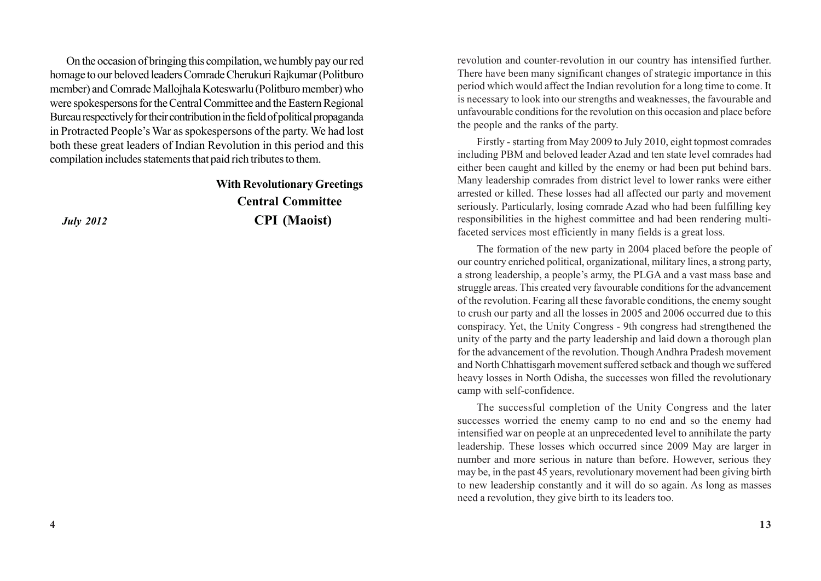On the occasion of bringing this compilation, we humbly pay our red homage to our beloved leaders Comrade Cherukuri Rajkumar (Politburo member) and Comrade Mallojhala Koteswarlu (Politburo member) who were spokespersons for the Central Committee and the Eastern Regional Bureau respectively for their contribution in the field of political propaganda in Protracted People's War as spokespersons of the party. We had lost both these great leaders of Indian Revolution in this period and this compilation includes statements that paid rich tributes to them.

### **With Revolutionary Greetings Central Committee**  *July 2012* **CPI (Maoist)**

revolution and counter-revolution in our country has intensified further. There have been many significant changes of strategic importance in this period which would affect the Indian revolution for a long time to come. It is necessary to look into our strengths and weaknesses, the favourable and unfavourable conditions for the revolution on this occasion and place before the people and the ranks of the party.

Firstly - starting from May 2009 to July 2010, eight topmost comrades including PBM and beloved leader Azad and ten state level comrades had either been caught and killed by the enemy or had been put behind bars. Many leadership comrades from district level to lower ranks were either arrested or killed. These losses had all affected our party and movement seriously. Particularly, losing comrade Azad who had been fulfilling key responsibilities in the highest committee and had been rendering multifaceted services most efficiently in many fields is a great loss.

The formation of the new party in 2004 placed before the people of our country enriched political, organizational, military lines, a strong party, a strong leadership, a people's army, the PLGA and a vast mass base and struggle areas. This created very favourable conditions for the advancement of the revolution. Fearing all these favorable conditions, the enemy sought to crush our party and all the losses in 2005 and 2006 occurred due to this conspiracy. Yet, the Unity Congress - 9th congress had strengthened the unity of the party and the party leadership and laid down a thorough plan for the advancement of the revolution. Though Andhra Pradesh movement and North Chhattisgarh movement suffered setback and though we suffered heavy losses in North Odisha, the successes won filled the revolutionary camp with self-confidence.

The successful completion of the Unity Congress and the later successes worried the enemy camp to no end and so the enemy had intensified war on people at an unprecedented level to annihilate the party leadership. These losses which occurred since 2009 May are larger in number and more serious in nature than before. However, serious they may be, in the past 45 years, revolutionary movement had been giving birth to new leadership constantly and it will do so again. As long as masses need a revolution, they give birth to its leaders too.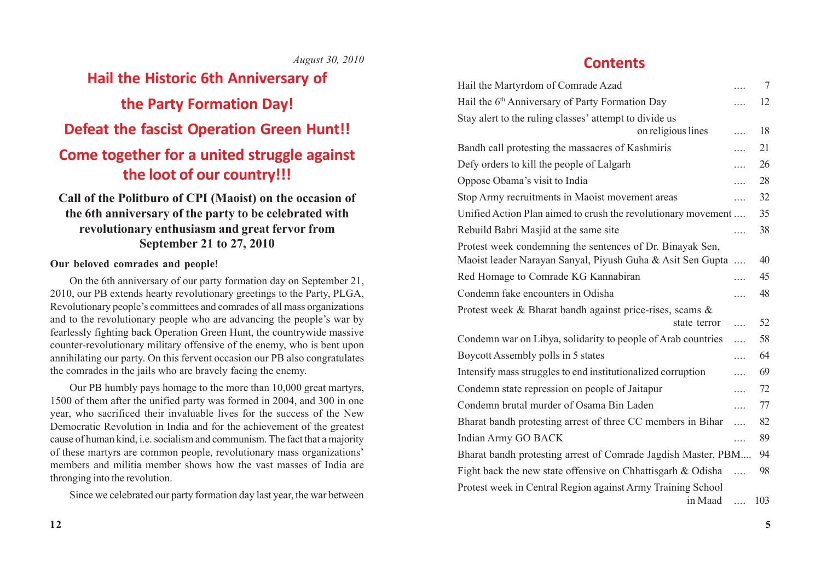### *August 30, 2010*

# **Hail the Historic 6th Anniversary of the Party Formation Day! Defeat the fascist Operation Green Hunt!! Come together for a united struggle against the loot of our country!!!**

### **Call of the Politburo of CPI (Maoist) on the occasion of the 6th anniversary of the party to be celebrated with revolutionary enthusiasm and great fervor from September 21 to 27, 2010**

### **Our beloved comrades and people!**

On the 6th anniversary of our party formation day on September 21, 2010, our PB extends hearty revolutionary greetings to the Party, PLGA, Revolutionary people's committees and comrades of all mass organizations and to the revolutionary people who are advancing the people's war by fearlessly fighting back Operation Green Hunt, the countrywide massive counter-revolutionary military offensive of the enemy, who is bent upon annihilating our party. On this fervent occasion our PB also congratulates the comrades in the jails who are bravely facing the enemy.

Our PB humbly pays homage to the more than 10,000 great martyrs, 1500 of them after the unified party was formed in 2004, and 300 in one year, who sacrificed their invaluable lives for the success of the New Democratic Revolution in India and for the achievement of the greatest cause of human kind, i.e. socialism and communism. The fact that a majority of these martyrs are common people, revolutionary mass organizations' members and militia member shows how the vast masses of India are thronging into the revolution.

Since we celebrated our party formation day last year, the war between

### **Contents**

| Hail the Martyrdom of Comrade Azad                            |          | $\overline{7}$ |
|---------------------------------------------------------------|----------|----------------|
| Hail the 6 <sup>th</sup> Anniversary of Party Formation Day   |          | 12             |
| Stay alert to the ruling classes' attempt to divide us        |          |                |
| on religious lines                                            | .        | 18             |
| Bandh call protesting the massacres of Kashmiris              | .        | 21             |
| Defy orders to kill the people of Lalgarh                     | .        | 26             |
| Oppose Obama's visit to India                                 | .        | 28             |
| Stop Army recruitments in Maoist movement areas               | .        | 32             |
| Unified Action Plan aimed to crush the revolutionary movement |          | 35             |
| Rebuild Babri Masjid at the same site                         | $\cdots$ | 38             |
| Protest week condemning the sentences of Dr. Binayak Sen,     |          |                |
| Maoist leader Narayan Sanyal, Piyush Guha & Asit Sen Gupta    | .        | 40             |
| Red Homage to Comrade KG Kannabiran                           | .        | 45             |
| Condemn fake encounters in Odisha                             | .        | 48             |
| Protest week & Bharat bandh against price-rises, scams &      |          |                |
| state terror                                                  | .        | 52             |
| Condemn war on Libya, solidarity to people of Arab countries  | .        | 58             |
| Boycott Assembly polls in 5 states                            | .        | 64             |
| Intensify mass struggles to end institutionalized corruption  |          | 69             |
| Condemn state repression on people of Jaitapur                | .        | 72             |
| Condemn brutal murder of Osama Bin Laden                      | .        | 77             |
| Bharat bandh protesting arrest of three CC members in Bihar   | .        | 82             |
| Indian Army GO BACK                                           | $\cdots$ | 89             |
| Bharat bandh protesting arrest of Comrade Jagdish Master, PBM |          | 94             |
| Fight back the new state offensive on Chhattisgarh & Odisha   | $\cdots$ | 98             |
| Protest week in Central Region against Army Training School   |          |                |
| in Maad                                                       |          | 103            |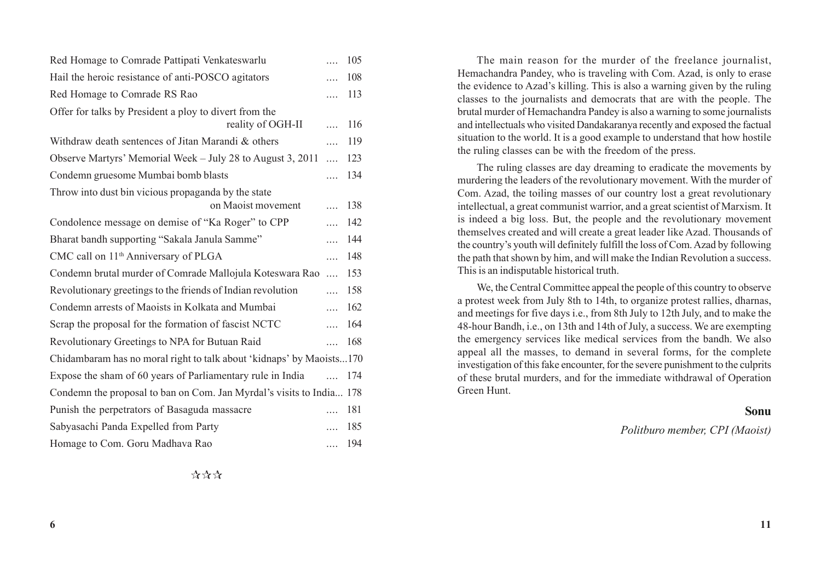| Red Homage to Comrade Pattipati Venkateswarlu                        | $\cdots$                | 105 |  |  |
|----------------------------------------------------------------------|-------------------------|-----|--|--|
| Hail the heroic resistance of anti-POSCO agitators                   | $\cdots$                | 108 |  |  |
| Red Homage to Comrade RS Rao                                         | $\cdots$                | 113 |  |  |
| Offer for talks by President a ploy to divert from the               |                         |     |  |  |
| reality of OGH-II                                                    | $\ddotsc$               | 116 |  |  |
| Withdraw death sentences of Jitan Marandi & others                   | $\mathbf{r}$            | 119 |  |  |
| Observe Martyrs' Memorial Week – July 28 to August 3, 2011           | $\ddotsc$               | 123 |  |  |
| Condemn gruesome Mumbai bomb blasts                                  | $\cdots$                | 134 |  |  |
| Throw into dust bin vicious propaganda by the state                  |                         |     |  |  |
| on Maoist movement                                                   | $\cdots$                | 138 |  |  |
| Condolence message on demise of "Ka Roger" to CPP                    | $\cdots$                | 142 |  |  |
| Bharat bandh supporting "Sakala Janula Samme"                        | $\cdots$                | 144 |  |  |
| CMC call on 11 <sup>th</sup> Anniversary of PLGA                     | $\cdots$                | 148 |  |  |
| Condemn brutal murder of Comrade Mallojula Koteswara Rao             | $\mathbf{r}$            | 153 |  |  |
| Revolutionary greetings to the friends of Indian revolution          | $\mathbf{r}$            | 158 |  |  |
| Condemn arrests of Maoists in Kolkata and Mumbai                     | $\mathbf{r}$            | 162 |  |  |
| Scrap the proposal for the formation of fascist NCTC                 | $\overline{\mathbf{r}}$ | 164 |  |  |
| Revolutionary Greetings to NPA for Butuan Raid                       | $\cdots$                | 168 |  |  |
| Chidambaram has no moral right to talk about 'kidnaps' by Maoists170 |                         |     |  |  |
| Expose the sham of 60 years of Parliamentary rule in India           | $\ddotsc$               | 174 |  |  |
| Condemn the proposal to ban on Com. Jan Myrdal's visits to India 178 |                         |     |  |  |
| Punish the perpetrators of Basaguda massacre                         | $\cdots$                | 181 |  |  |
| Sabyasachi Panda Expelled from Party                                 | $\cdots$                | 185 |  |  |
| Homage to Com. Goru Madhava Rao                                      | .                       | 194 |  |  |

The main reason for the murder of the freelance journalist, Hemachandra Pandey, who is traveling with Com. Azad, is only to erase the evidence to Azad's killing. This is also a warning given by the ruling classes to the journalists and democrats that are with the people. The brutal murder of Hemachandra Pandey is also a warning to some journalists and intellectuals who visited Dandakaranya recently and exposed the factual situation to the world. It is a good example to understand that how hostile the ruling classes can be with the freedom of the press.

The ruling classes are day dreaming to eradicate the movements by murdering the leaders of the revolutionary movement. With the murder of Com. Azad, the toiling masses of our country lost a great revolutionary intellectual, a great communist warrior, and a great scientist of Marxism. It is indeed a big loss. But, the people and the revolutionary movement themselves created and will create a great leader like Azad. Thousands of the country's youth will definitely fulfill the loss of Com. Azad by following the path that shown by him, and will make the Indian Revolution a success. This is an indisputable historical truth.

We, the Central Committee appeal the people of this country to observe a protest week from July 8th to 14th, to organize protest rallies, dharnas, and meetings for five days i.e., from 8th July to 12th July, and to make the 48-hour Bandh, i.e., on 13th and 14th of July, a success. We are exempting the emergency services like medical services from the bandh. We also appeal all the masses, to demand in several forms, for the complete investigation of this fake encounter, for the severe punishment to the culprits of these brutal murders, and for the immediate withdrawal of Operation Green Hunt.

#### **Sonu**

*Politburo member, CPI (Maoist)*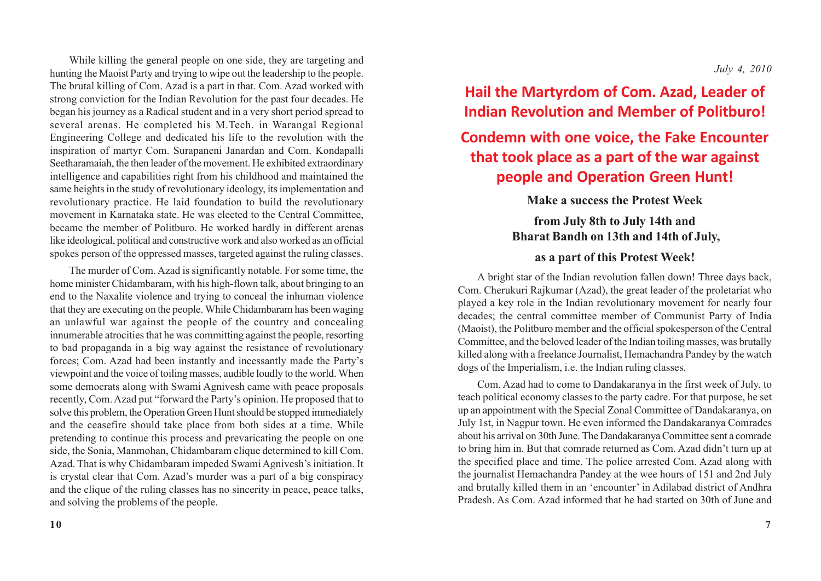While killing the general people on one side, they are targeting and hunting the Maoist Party and trying to wipe out the leadership to the people. The brutal killing of Com. Azad is a part in that. Com. Azad worked with strong conviction for the Indian Revolution for the past four decades. He began his journey as a Radical student and in a very short period spread to several arenas. He completed his M.Tech. in Warangal Regional Engineering College and dedicated his life to the revolution with the inspiration of martyr Com. Surapaneni Janardan and Com. Kondapalli Seetharamaiah, the then leader of the movement. He exhibited extraordinary intelligence and capabilities right from his childhood and maintained the same heights in the study of revolutionary ideology, its implementation and revolutionary practice. He laid foundation to build the revolutionary movement in Karnataka state. He was elected to the Central Committee, became the member of Politburo. He worked hardly in different arenas like ideological, political and constructive work and also worked as an official spokes person of the oppressed masses, targeted against the ruling classes.

The murder of Com. Azad is significantly notable. For some time, the home minister Chidambaram, with his high-flown talk, about bringing to an end to the Naxalite violence and trying to conceal the inhuman violence that they are executing on the people. While Chidambaram has been waging an unlawful war against the people of the country and concealing innumerable atrocities that he was committing against the people, resorting to bad propaganda in a big way against the resistance of revolutionary forces; Com. Azad had been instantly and incessantly made the Party's viewpoint and the voice of toiling masses, audible loudly to the world. When some democrats along with Swami Agnivesh came with peace proposals recently, Com. Azad put "forward the Party's opinion. He proposed that to solve this problem, the Operation Green Hunt should be stopped immediately and the ceasefire should take place from both sides at a time. While pretending to continue this process and prevaricating the people on one side, the Sonia, Manmohan, Chidambaram clique determined to kill Com. Azad. That is why Chidambaram impeded Swami Agnivesh's initiation. It is crystal clear that Com. Azad's murder was a part of a big conspiracy and the clique of the ruling classes has no sincerity in peace, peace talks, and solving the problems of the people.

## **Hail the Martyrdom of Com. Azad, Leader of Indian Revolution and Member of Politburo!**

## **Condemn with one voice, the Fake Encounter that took place as a part of the war against people and Operation Green Hunt!**

### **Make a success the Protest Week**

### **from July 8th to July 14th and Bharat Bandh on 13th and 14th of July,**

### **as a part of this Protest Week!**

A bright star of the Indian revolution fallen down! Three days back, Com. Cherukuri Rajkumar (Azad), the great leader of the proletariat who played a key role in the Indian revolutionary movement for nearly four decades; the central committee member of Communist Party of India (Maoist), the Politburo member and the official spokesperson of the Central Committee, and the beloved leader of the Indian toiling masses, was brutally killed along with a freelance Journalist, Hemachandra Pandey by the watch dogs of the Imperialism, i.e. the Indian ruling classes.

Com. Azad had to come to Dandakaranya in the first week of July, to teach political economy classes to the party cadre. For that purpose, he set up an appointment with the Special Zonal Committee of Dandakaranya, on July 1st, in Nagpur town. He even informed the Dandakaranya Comrades about his arrival on 30th June. The Dandakaranya Committee sent a comrade to bring him in. But that comrade returned as Com. Azad didn't turn up at the specified place and time. The police arrested Com. Azad along with the journalist Hemachandra Pandey at the wee hours of 151 and 2nd July and brutally killed them in an 'encounter' in Adilabad district of Andhra Pradesh. As Com. Azad informed that he had started on 30th of June and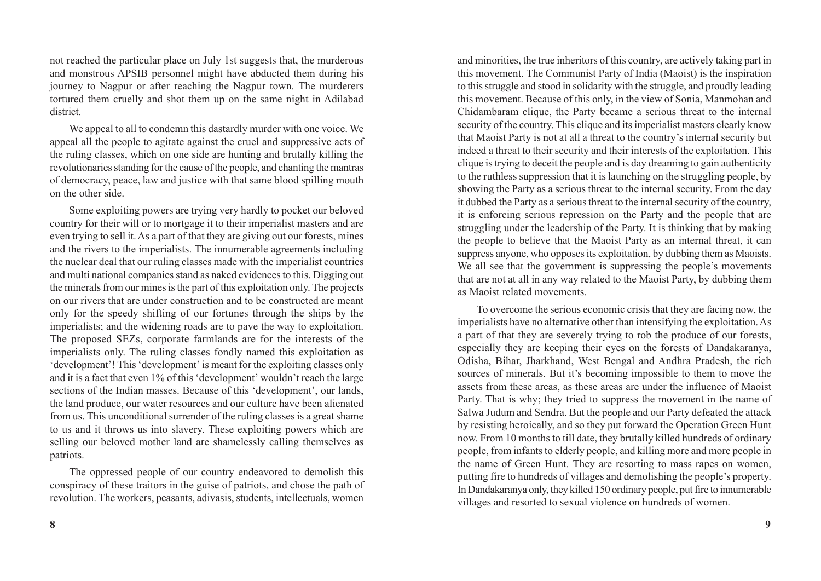not reached the particular place on July 1st suggests that, the murderous and monstrous APSIB personnel might have abducted them during his journey to Nagpur or after reaching the Nagpur town. The murderers tortured them cruelly and shot them up on the same night in Adilabad district.

We appeal to all to condemn this dastardly murder with one voice. We appeal all the people to agitate against the cruel and suppressive acts of the ruling classes, which on one side are hunting and brutally killing the revolutionaries standing for the cause of the people, and chanting the mantras of democracy, peace, law and justice with that same blood spilling mouth on the other side.

Some exploiting powers are trying very hardly to pocket our beloved country for their will or to mortgage it to their imperialist masters and are even trying to sell it. As a part of that they are giving out our forests, mines and the rivers to the imperialists. The innumerable agreements including the nuclear deal that our ruling classes made with the imperialist countries and multi national companies stand as naked evidences to this. Digging out the minerals from our mines is the part of this exploitation only. The projects on our rivers that are under construction and to be constructed are meant only for the speedy shifting of our fortunes through the ships by the imperialists; and the widening roads are to pave the way to exploitation. The proposed SEZs, corporate farmlands are for the interests of the imperialists only. The ruling classes fondly named this exploitation as 'development'! This 'development' is meant for the exploiting classes only and it is a fact that even 1% of this 'development' wouldn't reach the large sections of the Indian masses. Because of this 'development', our lands, the land produce, our water resources and our culture have been alienated from us. This unconditional surrender of the ruling classes is a great shame to us and it throws us into slavery. These exploiting powers which are selling our beloved mother land are shamelessly calling themselves as patriots.

The oppressed people of our country endeavored to demolish this conspiracy of these traitors in the guise of patriots, and chose the path of revolution. The workers, peasants, adivasis, students, intellectuals, women

and minorities, the true inheritors of this country, are actively taking part in this movement. The Communist Party of India (Maoist) is the inspiration to this struggle and stood in solidarity with the struggle, and proudly leading this movement. Because of this only, in the view of Sonia, Manmohan and Chidambaram clique, the Party became a serious threat to the internal security of the country. This clique and its imperialist masters clearly know that Maoist Party is not at all a threat to the country's internal security but indeed a threat to their security and their interests of the exploitation. This clique is trying to deceit the people and is day dreaming to gain authenticity to the ruthless suppression that it is launching on the struggling people, by showing the Party as a serious threat to the internal security. From the day it dubbed the Party as a serious threat to the internal security of the country, it is enforcing serious repression on the Party and the people that are struggling under the leadership of the Party. It is thinking that by making the people to believe that the Maoist Party as an internal threat, it can suppress anyone, who opposes its exploitation, by dubbing them as Maoists. We all see that the government is suppressing the people's movements that are not at all in any way related to the Maoist Party, by dubbing them as Maoist related movements.

To overcome the serious economic crisis that they are facing now, the imperialists have no alternative other than intensifying the exploitation. As a part of that they are severely trying to rob the produce of our forests, especially they are keeping their eyes on the forests of Dandakaranya, Odisha, Bihar, Jharkhand, West Bengal and Andhra Pradesh, the rich sources of minerals. But it's becoming impossible to them to move the assets from these areas, as these areas are under the influence of Maoist Party. That is why; they tried to suppress the movement in the name of Salwa Judum and Sendra. But the people and our Party defeated the attack by resisting heroically, and so they put forward the Operation Green Hunt now. From 10 months to till date, they brutally killed hundreds of ordinary people, from infants to elderly people, and killing more and more people in the name of Green Hunt. They are resorting to mass rapes on women, putting fire to hundreds of villages and demolishing the people's property. In Dandakaranya only, they killed 150 ordinary people, put fire to innumerable villages and resorted to sexual violence on hundreds of women.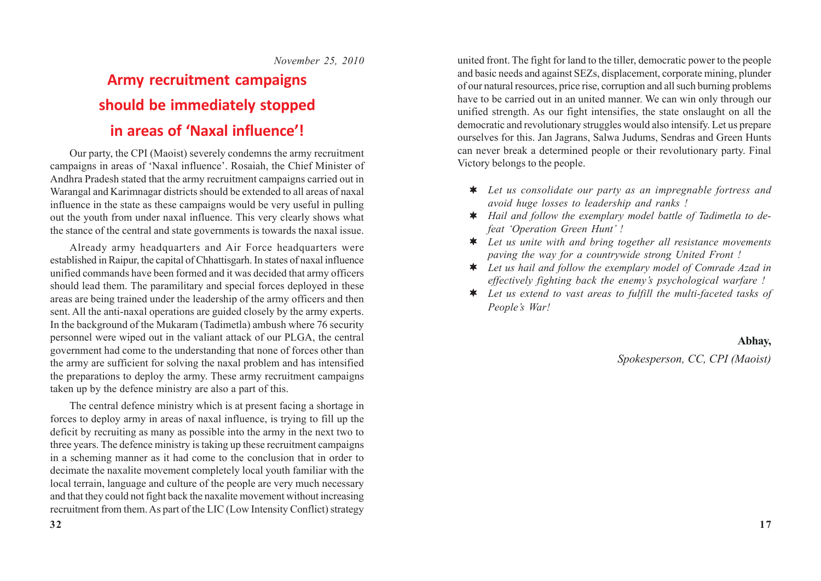*November 25, 2010*

# **Army recruitment campaigns should be immediately stopped in areas of 'Naxal influence'!**

Our party, the CPI (Maoist) severely condemns the army recruitment campaigns in areas of 'Naxal influence'. Rosaiah, the Chief Minister of Andhra Pradesh stated that the army recruitment campaigns carried out in Warangal and Karimnagar districts should be extended to all areas of naxal influence in the state as these campaigns would be very useful in pulling out the youth from under naxal influence. This very clearly shows what the stance of the central and state governments is towards the naxal issue.

Already army headquarters and Air Force headquarters were established in Raipur, the capital of Chhattisgarh. In states of naxal influence unified commands have been formed and it was decided that army officers should lead them. The paramilitary and special forces deployed in these areas are being trained under the leadership of the army officers and then sent. All the anti-naxal operations are guided closely by the army experts. In the background of the Mukaram (Tadimetla) ambush where 76 security personnel were wiped out in the valiant attack of our PLGA, the central government had come to the understanding that none of forces other than the army are sufficient for solving the naxal problem and has intensified the preparations to deploy the army. These army recruitment campaigns taken up by the defence ministry are also a part of this.

The central defence ministry which is at present facing a shortage in forces to deploy army in areas of naxal influence, is trying to fill up the deficit by recruiting as many as possible into the army in the next two to three years. The defence ministry is taking up these recruitment campaigns in a scheming manner as it had come to the conclusion that in order to decimate the naxalite movement completely local youth familiar with the local terrain, language and culture of the people are very much necessary and that they could not fight back the naxalite movement without increasing recruitment from them. As part of the LIC (Low Intensity Conflict) strategy

united front. The fight for land to the tiller, democratic power to the people and basic needs and against SEZs, displacement, corporate mining, plunder of our natural resources, price rise, corruption and all such burning problems have to be carried out in an united manner. We can win only through our unified strength. As our fight intensifies, the state onslaught on all the democratic and revolutionary struggles would also intensify. Let us prepare ourselves for this. Jan Jagrans, Salwa Judums, Sendras and Green Hunts can never break a determined people or their revolutionary party. Final Victory belongs to the people.

- *Let us consolidate our party as an impregnable fortress and avoid huge losses to leadership and ranks !*
- *Hail and follow the exemplary model battle of Tadimetla to defeat 'Operation Green Hunt' !*
- *Let us unite with and bring together all resistance movements paving the way for a countrywide strong United Front !*
- *Let us hail and follow the exemplary model of Comrade Azad in effectively fighting back the enemy's psychological warfare !*
- *Let us extend to vast areas to fulfill the multi-faceted tasks of People's War!*

**Abhay,**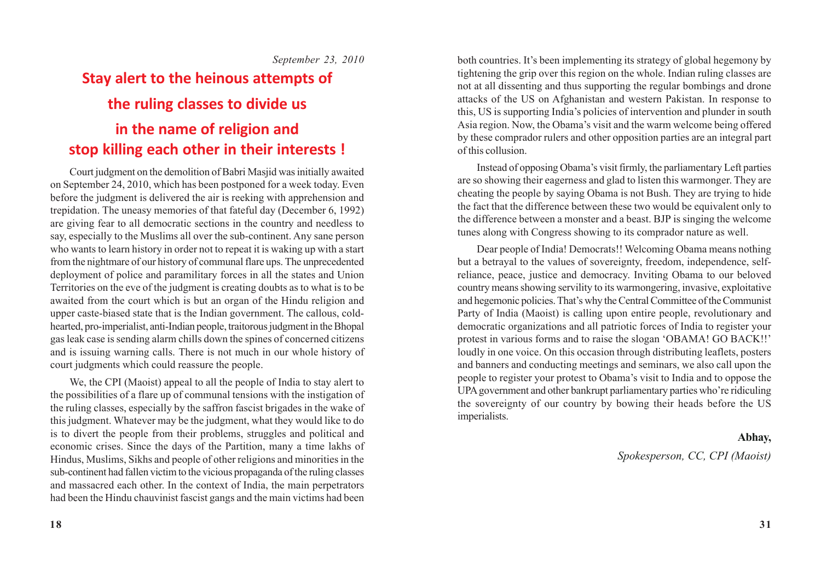*September 23, 2010*

# **Stay alert to the heinous attempts of the ruling classes to divide us in the name of religion and stop killing each other in their interests !**

Court judgment on the demolition of Babri Masjid was initially awaited on September 24, 2010, which has been postponed for a week today. Even before the judgment is delivered the air is reeking with apprehension and trepidation. The uneasy memories of that fateful day (December 6, 1992) are giving fear to all democratic sections in the country and needless to say, especially to the Muslims all over the sub-continent. Any sane person who wants to learn history in order not to repeat it is waking up with a start from the nightmare of our history of communal flare ups. The unprecedented deployment of police and paramilitary forces in all the states and Union Territories on the eve of the judgment is creating doubts as to what is to be awaited from the court which is but an organ of the Hindu religion and upper caste-biased state that is the Indian government. The callous, coldhearted, pro-imperialist, anti-Indian people, traitorous judgment in the Bhopal gas leak case is sending alarm chills down the spines of concerned citizens and is issuing warning calls. There is not much in our whole history of court judgments which could reassure the people.

We, the CPI (Maoist) appeal to all the people of India to stay alert to the possibilities of a flare up of communal tensions with the instigation of the ruling classes, especially by the saffron fascist brigades in the wake of this judgment. Whatever may be the judgment, what they would like to do is to divert the people from their problems, struggles and political and economic crises. Since the days of the Partition, many a time lakhs of Hindus, Muslims, Sikhs and people of other religions and minorities in the sub-continent had fallen victim to the vicious propaganda of the ruling classes and massacred each other. In the context of India, the main perpetrators had been the Hindu chauvinist fascist gangs and the main victims had been

both countries. It's been implementing its strategy of global hegemony by tightening the grip over this region on the whole. Indian ruling classes are not at all dissenting and thus supporting the regular bombings and drone attacks of the US on Afghanistan and western Pakistan. In response to this, US is supporting India's policies of intervention and plunder in south Asia region. Now, the Obama's visit and the warm welcome being offered by these comprador rulers and other opposition parties are an integral part of this collusion.

Instead of opposing Obama's visit firmly, the parliamentary Left parties are so showing their eagerness and glad to listen this warmonger. They are cheating the people by saying Obama is not Bush. They are trying to hide the fact that the difference between these two would be equivalent only to the difference between a monster and a beast. BJP is singing the welcome tunes along with Congress showing to its comprador nature as well.

Dear people of India! Democrats!! Welcoming Obama means nothing but a betrayal to the values of sovereignty, freedom, independence, selfreliance, peace, justice and democracy. Inviting Obama to our beloved country means showing servility to its warmongering, invasive, exploitative and hegemonic policies. That's why the Central Committee of the Communist Party of India (Maoist) is calling upon entire people, revolutionary and democratic organizations and all patriotic forces of India to register your protest in various forms and to raise the slogan 'OBAMA! GO BACK!!' loudly in one voice. On this occasion through distributing leaflets, posters and banners and conducting meetings and seminars, we also call upon the people to register your protest to Obama's visit to India and to oppose the UPA government and other bankrupt parliamentary parties who're ridiculing the sovereignty of our country by bowing their heads before the US imperialists.

#### **Abhay,**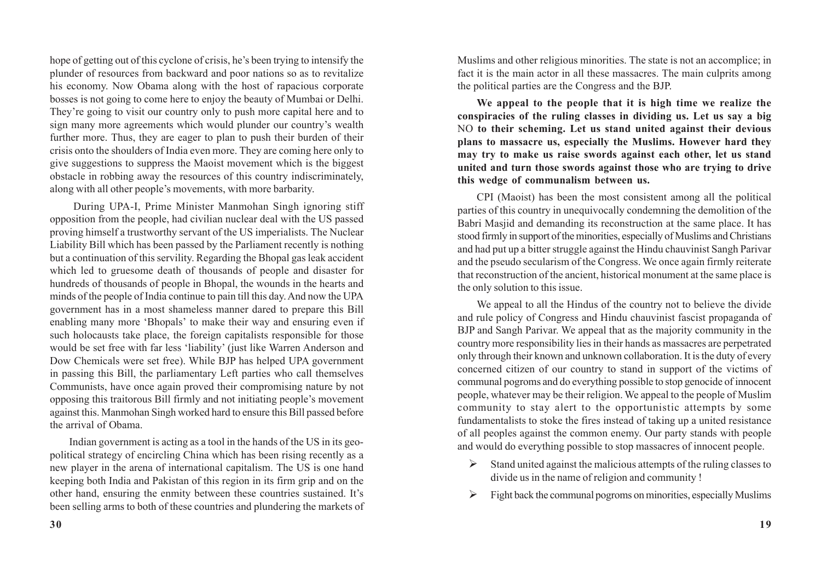hope of getting out of this cyclone of crisis, he's been trying to intensify the plunder of resources from backward and poor nations so as to revitalize his economy. Now Obama along with the host of rapacious corporate bosses is not going to come here to enjoy the beauty of Mumbai or Delhi. They're going to visit our country only to push more capital here and to sign many more agreements which would plunder our country's wealth further more. Thus, they are eager to plan to push their burden of their crisis onto the shoulders of India even more. They are coming here only to give suggestions to suppress the Maoist movement which is the biggest obstacle in robbing away the resources of this country indiscriminately, along with all other people's movements, with more barbarity.

 During UPA-I, Prime Minister Manmohan Singh ignoring stiff opposition from the people, had civilian nuclear deal with the US passed proving himself a trustworthy servant of the US imperialists. The Nuclear Liability Bill which has been passed by the Parliament recently is nothing but a continuation of this servility. Regarding the Bhopal gas leak accident which led to gruesome death of thousands of people and disaster for hundreds of thousands of people in Bhopal, the wounds in the hearts and minds of the people of India continue to pain till this day. And now the UPA government has in a most shameless manner dared to prepare this Bill enabling many more 'Bhopals' to make their way and ensuring even if such holocausts take place, the foreign capitalists responsible for those would be set free with far less 'liability' (just like Warren Anderson and Dow Chemicals were set free). While BJP has helped UPA government in passing this Bill, the parliamentary Left parties who call themselves Communists, have once again proved their compromising nature by not opposing this traitorous Bill firmly and not initiating people's movement against this. Manmohan Singh worked hard to ensure this Bill passed before the arrival of Obama.

Indian government is acting as a tool in the hands of the US in its geopolitical strategy of encircling China which has been rising recently as a new player in the arena of international capitalism. The US is one hand keeping both India and Pakistan of this region in its firm grip and on the other hand, ensuring the enmity between these countries sustained. It's been selling arms to both of these countries and plundering the markets of Muslims and other religious minorities. The state is not an accomplice; in fact it is the main actor in all these massacres. The main culprits among the political parties are the Congress and the BJP.

**We appeal to the people that it is high time we realize the conspiracies of the ruling classes in dividing us. Let us say a big** NO **to their scheming. Let us stand united against their devious plans to massacre us, especially the Muslims. However hard they may try to make us raise swords against each other, let us stand united and turn those swords against those who are trying to drive this wedge of communalism between us.**

CPI (Maoist) has been the most consistent among all the political parties of this country in unequivocally condemning the demolition of the Babri Masjid and demanding its reconstruction at the same place. It has stood firmly in support of the minorities, especially of Muslims and Christians and had put up a bitter struggle against the Hindu chauvinist Sangh Parivar and the pseudo secularism of the Congress. We once again firmly reiterate that reconstruction of the ancient, historical monument at the same place is the only solution to this issue.

We appeal to all the Hindus of the country not to believe the divide and rule policy of Congress and Hindu chauvinist fascist propaganda of BJP and Sangh Parivar. We appeal that as the majority community in the country more responsibility lies in their hands as massacres are perpetrated only through their known and unknown collaboration. It is the duty of every concerned citizen of our country to stand in support of the victims of communal pogroms and do everything possible to stop genocide of innocent people, whatever may be their religion. We appeal to the people of Muslim community to stay alert to the opportunistic attempts by some fundamentalists to stoke the fires instead of taking up a united resistance of all peoples against the common enemy. Our party stands with people and would do everything possible to stop massacres of innocent people.

- $\triangleright$  Stand united against the malicious attempts of the ruling classes to divide us in the name of religion and community !
- $\triangleright$  Fight back the communal pogroms on minorities, especially Muslims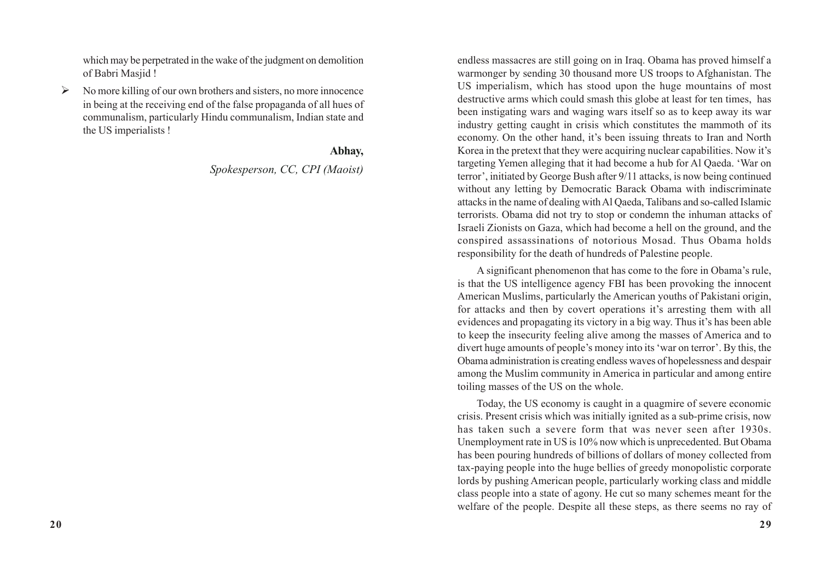which may be perpetrated in the wake of the judgment on demolition of Babri Masjid !

 $\triangleright$  No more killing of our own brothers and sisters, no more innocence in being at the receiving end of the false propaganda of all hues of communalism, particularly Hindu communalism, Indian state and the US imperialists !

### **Abhay,**

*Spokesperson, CC, CPI (Maoist)*

endless massacres are still going on in Iraq. Obama has proved himself a warmonger by sending 30 thousand more US troops to Afghanistan. The US imperialism, which has stood upon the huge mountains of most destructive arms which could smash this globe at least for ten times, has been instigating wars and waging wars itself so as to keep away its war industry getting caught in crisis which constitutes the mammoth of its economy. On the other hand, it's been issuing threats to Iran and North Korea in the pretext that they were acquiring nuclear capabilities. Now it's targeting Yemen alleging that it had become a hub for Al Qaeda. 'War on terror', initiated by George Bush after 9/11 attacks, is now being continued without any letting by Democratic Barack Obama with indiscriminate attacks in the name of dealing with Al Qaeda, Talibans and so-called Islamic terrorists. Obama did not try to stop or condemn the inhuman attacks of Israeli Zionists on Gaza, which had become a hell on the ground, and the conspired assassinations of notorious Mosad. Thus Obama holds responsibility for the death of hundreds of Palestine people.

A significant phenomenon that has come to the fore in Obama's rule, is that the US intelligence agency FBI has been provoking the innocent American Muslims, particularly the American youths of Pakistani origin, for attacks and then by covert operations it's arresting them with all evidences and propagating its victory in a big way. Thus it's has been able to keep the insecurity feeling alive among the masses of America and to divert huge amounts of people's money into its 'war on terror'. By this, the Obama administration is creating endless waves of hopelessness and despair among the Muslim community in America in particular and among entire toiling masses of the US on the whole.

Today, the US economy is caught in a quagmire of severe economic crisis. Present crisis which was initially ignited as a sub-prime crisis, now has taken such a severe form that was never seen after 1930s. Unemployment rate in US is 10% now which is unprecedented. But Obama has been pouring hundreds of billions of dollars of money collected from tax-paying people into the huge bellies of greedy monopolistic corporate lords by pushing American people, particularly working class and middle class people into a state of agony. He cut so many schemes meant for the welfare of the people. Despite all these steps, as there seems no ray of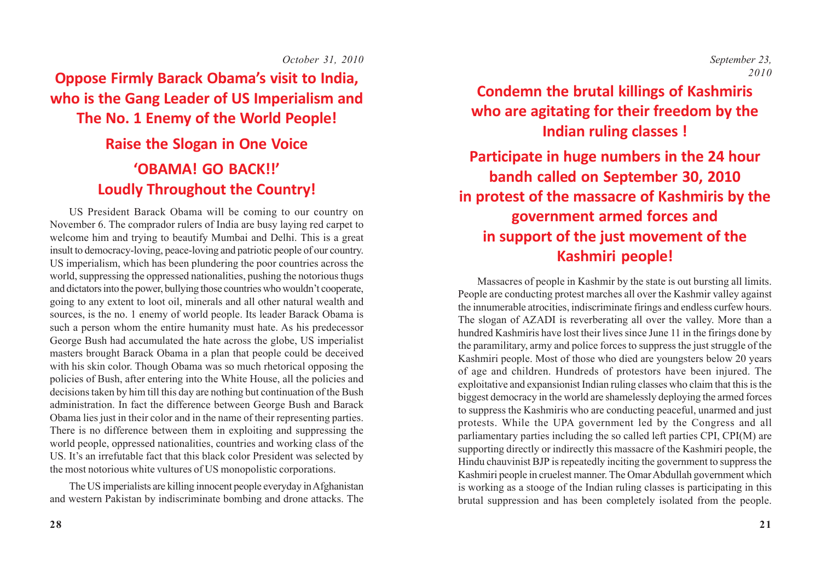#### *October 31, 2010*

**Oppose Firmly Barack Obama's visit to India, who is the Gang Leader of US Imperialism and The No. 1 Enemy of the World People!**

# **Raise the Slogan in One Voice 'OBAMA! GO BACK!!' Loudly Throughout the Country!**

US President Barack Obama will be coming to our country on November 6. The comprador rulers of India are busy laying red carpet to welcome him and trying to beautify Mumbai and Delhi. This is a great insult to democracy-loving, peace-loving and patriotic people of our country. US imperialism, which has been plundering the poor countries across the world, suppressing the oppressed nationalities, pushing the notorious thugs and dictators into the power, bullying those countries who wouldn't cooperate, going to any extent to loot oil, minerals and all other natural wealth and sources, is the no. 1 enemy of world people. Its leader Barack Obama is such a person whom the entire humanity must hate. As his predecessor George Bush had accumulated the hate across the globe, US imperialist masters brought Barack Obama in a plan that people could be deceived with his skin color. Though Obama was so much rhetorical opposing the policies of Bush, after entering into the White House, all the policies and decisions taken by him till this day are nothing but continuation of the Bush administration. In fact the difference between George Bush and Barack Obama lies just in their color and in the name of their representing parties. There is no difference between them in exploiting and suppressing the world people, oppressed nationalities, countries and working class of the US. It's an irrefutable fact that this black color President was selected by the most notorious white vultures of US monopolistic corporations.

The US imperialists are killing innocent people everyday in Afghanistan and western Pakistan by indiscriminate bombing and drone attacks. The

**28**

 *September 23, 2010*

# **Condemn the brutal killings of Kashmiris who are agitating for their freedom by the Indian ruling classes !**

**Participate in huge numbers in the 24 hour bandh called on September 30, 2010 in protest of the massacre of Kashmiris by the government armed forces and in support of the just movement of the Kashmiri people!**

Massacres of people in Kashmir by the state is out bursting all limits. People are conducting protest marches all over the Kashmir valley against the innumerable atrocities, indiscriminate firings and endless curfew hours. The slogan of AZADI is reverberating all over the valley. More than a hundred Kashmiris have lost their lives since June 11 in the firings done by the paramilitary, army and police forces to suppress the just struggle of the Kashmiri people. Most of those who died are youngsters below 20 years of age and children. Hundreds of protestors have been injured. The exploitative and expansionist Indian ruling classes who claim that this is the biggest democracy in the world are shamelessly deploying the armed forces to suppress the Kashmiris who are conducting peaceful, unarmed and just protests. While the UPA government led by the Congress and all parliamentary parties including the so called left parties CPI, CPI(M) are supporting directly or indirectly this massacre of the Kashmiri people, the Hindu chauvinist BJP is repeatedly inciting the government to suppress the Kashmiri people in cruelest manner. The Omar Abdullah government which is working as a stooge of the Indian ruling classes is participating in this brutal suppression and has been completely isolated from the people.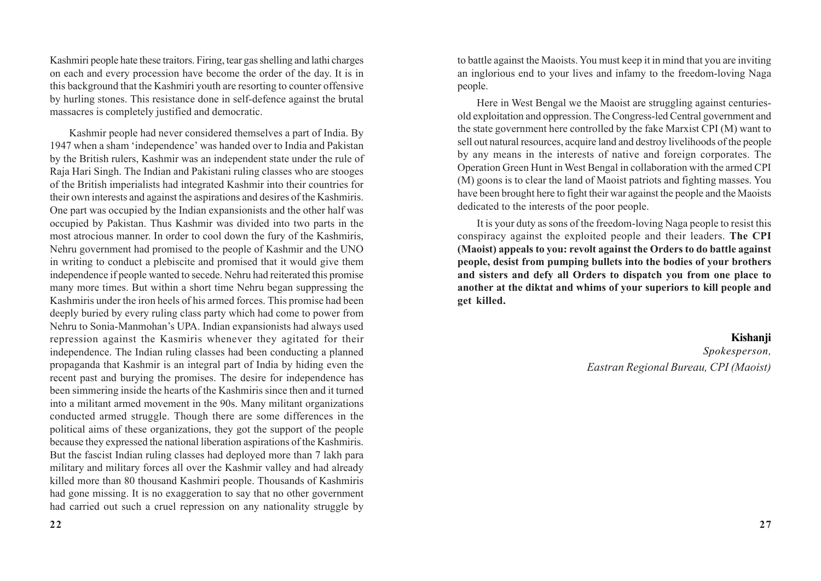Kashmiri people hate these traitors. Firing, tear gas shelling and lathi charges on each and every procession have become the order of the day. It is in this background that the Kashmiri youth are resorting to counter offensive by hurling stones. This resistance done in self-defence against the brutal massacres is completely justified and democratic.

Kashmir people had never considered themselves a part of India. By 1947 when a sham 'independence' was handed over to India and Pakistan by the British rulers, Kashmir was an independent state under the rule of Raja Hari Singh. The Indian and Pakistani ruling classes who are stooges of the British imperialists had integrated Kashmir into their countries for their own interests and against the aspirations and desires of the Kashmiris. One part was occupied by the Indian expansionists and the other half was occupied by Pakistan. Thus Kashmir was divided into two parts in the most atrocious manner. In order to cool down the fury of the Kashmiris, Nehru government had promised to the people of Kashmir and the UNO in writing to conduct a plebiscite and promised that it would give them independence if people wanted to secede. Nehru had reiterated this promise many more times. But within a short time Nehru began suppressing the Kashmiris under the iron heels of his armed forces. This promise had been deeply buried by every ruling class party which had come to power from Nehru to Sonia-Manmohan's UPA. Indian expansionists had always used repression against the Kasmiris whenever they agitated for their independence. The Indian ruling classes had been conducting a planned propaganda that Kashmir is an integral part of India by hiding even the recent past and burying the promises. The desire for independence has been simmering inside the hearts of the Kashmiris since then and it turned into a militant armed movement in the 90s. Many militant organizations conducted armed struggle. Though there are some differences in the political aims of these organizations, they got the support of the people because they expressed the national liberation aspirations of the Kashmiris. But the fascist Indian ruling classes had deployed more than 7 lakh para military and military forces all over the Kashmir valley and had already killed more than 80 thousand Kashmiri people. Thousands of Kashmiris had gone missing. It is no exaggeration to say that no other government had carried out such a cruel repression on any nationality struggle by

to battle against the Maoists. You must keep it in mind that you are inviting an inglorious end to your lives and infamy to the freedom-loving Naga people.

Here in West Bengal we the Maoist are struggling against centuriesold exploitation and oppression. The Congress-led Central government and the state government here controlled by the fake Marxist CPI (M) want to sell out natural resources, acquire land and destroy livelihoods of the people by any means in the interests of native and foreign corporates. The Operation Green Hunt in West Bengal in collaboration with the armed CPI (M) goons is to clear the land of Maoist patriots and fighting masses. You have been brought here to fight their war against the people and the Maoists dedicated to the interests of the poor people.

It is your duty as sons of the freedom-loving Naga people to resist this conspiracy against the exploited people and their leaders. **The CPI (Maoist) appeals to you: revolt against the Orders to do battle against people, desist from pumping bullets into the bodies of your brothers and sisters and defy all Orders to dispatch you from one place to another at the diktat and whims of your superiors to kill people and get killed.**

### **Kishanji** *Spokesperson, Eastran Regional Bureau, CPI (Maoist)*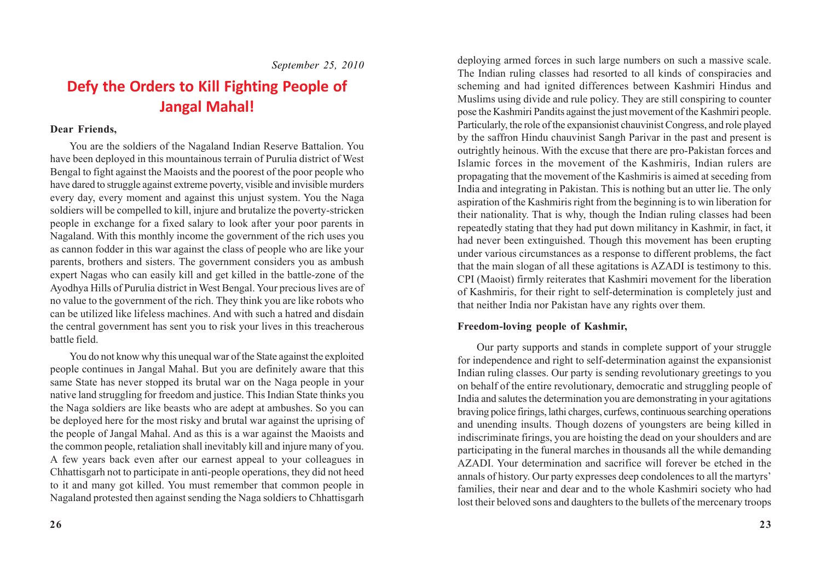*September 25, 2010*

## **Defy the Orders to Kill Fighting People of Jangal Mahal!**

### **Dear Friends,**

You are the soldiers of the Nagaland Indian Reserve Battalion. You have been deployed in this mountainous terrain of Purulia district of West Bengal to fight against the Maoists and the poorest of the poor people who have dared to struggle against extreme poverty, visible and invisible murders every day, every moment and against this unjust system. You the Naga soldiers will be compelled to kill, injure and brutalize the poverty-stricken people in exchange for a fixed salary to look after your poor parents in Nagaland. With this monthly income the government of the rich uses you as cannon fodder in this war against the class of people who are like your parents, brothers and sisters. The government considers you as ambush expert Nagas who can easily kill and get killed in the battle-zone of the Ayodhya Hills of Purulia district in West Bengal. Your precious lives are of no value to the government of the rich. They think you are like robots who can be utilized like lifeless machines. And with such a hatred and disdain the central government has sent you to risk your lives in this treacherous battle field.

You do not know why this unequal war of the State against the exploited people continues in Jangal Mahal. But you are definitely aware that this same State has never stopped its brutal war on the Naga people in your native land struggling for freedom and justice. This Indian State thinks you the Naga soldiers are like beasts who are adept at ambushes. So you can be deployed here for the most risky and brutal war against the uprising of the people of Jangal Mahal. And as this is a war against the Maoists and the common people, retaliation shall inevitably kill and injure many of you. A few years back even after our earnest appeal to your colleagues in Chhattisgarh not to participate in anti-people operations, they did not heed to it and many got killed. You must remember that common people in Nagaland protested then against sending the Naga soldiers to Chhattisgarh

deploying armed forces in such large numbers on such a massive scale. The Indian ruling classes had resorted to all kinds of conspiracies and scheming and had ignited differences between Kashmiri Hindus and Muslims using divide and rule policy. They are still conspiring to counter pose the Kashmiri Pandits against the just movement of the Kashmiri people. Particularly, the role of the expansionist chauvinist Congress, and role played by the saffron Hindu chauvinist Sangh Parivar in the past and present is outrightly heinous. With the excuse that there are pro-Pakistan forces and Islamic forces in the movement of the Kashmiris, Indian rulers are propagating that the movement of the Kashmiris is aimed at seceding from India and integrating in Pakistan. This is nothing but an utter lie. The only aspiration of the Kashmiris right from the beginning is to win liberation for their nationality. That is why, though the Indian ruling classes had been repeatedly stating that they had put down militancy in Kashmir, in fact, it had never been extinguished. Though this movement has been erupting under various circumstances as a response to different problems, the fact that the main slogan of all these agitations is AZADI is testimony to this. CPI (Maoist) firmly reiterates that Kashmiri movement for the liberation of Kashmiris, for their right to self-determination is completely just and that neither India nor Pakistan have any rights over them.

### **Freedom-loving people of Kashmir,**

Our party supports and stands in complete support of your struggle for independence and right to self-determination against the expansionist Indian ruling classes. Our party is sending revolutionary greetings to you on behalf of the entire revolutionary, democratic and struggling people of India and salutes the determination you are demonstrating in your agitations braving police firings, lathi charges, curfews, continuous searching operations and unending insults. Though dozens of youngsters are being killed in indiscriminate firings, you are hoisting the dead on your shoulders and are participating in the funeral marches in thousands all the while demanding AZADI. Your determination and sacrifice will forever be etched in the annals of history. Our party expresses deep condolences to all the martyrs' families, their near and dear and to the whole Kashmiri society who had lost their beloved sons and daughters to the bullets of the mercenary troops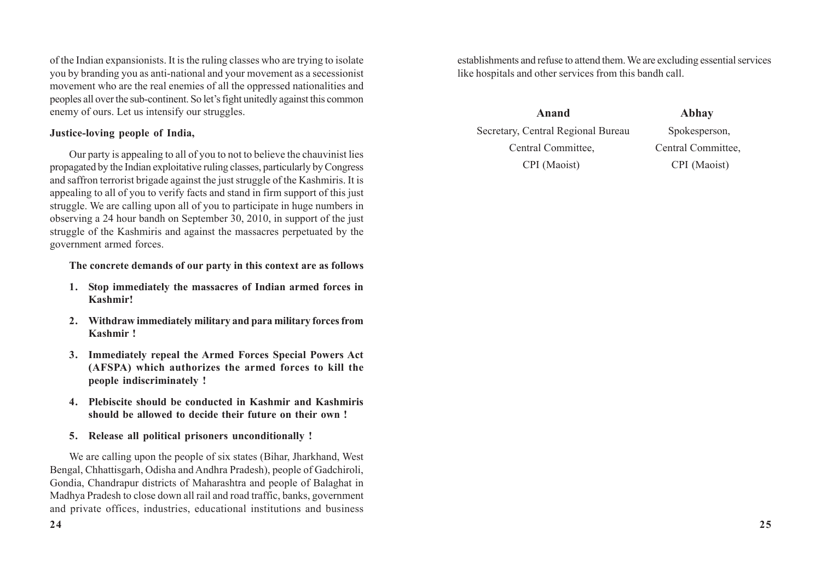of the Indian expansionists. It is the ruling classes who are trying to isolate you by branding you as anti-national and your movement as a secessionist movement who are the real enemies of all the oppressed nationalities and peoples all over the sub-continent. So let's fight unitedly against this common enemy of ours. Let us intensify our struggles.

### **Justice-loving people of India,**

Our party is appealing to all of you to not to believe the chauvinist lies propagated by the Indian exploitative ruling classes, particularly by Congress and saffron terrorist brigade against the just struggle of the Kashmiris. It is appealing to all of you to verify facts and stand in firm support of this just struggle. We are calling upon all of you to participate in huge numbers in observing a 24 hour bandh on September 30, 2010, in support of the just struggle of the Kashmiris and against the massacres perpetuated by the government armed forces.

#### **The concrete demands of our party in this context are as follows**

- **1. Stop immediately the massacres of Indian armed forces in Kashmir!**
- **2. Withdraw immediately military and para military forces from Kashmir !**
- **3. Immediately repeal the Armed Forces Special Powers Act (AFSPA) which authorizes the armed forces to kill the people indiscriminately !**
- **4. Plebiscite should be conducted in Kashmir and Kashmiris should be allowed to decide their future on their own !**
- **5. Release all political prisoners unconditionally !**

We are calling upon the people of six states (Bihar, Jharkhand, West Bengal, Chhattisgarh, Odisha and Andhra Pradesh), people of Gadchiroli, Gondia, Chandrapur districts of Maharashtra and people of Balaghat in Madhya Pradesh to close down all rail and road traffic, banks, government and private offices, industries, educational institutions and business establishments and refuse to attend them. We are excluding essential services like hospitals and other services from this bandh call.

 **Anand Abhay** Secretary, Central Regional Bureau Spokesperson, Central Committee, Central Committee, CPI (Maoist) CPI (Maoist)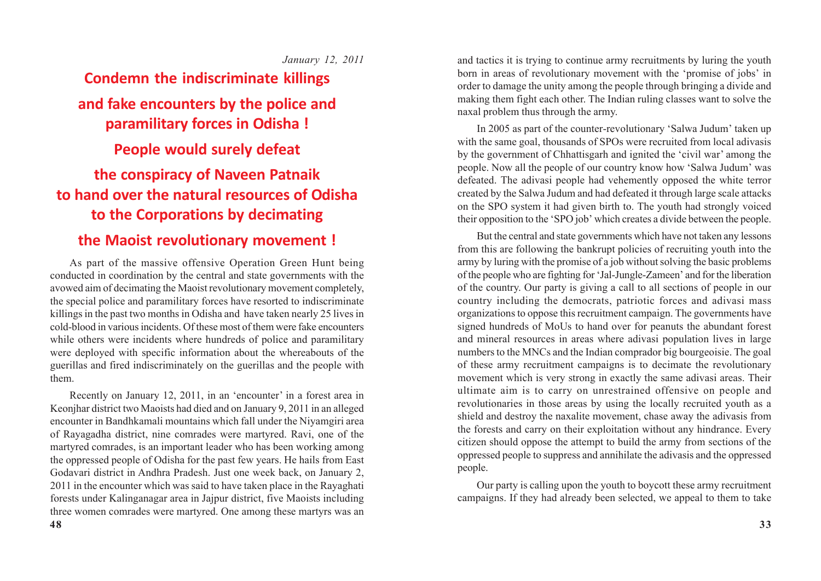*January 12, 2011*

# **Condemn the indiscriminate killings and fake encounters by the police and paramilitary forces in Odisha ! People would surely defeat the conspiracy of Naveen Patnaik to hand over the natural resources of Odisha to the Corporations by decimating**

### **the Maoist revolutionary movement !**

As part of the massive offensive Operation Green Hunt being conducted in coordination by the central and state governments with the avowed aim of decimating the Maoist revolutionary movement completely, the special police and paramilitary forces have resorted to indiscriminate killings in the past two months in Odisha and have taken nearly 25 lives in cold-blood in various incidents. Of these most of them were fake encounters while others were incidents where hundreds of police and paramilitary were deployed with specific information about the whereabouts of the guerillas and fired indiscriminately on the guerillas and the people with them.

Recently on January 12, 2011, in an 'encounter' in a forest area in Keonjhar district two Maoists had died and on January 9, 2011 in an alleged encounter in Bandhkamali mountains which fall under the Niyamgiri area of Rayagadha district, nine comrades were martyred. Ravi, one of the martyred comrades, is an important leader who has been working among the oppressed people of Odisha for the past few years. He hails from East Godavari district in Andhra Pradesh. Just one week back, on January 2, 2011 in the encounter which was said to have taken place in the Rayaghati forests under Kalinganagar area in Jajpur district, five Maoists including three women comrades were martyred. One among these martyrs was an and tactics it is trying to continue army recruitments by luring the youth born in areas of revolutionary movement with the 'promise of jobs' in order to damage the unity among the people through bringing a divide and making them fight each other. The Indian ruling classes want to solve the naxal problem thus through the army.

In 2005 as part of the counter-revolutionary 'Salwa Judum' taken up with the same goal, thousands of SPOs were recruited from local adivasis by the government of Chhattisgarh and ignited the 'civil war' among the people. Now all the people of our country know how 'Salwa Judum' was defeated. The adivasi people had vehemently opposed the white terror created by the Salwa Judum and had defeated it through large scale attacks on the SPO system it had given birth to. The youth had strongly voiced their opposition to the 'SPO job' which creates a divide between the people.

But the central and state governments which have not taken any lessons from this are following the bankrupt policies of recruiting youth into the army by luring with the promise of a job without solving the basic problems of the people who are fighting for 'Jal-Jungle-Zameen' and for the liberation of the country. Our party is giving a call to all sections of people in our country including the democrats, patriotic forces and adivasi mass organizations to oppose this recruitment campaign. The governments have signed hundreds of MoUs to hand over for peanuts the abundant forest and mineral resources in areas where adivasi population lives in large numbers to the MNCs and the Indian comprador big bourgeoisie. The goal of these army recruitment campaigns is to decimate the revolutionary movement which is very strong in exactly the same adivasi areas. Their ultimate aim is to carry on unrestrained offensive on people and revolutionaries in those areas by using the locally recruited youth as a shield and destroy the naxalite movement, chase away the adivasis from the forests and carry on their exploitation without any hindrance. Every citizen should oppose the attempt to build the army from sections of the oppressed people to suppress and annihilate the adivasis and the oppressed people.

Our party is calling upon the youth to boycott these army recruitment campaigns. If they had already been selected, we appeal to them to take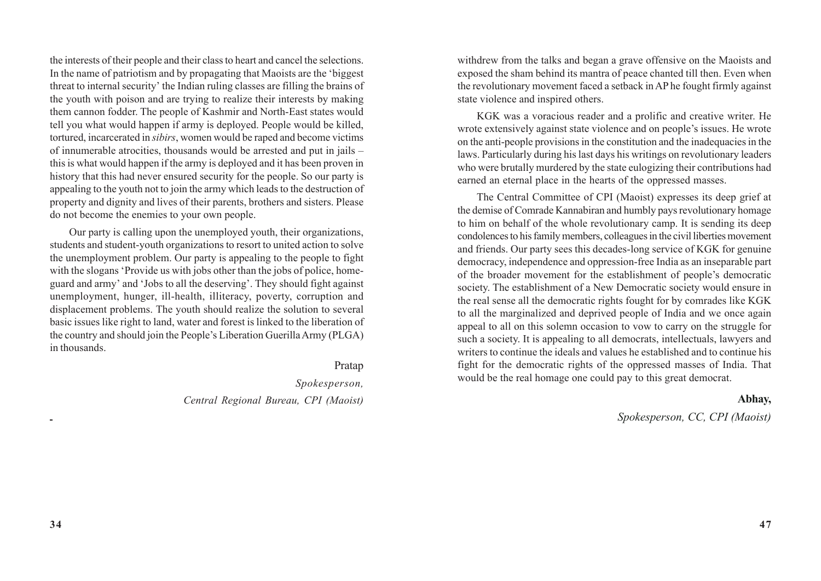the interests of their people and their class to heart and cancel the selections. In the name of patriotism and by propagating that Maoists are the 'biggest threat to internal security' the Indian ruling classes are filling the brains of the youth with poison and are trying to realize their interests by making them cannon fodder. The people of Kashmir and North-East states would tell you what would happen if army is deployed. People would be killed, tortured, incarcerated in *sibirs*, women would be raped and become victims of innumerable atrocities, thousands would be arrested and put in jails – this is what would happen if the army is deployed and it has been proven in history that this had never ensured security for the people. So our party is appealing to the youth not to join the army which leads to the destruction of property and dignity and lives of their parents, brothers and sisters. Please do not become the enemies to your own people.

Our party is calling upon the unemployed youth, their organizations, students and student-youth organizations to resort to united action to solve the unemployment problem. Our party is appealing to the people to fight with the slogans 'Provide us with jobs other than the jobs of police, homeguard and army' and 'Jobs to all the deserving'. They should fight against unemployment, hunger, ill-health, illiteracy, poverty, corruption and displacement problems. The youth should realize the solution to several basic issues like right to land, water and forest is linked to the liberation of the country and should join the People's Liberation Guerilla Army (PLGA) in thousands.

#### Pratap

*Spokesperson, Central Regional Bureau, CPI (Maoist)* withdrew from the talks and began a grave offensive on the Maoists and exposed the sham behind its mantra of peace chanted till then. Even when the revolutionary movement faced a setback in AP he fought firmly against state violence and inspired others.

KGK was a voracious reader and a prolific and creative writer. He wrote extensively against state violence and on people's issues. He wrote on the anti-people provisions in the constitution and the inadequacies in the laws. Particularly during his last days his writings on revolutionary leaders who were brutally murdered by the state eulogizing their contributions had earned an eternal place in the hearts of the oppressed masses.

The Central Committee of CPI (Maoist) expresses its deep grief at the demise of Comrade Kannabiran and humbly pays revolutionary homage to him on behalf of the whole revolutionary camp. It is sending its deep condolences to his family members, colleagues in the civil liberties movement and friends. Our party sees this decades-long service of KGK for genuine democracy, independence and oppression-free India as an inseparable part of the broader movement for the establishment of people's democratic society. The establishment of a New Democratic society would ensure in the real sense all the democratic rights fought for by comrades like KGK to all the marginalized and deprived people of India and we once again appeal to all on this solemn occasion to vow to carry on the struggle for such a society. It is appealing to all democrats, intellectuals, lawyers and writers to continue the ideals and values he established and to continue his fight for the democratic rights of the oppressed masses of India. That would be the real homage one could pay to this great democrat.

#### **Abhay,**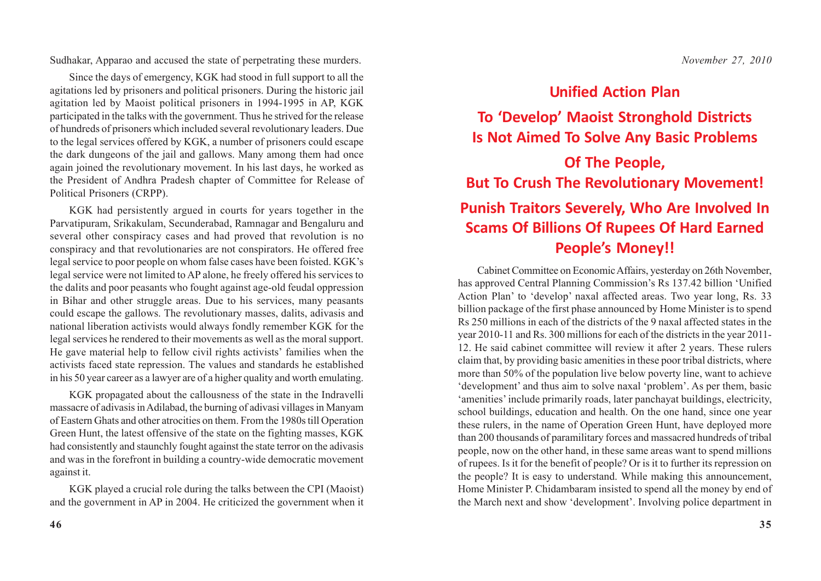Sudhakar, Apparao and accused the state of perpetrating these murders.

Since the days of emergency, KGK had stood in full support to all the agitations led by prisoners and political prisoners. During the historic jail agitation led by Maoist political prisoners in 1994-1995 in AP, KGK participated in the talks with the government. Thus he strived for the release of hundreds of prisoners which included several revolutionary leaders. Due to the legal services offered by KGK, a number of prisoners could escape the dark dungeons of the jail and gallows. Many among them had once again joined the revolutionary movement. In his last days, he worked as the President of Andhra Pradesh chapter of Committee for Release of Political Prisoners (CRPP).

KGK had persistently argued in courts for years together in the Parvatipuram, Srikakulam, Secunderabad, Ramnagar and Bengaluru and several other conspiracy cases and had proved that revolution is no conspiracy and that revolutionaries are not conspirators. He offered free legal service to poor people on whom false cases have been foisted. KGK's legal service were not limited to AP alone, he freely offered his services to the dalits and poor peasants who fought against age-old feudal oppression in Bihar and other struggle areas. Due to his services, many peasants could escape the gallows. The revolutionary masses, dalits, adivasis and national liberation activists would always fondly remember KGK for the legal services he rendered to their movements as well as the moral support. He gave material help to fellow civil rights activists' families when the activists faced state repression. The values and standards he established in his 50 year career as a lawyer are of a higher quality and worth emulating.

KGK propagated about the callousness of the state in the Indravelli massacre of adivasis in Adilabad, the burning of adivasi villages in Manyam of Eastern Ghats and other atrocities on them. From the 1980s till Operation Green Hunt, the latest offensive of the state on the fighting masses, KGK had consistently and staunchly fought against the state terror on the adivasis and was in the forefront in building a country-wide democratic movement against it.

KGK played a crucial role during the talks between the CPI (Maoist) and the government in AP in 2004. He criticized the government when it

### **Unified Action Plan**

# **To 'Develop' Maoist Stronghold Districts Is Not Aimed To Solve Any Basic Problems**

# **Of The People, But To Crush The Revolutionary Movement! Punish Traitors Severely, Who Are Involved In Scams Of Billions Of Rupees Of Hard Earned People's Money!!**

Cabinet Committee on Economic Affairs, yesterday on 26th November, has approved Central Planning Commission's Rs 137.42 billion 'Unified Action Plan' to 'develop' naxal affected areas. Two year long, Rs. 33 billion package of the first phase announced by Home Minister is to spend Rs 250 millions in each of the districts of the 9 naxal affected states in the year 2010-11 and Rs. 300 millions for each of the districts in the year 2011- 12. He said cabinet committee will review it after 2 years. These rulers claim that, by providing basic amenities in these poor tribal districts, where more than 50% of the population live below poverty line, want to achieve 'development' and thus aim to solve naxal 'problem'. As per them, basic 'amenities' include primarily roads, later panchayat buildings, electricity, school buildings, education and health. On the one hand, since one year these rulers, in the name of Operation Green Hunt, have deployed more than 200 thousands of paramilitary forces and massacred hundreds of tribal people, now on the other hand, in these same areas want to spend millions of rupees. Is it for the benefit of people? Or is it to further its repression on the people? It is easy to understand. While making this announcement, Home Minister P. Chidambaram insisted to spend all the money by end of the March next and show 'development'. Involving police department in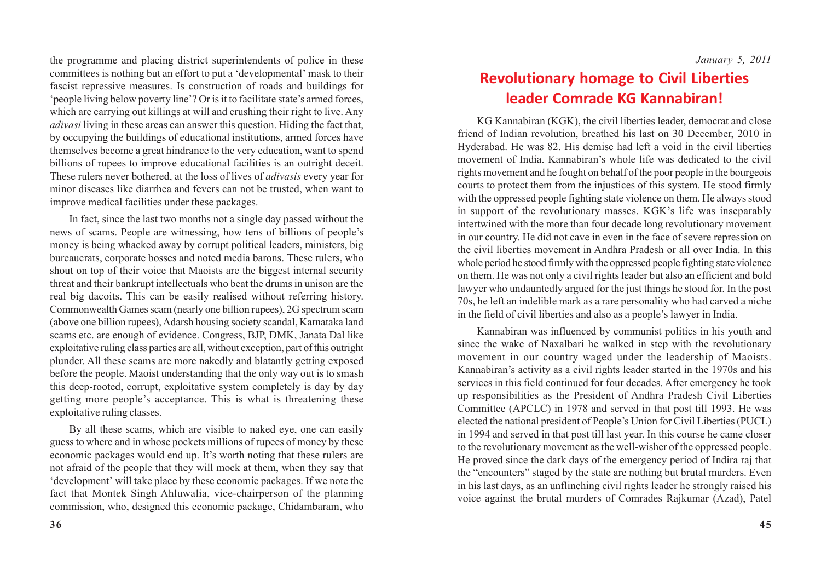the programme and placing district superintendents of police in these committees is nothing but an effort to put a 'developmental' mask to their fascist repressive measures. Is construction of roads and buildings for 'people living below poverty line'? Or is it to facilitate state's armed forces, which are carrying out killings at will and crushing their right to live. Any *adivasi* living in these areas can answer this question. Hiding the fact that, by occupying the buildings of educational institutions, armed forces have themselves become a great hindrance to the very education, want to spend billions of rupees to improve educational facilities is an outright deceit. These rulers never bothered, at the loss of lives of *adivasis* every year for minor diseases like diarrhea and fevers can not be trusted, when want to improve medical facilities under these packages.

In fact, since the last two months not a single day passed without the news of scams. People are witnessing, how tens of billions of people's money is being whacked away by corrupt political leaders, ministers, big bureaucrats, corporate bosses and noted media barons. These rulers, who shout on top of their voice that Maoists are the biggest internal security threat and their bankrupt intellectuals who beat the drums in unison are the real big dacoits. This can be easily realised without referring history. Commonwealth Games scam (nearly one billion rupees), 2G spectrum scam (above one billion rupees), Adarsh housing society scandal, Karnataka land scams etc. are enough of evidence. Congress, BJP, DMK, Janata Dal like exploitative ruling class parties are all, without exception, part of this outright plunder. All these scams are more nakedly and blatantly getting exposed before the people. Maoist understanding that the only way out is to smash this deep-rooted, corrupt, exploitative system completely is day by day getting more people's acceptance. This is what is threatening these exploitative ruling classes.

By all these scams, which are visible to naked eye, one can easily guess to where and in whose pockets millions of rupees of money by these economic packages would end up. It's worth noting that these rulers are not afraid of the people that they will mock at them, when they say that 'development' will take place by these economic packages. If we note the fact that Montek Singh Ahluwalia, vice-chairperson of the planning commission, who, designed this economic package, Chidambaram, who

## **Revolutionary homage to Civil Liberties leader Comrade KG Kannabiran!**

KG Kannabiran (KGK), the civil liberties leader, democrat and close friend of Indian revolution, breathed his last on 30 December, 2010 in Hyderabad. He was 82. His demise had left a void in the civil liberties movement of India. Kannabiran's whole life was dedicated to the civil rights movement and he fought on behalf of the poor people in the bourgeois courts to protect them from the injustices of this system. He stood firmly with the oppressed people fighting state violence on them. He always stood in support of the revolutionary masses. KGK's life was inseparably intertwined with the more than four decade long revolutionary movement in our country. He did not cave in even in the face of severe repression on the civil liberties movement in Andhra Pradesh or all over India. In this whole period he stood firmly with the oppressed people fighting state violence on them. He was not only a civil rights leader but also an efficient and bold lawyer who undauntedly argued for the just things he stood for. In the post 70s, he left an indelible mark as a rare personality who had carved a niche in the field of civil liberties and also as a people's lawyer in India.

Kannabiran was influenced by communist politics in his youth and since the wake of Naxalbari he walked in step with the revolutionary movement in our country waged under the leadership of Maoists. Kannabiran's activity as a civil rights leader started in the 1970s and his services in this field continued for four decades. After emergency he took up responsibilities as the President of Andhra Pradesh Civil Liberties Committee (APCLC) in 1978 and served in that post till 1993. He was elected the national president of People's Union for Civil Liberties (PUCL) in 1994 and served in that post till last year. In this course he came closer to the revolutionary movement as the well-wisher of the oppressed people. He proved since the dark days of the emergency period of Indira raj that the "encounters" staged by the state are nothing but brutal murders. Even in his last days, as an unflinching civil rights leader he strongly raised his voice against the brutal murders of Comrades Rajkumar (Azad), Patel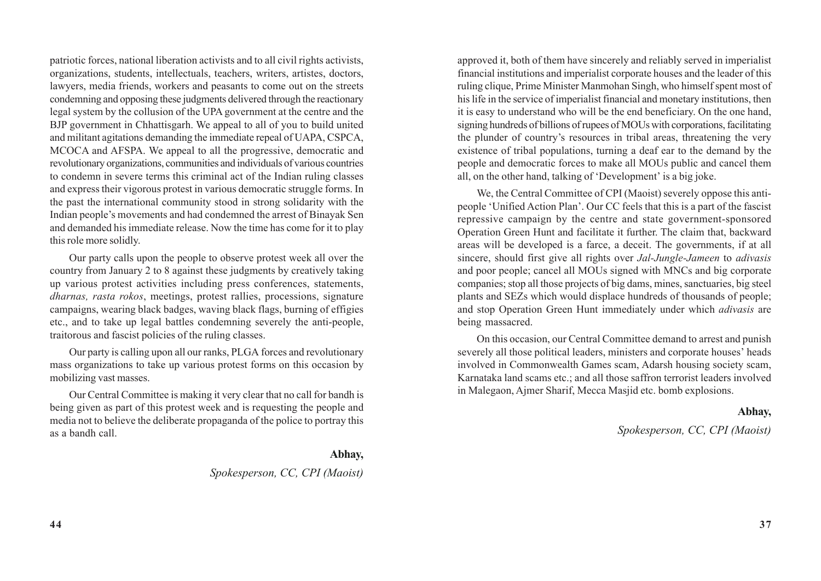patriotic forces, national liberation activists and to all civil rights activists, organizations, students, intellectuals, teachers, writers, artistes, doctors, lawyers, media friends, workers and peasants to come out on the streets condemning and opposing these judgments delivered through the reactionary legal system by the collusion of the UPA government at the centre and the BJP government in Chhattisgarh. We appeal to all of you to build united and militant agitations demanding the immediate repeal of UAPA, CSPCA, MCOCA and AFSPA. We appeal to all the progressive, democratic and revolutionary organizations, communities and individuals of various countries to condemn in severe terms this criminal act of the Indian ruling classes and express their vigorous protest in various democratic struggle forms. In the past the international community stood in strong solidarity with the Indian people's movements and had condemned the arrest of Binayak Sen and demanded his immediate release. Now the time has come for it to play this role more solidly.

Our party calls upon the people to observe protest week all over the country from January 2 to 8 against these judgments by creatively taking up various protest activities including press conferences, statements, *dharnas, rasta rokos*, meetings, protest rallies, processions, signature campaigns, wearing black badges, waving black flags, burning of effigies etc., and to take up legal battles condemning severely the anti-people, traitorous and fascist policies of the ruling classes.

Our party is calling upon all our ranks, PLGA forces and revolutionary mass organizations to take up various protest forms on this occasion by mobilizing vast masses.

Our Central Committee is making it very clear that no call for bandh is being given as part of this protest week and is requesting the people and media not to believe the deliberate propaganda of the police to portray this as a bandh call.

#### **Abhay,**

### *Spokesperson, CC, CPI (Maoist)*

approved it, both of them have sincerely and reliably served in imperialist financial institutions and imperialist corporate houses and the leader of this ruling clique, Prime Minister Manmohan Singh, who himself spent most of his life in the service of imperialist financial and monetary institutions, then it is easy to understand who will be the end beneficiary. On the one hand, signing hundreds of billions of rupees of MOUs with corporations, facilitating the plunder of country's resources in tribal areas, threatening the very existence of tribal populations, turning a deaf ear to the demand by the people and democratic forces to make all MOUs public and cancel them all, on the other hand, talking of 'Development' is a big joke.

We, the Central Committee of CPI (Maoist) severely oppose this antipeople 'Unified Action Plan'. Our CC feels that this is a part of the fascist repressive campaign by the centre and state government-sponsored Operation Green Hunt and facilitate it further. The claim that, backward areas will be developed is a farce, a deceit. The governments, if at all sincere, should first give all rights over *Jal-Jungle-Jameen* to *adivasis* and poor people; cancel all MOUs signed with MNCs and big corporate companies; stop all those projects of big dams, mines, sanctuaries, big steel plants and SEZs which would displace hundreds of thousands of people; and stop Operation Green Hunt immediately under which *adivasis* are being massacred.

On this occasion, our Central Committee demand to arrest and punish severely all those political leaders, ministers and corporate houses' heads involved in Commonwealth Games scam, Adarsh housing society scam, Karnataka land scams etc.; and all those saffron terrorist leaders involved in Malegaon, Ajmer Sharif, Mecca Masjid etc. bomb explosions.

### **Abhay,**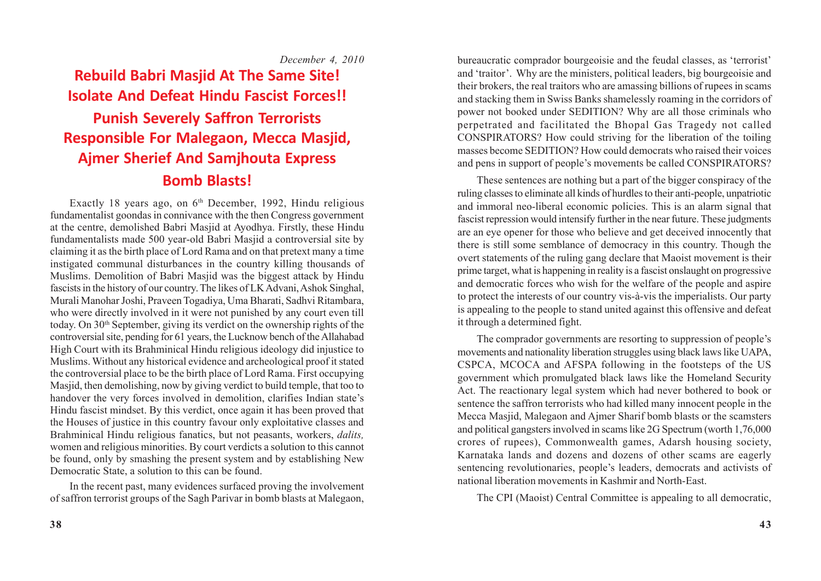*December 4, 2010*

# **Rebuild Babri Masjid At The Same Site! Isolate And Defeat Hindu Fascist Forces!! Punish Severely Saffron Terrorists Responsible For Malegaon, Mecca Masjid, Ajmer Sherief And Samjhouta Express Bomb Blasts!**

Exactly 18 years ago, on 6<sup>th</sup> December, 1992, Hindu religious fundamentalist goondas in connivance with the then Congress government at the centre, demolished Babri Masjid at Ayodhya. Firstly, these Hindu fundamentalists made 500 year-old Babri Masjid a controversial site by claiming it as the birth place of Lord Rama and on that pretext many a time instigated communal disturbances in the country killing thousands of Muslims. Demolition of Babri Masjid was the biggest attack by Hindu fascists in the history of our country. The likes of LK Advani, Ashok Singhal, Murali Manohar Joshi, Praveen Togadiya, Uma Bharati, Sadhvi Ritambara, who were directly involved in it were not punished by any court even till today. On 30<sup>th</sup> September, giving its verdict on the ownership rights of the controversial site, pending for 61 years, the Lucknow bench of the Allahabad High Court with its Brahminical Hindu religious ideology did injustice to Muslims. Without any historical evidence and archeological proof it stated the controversial place to be the birth place of Lord Rama. First occupying Masjid, then demolishing, now by giving verdict to build temple, that too to handover the very forces involved in demolition, clarifies Indian state's Hindu fascist mindset. By this verdict, once again it has been proved that the Houses of justice in this country favour only exploitative classes and Brahminical Hindu religious fanatics, but not peasants, workers, *dalits,* women and religious minorities. By court verdicts a solution to this cannot be found, only by smashing the present system and by establishing New Democratic State, a solution to this can be found.

In the recent past, many evidences surfaced proving the involvement of saffron terrorist groups of the Sagh Parivar in bomb blasts at Malegaon, bureaucratic comprador bourgeoisie and the feudal classes, as 'terrorist' and 'traitor'. Why are the ministers, political leaders, big bourgeoisie and their brokers, the real traitors who are amassing billions of rupees in scams and stacking them in Swiss Banks shamelessly roaming in the corridors of power not booked under SEDITION? Why are all those criminals who perpetrated and facilitated the Bhopal Gas Tragedy not called CONSPIRATORS? How could striving for the liberation of the toiling masses become SEDITION? How could democrats who raised their voices and pens in support of people's movements be called CONSPIRATORS?

These sentences are nothing but a part of the bigger conspiracy of the ruling classes to eliminate all kinds of hurdles to their anti-people, unpatriotic and immoral neo-liberal economic policies. This is an alarm signal that fascist repression would intensify further in the near future. These judgments are an eye opener for those who believe and get deceived innocently that there is still some semblance of democracy in this country. Though the overt statements of the ruling gang declare that Maoist movement is their prime target, what is happening in reality is a fascist onslaught on progressive and democratic forces who wish for the welfare of the people and aspire to protect the interests of our country vis-à-vis the imperialists. Our party is appealing to the people to stand united against this offensive and defeat it through a determined fight.

The comprador governments are resorting to suppression of people's movements and nationality liberation struggles using black laws like UAPA, CSPCA, MCOCA and AFSPA following in the footsteps of the US government which promulgated black laws like the Homeland Security Act. The reactionary legal system which had never bothered to book or sentence the saffron terrorists who had killed many innocent people in the Mecca Masjid, Malegaon and Ajmer Sharif bomb blasts or the scamsters and political gangsters involved in scams like 2G Spectrum (worth 1,76,000 crores of rupees), Commonwealth games, Adarsh housing society, Karnataka lands and dozens and dozens of other scams are eagerly sentencing revolutionaries, people's leaders, democrats and activists of national liberation movements in Kashmir and North-East.

The CPI (Maoist) Central Committee is appealing to all democratic,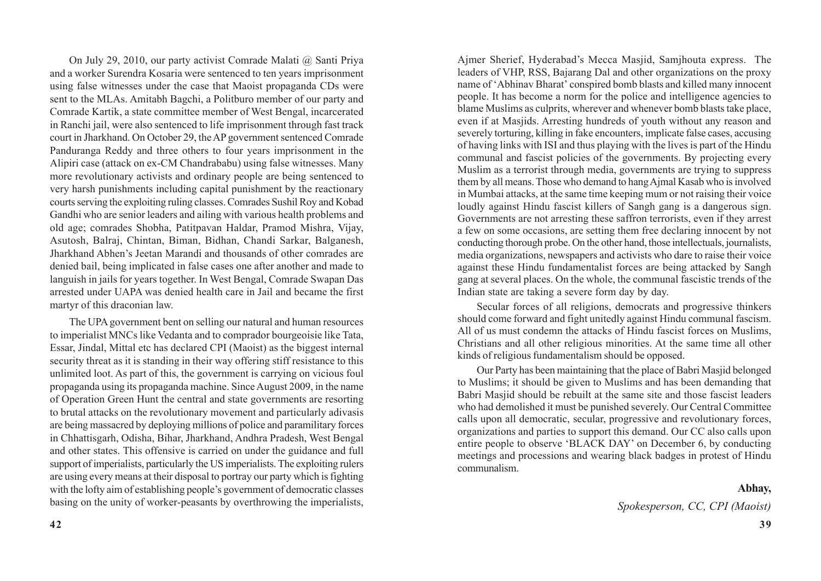On July 29, 2010, our party activist Comrade Malati @ Santi Priya and a worker Surendra Kosaria were sentenced to ten years imprisonment using false witnesses under the case that Maoist propaganda CDs were sent to the MLAs. Amitabh Bagchi, a Politburo member of our party and Comrade Kartik, a state committee member of West Bengal, incarcerated in Ranchi jail, were also sentenced to life imprisonment through fast track court in Jharkhand. On October 29, the AP government sentenced Comrade Panduranga Reddy and three others to four years imprisonment in the Alipiri case (attack on ex-CM Chandrababu) using false witnesses. Many more revolutionary activists and ordinary people are being sentenced to very harsh punishments including capital punishment by the reactionary courts serving the exploiting ruling classes. Comrades Sushil Roy and Kobad Gandhi who are senior leaders and ailing with various health problems and old age; comrades Shobha, Patitpavan Haldar, Pramod Mishra, Vijay, Asutosh, Balraj, Chintan, Biman, Bidhan, Chandi Sarkar, Balganesh, Jharkhand Abhen's Jeetan Marandi and thousands of other comrades are denied bail, being implicated in false cases one after another and made to languish in jails for years together. In West Bengal, Comrade Swapan Das arrested under UAPA was denied health care in Jail and became the first martyr of this draconian law.

The UPA government bent on selling our natural and human resources to imperialist MNCs like Vedanta and to comprador bourgeoisie like Tata, Essar, Jindal, Mittal etc has declared CPI (Maoist) as the biggest internal security threat as it is standing in their way offering stiff resistance to this unlimited loot. As part of this, the government is carrying on vicious foul propaganda using its propaganda machine. Since August 2009, in the name of Operation Green Hunt the central and state governments are resorting to brutal attacks on the revolutionary movement and particularly adivasis are being massacred by deploying millions of police and paramilitary forces in Chhattisgarh, Odisha, Bihar, Jharkhand, Andhra Pradesh, West Bengal and other states. This offensive is carried on under the guidance and full support of imperialists, particularly the US imperialists. The exploiting rulers are using every means at their disposal to portray our party which is fighting with the lofty aim of establishing people's government of democratic classes basing on the unity of worker-peasants by overthrowing the imperialists,

Ajmer Sherief, Hyderabad's Mecca Masjid, Samjhouta express. The leaders of VHP, RSS, Bajarang Dal and other organizations on the proxy name of 'Abhinav Bharat' conspired bomb blasts and killed many innocent people. It has become a norm for the police and intelligence agencies to blame Muslims as culprits, wherever and whenever bomb blasts take place, even if at Masjids. Arresting hundreds of youth without any reason and severely torturing, killing in fake encounters, implicate false cases, accusing of having links with ISI and thus playing with the lives is part of the Hindu communal and fascist policies of the governments. By projecting every Muslim as a terrorist through media, governments are trying to suppress them by all means. Those who demand to hang Ajmal Kasab who is involved in Mumbai attacks, at the same time keeping mum or not raising their voice loudly against Hindu fascist killers of Sangh gang is a dangerous sign. Governments are not arresting these saffron terrorists, even if they arrest a few on some occasions, are setting them free declaring innocent by not conducting thorough probe. On the other hand, those intellectuals, journalists, media organizations, newspapers and activists who dare to raise their voice against these Hindu fundamentalist forces are being attacked by Sangh gang at several places. On the whole, the communal fascistic trends of the Indian state are taking a severe form day by day.

Secular forces of all religions, democrats and progressive thinkers should come forward and fight unitedly against Hindu communal fascism. All of us must condemn the attacks of Hindu fascist forces on Muslims, Christians and all other religious minorities. At the same time all other kinds of religious fundamentalism should be opposed.

Our Party has been maintaining that the place of Babri Masjid belonged to Muslims; it should be given to Muslims and has been demanding that Babri Masjid should be rebuilt at the same site and those fascist leaders who had demolished it must be punished severely. Our Central Committee calls upon all democratic, secular, progressive and revolutionary forces, organizations and parties to support this demand. Our CC also calls upon entire people to observe 'BLACK DAY' on December 6, by conducting meetings and processions and wearing black badges in protest of Hindu communalism.

### **Abhay,**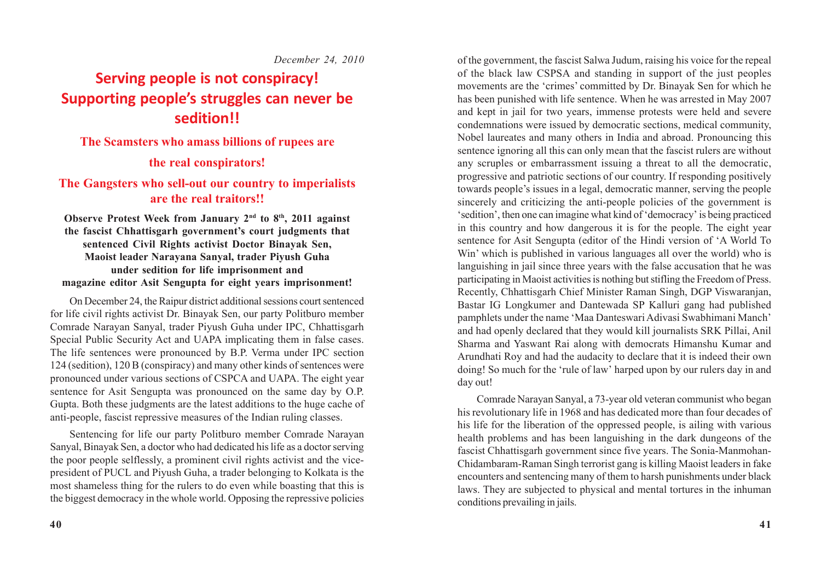*December 24, 2010*

# **Serving people is not conspiracy! Supporting people's struggles can never be sedition!!**

### **The Scamsters who amass billions of rupees are**

### **the real conspirators!**

### **The Gangsters who sell-out our country to imperialists are the real traitors!!**

**Observe Protest Week from January 2nd to 8th, 2011 against the fascist Chhattisgarh government's court judgments that sentenced Civil Rights activist Doctor Binayak Sen, Maoist leader Narayana Sanyal, trader Piyush Guha under sedition for life imprisonment and magazine editor Asit Sengupta for eight years imprisonment!**

On December 24, the Raipur district additional sessions court sentenced for life civil rights activist Dr. Binayak Sen, our party Politburo member Comrade Narayan Sanyal, trader Piyush Guha under IPC, Chhattisgarh Special Public Security Act and UAPA implicating them in false cases. The life sentences were pronounced by B.P. Verma under IPC section 124 (sedition), 120 B (conspiracy) and many other kinds of sentences were pronounced under various sections of CSPCA and UAPA. The eight year sentence for Asit Sengupta was pronounced on the same day by O.P. Gupta. Both these judgments are the latest additions to the huge cache of anti-people, fascist repressive measures of the Indian ruling classes.

Sentencing for life our party Politburo member Comrade Narayan Sanyal, Binayak Sen, a doctor who had dedicated his life as a doctor serving the poor people selflessly, a prominent civil rights activist and the vicepresident of PUCL and Piyush Guha, a trader belonging to Kolkata is the most shameless thing for the rulers to do even while boasting that this is the biggest democracy in the whole world. Opposing the repressive policies of the government, the fascist Salwa Judum, raising his voice for the repeal of the black law CSPSA and standing in support of the just peoples movements are the 'crimes' committed by Dr. Binayak Sen for which he has been punished with life sentence. When he was arrested in May 2007 and kept in jail for two years, immense protests were held and severe condemnations were issued by democratic sections, medical community, Nobel laureates and many others in India and abroad. Pronouncing this sentence ignoring all this can only mean that the fascist rulers are without any scruples or embarrassment issuing a threat to all the democratic, progressive and patriotic sections of our country. If responding positively towards people's issues in a legal, democratic manner, serving the people sincerely and criticizing the anti-people policies of the government is 'sedition', then one can imagine what kind of 'democracy' is being practiced in this country and how dangerous it is for the people. The eight year sentence for Asit Sengupta (editor of the Hindi version of 'A World To Win' which is published in various languages all over the world) who is languishing in jail since three years with the false accusation that he was participating in Maoist activities is nothing but stifling the Freedom of Press. Recently, Chhattisgarh Chief Minister Raman Singh, DGP Viswaranjan, Bastar IG Longkumer and Dantewada SP Kalluri gang had published pamphlets under the name 'Maa Danteswari Adivasi Swabhimani Manch' and had openly declared that they would kill journalists SRK Pillai, Anil Sharma and Yaswant Rai along with democrats Himanshu Kumar and Arundhati Roy and had the audacity to declare that it is indeed their own doing! So much for the 'rule of law' harped upon by our rulers day in and day out!

Comrade Narayan Sanyal, a 73-year old veteran communist who began his revolutionary life in 1968 and has dedicated more than four decades of his life for the liberation of the oppressed people, is ailing with various health problems and has been languishing in the dark dungeons of the fascist Chhattisgarh government since five years. The Sonia-Manmohan-Chidambaram-Raman Singh terrorist gang is killing Maoist leaders in fake encounters and sentencing many of them to harsh punishments under black laws. They are subjected to physical and mental tortures in the inhuman conditions prevailing in jails.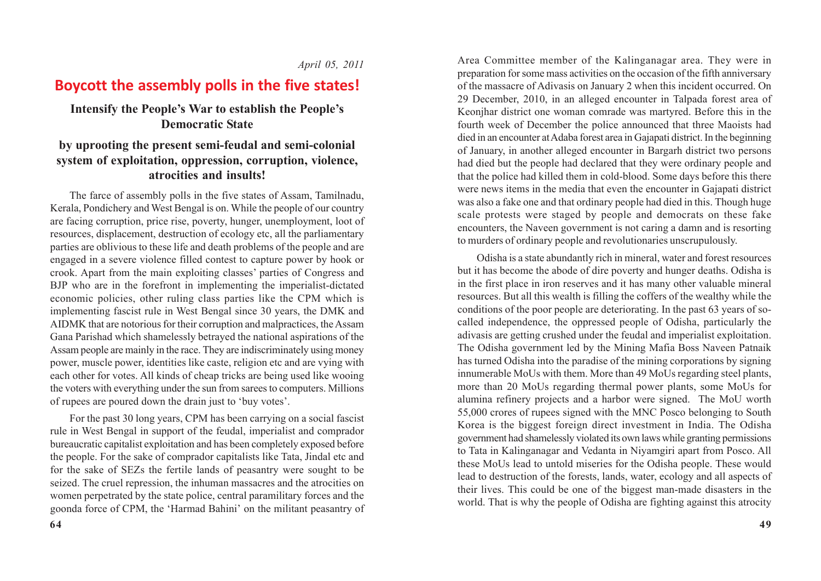*April 05, 2011*

## **Boycott the assembly polls in the five states!**

### **Intensify the People's War to establish the People's Democratic State**

### **by uprooting the present semi-feudal and semi-colonial system of exploitation, oppression, corruption, violence, atrocities and insults!**

The farce of assembly polls in the five states of Assam, Tamilnadu, Kerala, Pondichery and West Bengal is on. While the people of our country are facing corruption, price rise, poverty, hunger, unemployment, loot of resources, displacement, destruction of ecology etc, all the parliamentary parties are oblivious to these life and death problems of the people and are engaged in a severe violence filled contest to capture power by hook or crook. Apart from the main exploiting classes' parties of Congress and BJP who are in the forefront in implementing the imperialist-dictated economic policies, other ruling class parties like the CPM which is implementing fascist rule in West Bengal since 30 years, the DMK and AIDMK that are notorious for their corruption and malpractices, the Assam Gana Parishad which shamelessly betrayed the national aspirations of the Assam people are mainly in the race. They are indiscriminately using money power, muscle power, identities like caste, religion etc and are vying with each other for votes. All kinds of cheap tricks are being used like wooing the voters with everything under the sun from sarees to computers. Millions of rupees are poured down the drain just to 'buy votes'.

For the past 30 long years, CPM has been carrying on a social fascist rule in West Bengal in support of the feudal, imperialist and comprador bureaucratic capitalist exploitation and has been completely exposed before the people. For the sake of comprador capitalists like Tata, Jindal etc and for the sake of SEZs the fertile lands of peasantry were sought to be seized. The cruel repression, the inhuman massacres and the atrocities on women perpetrated by the state police, central paramilitary forces and the goonda force of CPM, the 'Harmad Bahini' on the militant peasantry of Area Committee member of the Kalinganagar area. They were in preparation for some mass activities on the occasion of the fifth anniversary of the massacre of Adivasis on January 2 when this incident occurred. On 29 December, 2010, in an alleged encounter in Talpada forest area of Keonjhar district one woman comrade was martyred. Before this in the fourth week of December the police announced that three Maoists had died in an encounter at Adaba forest area in Gajapati district. In the beginning of January, in another alleged encounter in Bargarh district two persons had died but the people had declared that they were ordinary people and that the police had killed them in cold-blood. Some days before this there were news items in the media that even the encounter in Gajapati district was also a fake one and that ordinary people had died in this. Though huge scale protests were staged by people and democrats on these fake encounters, the Naveen government is not caring a damn and is resorting to murders of ordinary people and revolutionaries unscrupulously.

Odisha is a state abundantly rich in mineral, water and forest resources but it has become the abode of dire poverty and hunger deaths. Odisha is in the first place in iron reserves and it has many other valuable mineral resources. But all this wealth is filling the coffers of the wealthy while the conditions of the poor people are deteriorating. In the past 63 years of socalled independence, the oppressed people of Odisha, particularly the adivasis are getting crushed under the feudal and imperialist exploitation. The Odisha government led by the Mining Mafia Boss Naveen Patnaik has turned Odisha into the paradise of the mining corporations by signing innumerable MoUs with them. More than 49 MoUs regarding steel plants, more than 20 MoUs regarding thermal power plants, some MoUs for alumina refinery projects and a harbor were signed. The MoU worth 55,000 crores of rupees signed with the MNC Posco belonging to South Korea is the biggest foreign direct investment in India. The Odisha government had shamelessly violated its own laws while granting permissions to Tata in Kalinganagar and Vedanta in Niyamgiri apart from Posco. All these MoUs lead to untold miseries for the Odisha people. These would lead to destruction of the forests, lands, water, ecology and all aspects of their lives. This could be one of the biggest man-made disasters in the world. That is why the people of Odisha are fighting against this atrocity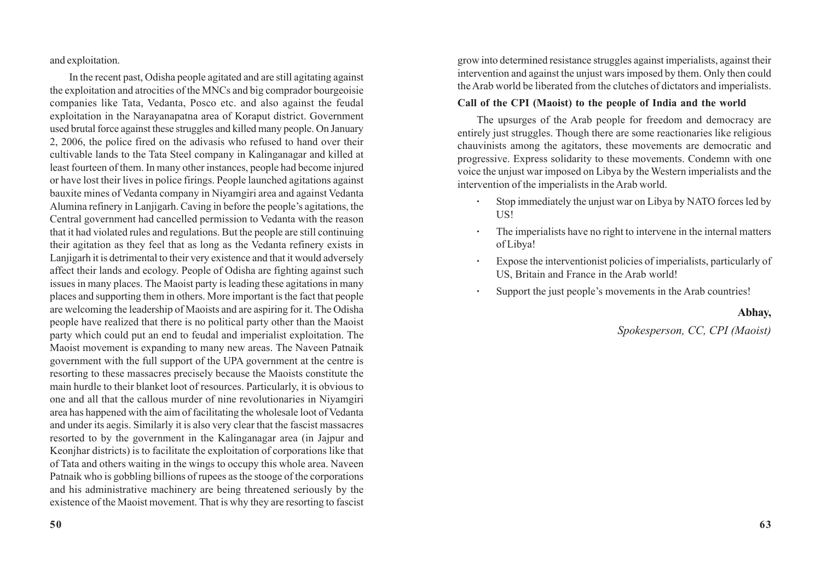and exploitation.

In the recent past, Odisha people agitated and are still agitating against the exploitation and atrocities of the MNCs and big comprador bourgeoisie companies like Tata, Vedanta, Posco etc. and also against the feudal exploitation in the Narayanapatna area of Koraput district. Government used brutal force against these struggles and killed many people. On January 2, 2006, the police fired on the adivasis who refused to hand over their cultivable lands to the Tata Steel company in Kalinganagar and killed at least fourteen of them. In many other instances, people had become injured or have lost their lives in police firings. People launched agitations against bauxite mines of Vedanta company in Niyamgiri area and against Vedanta Alumina refinery in Lanjigarh. Caving in before the people's agitations, the Central government had cancelled permission to Vedanta with the reason that it had violated rules and regulations. But the people are still continuing their agitation as they feel that as long as the Vedanta refinery exists in Lanjigarh it is detrimental to their very existence and that it would adversely affect their lands and ecology. People of Odisha are fighting against such issues in many places. The Maoist party is leading these agitations in many places and supporting them in others. More important is the fact that people are welcoming the leadership of Maoists and are aspiring for it. The Odisha people have realized that there is no political party other than the Maoist party which could put an end to feudal and imperialist exploitation. The Maoist movement is expanding to many new areas. The Naveen Patnaik government with the full support of the UPA government at the centre is resorting to these massacres precisely because the Maoists constitute the main hurdle to their blanket loot of resources. Particularly, it is obvious to one and all that the callous murder of nine revolutionaries in Niyamgiri area has happened with the aim of facilitating the wholesale loot of Vedanta and under its aegis. Similarly it is also very clear that the fascist massacres resorted to by the government in the Kalinganagar area (in Jajpur and Keonjhar districts) is to facilitate the exploitation of corporations like that of Tata and others waiting in the wings to occupy this whole area. Naveen Patnaik who is gobbling billions of rupees as the stooge of the corporations and his administrative machinery are being threatened seriously by the existence of the Maoist movement. That is why they are resorting to fascist grow into determined resistance struggles against imperialists, against their intervention and against the unjust wars imposed by them. Only then could the Arab world be liberated from the clutches of dictators and imperialists.

#### **Call of the CPI (Maoist) to the people of India and the world**

The upsurges of the Arab people for freedom and democracy are entirely just struggles. Though there are some reactionaries like religious chauvinists among the agitators, these movements are democratic and progressive. Express solidarity to these movements. Condemn with one voice the unjust war imposed on Libya by the Western imperialists and the intervention of the imperialists in the Arab world.

- **·** Stop immediately the unjust war on Libya by NATO forces led by US!
- **·** The imperialists have no right to intervene in the internal matters of Libya!
- **·** Expose the interventionist policies of imperialists, particularly of US, Britain and France in the Arab world!
- **·** Support the just people's movements in the Arab countries!

### **Abhay,**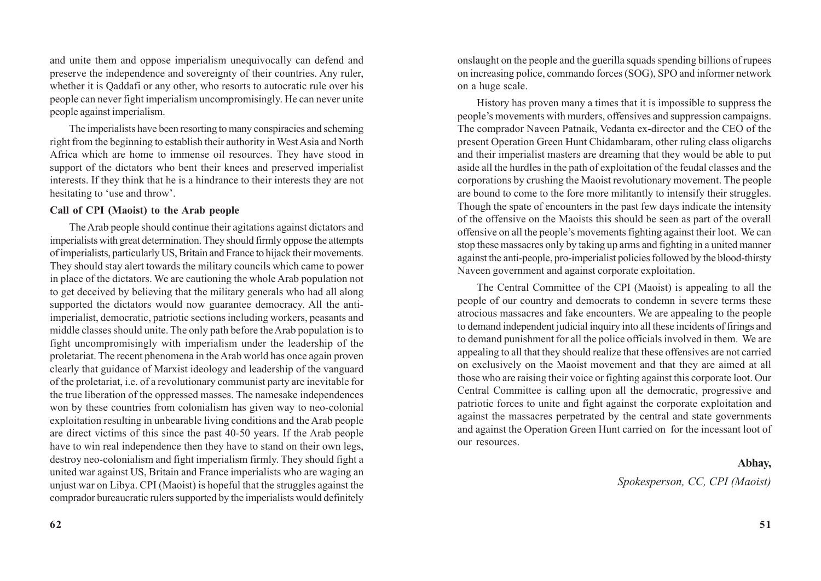and unite them and oppose imperialism unequivocally can defend and preserve the independence and sovereignty of their countries. Any ruler, whether it is Oaddafi or any other, who resorts to autocratic rule over his people can never fight imperialism uncompromisingly. He can never unite people against imperialism.

The imperialists have been resorting to many conspiracies and scheming right from the beginning to establish their authority in West Asia and North Africa which are home to immense oil resources. They have stood in support of the dictators who bent their knees and preserved imperialist interests. If they think that he is a hindrance to their interests they are not hesitating to 'use and throw'.

### **Call of CPI (Maoist) to the Arab people**

The Arab people should continue their agitations against dictators and imperialists with great determination. They should firmly oppose the attempts of imperialists, particularly US, Britain and France to hijack their movements. They should stay alert towards the military councils which came to power in place of the dictators. We are cautioning the whole Arab population not to get deceived by believing that the military generals who had all along supported the dictators would now guarantee democracy. All the antiimperialist, democratic, patriotic sections including workers, peasants and middle classes should unite. The only path before the Arab population is to fight uncompromisingly with imperialism under the leadership of the proletariat. The recent phenomena in the Arab world has once again proven clearly that guidance of Marxist ideology and leadership of the vanguard of the proletariat, i.e. of a revolutionary communist party are inevitable for the true liberation of the oppressed masses. The namesake independences won by these countries from colonialism has given way to neo-colonial exploitation resulting in unbearable living conditions and the Arab people are direct victims of this since the past 40-50 years. If the Arab people have to win real independence then they have to stand on their own legs, destroy neo-colonialism and fight imperialism firmly. They should fight a united war against US, Britain and France imperialists who are waging an unjust war on Libya. CPI (Maoist) is hopeful that the struggles against the comprador bureaucratic rulers supported by the imperialists would definitely onslaught on the people and the guerilla squads spending billions of rupees on increasing police, commando forces (SOG), SPO and informer network on a huge scale.

History has proven many a times that it is impossible to suppress the people's movements with murders, offensives and suppression campaigns. The comprador Naveen Patnaik, Vedanta ex-director and the CEO of the present Operation Green Hunt Chidambaram, other ruling class oligarchs and their imperialist masters are dreaming that they would be able to put aside all the hurdles in the path of exploitation of the feudal classes and the corporations by crushing the Maoist revolutionary movement. The people are bound to come to the fore more militantly to intensify their struggles. Though the spate of encounters in the past few days indicate the intensity of the offensive on the Maoists this should be seen as part of the overall offensive on all the people's movements fighting against their loot. We can stop these massacres only by taking up arms and fighting in a united manner against the anti-people, pro-imperialist policies followed by the blood-thirsty Naveen government and against corporate exploitation.

The Central Committee of the CPI (Maoist) is appealing to all the people of our country and democrats to condemn in severe terms these atrocious massacres and fake encounters. We are appealing to the people to demand independent judicial inquiry into all these incidents of firings and to demand punishment for all the police officials involved in them. We are appealing to all that they should realize that these offensives are not carried on exclusively on the Maoist movement and that they are aimed at all those who are raising their voice or fighting against this corporate loot. Our Central Committee is calling upon all the democratic, progressive and patriotic forces to unite and fight against the corporate exploitation and against the massacres perpetrated by the central and state governments and against the Operation Green Hunt carried on for the incessant loot of our resources.

#### **Abhay,**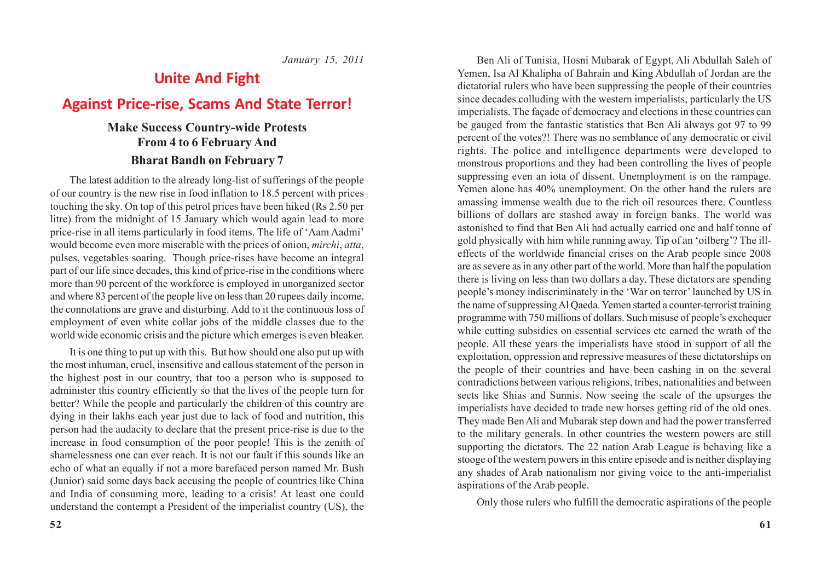*January 15, 2011*

## **Unite And Fight**

## **Against Price-rise, Scams And State Terror!**

### **Make Success Country-wide Protests From 4 to 6 February And Bharat Bandh on February 7**

The latest addition to the already long-list of sufferings of the people of our country is the new rise in food inflation to 18.5 percent with prices touching the sky. On top of this petrol prices have been hiked (Rs 2.50 per litre) from the midnight of 15 January which would again lead to more price-rise in all items particularly in food items. The life of 'Aam Aadmi' would become even more miserable with the prices of onion, *mirchi*, *atta*, pulses, vegetables soaring. Though price-rises have become an integral part of our life since decades, this kind of price-rise in the conditions where more than 90 percent of the workforce is employed in unorganized sector and where 83 percent of the people live on less than 20 rupees daily income, the connotations are grave and disturbing. Add to it the continuous loss of employment of even white collar jobs of the middle classes due to the world wide economic crisis and the picture which emerges is even bleaker.

It is one thing to put up with this. But how should one also put up with the most inhuman, cruel, insensitive and callous statement of the person in the highest post in our country, that too a person who is supposed to administer this country efficiently so that the lives of the people turn for better? While the people and particularly the children of this country are dying in their lakhs each year just due to lack of food and nutrition, this person had the audacity to declare that the present price-rise is due to the increase in food consumption of the poor people! This is the zenith of shamelessness one can ever reach. It is not our fault if this sounds like an echo of what an equally if not a more barefaced person named Mr. Bush (Junior) said some days back accusing the people of countries like China and India of consuming more, leading to a crisis! At least one could understand the contempt a President of the imperialist country (US), the

Ben Ali of Tunisia, Hosni Mubarak of Egypt, Ali Abdullah Saleh of Yemen, Isa Al Khalipha of Bahrain and King Abdullah of Jordan are the dictatorial rulers who have been suppressing the people of their countries since decades colluding with the western imperialists, particularly the US imperialists. The façade of democracy and elections in these countries can be gauged from the fantastic statistics that Ben Ali always got 97 to 99 percent of the votes?! There was no semblance of any democratic or civil rights. The police and intelligence departments were developed to monstrous proportions and they had been controlling the lives of people suppressing even an iota of dissent. Unemployment is on the rampage. Yemen alone has 40% unemployment. On the other hand the rulers are amassing immense wealth due to the rich oil resources there. Countless billions of dollars are stashed away in foreign banks. The world was astonished to find that Ben Ali had actually carried one and half tonne of gold physically with him while running away. Tip of an 'oilberg'? The illeffects of the worldwide financial crises on the Arab people since 2008 are as severe as in any other part of the world. More than half the population there is living on less than two dollars a day. These dictators are spending people's money indiscriminately in the 'War on terror' launched by US in the name of suppressing Al Qaeda. Yemen started a counter-terrorist training programme with 750 millions of dollars. Such misuse of people's exchequer while cutting subsidies on essential services etc earned the wrath of the people. All these years the imperialists have stood in support of all the exploitation, oppression and repressive measures of these dictatorships on the people of their countries and have been cashing in on the several contradictions between various religions, tribes, nationalities and between sects like Shias and Sunnis. Now seeing the scale of the upsurges the imperialists have decided to trade new horses getting rid of the old ones. They made Ben Ali and Mubarak step down and had the power transferred to the military generals. In other countries the western powers are still supporting the dictators. The 22 nation Arab League is behaving like a stooge of the western powers in this entire episode and is neither displaying any shades of Arab nationalism nor giving voice to the anti-imperialist aspirations of the Arab people.

Only those rulers who fulfill the democratic aspirations of the people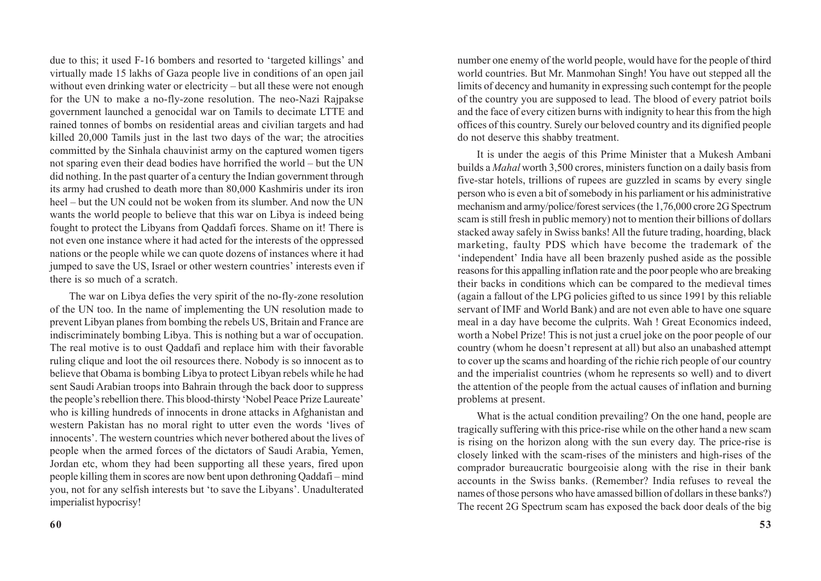due to this; it used F-16 bombers and resorted to 'targeted killings' and virtually made 15 lakhs of Gaza people live in conditions of an open jail without even drinking water or electricity – but all these were not enough for the UN to make a no-fly-zone resolution. The neo-Nazi Rajpakse government launched a genocidal war on Tamils to decimate LTTE and rained tonnes of bombs on residential areas and civilian targets and had killed 20,000 Tamils just in the last two days of the war; the atrocities committed by the Sinhala chauvinist army on the captured women tigers not sparing even their dead bodies have horrified the world – but the UN did nothing. In the past quarter of a century the Indian government through its army had crushed to death more than 80,000 Kashmiris under its iron heel – but the UN could not be woken from its slumber. And now the UN wants the world people to believe that this war on Libya is indeed being fought to protect the Libyans from Qaddafi forces. Shame on it! There is not even one instance where it had acted for the interests of the oppressed nations or the people while we can quote dozens of instances where it had jumped to save the US, Israel or other western countries' interests even if there is so much of a scratch.

The war on Libya defies the very spirit of the no-fly-zone resolution of the UN too. In the name of implementing the UN resolution made to prevent Libyan planes from bombing the rebels US, Britain and France are indiscriminately bombing Libya. This is nothing but a war of occupation. The real motive is to oust Qaddafi and replace him with their favorable ruling clique and loot the oil resources there. Nobody is so innocent as to believe that Obama is bombing Libya to protect Libyan rebels while he had sent Saudi Arabian troops into Bahrain through the back door to suppress the people's rebellion there. This blood-thirsty 'Nobel Peace Prize Laureate' who is killing hundreds of innocents in drone attacks in Afghanistan and western Pakistan has no moral right to utter even the words 'lives of innocents'. The western countries which never bothered about the lives of people when the armed forces of the dictators of Saudi Arabia, Yemen, Jordan etc, whom they had been supporting all these years, fired upon people killing them in scores are now bent upon dethroning Qaddafi – mind you, not for any selfish interests but 'to save the Libyans'. Unadulterated imperialist hypocrisy!

number one enemy of the world people, would have for the people of third world countries. But Mr. Manmohan Singh! You have out stepped all the limits of decency and humanity in expressing such contempt for the people of the country you are supposed to lead. The blood of every patriot boils and the face of every citizen burns with indignity to hear this from the high offices of this country. Surely our beloved country and its dignified people do not deserve this shabby treatment.

It is under the aegis of this Prime Minister that a Mukesh Ambani builds a *Mahal* worth 3,500 crores, ministers function on a daily basis from five-star hotels, trillions of rupees are guzzled in scams by every single person who is even a bit of somebody in his parliament or his administrative mechanism and army/police/forest services (the 1,76,000 crore 2G Spectrum scam is still fresh in public memory) not to mention their billions of dollars stacked away safely in Swiss banks! All the future trading, hoarding, black marketing, faulty PDS which have become the trademark of the 'independent' India have all been brazenly pushed aside as the possible reasons for this appalling inflation rate and the poor people who are breaking their backs in conditions which can be compared to the medieval times (again a fallout of the LPG policies gifted to us since 1991 by this reliable servant of IMF and World Bank) and are not even able to have one square meal in a day have become the culprits. Wah ! Great Economics indeed, worth a Nobel Prize! This is not just a cruel joke on the poor people of our country (whom he doesn't represent at all) but also an unabashed attempt to cover up the scams and hoarding of the richie rich people of our country and the imperialist countries (whom he represents so well) and to divert the attention of the people from the actual causes of inflation and burning problems at present.

What is the actual condition prevailing? On the one hand, people are tragically suffering with this price-rise while on the other hand a new scam is rising on the horizon along with the sun every day. The price-rise is closely linked with the scam-rises of the ministers and high-rises of the comprador bureaucratic bourgeoisie along with the rise in their bank accounts in the Swiss banks. (Remember? India refuses to reveal the names of those persons who have amassed billion of dollars in these banks?) The recent 2G Spectrum scam has exposed the back door deals of the big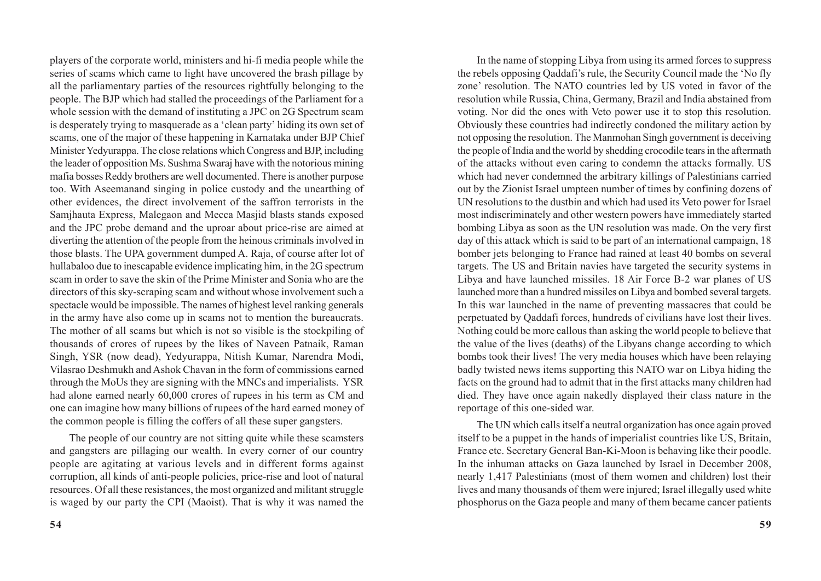players of the corporate world, ministers and hi-fi media people while the series of scams which came to light have uncovered the brash pillage by all the parliamentary parties of the resources rightfully belonging to the people. The BJP which had stalled the proceedings of the Parliament for a whole session with the demand of instituting a JPC on 2G Spectrum scam is desperately trying to masquerade as a 'clean party' hiding its own set of scams, one of the major of these happening in Karnataka under BJP Chief Minister Yedyurappa. The close relations which Congress and BJP, including the leader of opposition Ms. Sushma Swaraj have with the notorious mining mafia bosses Reddy brothers are well documented. There is another purpose too. With Aseemanand singing in police custody and the unearthing of other evidences, the direct involvement of the saffron terrorists in the Samjhauta Express, Malegaon and Mecca Masjid blasts stands exposed and the JPC probe demand and the uproar about price-rise are aimed at diverting the attention of the people from the heinous criminals involved in those blasts. The UPA government dumped A. Raja, of course after lot of hullabaloo due to inescapable evidence implicating him, in the 2G spectrum scam in order to save the skin of the Prime Minister and Sonia who are the directors of this sky-scraping scam and without whose involvement such a spectacle would be impossible. The names of highest level ranking generals in the army have also come up in scams not to mention the bureaucrats. The mother of all scams but which is not so visible is the stockpiling of thousands of crores of rupees by the likes of Naveen Patnaik, Raman Singh, YSR (now dead), Yedyurappa, Nitish Kumar, Narendra Modi, Vilasrao Deshmukh and Ashok Chavan in the form of commissions earned through the MoUs they are signing with the MNCs and imperialists. YSR had alone earned nearly 60,000 crores of rupees in his term as CM and one can imagine how many billions of rupees of the hard earned money of the common people is filling the coffers of all these super gangsters.

The people of our country are not sitting quite while these scamsters and gangsters are pillaging our wealth. In every corner of our country people are agitating at various levels and in different forms against corruption, all kinds of anti-people policies, price-rise and loot of natural resources. Of all these resistances, the most organized and militant struggle is waged by our party the CPI (Maoist). That is why it was named the

In the name of stopping Libya from using its armed forces to suppress the rebels opposing Qaddafi's rule, the Security Council made the 'No fly zone' resolution. The NATO countries led by US voted in favor of the resolution while Russia, China, Germany, Brazil and India abstained from voting. Nor did the ones with Veto power use it to stop this resolution. Obviously these countries had indirectly condoned the military action by not opposing the resolution. The Manmohan Singh government is deceiving the people of India and the world by shedding crocodile tears in the aftermath of the attacks without even caring to condemn the attacks formally. US which had never condemned the arbitrary killings of Palestinians carried out by the Zionist Israel umpteen number of times by confining dozens of UN resolutions to the dustbin and which had used its Veto power for Israel most indiscriminately and other western powers have immediately started bombing Libya as soon as the UN resolution was made. On the very first day of this attack which is said to be part of an international campaign, 18 bomber jets belonging to France had rained at least 40 bombs on several targets. The US and Britain navies have targeted the security systems in Libya and have launched missiles. 18 Air Force B-2 war planes of US launched more than a hundred missiles on Libya and bombed several targets. In this war launched in the name of preventing massacres that could be perpetuated by Qaddafi forces, hundreds of civilians have lost their lives. Nothing could be more callous than asking the world people to believe that the value of the lives (deaths) of the Libyans change according to which bombs took their lives! The very media houses which have been relaying badly twisted news items supporting this NATO war on Libya hiding the facts on the ground had to admit that in the first attacks many children had died. They have once again nakedly displayed their class nature in the reportage of this one-sided war.

The UN which calls itself a neutral organization has once again proved itself to be a puppet in the hands of imperialist countries like US, Britain, France etc. Secretary General Ban-Ki-Moon is behaving like their poodle. In the inhuman attacks on Gaza launched by Israel in December 2008, nearly 1,417 Palestinians (most of them women and children) lost their lives and many thousands of them were injured; Israel illegally used white phosphorus on the Gaza people and many of them became cancer patients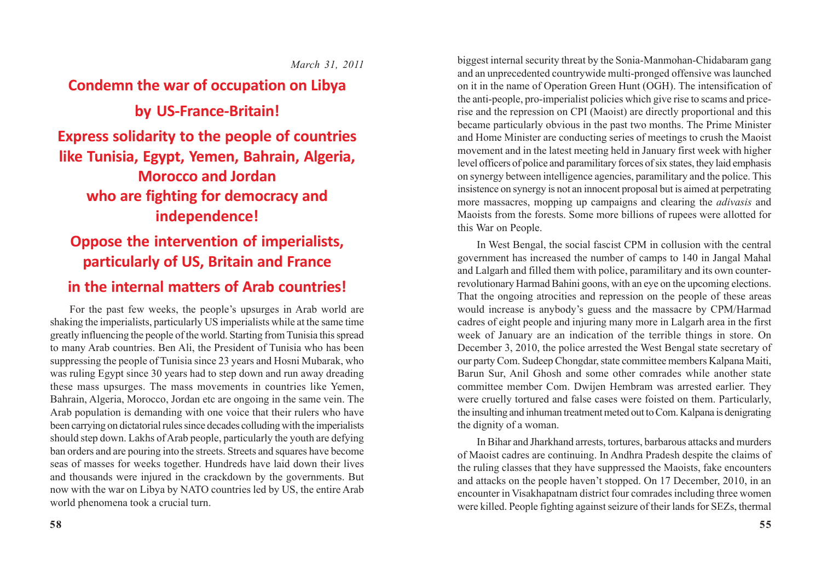### *March 31, 2011*

# **Condemn the war of occupation on Libya by US-France-Britain! Express solidarity to the people of countries like Tunisia, Egypt, Yemen, Bahrain, Algeria, Morocco and Jordan who are fighting for democracy and independence!**

# **Oppose the intervention of imperialists, particularly of US, Britain and France**

### **in the internal matters of Arab countries!**

For the past few weeks, the people's upsurges in Arab world are shaking the imperialists, particularly US imperialists while at the same time greatly influencing the people of the world. Starting from Tunisia this spread to many Arab countries. Ben Ali, the President of Tunisia who has been suppressing the people of Tunisia since 23 years and Hosni Mubarak, who was ruling Egypt since 30 years had to step down and run away dreading these mass upsurges. The mass movements in countries like Yemen, Bahrain, Algeria, Morocco, Jordan etc are ongoing in the same vein. The Arab population is demanding with one voice that their rulers who have been carrying on dictatorial rules since decades colluding with the imperialists should step down. Lakhs of Arab people, particularly the youth are defying ban orders and are pouring into the streets. Streets and squares have become seas of masses for weeks together. Hundreds have laid down their lives and thousands were injured in the crackdown by the governments. But now with the war on Libya by NATO countries led by US, the entire Arab world phenomena took a crucial turn.

biggest internal security threat by the Sonia-Manmohan-Chidabaram gang and an unprecedented countrywide multi-pronged offensive was launched on it in the name of Operation Green Hunt (OGH). The intensification of the anti-people, pro-imperialist policies which give rise to scams and pricerise and the repression on CPI (Maoist) are directly proportional and this became particularly obvious in the past two months. The Prime Minister and Home Minister are conducting series of meetings to crush the Maoist movement and in the latest meeting held in January first week with higher level officers of police and paramilitary forces of six states, they laid emphasis on synergy between intelligence agencies, paramilitary and the police. This insistence on synergy is not an innocent proposal but is aimed at perpetrating more massacres, mopping up campaigns and clearing the *adivasis* and Maoists from the forests. Some more billions of rupees were allotted for this War on People.

In West Bengal, the social fascist CPM in collusion with the central government has increased the number of camps to 140 in Jangal Mahal and Lalgarh and filled them with police, paramilitary and its own counterrevolutionary Harmad Bahini goons, with an eye on the upcoming elections. That the ongoing atrocities and repression on the people of these areas would increase is anybody's guess and the massacre by CPM/Harmad cadres of eight people and injuring many more in Lalgarh area in the first week of January are an indication of the terrible things in store. On December 3, 2010, the police arrested the West Bengal state secretary of our party Com. Sudeep Chongdar, state committee members Kalpana Maiti, Barun Sur, Anil Ghosh and some other comrades while another state committee member Com. Dwijen Hembram was arrested earlier. They were cruelly tortured and false cases were foisted on them. Particularly, the insulting and inhuman treatment meted out to Com. Kalpana is denigrating the dignity of a woman.

In Bihar and Jharkhand arrests, tortures, barbarous attacks and murders of Maoist cadres are continuing. In Andhra Pradesh despite the claims of the ruling classes that they have suppressed the Maoists, fake encounters and attacks on the people haven't stopped. On 17 December, 2010, in an encounter in Visakhapatnam district four comrades including three women were killed. People fighting against seizure of their lands for SEZs, thermal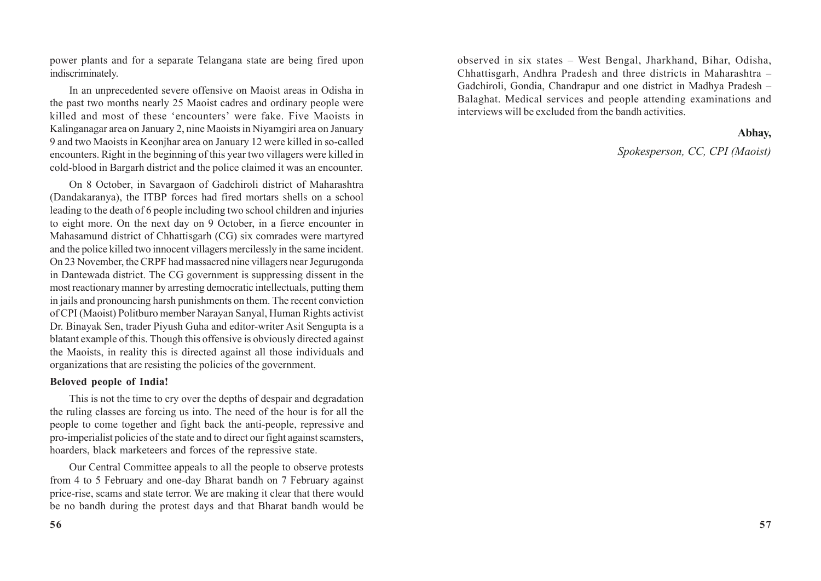power plants and for a separate Telangana state are being fired upon indiscriminately.

In an unprecedented severe offensive on Maoist areas in Odisha in the past two months nearly 25 Maoist cadres and ordinary people were killed and most of these 'encounters' were fake. Five Maoists in Kalinganagar area on January 2, nine Maoists in Niyamgiri area on January 9 and two Maoists in Keonjhar area on January 12 were killed in so-called encounters. Right in the beginning of this year two villagers were killed in cold-blood in Bargarh district and the police claimed it was an encounter.

On 8 October, in Savargaon of Gadchiroli district of Maharashtra (Dandakaranya), the ITBP forces had fired mortars shells on a school leading to the death of 6 people including two school children and injuries to eight more. On the next day on 9 October, in a fierce encounter in Mahasamund district of Chhattisgarh (CG) six comrades were martyred and the police killed two innocent villagers mercilessly in the same incident. On 23 November, the CRPF had massacred nine villagers near Jegurugonda in Dantewada district. The CG government is suppressing dissent in the most reactionary manner by arresting democratic intellectuals, putting them in jails and pronouncing harsh punishments on them. The recent conviction of CPI (Maoist) Politburo member Narayan Sanyal, Human Rights activist Dr. Binayak Sen, trader Piyush Guha and editor-writer Asit Sengupta is a blatant example of this. Though this offensive is obviously directed against the Maoists, in reality this is directed against all those individuals and organizations that are resisting the policies of the government.

#### **Beloved people of India!**

This is not the time to cry over the depths of despair and degradation the ruling classes are forcing us into. The need of the hour is for all the people to come together and fight back the anti-people, repressive and pro-imperialist policies of the state and to direct our fight against scamsters, hoarders, black marketeers and forces of the repressive state.

Our Central Committee appeals to all the people to observe protests from 4 to 5 February and one-day Bharat bandh on 7 February against price-rise, scams and state terror. We are making it clear that there would be no bandh during the protest days and that Bharat bandh would be

observed in six states – West Bengal, Jharkhand, Bihar, Odisha, Chhattisgarh, Andhra Pradesh and three districts in Maharashtra – Gadchiroli, Gondia, Chandrapur and one district in Madhya Pradesh – Balaghat. Medical services and people attending examinations and interviews will be excluded from the bandh activities.

#### **Abhay,**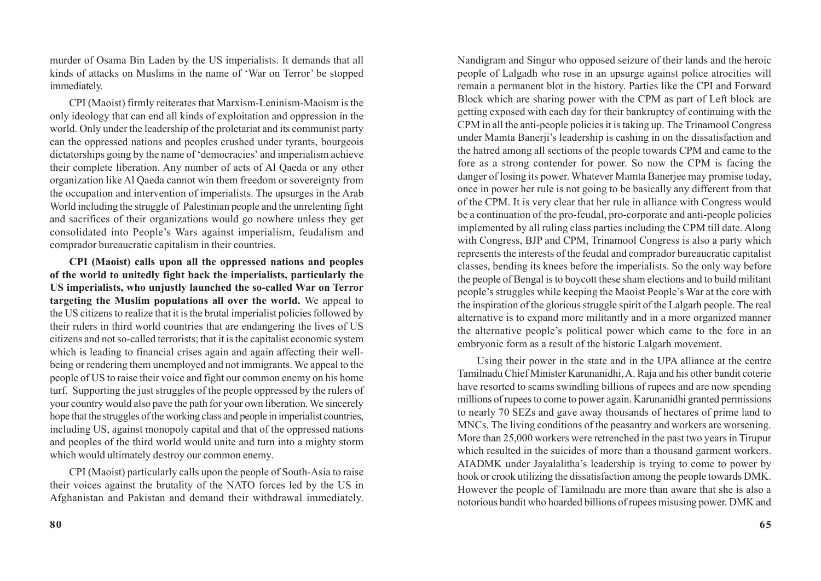murder of Osama Bin Laden by the US imperialists. It demands that all kinds of attacks on Muslims in the name of 'War on Terror' be stopped immediately.

CPI (Maoist) firmly reiterates that Marxism-Leninism-Maoism is the only ideology that can end all kinds of exploitation and oppression in the world. Only under the leadership of the proletariat and its communist party can the oppressed nations and peoples crushed under tyrants, bourgeois dictatorships going by the name of 'democracies' and imperialism achieve their complete liberation. Any number of acts of Al Qaeda or any other organization like Al Qaeda cannot win them freedom or sovereignty from the occupation and intervention of imperialists. The upsurges in the Arab World including the struggle of Palestinian people and the unrelenting fight and sacrifices of their organizations would go nowhere unless they get consolidated into People's Wars against imperialism, feudalism and comprador bureaucratic capitalism in their countries.

**CPI (Maoist) calls upon all the oppressed nations and peoples of the world to unitedly fight back the imperialists, particularly the US imperialists, who unjustly launched the so-called War on Terror targeting the Muslim populations all over the world.** We appeal to the US citizens to realize that it is the brutal imperialist policies followed by their rulers in third world countries that are endangering the lives of US citizens and not so-called terrorists; that it is the capitalist economic system which is leading to financial crises again and again affecting their wellbeing or rendering them unemployed and not immigrants. We appeal to the people of US to raise their voice and fight our common enemy on his home turf. Supporting the just struggles of the people oppressed by the rulers of your country would also pave the path for your own liberation. We sincerely hope that the struggles of the working class and people in imperialist countries, including US, against monopoly capital and that of the oppressed nations and peoples of the third world would unite and turn into a mighty storm which would ultimately destroy our common enemy.

CPI (Maoist) particularly calls upon the people of South-Asia to raise their voices against the brutality of the NATO forces led by the US in Afghanistan and Pakistan and demand their withdrawal immediately.

Nandigram and Singur who opposed seizure of their lands and the heroic people of Lalgadh who rose in an upsurge against police atrocities will remain a permanent blot in the history. Parties like the CPI and Forward Block which are sharing power with the CPM as part of Left block are getting exposed with each day for their bankruptcy of continuing with the CPM in all the anti-people policies it is taking up. The Trinamool Congress under Mamta Banerji's leadership is cashing in on the dissatisfaction and the hatred among all sections of the people towards CPM and came to the fore as a strong contender for power. So now the CPM is facing the danger of losing its power. Whatever Mamta Banerjee may promise today, once in power her rule is not going to be basically any different from that of the CPM. It is very clear that her rule in alliance with Congress would be a continuation of the pro-feudal, pro-corporate and anti-people policies implemented by all ruling class parties including the CPM till date. Along with Congress, BJP and CPM, Trinamool Congress is also a party which represents the interests of the feudal and comprador bureaucratic capitalist classes, bending its knees before the imperialists. So the only way before the people of Bengal is to boycott these sham elections and to build militant people's struggles while keeping the Maoist People's War at the core with the inspiration of the glorious struggle spirit of the Lalgarh people. The real alternative is to expand more militantly and in a more organized manner the alternative people's political power which came to the fore in an embryonic form as a result of the historic Lalgarh movement.

Using their power in the state and in the UPA alliance at the centre Tamilnadu Chief Minister Karunanidhi, A. Raja and his other bandit coterie have resorted to scams swindling billions of rupees and are now spending millions of rupees to come to power again. Karunanidhi granted permissions to nearly 70 SEZs and gave away thousands of hectares of prime land to MNCs. The living conditions of the peasantry and workers are worsening. More than 25,000 workers were retrenched in the past two years in Tirupur which resulted in the suicides of more than a thousand garment workers. AIADMK under Jayalalitha's leadership is trying to come to power by hook or crook utilizing the dissatisfaction among the people towards DMK. However the people of Tamilnadu are more than aware that she is also a notorious bandit who hoarded billions of rupees misusing power. DMK and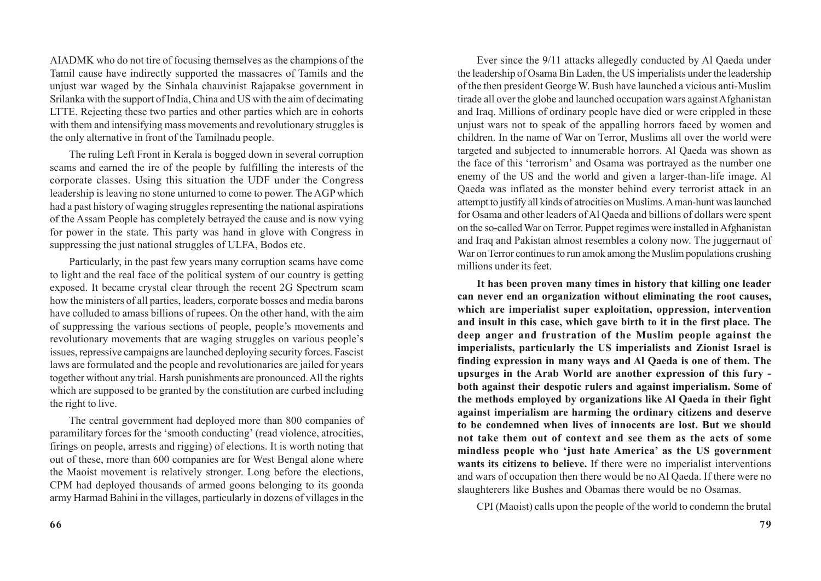AIADMK who do not tire of focusing themselves as the champions of the Tamil cause have indirectly supported the massacres of Tamils and the unjust war waged by the Sinhala chauvinist Rajapakse government in Srilanka with the support of India, China and US with the aim of decimating LTTE. Rejecting these two parties and other parties which are in cohorts with them and intensifying mass movements and revolutionary struggles is the only alternative in front of the Tamilnadu people.

The ruling Left Front in Kerala is bogged down in several corruption scams and earned the ire of the people by fulfilling the interests of the corporate classes. Using this situation the UDF under the Congress leadership is leaving no stone unturned to come to power. The AGP which had a past history of waging struggles representing the national aspirations of the Assam People has completely betrayed the cause and is now vying for power in the state. This party was hand in glove with Congress in suppressing the just national struggles of ULFA, Bodos etc.

Particularly, in the past few years many corruption scams have come to light and the real face of the political system of our country is getting exposed. It became crystal clear through the recent 2G Spectrum scam how the ministers of all parties, leaders, corporate bosses and media barons have colluded to amass billions of rupees. On the other hand, with the aim of suppressing the various sections of people, people's movements and revolutionary movements that are waging struggles on various people's issues, repressive campaigns are launched deploying security forces. Fascist laws are formulated and the people and revolutionaries are jailed for years together without any trial. Harsh punishments are pronounced. All the rights which are supposed to be granted by the constitution are curbed including the right to live.

The central government had deployed more than 800 companies of paramilitary forces for the 'smooth conducting' (read violence, atrocities, firings on people, arrests and rigging) of elections. It is worth noting that out of these, more than 600 companies are for West Bengal alone where the Maoist movement is relatively stronger. Long before the elections, CPM had deployed thousands of armed goons belonging to its goonda army Harmad Bahini in the villages, particularly in dozens of villages in the

Ever since the 9/11 attacks allegedly conducted by Al Qaeda under the leadership of Osama Bin Laden, the US imperialists under the leadership of the then president George W. Bush have launched a vicious anti-Muslim tirade all over the globe and launched occupation wars against Afghanistan and Iraq. Millions of ordinary people have died or were crippled in these unjust wars not to speak of the appalling horrors faced by women and children. In the name of War on Terror, Muslims all over the world were targeted and subjected to innumerable horrors. Al Qaeda was shown as the face of this 'terrorism' and Osama was portrayed as the number one enemy of the US and the world and given a larger-than-life image. Al Qaeda was inflated as the monster behind every terrorist attack in an attempt to justify all kinds of atrocities on Muslims. A man-hunt was launched for Osama and other leaders of Al Qaeda and billions of dollars were spent on the so-called War on Terror. Puppet regimes were installed in Afghanistan and Iraq and Pakistan almost resembles a colony now. The juggernaut of War on Terror continues to run amok among the Muslim populations crushing millions under its feet.

**It has been proven many times in history that killing one leader can never end an organization without eliminating the root causes, which are imperialist super exploitation, oppression, intervention and insult in this case, which gave birth to it in the first place. The deep anger and frustration of the Muslim people against the imperialists, particularly the US imperialists and Zionist Israel is finding expression in many ways and Al Qaeda is one of them. The upsurges in the Arab World are another expression of this fury both against their despotic rulers and against imperialism. Some of the methods employed by organizations like Al Qaeda in their fight against imperialism are harming the ordinary citizens and deserve to be condemned when lives of innocents are lost. But we should not take them out of context and see them as the acts of some mindless people who 'just hate America' as the US government wants its citizens to believe.** If there were no imperialist interventions and wars of occupation then there would be no Al Qaeda. If there were no slaughterers like Bushes and Obamas there would be no Osamas.

CPI (Maoist) calls upon the people of the world to condemn the brutal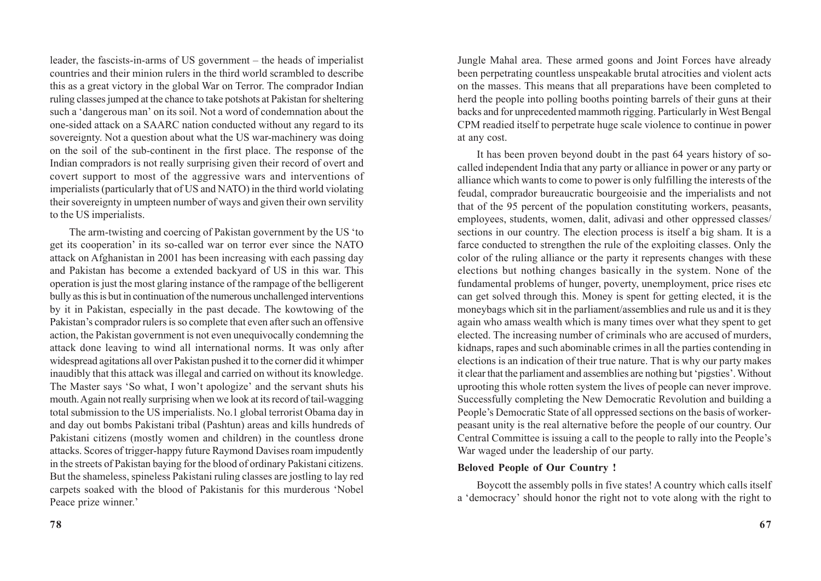leader, the fascists-in-arms of US government – the heads of imperialist countries and their minion rulers in the third world scrambled to describe this as a great victory in the global War on Terror. The comprador Indian ruling classes jumped at the chance to take potshots at Pakistan for sheltering such a 'dangerous man' on its soil. Not a word of condemnation about the one-sided attack on a SAARC nation conducted without any regard to its sovereignty. Not a question about what the US war-machinery was doing on the soil of the sub-continent in the first place. The response of the Indian compradors is not really surprising given their record of overt and covert support to most of the aggressive wars and interventions of imperialists (particularly that of US and NATO) in the third world violating their sovereignty in umpteen number of ways and given their own servility to the US imperialists.

The arm-twisting and coercing of Pakistan government by the US 'to get its cooperation' in its so-called war on terror ever since the NATO attack on Afghanistan in 2001 has been increasing with each passing day and Pakistan has become a extended backyard of US in this war. This operation is just the most glaring instance of the rampage of the belligerent bully as this is but in continuation of the numerous unchallenged interventions by it in Pakistan, especially in the past decade. The kowtowing of the Pakistan's comprador rulers is so complete that even after such an offensive action, the Pakistan government is not even unequivocally condemning the attack done leaving to wind all international norms. It was only after widespread agitations all over Pakistan pushed it to the corner did it whimper inaudibly that this attack was illegal and carried on without its knowledge. The Master says 'So what, I won't apologize' and the servant shuts his mouth. Again not really surprising when we look at its record of tail-wagging total submission to the US imperialists. No.1 global terrorist Obama day in and day out bombs Pakistani tribal (Pashtun) areas and kills hundreds of Pakistani citizens (mostly women and children) in the countless drone attacks. Scores of trigger-happy future Raymond Davises roam impudently in the streets of Pakistan baying for the blood of ordinary Pakistani citizens. But the shameless, spineless Pakistani ruling classes are jostling to lay red carpets soaked with the blood of Pakistanis for this murderous 'Nobel Peace prize winner.'

Jungle Mahal area. These armed goons and Joint Forces have already been perpetrating countless unspeakable brutal atrocities and violent acts on the masses. This means that all preparations have been completed to herd the people into polling booths pointing barrels of their guns at their backs and for unprecedented mammoth rigging. Particularly in West Bengal CPM readied itself to perpetrate huge scale violence to continue in power at any cost.

It has been proven beyond doubt in the past 64 years history of socalled independent India that any party or alliance in power or any party or alliance which wants to come to power is only fulfilling the interests of the feudal, comprador bureaucratic bourgeoisie and the imperialists and not that of the 95 percent of the population constituting workers, peasants, employees, students, women, dalit, adivasi and other oppressed classes/ sections in our country. The election process is itself a big sham. It is a farce conducted to strengthen the rule of the exploiting classes. Only the color of the ruling alliance or the party it represents changes with these elections but nothing changes basically in the system. None of the fundamental problems of hunger, poverty, unemployment, price rises etc can get solved through this. Money is spent for getting elected, it is the moneybags which sit in the parliament/assemblies and rule us and it is they again who amass wealth which is many times over what they spent to get elected. The increasing number of criminals who are accused of murders, kidnaps, rapes and such abominable crimes in all the parties contending in elections is an indication of their true nature. That is why our party makes it clear that the parliament and assemblies are nothing but 'pigsties'. Without uprooting this whole rotten system the lives of people can never improve. Successfully completing the New Democratic Revolution and building a People's Democratic State of all oppressed sections on the basis of workerpeasant unity is the real alternative before the people of our country. Our Central Committee is issuing a call to the people to rally into the People's War waged under the leadership of our party.

### **Beloved People of Our Country !**

Boycott the assembly polls in five states! A country which calls itself a 'democracy' should honor the right not to vote along with the right to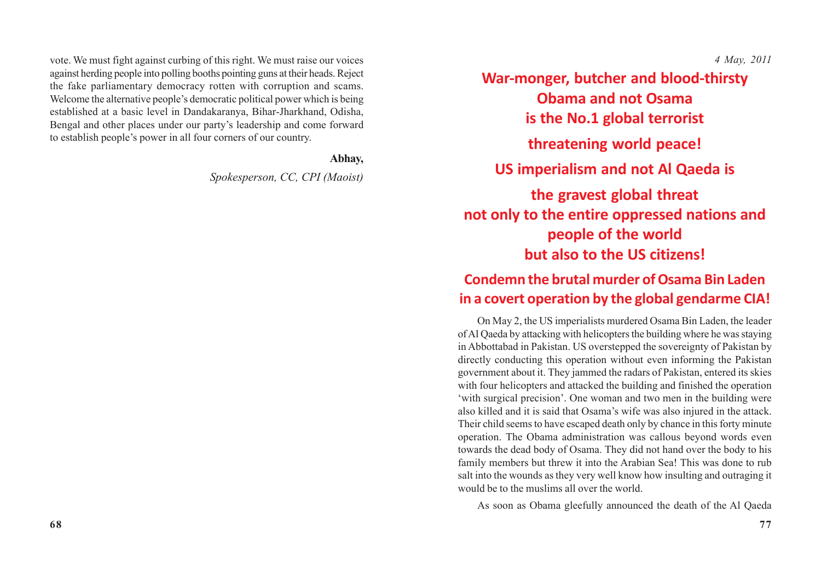vote. We must fight against curbing of this right. We must raise our voices against herding people into polling booths pointing guns at their heads. Reject the fake parliamentary democracy rotten with corruption and scams. Welcome the alternative people's democratic political power which is being established at a basic level in Dandakaranya, Bihar-Jharkhand, Odisha, Bengal and other places under our party's leadership and come forward to establish people's power in all four corners of our country.

#### **Abhay,**

*Spokesperson, CC, CPI (Maoist)*

*4 May, 2011*

**War-monger, butcher and blood-thirsty Obama and not Osama is the No.1 global terrorist threatening world peace! US imperialism and not Al Qaeda is the gravest global threat not only to the entire oppressed nations and people of the world but also to the US citizens!**

## **Condemn the brutal murder of Osama Bin Laden in a covert operation by the global gendarme CIA!**

On May 2, the US imperialists murdered Osama Bin Laden, the leader of Al Qaeda by attacking with helicopters the building where he was staying in Abbottabad in Pakistan. US overstepped the sovereignty of Pakistan by directly conducting this operation without even informing the Pakistan government about it. They jammed the radars of Pakistan, entered its skies with four helicopters and attacked the building and finished the operation 'with surgical precision'. One woman and two men in the building were also killed and it is said that Osama's wife was also injured in the attack. Their child seems to have escaped death only by chance in this forty minute operation. The Obama administration was callous beyond words even towards the dead body of Osama. They did not hand over the body to his family members but threw it into the Arabian Sea! This was done to rub salt into the wounds as they very well know how insulting and outraging it would be to the muslims all over the world.

As soon as Obama gleefully announced the death of the Al Qaeda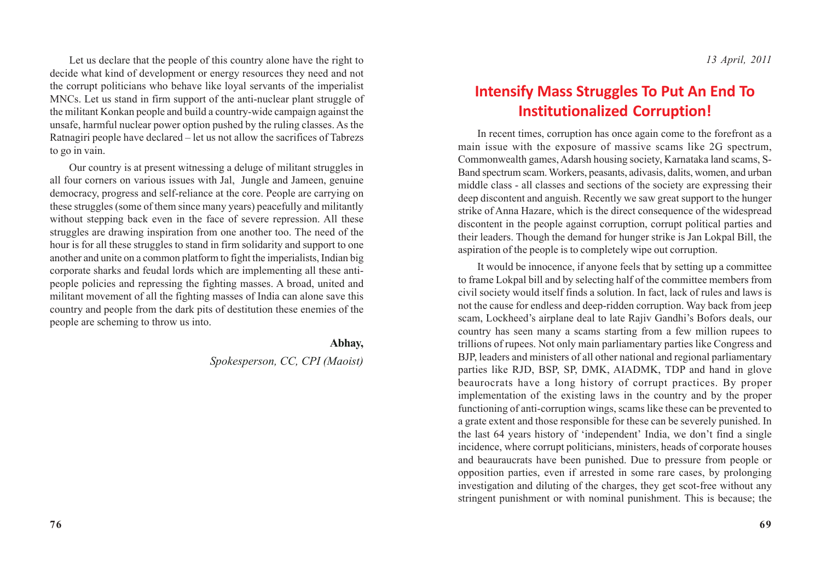Let us declare that the people of this country alone have the right to decide what kind of development or energy resources they need and not the corrupt politicians who behave like loyal servants of the imperialist MNCs. Let us stand in firm support of the anti-nuclear plant struggle of the militant Konkan people and build a country-wide campaign against the unsafe, harmful nuclear power option pushed by the ruling classes. As the Ratnagiri people have declared – let us not allow the sacrifices of Tabrezs to go in vain.

Our country is at present witnessing a deluge of militant struggles in all four corners on various issues with Jal, Jungle and Jameen, genuine democracy, progress and self-reliance at the core. People are carrying on these struggles (some of them since many years) peacefully and militantly without stepping back even in the face of severe repression. All these struggles are drawing inspiration from one another too. The need of the hour is for all these struggles to stand in firm solidarity and support to one another and unite on a common platform to fight the imperialists, Indian big corporate sharks and feudal lords which are implementing all these antipeople policies and repressing the fighting masses. A broad, united and militant movement of all the fighting masses of India can alone save this country and people from the dark pits of destitution these enemies of the people are scheming to throw us into.

### **Abhay,**

### *Spokesperson, CC, CPI (Maoist)*

### **Intensify Mass Struggles To Put An End To Institutionalized Corruption!**

In recent times, corruption has once again come to the forefront as a main issue with the exposure of massive scams like 2G spectrum, Commonwealth games, Adarsh housing society, Karnataka land scams, S-Band spectrum scam. Workers, peasants, adivasis, dalits, women, and urban middle class - all classes and sections of the society are expressing their deep discontent and anguish. Recently we saw great support to the hunger strike of Anna Hazare, which is the direct consequence of the widespread discontent in the people against corruption, corrupt political parties and their leaders. Though the demand for hunger strike is Jan Lokpal Bill, the aspiration of the people is to completely wipe out corruption.

It would be innocence, if anyone feels that by setting up a committee to frame Lokpal bill and by selecting half of the committee members from civil society would itself finds a solution. In fact, lack of rules and laws is not the cause for endless and deep-ridden corruption. Way back from jeep scam, Lockheed's airplane deal to late Rajiv Gandhi's Bofors deals, our country has seen many a scams starting from a few million rupees to trillions of rupees. Not only main parliamentary parties like Congress and BJP, leaders and ministers of all other national and regional parliamentary parties like RJD, BSP, SP, DMK, AIADMK, TDP and hand in glove beaurocrats have a long history of corrupt practices. By proper implementation of the existing laws in the country and by the proper functioning of anti-corruption wings, scams like these can be prevented to a grate extent and those responsible for these can be severely punished. In the last 64 years history of 'independent' India, we don't find a single incidence, where corrupt politicians, ministers, heads of corporate houses and beauraucrats have been punished. Due to pressure from people or opposition parties, even if arrested in some rare cases, by prolonging investigation and diluting of the charges, they get scot-free without any stringent punishment or with nominal punishment. This is because; the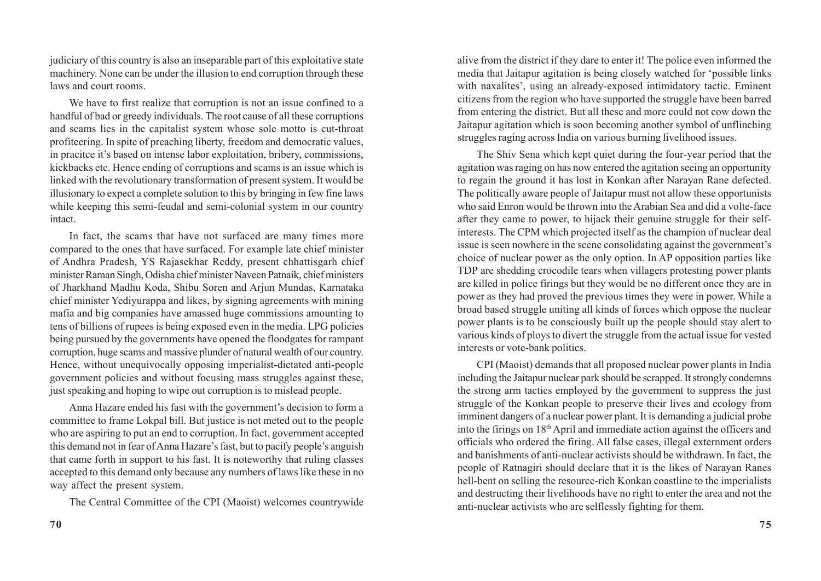judiciary of this country is also an inseparable part of this exploitative state machinery. None can be under the illusion to end corruption through these laws and court rooms.

We have to first realize that corruption is not an issue confined to a handful of bad or greedy individuals. The root cause of all these corruptions and scams lies in the capitalist system whose sole motto is cut-throat profiteering. In spite of preaching liberty, freedom and democratic values, in pracitce it's based on intense labor exploitation, bribery, commissions, kickbacks etc. Hence ending of corruptions and scams is an issue which is linked with the revolutionary transformation of present system. It would be illusionary to expect a complete solution to this by bringing in few fine laws while keeping this semi-feudal and semi-colonial system in our country intact.

In fact, the scams that have not surfaced are many times more compared to the ones that have surfaced. For example late chief minister of Andhra Pradesh, YS Rajasekhar Reddy, present chhattisgarh chief minister Raman Singh, Odisha chief minister Naveen Patnaik, chief ministers of Jharkhand Madhu Koda, Shibu Soren and Arjun Mundas, Karnataka chief minister Yediyurappa and likes, by signing agreements with mining mafia and big companies have amassed huge commissions amounting to tens of billions of rupees is being exposed even in the media. LPG policies being pursued by the governments have opened the floodgates for rampant corruption, huge scams and massive plunder of natural wealth of our country. Hence, without unequivocally opposing imperialist-dictated anti-people government policies and without focusing mass struggles against these, just speaking and hoping to wipe out corruption is to mislead people.

Anna Hazare ended his fast with the government's decision to form a committee to frame Lokpal bill. But justice is not meted out to the people who are aspiring to put an end to corruption. In fact, government accepted this demand not in fear of Anna Hazare's fast, but to pacify people's anguish that came forth in support to his fast. It is noteworthy that ruling classes accepted to this demand only because any numbers of laws like these in no way affect the present system.

The Central Committee of the CPI (Maoist) welcomes countrywide

alive from the district if they dare to enter it! The police even informed the media that Jaitapur agitation is being closely watched for 'possible links with naxalites', using an already-exposed intimidatory tactic. Eminent citizens from the region who have supported the struggle have been barred from entering the district. But all these and more could not cow down the Jaitapur agitation which is soon becoming another symbol of unflinching struggles raging across India on various burning livelihood issues.

The Shiv Sena which kept quiet during the four-year period that the agitation was raging on has now entered the agitation seeing an opportunity to regain the ground it has lost in Konkan after Narayan Rane defected. The politically aware people of Jaitapur must not allow these opportunists who said Enron would be thrown into the Arabian Sea and did a volte-face after they came to power, to hijack their genuine struggle for their selfinterests. The CPM which projected itself as the champion of nuclear deal issue is seen nowhere in the scene consolidating against the government's choice of nuclear power as the only option. In AP opposition parties like TDP are shedding crocodile tears when villagers protesting power plants are killed in police firings but they would be no different once they are in power as they had proved the previous times they were in power. While a broad based struggle uniting all kinds of forces which oppose the nuclear power plants is to be consciously built up the people should stay alert to various kinds of ploys to divert the struggle from the actual issue for vested interests or vote-bank politics.

CPI (Maoist) demands that all proposed nuclear power plants in India including the Jaitapur nuclear park should be scrapped. It strongly condemns the strong arm tactics employed by the government to suppress the just struggle of the Konkan people to preserve their lives and ecology from imminent dangers of a nuclear power plant. It is demanding a judicial probe into the firings on 18th April and immediate action against the officers and officials who ordered the firing. All false cases, illegal externment orders and banishments of anti-nuclear activists should be withdrawn. In fact, the people of Ratnagiri should declare that it is the likes of Narayan Ranes hell-bent on selling the resource-rich Konkan coastline to the imperialists and destructing their livelihoods have no right to enter the area and not the anti-nuclear activists who are selflessly fighting for them.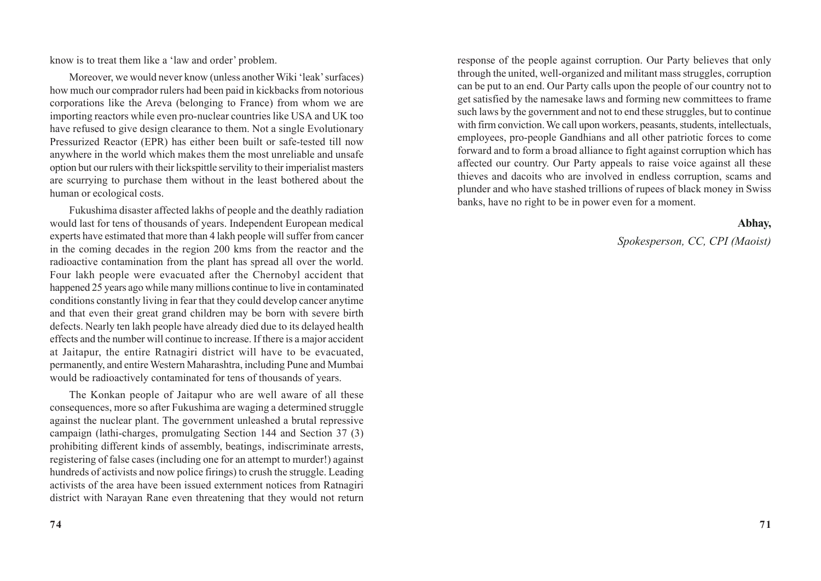know is to treat them like a 'law and order' problem.

Moreover, we would never know (unless another Wiki 'leak' surfaces) how much our comprador rulers had been paid in kickbacks from notorious corporations like the Areva (belonging to France) from whom we are importing reactors while even pro-nuclear countries like USA and UK too have refused to give design clearance to them. Not a single Evolutionary Pressurized Reactor (EPR) has either been built or safe-tested till now anywhere in the world which makes them the most unreliable and unsafe option but our rulers with their lickspittle servility to their imperialist masters are scurrying to purchase them without in the least bothered about the human or ecological costs.

Fukushima disaster affected lakhs of people and the deathly radiation would last for tens of thousands of years. Independent European medical experts have estimated that more than 4 lakh people will suffer from cancer in the coming decades in the region 200 kms from the reactor and the radioactive contamination from the plant has spread all over the world. Four lakh people were evacuated after the Chernobyl accident that happened 25 years ago while many millions continue to live in contaminated conditions constantly living in fear that they could develop cancer anytime and that even their great grand children may be born with severe birth defects. Nearly ten lakh people have already died due to its delayed health effects and the number will continue to increase. If there is a major accident at Jaitapur, the entire Ratnagiri district will have to be evacuated, permanently, and entire Western Maharashtra, including Pune and Mumbai would be radioactively contaminated for tens of thousands of years.

The Konkan people of Jaitapur who are well aware of all these consequences, more so after Fukushima are waging a determined struggle against the nuclear plant. The government unleashed a brutal repressive campaign (lathi-charges, promulgating Section 144 and Section 37 (3) prohibiting different kinds of assembly, beatings, indiscriminate arrests, registering of false cases (including one for an attempt to murder!) against hundreds of activists and now police firings) to crush the struggle. Leading activists of the area have been issued externment notices from Ratnagiri district with Narayan Rane even threatening that they would not return

response of the people against corruption. Our Party believes that only through the united, well-organized and militant mass struggles, corruption can be put to an end. Our Party calls upon the people of our country not to get satisfied by the namesake laws and forming new committees to frame such laws by the government and not to end these struggles, but to continue with firm conviction. We call upon workers, peasants, students, intellectuals, employees, pro-people Gandhians and all other patriotic forces to come forward and to form a broad alliance to fight against corruption which has affected our country. Our Party appeals to raise voice against all these thieves and dacoits who are involved in endless corruption, scams and plunder and who have stashed trillions of rupees of black money in Swiss banks, have no right to be in power even for a moment.

#### **Abhay,**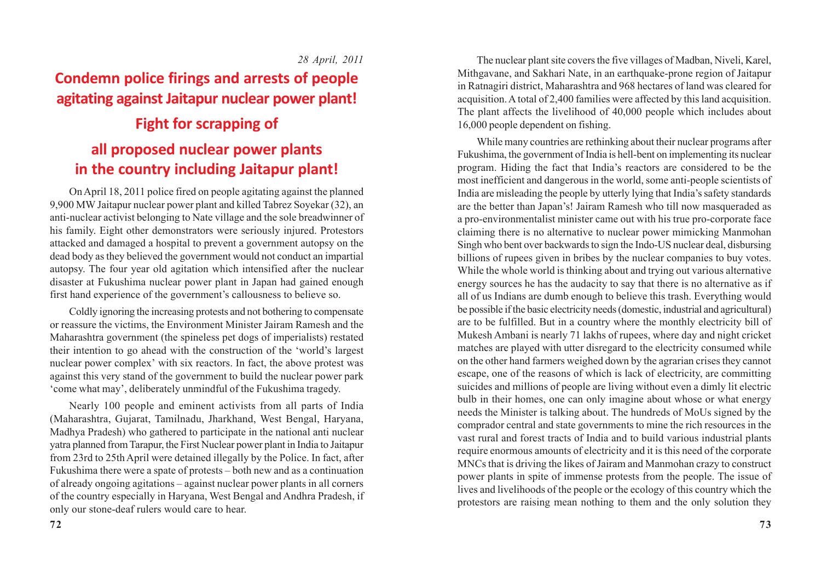#### *28 April, 2011*

# **Condemn police firings and arrests of people agitating against Jaitapur nuclear power plant!**

# **Fight for scrapping of all proposed nuclear power plants in the country including Jaitapur plant!**

On April 18, 2011 police fired on people agitating against the planned 9,900 MW Jaitapur nuclear power plant and killed Tabrez Soyekar (32), an anti-nuclear activist belonging to Nate village and the sole breadwinner of his family. Eight other demonstrators were seriously injured. Protestors attacked and damaged a hospital to prevent a government autopsy on the dead body as they believed the government would not conduct an impartial autopsy. The four year old agitation which intensified after the nuclear disaster at Fukushima nuclear power plant in Japan had gained enough first hand experience of the government's callousness to believe so.

Coldly ignoring the increasing protests and not bothering to compensate or reassure the victims, the Environment Minister Jairam Ramesh and the Maharashtra government (the spineless pet dogs of imperialists) restated their intention to go ahead with the construction of the 'world's largest nuclear power complex' with six reactors. In fact, the above protest was against this very stand of the government to build the nuclear power park 'come what may', deliberately unmindful of the Fukushima tragedy.

Nearly 100 people and eminent activists from all parts of India (Maharashtra, Gujarat, Tamilnadu, Jharkhand, West Bengal, Haryana, Madhya Pradesh) who gathered to participate in the national anti nuclear yatra planned from Tarapur, the First Nuclear power plant in India to Jaitapur from 23rd to 25th April were detained illegally by the Police. In fact, after Fukushima there were a spate of protests – both new and as a continuation of already ongoing agitations – against nuclear power plants in all corners of the country especially in Haryana, West Bengal and Andhra Pradesh, if only our stone-deaf rulers would care to hear.

The nuclear plant site covers the five villages of Madban, Niveli, Karel, Mithgavane, and Sakhari Nate, in an earthquake-prone region of Jaitapur in Ratnagiri district, Maharashtra and 968 hectares of land was cleared for acquisition. A total of 2,400 families were affected by this land acquisition. The plant affects the livelihood of 40,000 people which includes about 16,000 people dependent on fishing.

While many countries are rethinking about their nuclear programs after Fukushima, the government of India is hell-bent on implementing its nuclear program. Hiding the fact that India's reactors are considered to be the most inefficient and dangerous in the world, some anti-people scientists of India are misleading the people by utterly lying that India's safety standards are the better than Japan's! Jairam Ramesh who till now masqueraded as a pro-environmentalist minister came out with his true pro-corporate face claiming there is no alternative to nuclear power mimicking Manmohan Singh who bent over backwards to sign the Indo-US nuclear deal, disbursing billions of rupees given in bribes by the nuclear companies to buy votes. While the whole world is thinking about and trying out various alternative energy sources he has the audacity to say that there is no alternative as if all of us Indians are dumb enough to believe this trash. Everything would be possible if the basic electricity needs (domestic, industrial and agricultural) are to be fulfilled. But in a country where the monthly electricity bill of Mukesh Ambani is nearly 71 lakhs of rupees, where day and night cricket matches are played with utter disregard to the electricity consumed while on the other hand farmers weighed down by the agrarian crises they cannot escape, one of the reasons of which is lack of electricity, are committing suicides and millions of people are living without even a dimly lit electric bulb in their homes, one can only imagine about whose or what energy needs the Minister is talking about. The hundreds of MoUs signed by the comprador central and state governments to mine the rich resources in the vast rural and forest tracts of India and to build various industrial plants require enormous amounts of electricity and it is this need of the corporate MNCs that is driving the likes of Jairam and Manmohan crazy to construct power plants in spite of immense protests from the people. The issue of lives and livelihoods of the people or the ecology of this country which the protestors are raising mean nothing to them and the only solution they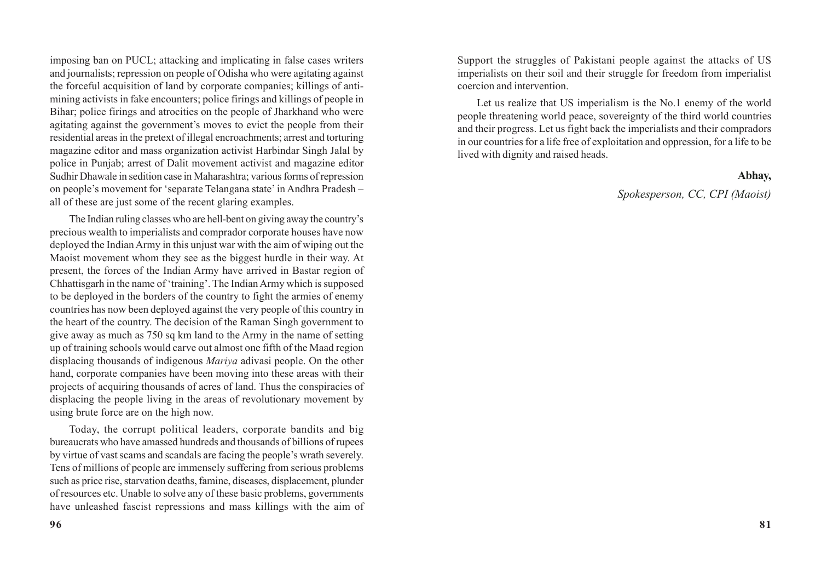imposing ban on PUCL; attacking and implicating in false cases writers and journalists; repression on people of Odisha who were agitating against the forceful acquisition of land by corporate companies; killings of antimining activists in fake encounters; police firings and killings of people in Bihar; police firings and atrocities on the people of Jharkhand who were agitating against the government's moves to evict the people from their residential areas in the pretext of illegal encroachments; arrest and torturing magazine editor and mass organization activist Harbindar Singh Jalal by police in Punjab; arrest of Dalit movement activist and magazine editor Sudhir Dhawale in sedition case in Maharashtra; various forms of repression on people's movement for 'separate Telangana state' in Andhra Pradesh – all of these are just some of the recent glaring examples.

The Indian ruling classes who are hell-bent on giving away the country's precious wealth to imperialists and comprador corporate houses have now deployed the Indian Army in this unjust war with the aim of wiping out the Maoist movement whom they see as the biggest hurdle in their way. At present, the forces of the Indian Army have arrived in Bastar region of Chhattisgarh in the name of 'training'. The Indian Army which is supposed to be deployed in the borders of the country to fight the armies of enemy countries has now been deployed against the very people of this country in the heart of the country. The decision of the Raman Singh government to give away as much as 750 sq km land to the Army in the name of setting up of training schools would carve out almost one fifth of the Maad region displacing thousands of indigenous *Mariya* adivasi people. On the other hand, corporate companies have been moving into these areas with their projects of acquiring thousands of acres of land. Thus the conspiracies of displacing the people living in the areas of revolutionary movement by using brute force are on the high now.

Today, the corrupt political leaders, corporate bandits and big bureaucrats who have amassed hundreds and thousands of billions of rupees by virtue of vast scams and scandals are facing the people's wrath severely. Tens of millions of people are immensely suffering from serious problems such as price rise, starvation deaths, famine, diseases, displacement, plunder of resources etc. Unable to solve any of these basic problems, governments have unleashed fascist repressions and mass killings with the aim of Support the struggles of Pakistani people against the attacks of US imperialists on their soil and their struggle for freedom from imperialist coercion and intervention.

Let us realize that US imperialism is the No.1 enemy of the world people threatening world peace, sovereignty of the third world countries and their progress. Let us fight back the imperialists and their compradors in our countries for a life free of exploitation and oppression, for a life to be lived with dignity and raised heads.

#### **Abhay,**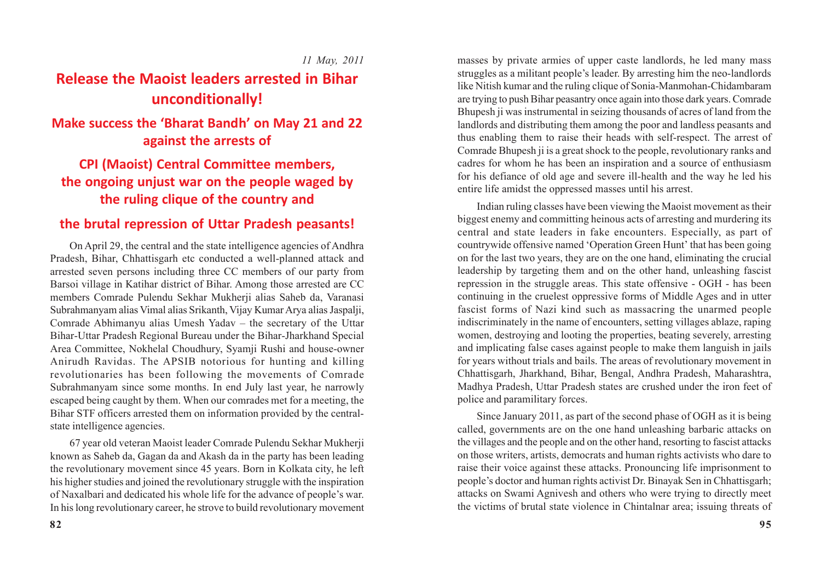*11 May, 2011*

### **Release the Maoist leaders arrested in Bihar unconditionally!**

### **Make success the 'Bharat Bandh' on May 21 and 22 against the arrests of**

### **CPI (Maoist) Central Committee members, the ongoing unjust war on the people waged by the ruling clique of the country and**

### **the brutal repression of Uttar Pradesh peasants!**

On April 29, the central and the state intelligence agencies of Andhra Pradesh, Bihar, Chhattisgarh etc conducted a well-planned attack and arrested seven persons including three CC members of our party from Barsoi village in Katihar district of Bihar. Among those arrested are CC members Comrade Pulendu Sekhar Mukherji alias Saheb da, Varanasi Subrahmanyam alias Vimal alias Srikanth, Vijay Kumar Arya alias Jaspalji, Comrade Abhimanyu alias Umesh Yadav – the secretary of the Uttar Bihar-Uttar Pradesh Regional Bureau under the Bihar-Jharkhand Special Area Committee, Nokhelal Choudhury, Syamji Rushi and house-owner Anirudh Ravidas. The APSIB notorious for hunting and killing revolutionaries has been following the movements of Comrade Subrahmanyam since some months. In end July last year, he narrowly escaped being caught by them. When our comrades met for a meeting, the Bihar STF officers arrested them on information provided by the centralstate intelligence agencies.

67 year old veteran Maoist leader Comrade Pulendu Sekhar Mukherji known as Saheb da, Gagan da and Akash da in the party has been leading the revolutionary movement since 45 years. Born in Kolkata city, he left his higher studies and joined the revolutionary struggle with the inspiration of Naxalbari and dedicated his whole life for the advance of people's war. In his long revolutionary career, he strove to build revolutionary movement masses by private armies of upper caste landlords, he led many mass struggles as a militant people's leader. By arresting him the neo-landlords like Nitish kumar and the ruling clique of Sonia-Manmohan-Chidambaram are trying to push Bihar peasantry once again into those dark years. Comrade Bhupesh ji was instrumental in seizing thousands of acres of land from the landlords and distributing them among the poor and landless peasants and thus enabling them to raise their heads with self-respect. The arrest of Comrade Bhupesh ji is a great shock to the people, revolutionary ranks and cadres for whom he has been an inspiration and a source of enthusiasm for his defiance of old age and severe ill-health and the way he led his entire life amidst the oppressed masses until his arrest.

Indian ruling classes have been viewing the Maoist movement as their biggest enemy and committing heinous acts of arresting and murdering its central and state leaders in fake encounters. Especially, as part of countrywide offensive named 'Operation Green Hunt' that has been going on for the last two years, they are on the one hand, eliminating the crucial leadership by targeting them and on the other hand, unleashing fascist repression in the struggle areas. This state offensive - OGH - has been continuing in the cruelest oppressive forms of Middle Ages and in utter fascist forms of Nazi kind such as massacring the unarmed people indiscriminately in the name of encounters, setting villages ablaze, raping women, destroying and looting the properties, beating severely, arresting and implicating false cases against people to make them languish in jails for years without trials and bails. The areas of revolutionary movement in Chhattisgarh, Jharkhand, Bihar, Bengal, Andhra Pradesh, Maharashtra, Madhya Pradesh, Uttar Pradesh states are crushed under the iron feet of police and paramilitary forces.

Since January 2011, as part of the second phase of OGH as it is being called, governments are on the one hand unleashing barbaric attacks on the villages and the people and on the other hand, resorting to fascist attacks on those writers, artists, democrats and human rights activists who dare to raise their voice against these attacks. Pronouncing life imprisonment to people's doctor and human rights activist Dr. Binayak Sen in Chhattisgarh; attacks on Swami Agnivesh and others who were trying to directly meet the victims of brutal state violence in Chintalnar area; issuing threats of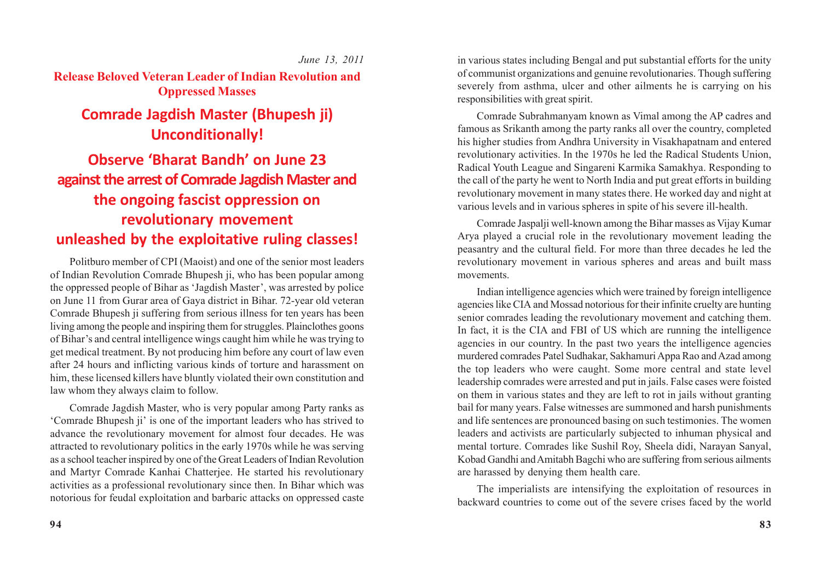*June 13, 2011*

**Release Beloved Veteran Leader of Indian Revolution and Oppressed Masses**

### **Comrade Jagdish Master (Bhupesh ji) Unconditionally!**

# **Observe 'Bharat Bandh' on June 23 against the arrest of Comrade Jagdish Master and the ongoing fascist oppression on revolutionary movement unleashed by the exploitative ruling classes!**

Politburo member of CPI (Maoist) and one of the senior most leaders of Indian Revolution Comrade Bhupesh ji, who has been popular among the oppressed people of Bihar as 'Jagdish Master', was arrested by police on June 11 from Gurar area of Gaya district in Bihar. 72-year old veteran Comrade Bhupesh ji suffering from serious illness for ten years has been living among the people and inspiring them for struggles. Plainclothes goons of Bihar's and central intelligence wings caught him while he was trying to get medical treatment. By not producing him before any court of law even after 24 hours and inflicting various kinds of torture and harassment on him, these licensed killers have bluntly violated their own constitution and law whom they always claim to follow.

Comrade Jagdish Master, who is very popular among Party ranks as 'Comrade Bhupesh ji' is one of the important leaders who has strived to advance the revolutionary movement for almost four decades. He was attracted to revolutionary politics in the early 1970s while he was serving as a school teacher inspired by one of the Great Leaders of Indian Revolution and Martyr Comrade Kanhai Chatterjee. He started his revolutionary activities as a professional revolutionary since then. In Bihar which was notorious for feudal exploitation and barbaric attacks on oppressed caste in various states including Bengal and put substantial efforts for the unity of communist organizations and genuine revolutionaries. Though suffering severely from asthma, ulcer and other ailments he is carrying on his responsibilities with great spirit.

Comrade Subrahmanyam known as Vimal among the AP cadres and famous as Srikanth among the party ranks all over the country, completed his higher studies from Andhra University in Visakhapatnam and entered revolutionary activities. In the 1970s he led the Radical Students Union, Radical Youth League and Singareni Karmika Samakhya. Responding to the call of the party he went to North India and put great efforts in building revolutionary movement in many states there. He worked day and night at various levels and in various spheres in spite of his severe ill-health.

Comrade Jaspalji well-known among the Bihar masses as Vijay Kumar Arya played a crucial role in the revolutionary movement leading the peasantry and the cultural field. For more than three decades he led the revolutionary movement in various spheres and areas and built mass movements.

Indian intelligence agencies which were trained by foreign intelligence agencies like CIA and Mossad notorious for their infinite cruelty are hunting senior comrades leading the revolutionary movement and catching them. In fact, it is the CIA and FBI of US which are running the intelligence agencies in our country. In the past two years the intelligence agencies murdered comrades Patel Sudhakar, Sakhamuri Appa Rao and Azad among the top leaders who were caught. Some more central and state level leadership comrades were arrested and put in jails. False cases were foisted on them in various states and they are left to rot in jails without granting bail for many years. False witnesses are summoned and harsh punishments and life sentences are pronounced basing on such testimonies. The women leaders and activists are particularly subjected to inhuman physical and mental torture. Comrades like Sushil Roy, Sheela didi, Narayan Sanyal, Kobad Gandhi and Amitabh Bagchi who are suffering from serious ailments are harassed by denying them health care.

The imperialists are intensifying the exploitation of resources in backward countries to come out of the severe crises faced by the world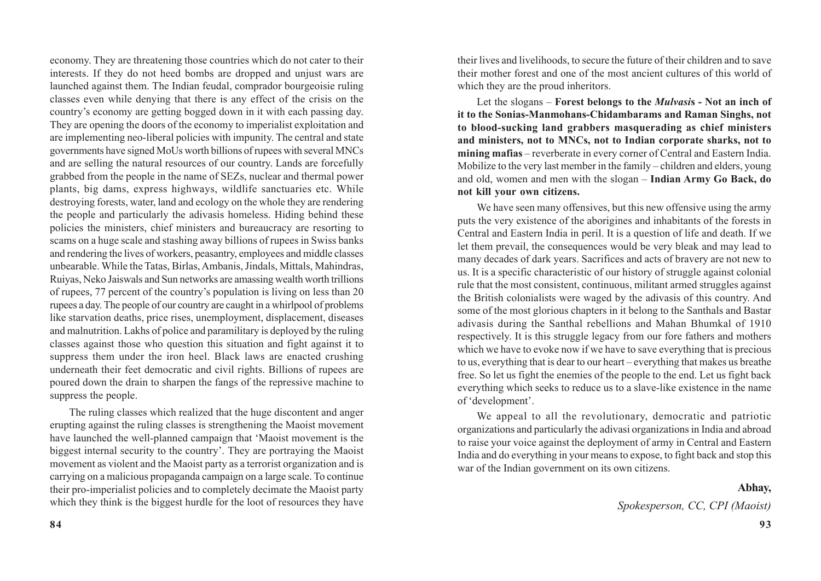economy. They are threatening those countries which do not cater to their interests. If they do not heed bombs are dropped and unjust wars are launched against them. The Indian feudal, comprador bourgeoisie ruling classes even while denying that there is any effect of the crisis on the country's economy are getting bogged down in it with each passing day. They are opening the doors of the economy to imperialist exploitation and are implementing neo-liberal policies with impunity. The central and state governments have signed MoUs worth billions of rupees with several MNCs and are selling the natural resources of our country. Lands are forcefully grabbed from the people in the name of SEZs, nuclear and thermal power plants, big dams, express highways, wildlife sanctuaries etc. While destroying forests, water, land and ecology on the whole they are rendering the people and particularly the adivasis homeless. Hiding behind these policies the ministers, chief ministers and bureaucracy are resorting to scams on a huge scale and stashing away billions of rupees in Swiss banks and rendering the lives of workers, peasantry, employees and middle classes unbearable. While the Tatas, Birlas, Ambanis, Jindals, Mittals, Mahindras, Ruiyas, Neko Jaiswals and Sun networks are amassing wealth worth trillions of rupees, 77 percent of the country's population is living on less than 20 rupees a day. The people of our country are caught in a whirlpool of problems like starvation deaths, price rises, unemployment, displacement, diseases and malnutrition. Lakhs of police and paramilitary is deployed by the ruling classes against those who question this situation and fight against it to suppress them under the iron heel. Black laws are enacted crushing underneath their feet democratic and civil rights. Billions of rupees are poured down the drain to sharpen the fangs of the repressive machine to suppress the people.

The ruling classes which realized that the huge discontent and anger erupting against the ruling classes is strengthening the Maoist movement have launched the well-planned campaign that 'Maoist movement is the biggest internal security to the country'. They are portraying the Maoist movement as violent and the Maoist party as a terrorist organization and is carrying on a malicious propaganda campaign on a large scale. To continue their pro-imperialist policies and to completely decimate the Maoist party which they think is the biggest hurdle for the loot of resources they have

their lives and livelihoods, to secure the future of their children and to save their mother forest and one of the most ancient cultures of this world of which they are the proud inheritors.

Let the slogans – **Forest belongs to the** *Mulvasi***s - Not an inch of it to the Sonias-Manmohans-Chidambarams and Raman Singhs, not to blood-sucking land grabbers masquerading as chief ministers and ministers, not to MNCs, not to Indian corporate sharks, not to mining mafias** – reverberate in every corner of Central and Eastern India. Mobilize to the very last member in the family – children and elders, young and old, women and men with the slogan – **Indian Army Go Back, do not kill your own citizens.**

We have seen many offensives, but this new offensive using the army puts the very existence of the aborigines and inhabitants of the forests in Central and Eastern India in peril. It is a question of life and death. If we let them prevail, the consequences would be very bleak and may lead to many decades of dark years. Sacrifices and acts of bravery are not new to us. It is a specific characteristic of our history of struggle against colonial rule that the most consistent, continuous, militant armed struggles against the British colonialists were waged by the adivasis of this country. And some of the most glorious chapters in it belong to the Santhals and Bastar adivasis during the Santhal rebellions and Mahan Bhumkal of 1910 respectively. It is this struggle legacy from our fore fathers and mothers which we have to evoke now if we have to save everything that is precious to us, everything that is dear to our heart – everything that makes us breathe free. So let us fight the enemies of the people to the end. Let us fight back everything which seeks to reduce us to a slave-like existence in the name of 'development'.

We appeal to all the revolutionary, democratic and patriotic organizations and particularly the adivasi organizations in India and abroad to raise your voice against the deployment of army in Central and Eastern India and do everything in your means to expose, to fight back and stop this war of the Indian government on its own citizens.

#### **Abhay,**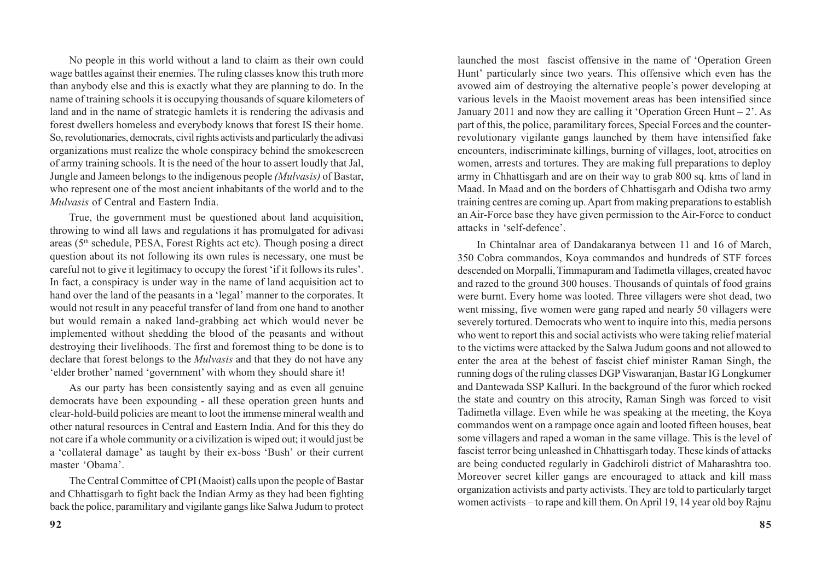No people in this world without a land to claim as their own could wage battles against their enemies. The ruling classes know this truth more than anybody else and this is exactly what they are planning to do. In the name of training schools it is occupying thousands of square kilometers of land and in the name of strategic hamlets it is rendering the adivasis and forest dwellers homeless and everybody knows that forest IS their home. So, revolutionaries, democrats, civil rights activists and particularly the adivasi organizations must realize the whole conspiracy behind the smokescreen of army training schools. It is the need of the hour to assert loudly that Jal, Jungle and Jameen belongs to the indigenous people *(Mulvasis)* of Bastar, who represent one of the most ancient inhabitants of the world and to the *Mulvasis* of Central and Eastern India.

True, the government must be questioned about land acquisition, throwing to wind all laws and regulations it has promulgated for adivasi areas (5th schedule, PESA, Forest Rights act etc). Though posing a direct question about its not following its own rules is necessary, one must be careful not to give it legitimacy to occupy the forest 'if it follows its rules'. In fact, a conspiracy is under way in the name of land acquisition act to hand over the land of the peasants in a 'legal' manner to the corporates. It would not result in any peaceful transfer of land from one hand to another but would remain a naked land-grabbing act which would never be implemented without shedding the blood of the peasants and without destroying their livelihoods. The first and foremost thing to be done is to declare that forest belongs to the *Mulvasis* and that they do not have any 'elder brother' named 'government' with whom they should share it!

As our party has been consistently saying and as even all genuine democrats have been expounding - all these operation green hunts and clear-hold-build policies are meant to loot the immense mineral wealth and other natural resources in Central and Eastern India. And for this they do not care if a whole community or a civilization is wiped out; it would just be a 'collateral damage' as taught by their ex-boss 'Bush' or their current master 'Obama'.

The Central Committee of CPI (Maoist) calls upon the people of Bastar and Chhattisgarh to fight back the Indian Army as they had been fighting back the police, paramilitary and vigilante gangs like Salwa Judum to protect launched the most fascist offensive in the name of 'Operation Green Hunt' particularly since two years. This offensive which even has the avowed aim of destroying the alternative people's power developing at various levels in the Maoist movement areas has been intensified since January 2011 and now they are calling it 'Operation Green Hunt –  $2^{\circ}$ . As part of this, the police, paramilitary forces, Special Forces and the counterrevolutionary vigilante gangs launched by them have intensified fake encounters, indiscriminate killings, burning of villages, loot, atrocities on women, arrests and tortures. They are making full preparations to deploy army in Chhattisgarh and are on their way to grab 800 sq. kms of land in Maad. In Maad and on the borders of Chhattisgarh and Odisha two army training centres are coming up. Apart from making preparations to establish an Air-Force base they have given permission to the Air-Force to conduct attacks in 'self-defence'.

In Chintalnar area of Dandakaranya between 11 and 16 of March, 350 Cobra commandos, Koya commandos and hundreds of STF forces descended on Morpalli, Timmapuram and Tadimetla villages, created havoc and razed to the ground 300 houses. Thousands of quintals of food grains were burnt. Every home was looted. Three villagers were shot dead, two went missing, five women were gang raped and nearly 50 villagers were severely tortured. Democrats who went to inquire into this, media persons who went to report this and social activists who were taking relief material to the victims were attacked by the Salwa Judum goons and not allowed to enter the area at the behest of fascist chief minister Raman Singh, the running dogs of the ruling classes DGP Viswaranjan, Bastar IG Longkumer and Dantewada SSP Kalluri. In the background of the furor which rocked the state and country on this atrocity, Raman Singh was forced to visit Tadimetla village. Even while he was speaking at the meeting, the Koya commandos went on a rampage once again and looted fifteen houses, beat some villagers and raped a woman in the same village. This is the level of fascist terror being unleashed in Chhattisgarh today. These kinds of attacks are being conducted regularly in Gadchiroli district of Maharashtra too. Moreover secret killer gangs are encouraged to attack and kill mass organization activists and party activists. They are told to particularly target women activists – to rape and kill them. On April 19, 14 year old boy Rajnu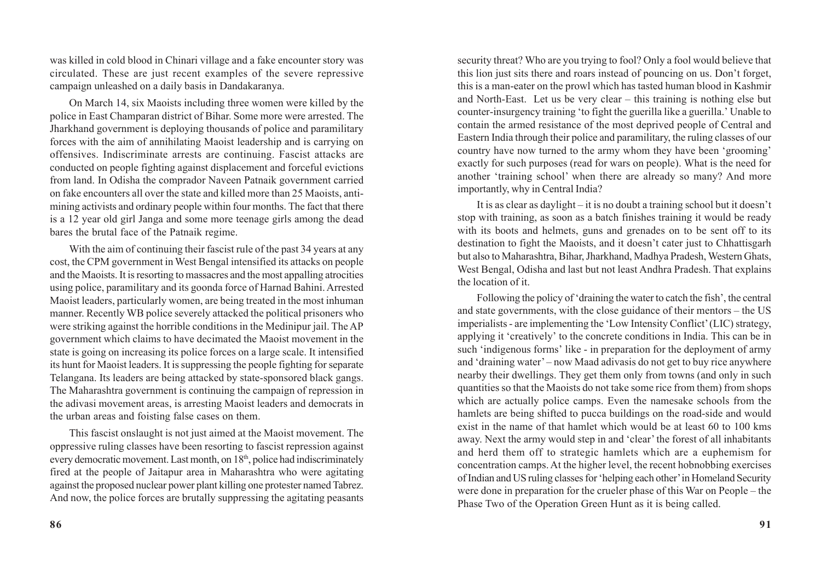was killed in cold blood in Chinari village and a fake encounter story was circulated. These are just recent examples of the severe repressive campaign unleashed on a daily basis in Dandakaranya.

On March 14, six Maoists including three women were killed by the police in East Champaran district of Bihar. Some more were arrested. The Jharkhand government is deploying thousands of police and paramilitary forces with the aim of annihilating Maoist leadership and is carrying on offensives. Indiscriminate arrests are continuing. Fascist attacks are conducted on people fighting against displacement and forceful evictions from land. In Odisha the comprador Naveen Patnaik government carried on fake encounters all over the state and killed more than 25 Maoists, antimining activists and ordinary people within four months. The fact that there is a 12 year old girl Janga and some more teenage girls among the dead bares the brutal face of the Patnaik regime.

With the aim of continuing their fascist rule of the past 34 years at any cost, the CPM government in West Bengal intensified its attacks on people and the Maoists. It is resorting to massacres and the most appalling atrocities using police, paramilitary and its goonda force of Harnad Bahini. Arrested Maoist leaders, particularly women, are being treated in the most inhuman manner. Recently WB police severely attacked the political prisoners who were striking against the horrible conditions in the Medinipur jail. The AP government which claims to have decimated the Maoist movement in the state is going on increasing its police forces on a large scale. It intensified its hunt for Maoist leaders. It is suppressing the people fighting for separate Telangana. Its leaders are being attacked by state-sponsored black gangs. The Maharashtra government is continuing the campaign of repression in the adivasi movement areas, is arresting Maoist leaders and democrats in the urban areas and foisting false cases on them.

This fascist onslaught is not just aimed at the Maoist movement. The oppressive ruling classes have been resorting to fascist repression against every democratic movement. Last month, on 18<sup>th</sup>, police had indiscriminately fired at the people of Jaitapur area in Maharashtra who were agitating against the proposed nuclear power plant killing one protester named Tabrez. And now, the police forces are brutally suppressing the agitating peasants

security threat? Who are you trying to fool? Only a fool would believe that this lion just sits there and roars instead of pouncing on us. Don't forget, this is a man-eater on the prowl which has tasted human blood in Kashmir and North-East. Let us be very clear – this training is nothing else but counter-insurgency training 'to fight the guerilla like a guerilla.' Unable to contain the armed resistance of the most deprived people of Central and Eastern India through their police and paramilitary, the ruling classes of our country have now turned to the army whom they have been 'grooming' exactly for such purposes (read for wars on people). What is the need for another 'training school' when there are already so many? And more importantly, why in Central India?

It is as clear as daylight – it is no doubt a training school but it doesn't stop with training, as soon as a batch finishes training it would be ready with its boots and helmets, guns and grenades on to be sent off to its destination to fight the Maoists, and it doesn't cater just to Chhattisgarh but also to Maharashtra, Bihar, Jharkhand, Madhya Pradesh, Western Ghats, West Bengal, Odisha and last but not least Andhra Pradesh. That explains the location of it.

Following the policy of 'draining the water to catch the fish', the central and state governments, with the close guidance of their mentors – the US imperialists - are implementing the 'Low Intensity Conflict' (LIC) strategy, applying it 'creatively' to the concrete conditions in India. This can be in such 'indigenous forms' like - in preparation for the deployment of army and 'draining water' – now Maad adivasis do not get to buy rice anywhere nearby their dwellings. They get them only from towns (and only in such quantities so that the Maoists do not take some rice from them) from shops which are actually police camps. Even the namesake schools from the hamlets are being shifted to pucca buildings on the road-side and would exist in the name of that hamlet which would be at least 60 to 100 kms away. Next the army would step in and 'clear' the forest of all inhabitants and herd them off to strategic hamlets which are a euphemism for concentration camps. At the higher level, the recent hobnobbing exercises of Indian and US ruling classes for 'helping each other' in Homeland Security were done in preparation for the crueler phase of this War on People – the Phase Two of the Operation Green Hunt as it is being called.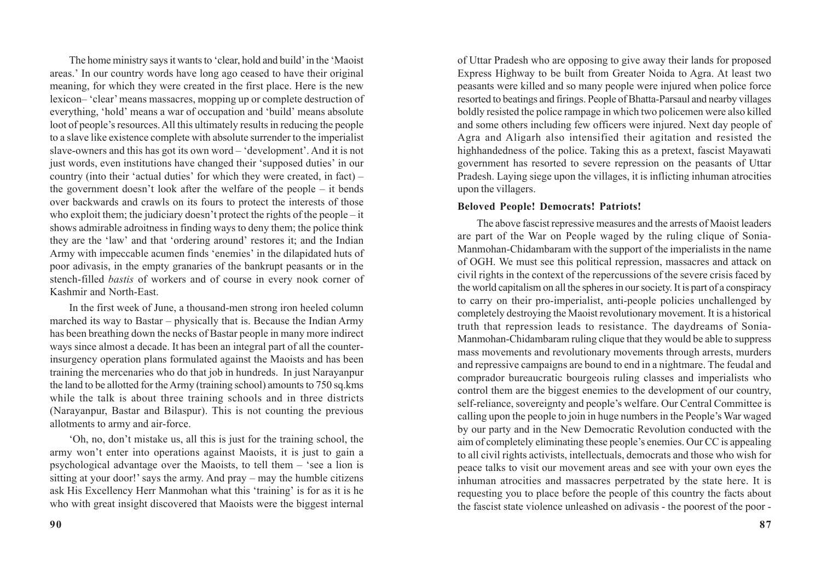The home ministry says it wants to 'clear, hold and build' in the 'Maoist areas.' In our country words have long ago ceased to have their original meaning, for which they were created in the first place. Here is the new lexicon– 'clear' means massacres, mopping up or complete destruction of everything, 'hold' means a war of occupation and 'build' means absolute loot of people's resources. All this ultimately results in reducing the people to a slave like existence complete with absolute surrender to the imperialist slave-owners and this has got its own word – 'development'. And it is not just words, even institutions have changed their 'supposed duties' in our country (into their 'actual duties' for which they were created, in fact) – the government doesn't look after the welfare of the people – it bends over backwards and crawls on its fours to protect the interests of those who exploit them; the judiciary doesn't protect the rights of the people – it shows admirable adroitness in finding ways to deny them; the police think they are the 'law' and that 'ordering around' restores it; and the Indian Army with impeccable acumen finds 'enemies' in the dilapidated huts of poor adivasis, in the empty granaries of the bankrupt peasants or in the stench-filled *bastis* of workers and of course in every nook corner of Kashmir and North-East.

In the first week of June, a thousand-men strong iron heeled column marched its way to Bastar – physically that is. Because the Indian Army has been breathing down the necks of Bastar people in many more indirect ways since almost a decade. It has been an integral part of all the counterinsurgency operation plans formulated against the Maoists and has been training the mercenaries who do that job in hundreds. In just Narayanpur the land to be allotted for the Army (training school) amounts to 750 sq.kms while the talk is about three training schools and in three districts (Narayanpur, Bastar and Bilaspur). This is not counting the previous allotments to army and air-force.

'Oh, no, don't mistake us, all this is just for the training school, the army won't enter into operations against Maoists, it is just to gain a psychological advantage over the Maoists, to tell them – 'see a lion is sitting at your door!' says the army. And pray – may the humble citizens ask His Excellency Herr Manmohan what this 'training' is for as it is he who with great insight discovered that Maoists were the biggest internal

of Uttar Pradesh who are opposing to give away their lands for proposed Express Highway to be built from Greater Noida to Agra. At least two peasants were killed and so many people were injured when police force resorted to beatings and firings. People of Bhatta-Parsaul and nearby villages boldly resisted the police rampage in which two policemen were also killed and some others including few officers were injured. Next day people of Agra and Aligarh also intensified their agitation and resisted the highhandedness of the police. Taking this as a pretext, fascist Mayawati government has resorted to severe repression on the peasants of Uttar Pradesh. Laying siege upon the villages, it is inflicting inhuman atrocities upon the villagers.

#### **Beloved People! Democrats! Patriots!**

The above fascist repressive measures and the arrests of Maoist leaders are part of the War on People waged by the ruling clique of Sonia-Manmohan-Chidambaram with the support of the imperialists in the name of OGH. We must see this political repression, massacres and attack on civil rights in the context of the repercussions of the severe crisis faced by the world capitalism on all the spheres in our society. It is part of a conspiracy to carry on their pro-imperialist, anti-people policies unchallenged by completely destroying the Maoist revolutionary movement. It is a historical truth that repression leads to resistance. The daydreams of Sonia-Manmohan-Chidambaram ruling clique that they would be able to suppress mass movements and revolutionary movements through arrests, murders and repressive campaigns are bound to end in a nightmare. The feudal and comprador bureaucratic bourgeois ruling classes and imperialists who control them are the biggest enemies to the development of our country, self-reliance, sovereignty and people's welfare. Our Central Committee is calling upon the people to join in huge numbers in the People's War waged by our party and in the New Democratic Revolution conducted with the aim of completely eliminating these people's enemies. Our CC is appealing to all civil rights activists, intellectuals, democrats and those who wish for peace talks to visit our movement areas and see with your own eyes the inhuman atrocities and massacres perpetrated by the state here. It is requesting you to place before the people of this country the facts about the fascist state violence unleashed on adivasis - the poorest of the poor -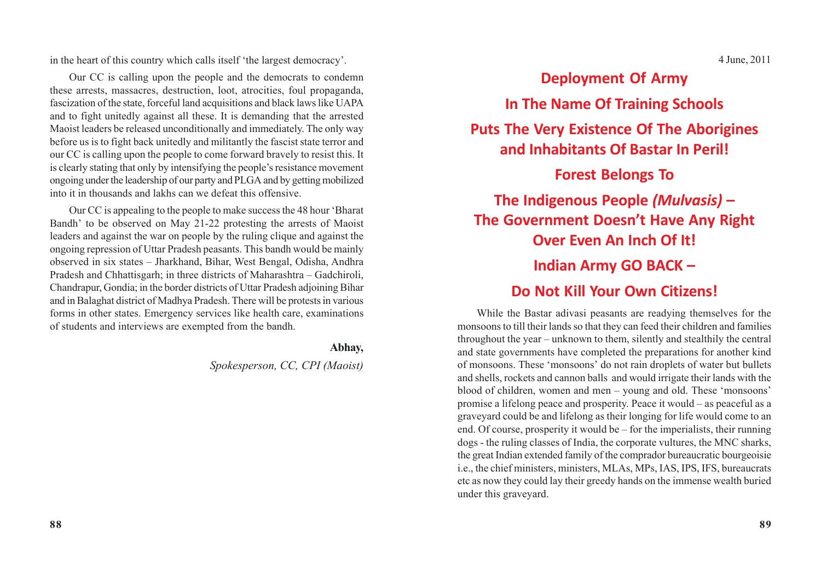in the heart of this country which calls itself 'the largest democracy'.

Our CC is calling upon the people and the democrats to condemn these arrests, massacres, destruction, loot, atrocities, foul propaganda, fascization of the state, forceful land acquisitions and black laws like UAPA and to fight unitedly against all these. It is demanding that the arrested Maoist leaders be released unconditionally and immediately. The only way before us is to fight back unitedly and militantly the fascist state terror and our CC is calling upon the people to come forward bravely to resist this. It is clearly stating that only by intensifying the people's resistance movement ongoing under the leadership of our party and PLGA and by getting mobilized into it in thousands and lakhs can we defeat this offensive.

Our CC is appealing to the people to make success the 48 hour 'Bharat Bandh' to be observed on May 21-22 protesting the arrests of Maoist leaders and against the war on people by the ruling clique and against the ongoing repression of Uttar Pradesh peasants. This bandh would be mainly observed in six states – Jharkhand, Bihar, West Bengal, Odisha, Andhra Pradesh and Chhattisgarh; in three districts of Maharashtra – Gadchiroli, Chandrapur, Gondia; in the border districts of Uttar Pradesh adjoining Bihar and in Balaghat district of Madhya Pradesh. There will be protests in various forms in other states. Emergency services like health care, examinations of students and interviews are exempted from the bandh.

#### **Abhay,**

### *Spokesperson, CC, CPI (Maoist)*

4 June, 2011

**Deployment Of Army In The Name Of Training Schools Puts The Very Existence Of The Aborigines and Inhabitants Of Bastar In Peril! Forest Belongs To The Indigenous People** *(Mulvasis)* **– The Government Doesn't Have Any Right Over Even An Inch Of It! Indian Army GO BACK –**

### **Do Not Kill Your Own Citizens!**

While the Bastar adivasi peasants are readying themselves for the monsoons to till their lands so that they can feed their children and families throughout the year – unknown to them, silently and stealthily the central and state governments have completed the preparations for another kind of monsoons. These 'monsoons' do not rain droplets of water but bullets and shells, rockets and cannon balls and would irrigate their lands with the blood of children, women and men – young and old. These 'monsoons' promise a lifelong peace and prosperity. Peace it would – as peaceful as a graveyard could be and lifelong as their longing for life would come to an end. Of course, prosperity it would be – for the imperialists, their running dogs - the ruling classes of India, the corporate vultures, the MNC sharks, the great Indian extended family of the comprador bureaucratic bourgeoisie i.e., the chief ministers, ministers, MLAs, MPs, IAS, IPS, IFS, bureaucrats etc as now they could lay their greedy hands on the immense wealth buried under this graveyard.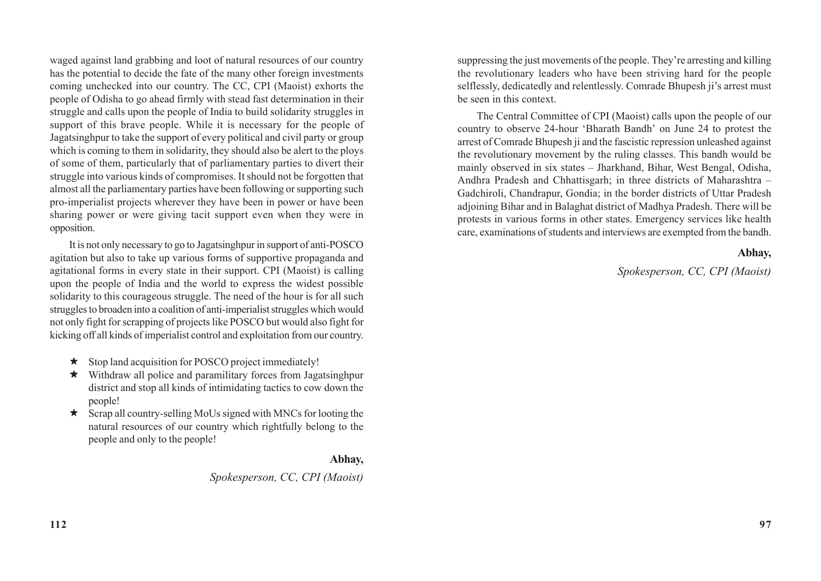waged against land grabbing and loot of natural resources of our country has the potential to decide the fate of the many other foreign investments coming unchecked into our country. The CC, CPI (Maoist) exhorts the people of Odisha to go ahead firmly with stead fast determination in their struggle and calls upon the people of India to build solidarity struggles in support of this brave people. While it is necessary for the people of Jagatsinghpur to take the support of every political and civil party or group which is coming to them in solidarity, they should also be alert to the ploys of some of them, particularly that of parliamentary parties to divert their struggle into various kinds of compromises. It should not be forgotten that almost all the parliamentary parties have been following or supporting such pro-imperialist projects wherever they have been in power or have been sharing power or were giving tacit support even when they were in opposition.

It is not only necessary to go to Jagatsinghpur in support of anti-POSCO agitation but also to take up various forms of supportive propaganda and agitational forms in every state in their support. CPI (Maoist) is calling upon the people of India and the world to express the widest possible solidarity to this courageous struggle. The need of the hour is for all such struggles to broaden into a coalition of anti-imperialist struggles which would not only fight for scrapping of projects like POSCO but would also fight for kicking off all kinds of imperialist control and exploitation from our country.

- $\star$  Stop land acquisition for POSCO project immediately!
- $\star$  Withdraw all police and paramilitary forces from Jagatsinghpur district and stop all kinds of intimidating tactics to cow down the people!
- $\star$  Scrap all country-selling MoUs signed with MNCs for looting the natural resources of our country which rightfully belong to the people and only to the people!

#### **Abhay,**

*Spokesperson, CC, CPI (Maoist)*

suppressing the just movements of the people. They're arresting and killing the revolutionary leaders who have been striving hard for the people selflessly, dedicatedly and relentlessly. Comrade Bhupesh ji's arrest must be seen in this context.

The Central Committee of CPI (Maoist) calls upon the people of our country to observe 24-hour 'Bharath Bandh' on June 24 to protest the arrest of Comrade Bhupesh ji and the fascistic repression unleashed against the revolutionary movement by the ruling classes. This bandh would be mainly observed in six states – Jharkhand, Bihar, West Bengal, Odisha, Andhra Pradesh and Chhattisgarh; in three districts of Maharashtra – Gadchiroli, Chandrapur, Gondia; in the border districts of Uttar Pradesh adjoining Bihar and in Balaghat district of Madhya Pradesh. There will be protests in various forms in other states. Emergency services like health care, examinations of students and interviews are exempted from the bandh.

#### **Abhay,**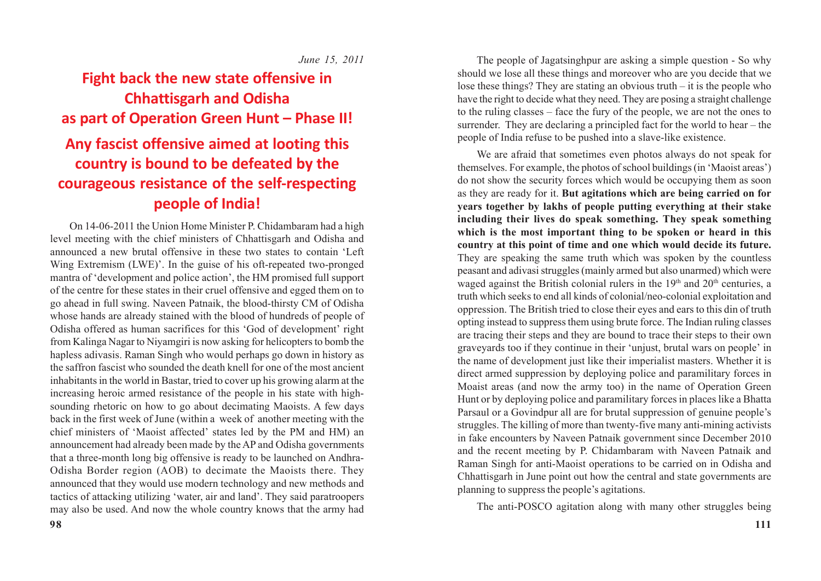*June 15, 2011*

# **Fight back the new state offensive in Chhattisgarh and Odisha as part of Operation Green Hunt – Phase II!**

# **Any fascist offensive aimed at looting this country is bound to be defeated by the courageous resistance of the self-respecting people of India!**

On 14-06-2011 the Union Home Minister P. Chidambaram had a high level meeting with the chief ministers of Chhattisgarh and Odisha and announced a new brutal offensive in these two states to contain 'Left Wing Extremism (LWE)'. In the guise of his oft-repeated two-pronged mantra of 'development and police action', the HM promised full support of the centre for these states in their cruel offensive and egged them on to go ahead in full swing. Naveen Patnaik, the blood-thirsty CM of Odisha whose hands are already stained with the blood of hundreds of people of Odisha offered as human sacrifices for this 'God of development' right from Kalinga Nagar to Niyamgiri is now asking for helicopters to bomb the hapless adivasis. Raman Singh who would perhaps go down in history as the saffron fascist who sounded the death knell for one of the most ancient inhabitants in the world in Bastar, tried to cover up his growing alarm at the increasing heroic armed resistance of the people in his state with highsounding rhetoric on how to go about decimating Maoists. A few days back in the first week of June (within a week of another meeting with the chief ministers of 'Maoist affected' states led by the PM and HM) an announcement had already been made by the AP and Odisha governments that a three-month long big offensive is ready to be launched on Andhra-Odisha Border region (AOB) to decimate the Maoists there. They announced that they would use modern technology and new methods and tactics of attacking utilizing 'water, air and land'. They said paratroopers may also be used. And now the whole country knows that the army had

The people of Jagatsinghpur are asking a simple question - So why should we lose all these things and moreover who are you decide that we lose these things? They are stating an obvious truth – it is the people who have the right to decide what they need. They are posing a straight challenge to the ruling classes – face the fury of the people, we are not the ones to surrender. They are declaring a principled fact for the world to hear – the people of India refuse to be pushed into a slave-like existence.

We are afraid that sometimes even photos always do not speak for themselves. For example, the photos of school buildings (in 'Maoist areas') do not show the security forces which would be occupying them as soon as they are ready for it. **But agitations which are being carried on for years together by lakhs of people putting everything at their stake including their lives do speak something. They speak something which is the most important thing to be spoken or heard in this country at this point of time and one which would decide its future.** They are speaking the same truth which was spoken by the countless peasant and adivasi struggles (mainly armed but also unarmed) which were waged against the British colonial rulers in the  $19<sup>th</sup>$  and  $20<sup>th</sup>$  centuries, a truth which seeks to end all kinds of colonial/neo-colonial exploitation and oppression. The British tried to close their eyes and ears to this din of truth opting instead to suppress them using brute force. The Indian ruling classes are tracing their steps and they are bound to trace their steps to their own graveyards too if they continue in their 'unjust, brutal wars on people' in the name of development just like their imperialist masters. Whether it is direct armed suppression by deploying police and paramilitary forces in Moaist areas (and now the army too) in the name of Operation Green Hunt or by deploying police and paramilitary forces in places like a Bhatta Parsaul or a Govindpur all are for brutal suppression of genuine people's struggles. The killing of more than twenty-five many anti-mining activists in fake encounters by Naveen Patnaik government since December 2010 and the recent meeting by P. Chidambaram with Naveen Patnaik and Raman Singh for anti-Maoist operations to be carried on in Odisha and Chhattisgarh in June point out how the central and state governments are planning to suppress the people's agitations.

The anti-POSCO agitation along with many other struggles being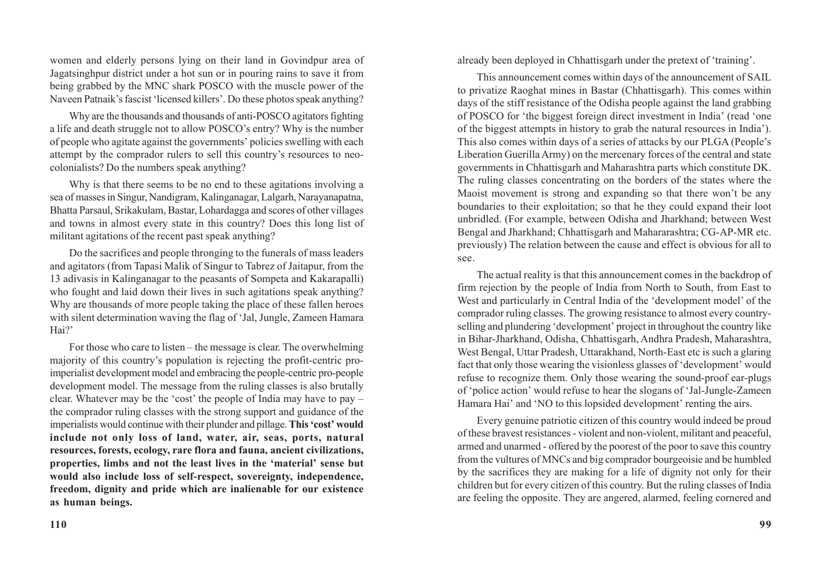women and elderly persons lying on their land in Govindpur area of Jagatsinghpur district under a hot sun or in pouring rains to save it from being grabbed by the MNC shark POSCO with the muscle power of the Naveen Patnaik's fascist 'licensed killers'. Do these photos speak anything?

Why are the thousands and thousands of anti-POSCO agitators fighting a life and death struggle not to allow POSCO's entry? Why is the number of people who agitate against the governments' policies swelling with each attempt by the comprador rulers to sell this country's resources to neocolonialists? Do the numbers speak anything?

Why is that there seems to be no end to these agitations involving a sea of masses in Singur, Nandigram, Kalinganagar, Lalgarh, Narayanapatna, Bhatta Parsaul, Srikakulam, Bastar, Lohardagga and scores of other villages and towns in almost every state in this country? Does this long list of militant agitations of the recent past speak anything?

Do the sacrifices and people thronging to the funerals of mass leaders and agitators (from Tapasi Malik of Singur to Tabrez of Jaitapur, from the 13 adivasis in Kalinganagar to the peasants of Sompeta and Kakarapalli) who fought and laid down their lives in such agitations speak anything? Why are thousands of more people taking the place of these fallen heroes with silent determination waving the flag of 'Jal, Jungle, Zameen Hamara Hai?'

For those who care to listen – the message is clear. The overwhelming majority of this country's population is rejecting the profit-centric proimperialist development model and embracing the people-centric pro-people development model. The message from the ruling classes is also brutally clear. Whatever may be the 'cost' the people of India may have to pay – the comprador ruling classes with the strong support and guidance of the imperialists would continue with their plunder and pillage. **This 'cost' would include not only loss of land, water, air, seas, ports, natural resources, forests, ecology, rare flora and fauna, ancient civilizations, properties, limbs and not the least lives in the 'material' sense but would also include loss of self-respect, sovereignty, independence, freedom, dignity and pride which are inalienable for our existence as human beings.**

already been deployed in Chhattisgarh under the pretext of 'training'.

This announcement comes within days of the announcement of SAIL to privatize Raoghat mines in Bastar (Chhattisgarh). This comes within days of the stiff resistance of the Odisha people against the land grabbing of POSCO for 'the biggest foreign direct investment in India' (read 'one of the biggest attempts in history to grab the natural resources in India'). This also comes within days of a series of attacks by our PLGA (People's Liberation Guerilla Army) on the mercenary forces of the central and state governments in Chhattisgarh and Maharashtra parts which constitute DK. The ruling classes concentrating on the borders of the states where the Maoist movement is strong and expanding so that there won't be any boundaries to their exploitation; so that he they could expand their loot unbridled. (For example, between Odisha and Jharkhand; between West Bengal and Jharkhand; Chhattisgarh and Mahararashtra; CG-AP-MR etc. previously) The relation between the cause and effect is obvious for all to see.

The actual reality is that this announcement comes in the backdrop of firm rejection by the people of India from North to South, from East to West and particularly in Central India of the 'development model' of the comprador ruling classes. The growing resistance to almost every countryselling and plundering 'development' project in throughout the country like in Bihar-Jharkhand, Odisha, Chhattisgarh, Andhra Pradesh, Maharashtra, West Bengal, Uttar Pradesh, Uttarakhand, North-East etc is such a glaring fact that only those wearing the visionless glasses of 'development' would refuse to recognize them. Only those wearing the sound-proof ear-plugs of 'police action' would refuse to hear the slogans of 'Jal-Jungle-Zameen Hamara Hai' and 'NO to this lopsided development' renting the airs.

Every genuine patriotic citizen of this country would indeed be proud of these bravest resistances - violent and non-violent, militant and peaceful, armed and unarmed - offered by the poorest of the poor to save this country from the vultures of MNCs and big comprador bourgeoisie and be humbled by the sacrifices they are making for a life of dignity not only for their children but for every citizen of this country. But the ruling classes of India are feeling the opposite. They are angered, alarmed, feeling cornered and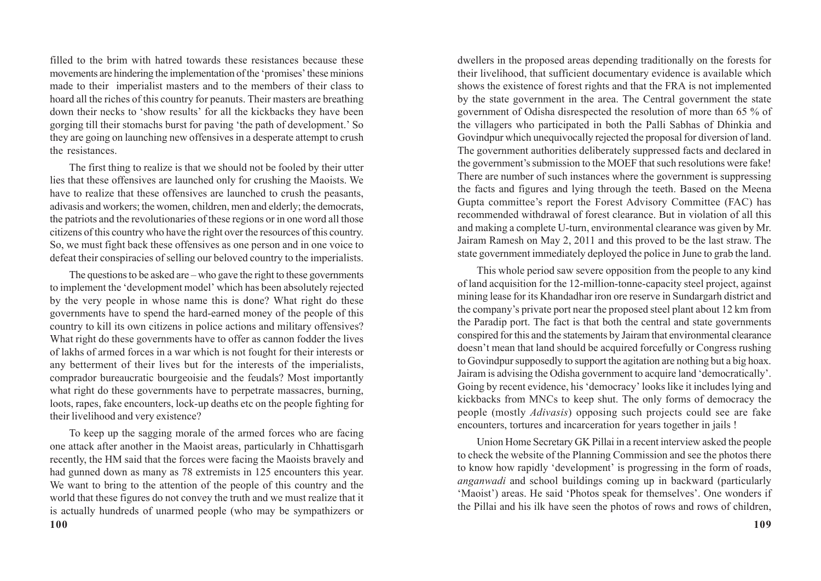filled to the brim with hatred towards these resistances because these movements are hindering the implementation of the 'promises' these minions made to their imperialist masters and to the members of their class to hoard all the riches of this country for peanuts. Their masters are breathing down their necks to 'show results' for all the kickbacks they have been gorging till their stomachs burst for paving 'the path of development.' So they are going on launching new offensives in a desperate attempt to crush the resistances.

The first thing to realize is that we should not be fooled by their utter lies that these offensives are launched only for crushing the Maoists. We have to realize that these offensives are launched to crush the peasants, adivasis and workers; the women, children, men and elderly; the democrats, the patriots and the revolutionaries of these regions or in one word all those citizens of this country who have the right over the resources of this country. So, we must fight back these offensives as one person and in one voice to defeat their conspiracies of selling our beloved country to the imperialists.

The questions to be asked are – who gave the right to these governments to implement the 'development model' which has been absolutely rejected by the very people in whose name this is done? What right do these governments have to spend the hard-earned money of the people of this country to kill its own citizens in police actions and military offensives? What right do these governments have to offer as cannon fodder the lives of lakhs of armed forces in a war which is not fought for their interests or any betterment of their lives but for the interests of the imperialists, comprador bureaucratic bourgeoisie and the feudals? Most importantly what right do these governments have to perpetrate massacres, burning, loots, rapes, fake encounters, lock-up deaths etc on the people fighting for their livelihood and very existence?

To keep up the sagging morale of the armed forces who are facing one attack after another in the Maoist areas, particularly in Chhattisgarh recently, the HM said that the forces were facing the Maoists bravely and had gunned down as many as 78 extremists in 125 encounters this year. We want to bring to the attention of the people of this country and the world that these figures do not convey the truth and we must realize that it is actually hundreds of unarmed people (who may be sympathizers or dwellers in the proposed areas depending traditionally on the forests for their livelihood, that sufficient documentary evidence is available which shows the existence of forest rights and that the FRA is not implemented by the state government in the area. The Central government the state government of Odisha disrespected the resolution of more than 65 % of the villagers who participated in both the Palli Sabhas of Dhinkia and Govindpur which unequivocally rejected the proposal for diversion of land. The government authorities deliberately suppressed facts and declared in the government's submission to the MOEF that such resolutions were fake! There are number of such instances where the government is suppressing the facts and figures and lying through the teeth. Based on the Meena Gupta committee's report the Forest Advisory Committee (FAC) has recommended withdrawal of forest clearance. But in violation of all this and making a complete U-turn, environmental clearance was given by Mr. Jairam Ramesh on May 2, 2011 and this proved to be the last straw. The state government immediately deployed the police in June to grab the land.

This whole period saw severe opposition from the people to any kind of land acquisition for the 12-million-tonne-capacity steel project, against mining lease for its Khandadhar iron ore reserve in Sundargarh district and the company's private port near the proposed steel plant about 12 km from the Paradip port. The fact is that both the central and state governments conspired for this and the statements by Jairam that environmental clearance doesn't mean that land should be acquired forcefully or Congress rushing to Govindpur supposedly to support the agitation are nothing but a big hoax. Jairam is advising the Odisha government to acquire land 'democratically'. Going by recent evidence, his 'democracy' looks like it includes lying and kickbacks from MNCs to keep shut. The only forms of democracy the people (mostly *Adivasis*) opposing such projects could see are fake encounters, tortures and incarceration for years together in jails !

Union Home Secretary GK Pillai in a recent interview asked the people to check the website of the Planning Commission and see the photos there to know how rapidly 'development' is progressing in the form of roads, *anganwadi* and school buildings coming up in backward (particularly 'Maoist') areas. He said 'Photos speak for themselves'. One wonders if the Pillai and his ilk have seen the photos of rows and rows of children,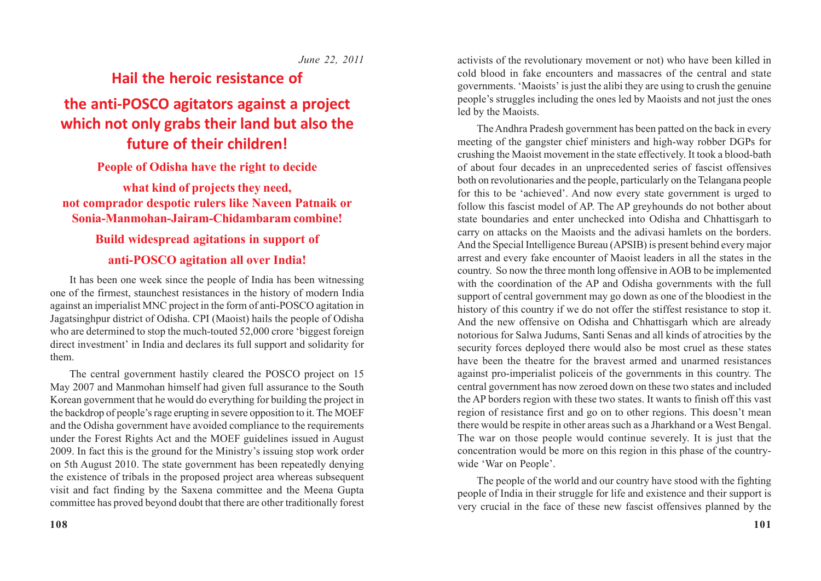#### *June 22, 2011*

# **Hail the heroic resistance of the anti-POSCO agitators against a project**

### **which not only grabs their land but also the future of their children!**

### **People of Odisha have the right to decide**

### **what kind of projects they need, not comprador despotic rulers like Naveen Patnaik or Sonia-Manmohan-Jairam-Chidambaram combine!**

### **Build widespread agitations in support of anti-POSCO agitation all over India!**

It has been one week since the people of India has been witnessing one of the firmest, staunchest resistances in the history of modern India against an imperialist MNC project in the form of anti-POSCO agitation in Jagatsinghpur district of Odisha. CPI (Maoist) hails the people of Odisha who are determined to stop the much-touted 52,000 crore 'biggest foreign direct investment' in India and declares its full support and solidarity for them.

The central government hastily cleared the POSCO project on 15 May 2007 and Manmohan himself had given full assurance to the South Korean government that he would do everything for building the project in the backdrop of people's rage erupting in severe opposition to it. The MOEF and the Odisha government have avoided compliance to the requirements under the Forest Rights Act and the MOEF guidelines issued in August 2009. In fact this is the ground for the Ministry's issuing stop work order on 5th August 2010. The state government has been repeatedly denying the existence of tribals in the proposed project area whereas subsequent visit and fact finding by the Saxena committee and the Meena Gupta committee has proved beyond doubt that there are other traditionally forest

activists of the revolutionary movement or not) who have been killed in cold blood in fake encounters and massacres of the central and state governments. 'Maoists' is just the alibi they are using to crush the genuine people's struggles including the ones led by Maoists and not just the ones led by the Maoists.

The Andhra Pradesh government has been patted on the back in every meeting of the gangster chief ministers and high-way robber DGPs for crushing the Maoist movement in the state effectively. It took a blood-bath of about four decades in an unprecedented series of fascist offensives both on revolutionaries and the people, particularly on the Telangana people for this to be 'achieved'. And now every state government is urged to follow this fascist model of AP. The AP greyhounds do not bother about state boundaries and enter unchecked into Odisha and Chhattisgarh to carry on attacks on the Maoists and the adivasi hamlets on the borders. And the Special Intelligence Bureau (APSIB) is present behind every major arrest and every fake encounter of Maoist leaders in all the states in the country. So now the three month long offensive in AOB to be implemented with the coordination of the AP and Odisha governments with the full support of central government may go down as one of the bloodiest in the history of this country if we do not offer the stiffest resistance to stop it. And the new offensive on Odisha and Chhattisgarh which are already notorious for Salwa Judums, Santi Senas and all kinds of atrocities by the security forces deployed there would also be most cruel as these states have been the theatre for the bravest armed and unarmed resistances against pro-imperialist policeis of the governments in this country. The central government has now zeroed down on these two states and included the AP borders region with these two states. It wants to finish off this vast region of resistance first and go on to other regions. This doesn't mean there would be respite in other areas such as a Jharkhand or a West Bengal. The war on those people would continue severely. It is just that the concentration would be more on this region in this phase of the countrywide 'War on People'.

The people of the world and our country have stood with the fighting people of India in their struggle for life and existence and their support is very crucial in the face of these new fascist offensives planned by the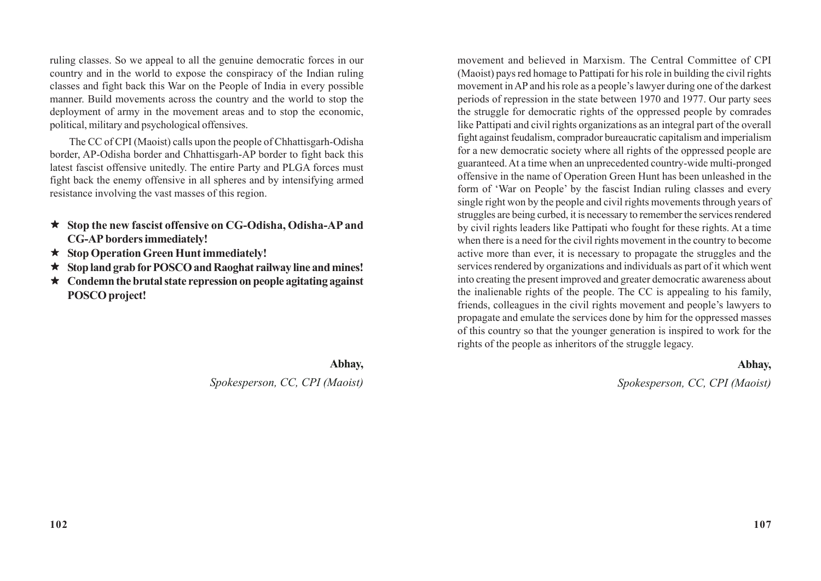ruling classes. So we appeal to all the genuine democratic forces in our country and in the world to expose the conspiracy of the Indian ruling classes and fight back this War on the People of India in every possible manner. Build movements across the country and the world to stop the deployment of army in the movement areas and to stop the economic, political, military and psychological offensives.

The CC of CPI (Maoist) calls upon the people of Chhattisgarh-Odisha border, AP-Odisha border and Chhattisgarh-AP border to fight back this latest fascist offensive unitedly. The entire Party and PLGA forces must fight back the enemy offensive in all spheres and by intensifying armed resistance involving the vast masses of this region.

- **Stop the new fascist offensive on CG-Odisha, Odisha-AP and CG-AP borders immediately!**
- **Stop Operation Green Hunt immediately!**
- **Stop land grab for POSCO and Raoghat railway line and mines!**
- **Condemn the brutal state repression on people agitating against POSCO project!**

**Abhay,**

### *Spokesperson, CC, CPI (Maoist)*

movement and believed in Marxism. The Central Committee of CPI (Maoist) pays red homage to Pattipati for his role in building the civil rights movement in AP and his role as a people's lawyer during one of the darkest periods of repression in the state between 1970 and 1977. Our party sees the struggle for democratic rights of the oppressed people by comrades like Pattipati and civil rights organizations as an integral part of the overall fight against feudalism, comprador bureaucratic capitalism and imperialism for a new democratic society where all rights of the oppressed people are guaranteed. At a time when an unprecedented country-wide multi-pronged offensive in the name of Operation Green Hunt has been unleashed in the form of 'War on People' by the fascist Indian ruling classes and every single right won by the people and civil rights movements through years of struggles are being curbed, it is necessary to remember the services rendered by civil rights leaders like Pattipati who fought for these rights. At a time when there is a need for the civil rights movement in the country to become active more than ever, it is necessary to propagate the struggles and the services rendered by organizations and individuals as part of it which went into creating the present improved and greater democratic awareness about the inalienable rights of the people. The CC is appealing to his family, friends, colleagues in the civil rights movement and people's lawyers to propagate and emulate the services done by him for the oppressed masses of this country so that the younger generation is inspired to work for the rights of the people as inheritors of the struggle legacy.

#### **Abhay,**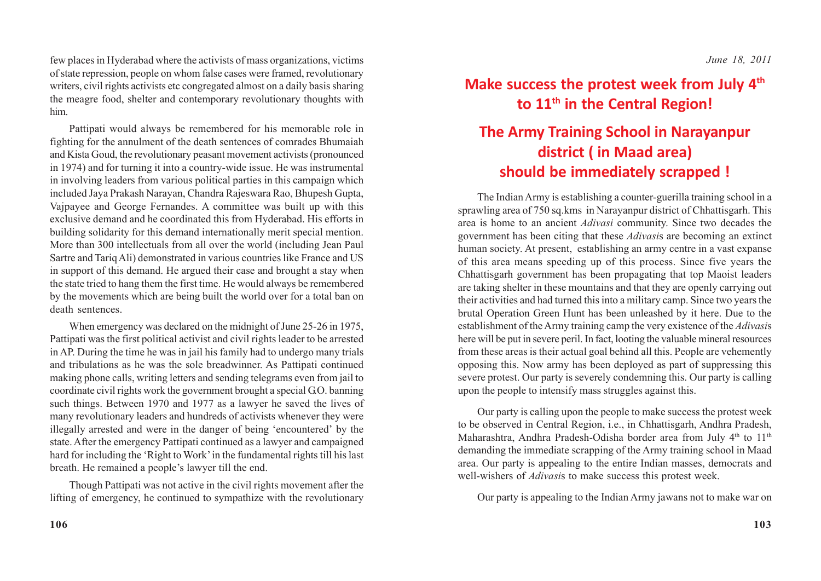few places in Hyderabad where the activists of mass organizations, victims of state repression, people on whom false cases were framed, revolutionary writers, civil rights activists etc congregated almost on a daily basis sharing the meagre food, shelter and contemporary revolutionary thoughts with him.

Pattipati would always be remembered for his memorable role in fighting for the annulment of the death sentences of comrades Bhumaiah and Kista Goud, the revolutionary peasant movement activists (pronounced in 1974) and for turning it into a country-wide issue. He was instrumental in involving leaders from various political parties in this campaign which included Jaya Prakash Narayan, Chandra Rajeswara Rao, Bhupesh Gupta, Vajpayee and George Fernandes. A committee was built up with this exclusive demand and he coordinated this from Hyderabad. His efforts in building solidarity for this demand internationally merit special mention. More than 300 intellectuals from all over the world (including Jean Paul Sartre and Tariq Ali) demonstrated in various countries like France and US in support of this demand. He argued their case and brought a stay when the state tried to hang them the first time. He would always be remembered by the movements which are being built the world over for a total ban on death sentences.

When emergency was declared on the midnight of June 25-26 in 1975, Pattipati was the first political activist and civil rights leader to be arrested in AP. During the time he was in jail his family had to undergo many trials and tribulations as he was the sole breadwinner. As Pattipati continued making phone calls, writing letters and sending telegrams even from jail to coordinate civil rights work the government brought a special G.O. banning such things. Between 1970 and 1977 as a lawyer he saved the lives of many revolutionary leaders and hundreds of activists whenever they were illegally arrested and were in the danger of being 'encountered' by the state. After the emergency Pattipati continued as a lawyer and campaigned hard for including the 'Right to Work' in the fundamental rights till his last breath. He remained a people's lawyer till the end.

Though Pattipati was not active in the civil rights movement after the lifting of emergency, he continued to sympathize with the revolutionary

## **Make success the protest week from July 4th to 11th in the Central Region!**

# **The Army Training School in Narayanpur district ( in Maad area) should be immediately scrapped !**

The Indian Army is establishing a counter-guerilla training school in a sprawling area of 750 sq.kms in Narayanpur district of Chhattisgarh. This area is home to an ancient *Adivasi* community. Since two decades the government has been citing that these *Adivasi*s are becoming an extinct human society. At present, establishing an army centre in a vast expanse of this area means speeding up of this process. Since five years the Chhattisgarh government has been propagating that top Maoist leaders are taking shelter in these mountains and that they are openly carrying out their activities and had turned this into a military camp. Since two years the brutal Operation Green Hunt has been unleashed by it here. Due to the establishment of the Army training camp the very existence of the *Adivasi*s here will be put in severe peril. In fact, looting the valuable mineral resources from these areas is their actual goal behind all this. People are vehemently opposing this. Now army has been deployed as part of suppressing this severe protest. Our party is severely condemning this. Our party is calling upon the people to intensify mass struggles against this.

Our party is calling upon the people to make success the protest week to be observed in Central Region, i.e., in Chhattisgarh, Andhra Pradesh, Maharashtra, Andhra Pradesh-Odisha border area from July 4<sup>th</sup> to 11<sup>th</sup> demanding the immediate scrapping of the Army training school in Maad area. Our party is appealing to the entire Indian masses, democrats and well-wishers of *Adivasi*s to make success this protest week.

Our party is appealing to the Indian Army jawans not to make war on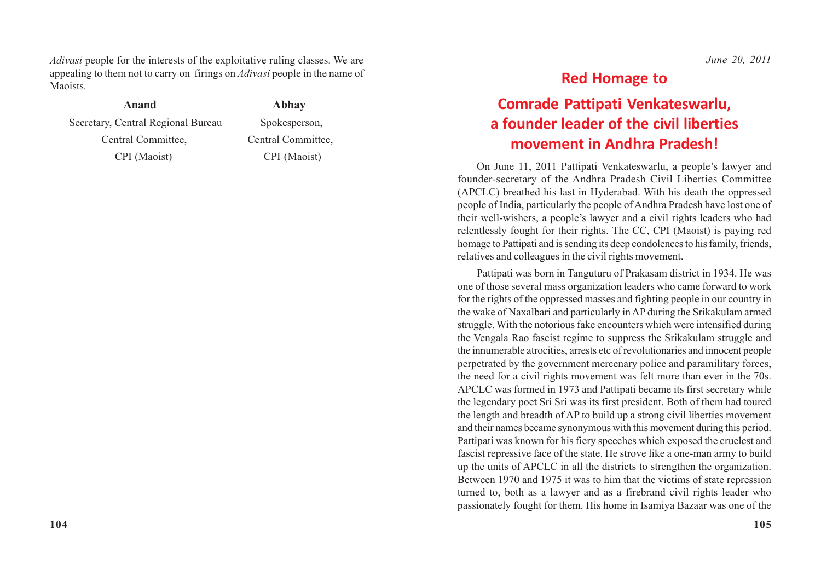*Adivasi* people for the interests of the exploitative ruling classes. We are appealing to them not to carry on firings on *Adivasi* people in the name of Maoists.

 **Anand Abhay**

Secretary, Central Regional Bureau Spokesperson, Central Committee, Central Committee, CPI (Maoist) CPI (Maoist)

#### *June 20, 2011*

### **Red Homage to**

## **Comrade Pattipati Venkateswarlu, a founder leader of the civil liberties movement in Andhra Pradesh!**

On June 11, 2011 Pattipati Venkateswarlu, a people's lawyer and founder-secretary of the Andhra Pradesh Civil Liberties Committee (APCLC) breathed his last in Hyderabad. With his death the oppressed people of India, particularly the people of Andhra Pradesh have lost one of their well-wishers, a people's lawyer and a civil rights leaders who had relentlessly fought for their rights. The CC, CPI (Maoist) is paying red homage to Pattipati and is sending its deep condolences to his family, friends, relatives and colleagues in the civil rights movement.

Pattipati was born in Tanguturu of Prakasam district in 1934. He was one of those several mass organization leaders who came forward to work for the rights of the oppressed masses and fighting people in our country in the wake of Naxalbari and particularly in AP during the Srikakulam armed struggle. With the notorious fake encounters which were intensified during the Vengala Rao fascist regime to suppress the Srikakulam struggle and the innumerable atrocities, arrests etc of revolutionaries and innocent people perpetrated by the government mercenary police and paramilitary forces, the need for a civil rights movement was felt more than ever in the 70s. APCLC was formed in 1973 and Pattipati became its first secretary while the legendary poet Sri Sri was its first president. Both of them had toured the length and breadth of AP to build up a strong civil liberties movement and their names became synonymous with this movement during this period. Pattipati was known for his fiery speeches which exposed the cruelest and fascist repressive face of the state. He strove like a one-man army to build up the units of APCLC in all the districts to strengthen the organization. Between 1970 and 1975 it was to him that the victims of state repression turned to, both as a lawyer and as a firebrand civil rights leader who passionately fought for them. His home in Isamiya Bazaar was one of the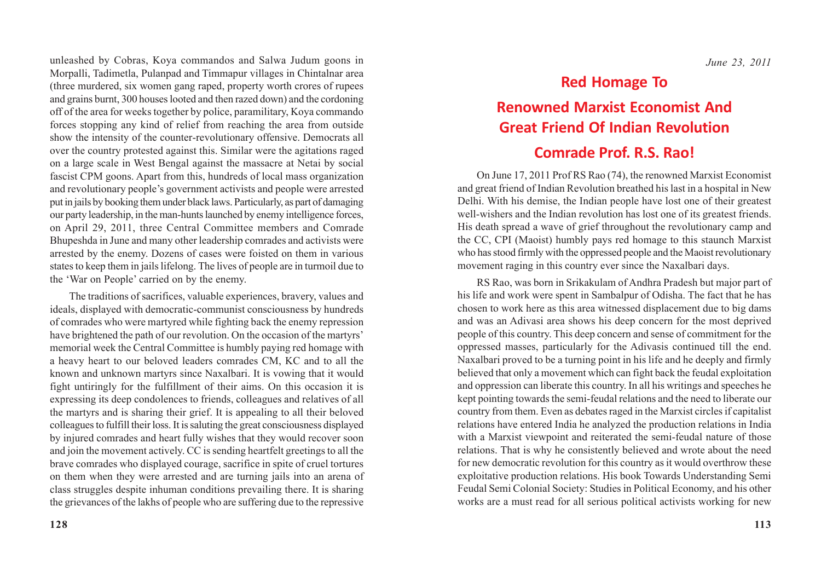unleashed by Cobras, Koya commandos and Salwa Judum goons in Morpalli, Tadimetla, Pulanpad and Timmapur villages in Chintalnar area (three murdered, six women gang raped, property worth crores of rupees and grains burnt, 300 houses looted and then razed down) and the cordoning off of the area for weeks together by police, paramilitary, Koya commando forces stopping any kind of relief from reaching the area from outside show the intensity of the counter-revolutionary offensive. Democrats all over the country protested against this. Similar were the agitations raged on a large scale in West Bengal against the massacre at Netai by social fascist CPM goons. Apart from this, hundreds of local mass organization and revolutionary people's government activists and people were arrested put in jails by booking them under black laws. Particularly, as part of damaging our party leadership, in the man-hunts launched by enemy intelligence forces, on April 29, 2011, three Central Committee members and Comrade Bhupeshda in June and many other leadership comrades and activists were arrested by the enemy. Dozens of cases were foisted on them in various states to keep them in jails lifelong. The lives of people are in turmoil due to the 'War on People' carried on by the enemy.

The traditions of sacrifices, valuable experiences, bravery, values and ideals, displayed with democratic-communist consciousness by hundreds of comrades who were martyred while fighting back the enemy repression have brightened the path of our revolution. On the occasion of the martyrs' memorial week the Central Committee is humbly paying red homage with a heavy heart to our beloved leaders comrades CM, KC and to all the known and unknown martyrs since Naxalbari. It is vowing that it would fight untiringly for the fulfillment of their aims. On this occasion it is expressing its deep condolences to friends, colleagues and relatives of all the martyrs and is sharing their grief. It is appealing to all their beloved colleagues to fulfill their loss. It is saluting the great consciousness displayed by injured comrades and heart fully wishes that they would recover soon and join the movement actively. CC is sending heartfelt greetings to all the brave comrades who displayed courage, sacrifice in spite of cruel tortures on them when they were arrested and are turning jails into an arena of class struggles despite inhuman conditions prevailing there. It is sharing the grievances of the lakhs of people who are suffering due to the repressive

*June 23, 2011*

### **Red Homage To**

## **Renowned Marxist Economist And Great Friend Of Indian Revolution**

### **Comrade Prof. R.S. Rao!**

On June 17, 2011 Prof RS Rao (74), the renowned Marxist Economist and great friend of Indian Revolution breathed his last in a hospital in New Delhi. With his demise, the Indian people have lost one of their greatest well-wishers and the Indian revolution has lost one of its greatest friends. His death spread a wave of grief throughout the revolutionary camp and the CC, CPI (Maoist) humbly pays red homage to this staunch Marxist who has stood firmly with the oppressed people and the Maoist revolutionary movement raging in this country ever since the Naxalbari days.

RS Rao, was born in Srikakulam of Andhra Pradesh but major part of his life and work were spent in Sambalpur of Odisha. The fact that he has chosen to work here as this area witnessed displacement due to big dams and was an Adivasi area shows his deep concern for the most deprived people of this country. This deep concern and sense of commitment for the oppressed masses, particularly for the Adivasis continued till the end. Naxalbari proved to be a turning point in his life and he deeply and firmly believed that only a movement which can fight back the feudal exploitation and oppression can liberate this country. In all his writings and speeches he kept pointing towards the semi-feudal relations and the need to liberate our country from them. Even as debates raged in the Marxist circles if capitalist relations have entered India he analyzed the production relations in India with a Marxist viewpoint and reiterated the semi-feudal nature of those relations. That is why he consistently believed and wrote about the need for new democratic revolution for this country as it would overthrow these exploitative production relations. His book Towards Understanding Semi Feudal Semi Colonial Society: Studies in Political Economy, and his other works are a must read for all serious political activists working for new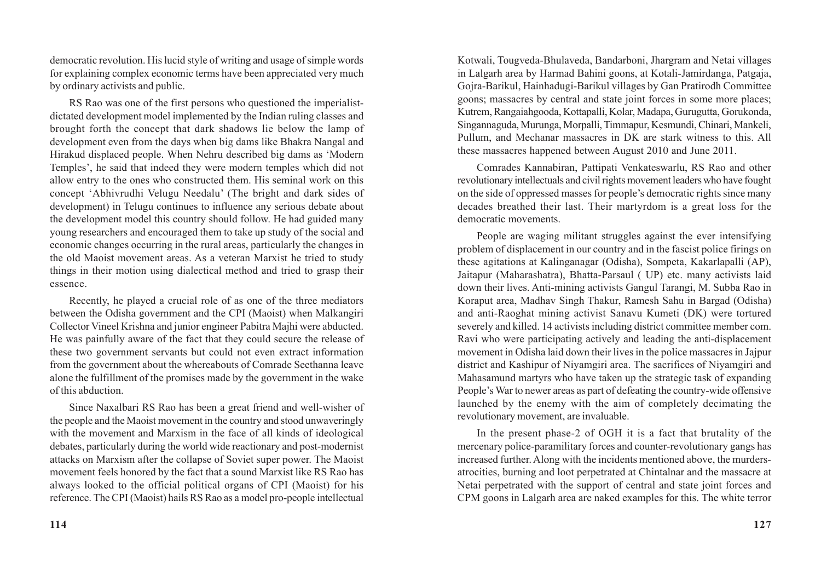democratic revolution. His lucid style of writing and usage of simple words for explaining complex economic terms have been appreciated very much by ordinary activists and public.

RS Rao was one of the first persons who questioned the imperialistdictated development model implemented by the Indian ruling classes and brought forth the concept that dark shadows lie below the lamp of development even from the days when big dams like Bhakra Nangal and Hirakud displaced people. When Nehru described big dams as 'Modern Temples', he said that indeed they were modern temples which did not allow entry to the ones who constructed them. His seminal work on this concept 'Abhivrudhi Velugu Needalu' (The bright and dark sides of development) in Telugu continues to influence any serious debate about the development model this country should follow. He had guided many young researchers and encouraged them to take up study of the social and economic changes occurring in the rural areas, particularly the changes in the old Maoist movement areas. As a veteran Marxist he tried to study things in their motion using dialectical method and tried to grasp their essence.

Recently, he played a crucial role of as one of the three mediators between the Odisha government and the CPI (Maoist) when Malkangiri Collector Vineel Krishna and junior engineer Pabitra Majhi were abducted. He was painfully aware of the fact that they could secure the release of these two government servants but could not even extract information from the government about the whereabouts of Comrade Seethanna leave alone the fulfillment of the promises made by the government in the wake of this abduction.

Since Naxalbari RS Rao has been a great friend and well-wisher of the people and the Maoist movement in the country and stood unwaveringly with the movement and Marxism in the face of all kinds of ideological debates, particularly during the world wide reactionary and post-modernist attacks on Marxism after the collapse of Soviet super power. The Maoist movement feels honored by the fact that a sound Marxist like RS Rao has always looked to the official political organs of CPI (Maoist) for his reference. The CPI (Maoist) hails RS Rao as a model pro-people intellectual

Kotwali, Tougveda-Bhulaveda, Bandarboni, Jhargram and Netai villages in Lalgarh area by Harmad Bahini goons, at Kotali-Jamirdanga, Patgaja, Gojra-Barikul, Hainhadugi-Barikul villages by Gan Pratirodh Committee goons; massacres by central and state joint forces in some more places; Kutrem, Rangaiahgooda, Kottapalli, Kolar, Madapa, Gurugutta, Gorukonda, Singannaguda, Murunga, Morpalli, Timmapur, Kesmundi, Chinari, Mankeli, Pullum, and Mechanar massacres in DK are stark witness to this. All these massacres happened between August 2010 and June 2011.

Comrades Kannabiran, Pattipati Venkateswarlu, RS Rao and other revolutionary intellectuals and civil rights movement leaders who have fought on the side of oppressed masses for people's democratic rights since many decades breathed their last. Their martyrdom is a great loss for the democratic movements.

People are waging militant struggles against the ever intensifying problem of displacement in our country and in the fascist police firings on these agitations at Kalinganagar (Odisha), Sompeta, Kakarlapalli (AP), Jaitapur (Maharashatra), Bhatta-Parsaul ( UP) etc. many activists laid down their lives. Anti-mining activists Gangul Tarangi, M. Subba Rao in Koraput area, Madhav Singh Thakur, Ramesh Sahu in Bargad (Odisha) and anti-Raoghat mining activist Sanavu Kumeti (DK) were tortured severely and killed. 14 activists including district committee member com. Ravi who were participating actively and leading the anti-displacement movement in Odisha laid down their lives in the police massacres in Jajpur district and Kashipur of Niyamgiri area. The sacrifices of Niyamgiri and Mahasamund martyrs who have taken up the strategic task of expanding People's War to newer areas as part of defeating the country-wide offensive launched by the enemy with the aim of completely decimating the revolutionary movement, are invaluable.

In the present phase-2 of OGH it is a fact that brutality of the mercenary police-paramilitary forces and counter-revolutionary gangs has increased further. Along with the incidents mentioned above, the murdersatrocities, burning and loot perpetrated at Chintalnar and the massacre at Netai perpetrated with the support of central and state joint forces and CPM goons in Lalgarh area are naked examples for this. The white terror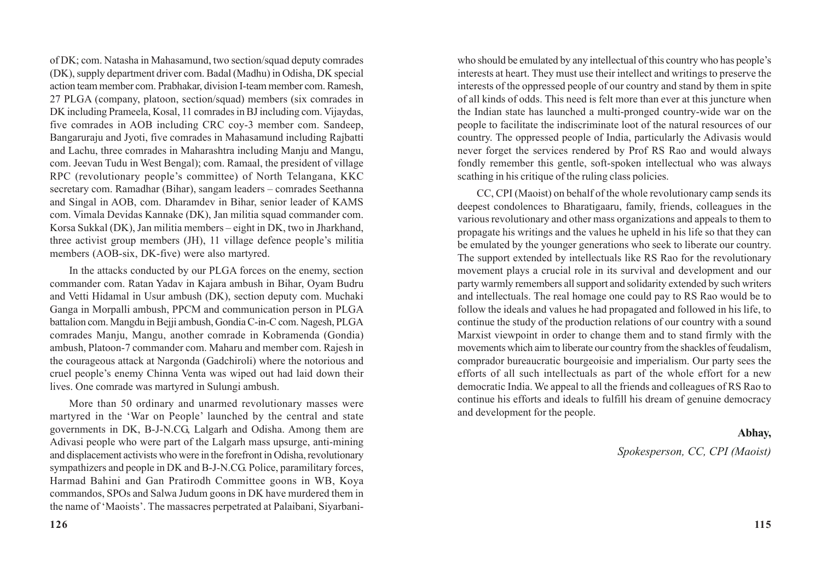of DK; com. Natasha in Mahasamund, two section/squad deputy comrades (DK), supply department driver com. Badal (Madhu) in Odisha, DK special action team member com. Prabhakar, division I-team member com. Ramesh, 27 PLGA (company, platoon, section/squad) members (six comrades in DK including Prameela, Kosal, 11 comrades in BJ including com. Vijaydas, five comrades in AOB including CRC coy-3 member com. Sandeep, Bangaruraju and Jyoti, five comrades in Mahasamund including Rajbatti and Lachu, three comrades in Maharashtra including Manju and Mangu, com. Jeevan Tudu in West Bengal); com. Ramaal, the president of village RPC (revolutionary people's committee) of North Telangana, KKC secretary com. Ramadhar (Bihar), sangam leaders – comrades Seethanna and Singal in AOB, com. Dharamdev in Bihar, senior leader of KAMS com. Vimala Devidas Kannake (DK), Jan militia squad commander com. Korsa Sukkal (DK), Jan militia members – eight in DK, two in Jharkhand, three activist group members (JH), 11 village defence people's militia members (AOB-six, DK-five) were also martyred.

In the attacks conducted by our PLGA forces on the enemy, section commander com. Ratan Yadav in Kajara ambush in Bihar, Oyam Budru and Vetti Hidamal in Usur ambush (DK), section deputy com. Muchaki Ganga in Morpalli ambush, PPCM and communication person in PLGA battalion com. Mangdu in Bejji ambush, Gondia C-in-C com. Nagesh, PLGA comrades Manju, Mangu, another comrade in Kobramenda (Gondia) ambush, Platoon-7 commander com. Maharu and member com. Rajesh in the courageous attack at Nargonda (Gadchiroli) where the notorious and cruel people's enemy Chinna Venta was wiped out had laid down their lives. One comrade was martyred in Sulungi ambush.

More than 50 ordinary and unarmed revolutionary masses were martyred in the 'War on People' launched by the central and state governments in DK, B-J-N.CG, Lalgarh and Odisha. Among them are Adivasi people who were part of the Lalgarh mass upsurge, anti-mining and displacement activists who were in the forefront in Odisha, revolutionary sympathizers and people in DK and B-J-N.CG. Police, paramilitary forces, Harmad Bahini and Gan Pratirodh Committee goons in WB, Koya commandos, SPOs and Salwa Judum goons in DK have murdered them in the name of 'Maoists'. The massacres perpetrated at Palaibani, Siyarbaniwho should be emulated by any intellectual of this country who has people's interests at heart. They must use their intellect and writings to preserve the interests of the oppressed people of our country and stand by them in spite of all kinds of odds. This need is felt more than ever at this juncture when the Indian state has launched a multi-pronged country-wide war on the people to facilitate the indiscriminate loot of the natural resources of our country. The oppressed people of India, particularly the Adivasis would never forget the services rendered by Prof RS Rao and would always fondly remember this gentle, soft-spoken intellectual who was always scathing in his critique of the ruling class policies.

CC, CPI (Maoist) on behalf of the whole revolutionary camp sends its deepest condolences to Bharatigaaru, family, friends, colleagues in the various revolutionary and other mass organizations and appeals to them to propagate his writings and the values he upheld in his life so that they can be emulated by the younger generations who seek to liberate our country. The support extended by intellectuals like RS Rao for the revolutionary movement plays a crucial role in its survival and development and our party warmly remembers all support and solidarity extended by such writers and intellectuals. The real homage one could pay to RS Rao would be to follow the ideals and values he had propagated and followed in his life, to continue the study of the production relations of our country with a sound Marxist viewpoint in order to change them and to stand firmly with the movements which aim to liberate our country from the shackles of feudalism, comprador bureaucratic bourgeoisie and imperialism. Our party sees the efforts of all such intellectuals as part of the whole effort for a new democratic India. We appeal to all the friends and colleagues of RS Rao to continue his efforts and ideals to fulfill his dream of genuine democracy and development for the people.

#### **Abhay,**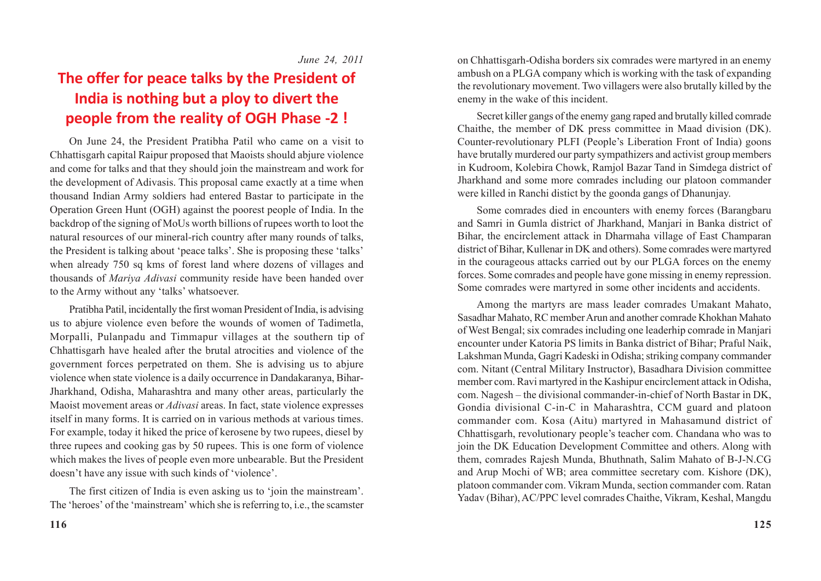# **The offer for peace talks by the President of India is nothing but a ploy to divert the people from the reality of OGH Phase -2 !**

On June 24, the President Pratibha Patil who came on a visit to Chhattisgarh capital Raipur proposed that Maoists should abjure violence and come for talks and that they should join the mainstream and work for the development of Adivasis. This proposal came exactly at a time when thousand Indian Army soldiers had entered Bastar to participate in the Operation Green Hunt (OGH) against the poorest people of India. In the backdrop of the signing of MoUs worth billions of rupees worth to loot the natural resources of our mineral-rich country after many rounds of talks, the President is talking about 'peace talks'. She is proposing these 'talks' when already 750 sq kms of forest land where dozens of villages and thousands of *Mariya Adivasi* community reside have been handed over to the Army without any 'talks' whatsoever.

Pratibha Patil, incidentally the first woman President of India, is advising us to abjure violence even before the wounds of women of Tadimetla, Morpalli, Pulanpadu and Timmapur villages at the southern tip of Chhattisgarh have healed after the brutal atrocities and violence of the government forces perpetrated on them. She is advising us to abjure violence when state violence is a daily occurrence in Dandakaranya, Bihar-Jharkhand, Odisha, Maharashtra and many other areas, particularly the Maoist movement areas or *Adivasi* areas. In fact, state violence expresses itself in many forms. It is carried on in various methods at various times. For example, today it hiked the price of kerosene by two rupees, diesel by three rupees and cooking gas by 50 rupees. This is one form of violence which makes the lives of people even more unbearable. But the President doesn't have any issue with such kinds of 'violence'.

The first citizen of India is even asking us to 'join the mainstream'. The 'heroes' of the 'mainstream' which she is referring to, i.e., the scamster on Chhattisgarh-Odisha borders six comrades were martyred in an enemy ambush on a PLGA company which is working with the task of expanding the revolutionary movement. Two villagers were also brutally killed by the enemy in the wake of this incident.

Secret killer gangs of the enemy gang raped and brutally killed comrade Chaithe, the member of DK press committee in Maad division (DK). Counter-revolutionary PLFI (People's Liberation Front of India) goons have brutally murdered our party sympathizers and activist group members in Kudroom, Kolebira Chowk, Ramjol Bazar Tand in Simdega district of Jharkhand and some more comrades including our platoon commander were killed in Ranchi distict by the goonda gangs of Dhanunjay.

Some comrades died in encounters with enemy forces (Barangbaru and Samri in Gumla district of Jharkhand, Manjari in Banka district of Bihar, the encirclement attack in Dharmaha village of East Champaran district of Bihar, Kullenar in DK and others). Some comrades were martyred in the courageous attacks carried out by our PLGA forces on the enemy forces. Some comrades and people have gone missing in enemy repression. Some comrades were martyred in some other incidents and accidents.

Among the martyrs are mass leader comrades Umakant Mahato, Sasadhar Mahato, RC member Arun and another comrade Khokhan Mahato of West Bengal; six comrades including one leaderhip comrade in Manjari encounter under Katoria PS limits in Banka district of Bihar; Praful Naik, Lakshman Munda, Gagri Kadeski in Odisha; striking company commander com. Nitant (Central Military Instructor), Basadhara Division committee member com. Ravi martyred in the Kashipur encirclement attack in Odisha, com. Nagesh – the divisional commander-in-chief of North Bastar in DK, Gondia divisional C-in-C in Maharashtra, CCM guard and platoon commander com. Kosa (Aitu) martyred in Mahasamund district of Chhattisgarh, revolutionary people's teacher com. Chandana who was to join the DK Education Development Committee and others. Along with them, comrades Rajesh Munda, Bhuthnath, Salim Mahato of B-J-N.CG and Arup Mochi of WB; area committee secretary com. Kishore (DK), platoon commander com. Vikram Munda, section commander com. Ratan Yadav (Bihar), AC/PPC level comrades Chaithe, Vikram, Keshal, Mangdu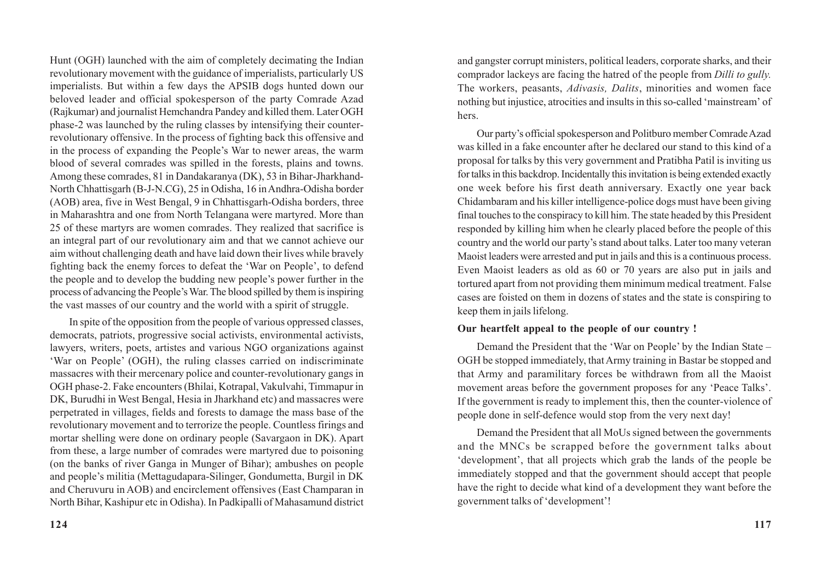Hunt (OGH) launched with the aim of completely decimating the Indian revolutionary movement with the guidance of imperialists, particularly US imperialists. But within a few days the APSIB dogs hunted down our beloved leader and official spokesperson of the party Comrade Azad (Rajkumar) and journalist Hemchandra Pandey and killed them. Later OGH phase-2 was launched by the ruling classes by intensifying their counterrevolutionary offensive. In the process of fighting back this offensive and in the process of expanding the People's War to newer areas, the warm blood of several comrades was spilled in the forests, plains and towns. Among these comrades, 81 in Dandakaranya (DK), 53 in Bihar-Jharkhand-North Chhattisgarh (B-J-N.CG), 25 in Odisha, 16 in Andhra-Odisha border (AOB) area, five in West Bengal, 9 in Chhattisgarh-Odisha borders, three in Maharashtra and one from North Telangana were martyred. More than 25 of these martyrs are women comrades. They realized that sacrifice is an integral part of our revolutionary aim and that we cannot achieve our aim without challenging death and have laid down their lives while bravely fighting back the enemy forces to defeat the 'War on People', to defend the people and to develop the budding new people's power further in the process of advancing the People's War. The blood spilled by them is inspiring the vast masses of our country and the world with a spirit of struggle.

In spite of the opposition from the people of various oppressed classes, democrats, patriots, progressive social activists, environmental activists, lawyers, writers, poets, artistes and various NGO organizations against 'War on People' (OGH), the ruling classes carried on indiscriminate massacres with their mercenary police and counter-revolutionary gangs in OGH phase-2. Fake encounters (Bhilai, Kotrapal, Vakulvahi, Timmapur in DK, Burudhi in West Bengal, Hesia in Jharkhand etc) and massacres were perpetrated in villages, fields and forests to damage the mass base of the revolutionary movement and to terrorize the people. Countless firings and mortar shelling were done on ordinary people (Savargaon in DK). Apart from these, a large number of comrades were martyred due to poisoning (on the banks of river Ganga in Munger of Bihar); ambushes on people and people's militia (Mettagudapara-Silinger, Gondumetta, Burgil in DK and Cheruvuru in AOB) and encirclement offensives (East Champaran in North Bihar, Kashipur etc in Odisha). In Padkipalli of Mahasamund district

and gangster corrupt ministers, political leaders, corporate sharks, and their comprador lackeys are facing the hatred of the people from *Dilli to gully.* The workers, peasants, *Adivasis, Dalits*, minorities and women face nothing but injustice, atrocities and insults in this so-called 'mainstream' of hers.

Our party's official spokesperson and Politburo member Comrade Azad was killed in a fake encounter after he declared our stand to this kind of a proposal for talks by this very government and Pratibha Patil is inviting us for talks in this backdrop. Incidentally this invitation is being extended exactly one week before his first death anniversary. Exactly one year back Chidambaram and his killer intelligence-police dogs must have been giving final touches to the conspiracy to kill him. The state headed by this President responded by killing him when he clearly placed before the people of this country and the world our party's stand about talks. Later too many veteran Maoist leaders were arrested and put in jails and this is a continuous process. Even Maoist leaders as old as 60 or 70 years are also put in jails and tortured apart from not providing them minimum medical treatment. False cases are foisted on them in dozens of states and the state is conspiring to keep them in jails lifelong.

#### **Our heartfelt appeal to the people of our country !**

Demand the President that the 'War on People' by the Indian State – OGH be stopped immediately, that Army training in Bastar be stopped and that Army and paramilitary forces be withdrawn from all the Maoist movement areas before the government proposes for any 'Peace Talks'. If the government is ready to implement this, then the counter-violence of people done in self-defence would stop from the very next day!

Demand the President that all MoUs signed between the governments and the MNCs be scrapped before the government talks about 'development', that all projects which grab the lands of the people be immediately stopped and that the government should accept that people have the right to decide what kind of a development they want before the government talks of 'development'!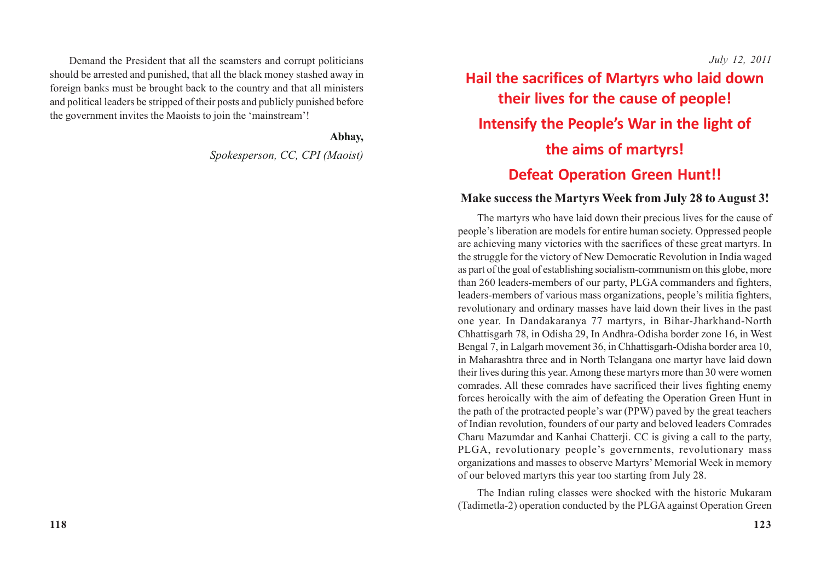Demand the President that all the scamsters and corrupt politicians should be arrested and punished, that all the black money stashed away in foreign banks must be brought back to the country and that all ministers and political leaders be stripped of their posts and publicly punished before the government invites the Maoists to join the 'mainstream'!

**Abhay,**

*Spokesperson, CC, CPI (Maoist)*

*July 12, 2011*

# **Hail the sacrifices of Martyrs who laid down their lives for the cause of people! Intensify the People's War in the light of the aims of martyrs! Defeat Operation Green Hunt!!**

### **Make success the Martyrs Week from July 28 to August 3!**

The martyrs who have laid down their precious lives for the cause of people's liberation are models for entire human society. Oppressed people are achieving many victories with the sacrifices of these great martyrs. In the struggle for the victory of New Democratic Revolution in India waged as part of the goal of establishing socialism-communism on this globe, more than 260 leaders-members of our party, PLGA commanders and fighters, leaders-members of various mass organizations, people's militia fighters, revolutionary and ordinary masses have laid down their lives in the past one year. In Dandakaranya 77 martyrs, in Bihar-Jharkhand-North Chhattisgarh 78, in Odisha 29, In Andhra-Odisha border zone 16, in West Bengal 7, in Lalgarh movement 36, in Chhattisgarh-Odisha border area 10, in Maharashtra three and in North Telangana one martyr have laid down their lives during this year. Among these martyrs more than 30 were women comrades. All these comrades have sacrificed their lives fighting enemy forces heroically with the aim of defeating the Operation Green Hunt in the path of the protracted people's war (PPW) paved by the great teachers of Indian revolution, founders of our party and beloved leaders Comrades Charu Mazumdar and Kanhai Chatterji. CC is giving a call to the party, PLGA, revolutionary people's governments, revolutionary mass organizations and masses to observe Martyrs' Memorial Week in memory of our beloved martyrs this year too starting from July 28.

The Indian ruling classes were shocked with the historic Mukaram (Tadimetla-2) operation conducted by the PLGA against Operation Green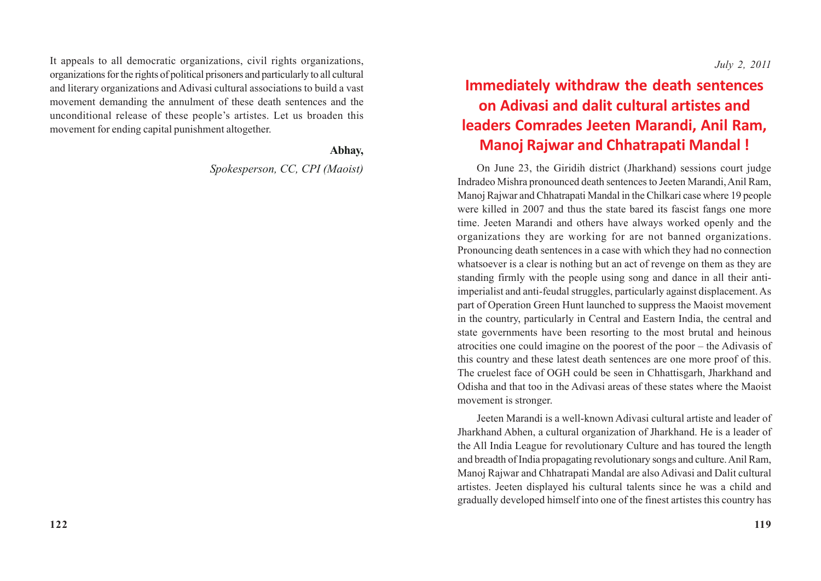It appeals to all democratic organizations, civil rights organizations, organizations for the rights of political prisoners and particularly to all cultural and literary organizations and Adivasi cultural associations to build a vast movement demanding the annulment of these death sentences and the unconditional release of these people's artistes. Let us broaden this movement for ending capital punishment altogether.

### **Abhay,**

*Spokesperson, CC, CPI (Maoist)*

# **Immediately withdraw the death sentences on Adivasi and dalit cultural artistes and leaders Comrades Jeeten Marandi, Anil Ram, Manoj Rajwar and Chhatrapati Mandal !**

On June 23, the Giridih district (Jharkhand) sessions court judge Indradeo Mishra pronounced death sentences to Jeeten Marandi, Anil Ram, Manoj Rajwar and Chhatrapati Mandal in the Chilkari case where 19 people were killed in 2007 and thus the state bared its fascist fangs one more time. Jeeten Marandi and others have always worked openly and the organizations they are working for are not banned organizations. Pronouncing death sentences in a case with which they had no connection whatsoever is a clear is nothing but an act of revenge on them as they are standing firmly with the people using song and dance in all their antiimperialist and anti-feudal struggles, particularly against displacement. As part of Operation Green Hunt launched to suppress the Maoist movement in the country, particularly in Central and Eastern India, the central and state governments have been resorting to the most brutal and heinous atrocities one could imagine on the poorest of the poor – the Adivasis of this country and these latest death sentences are one more proof of this. The cruelest face of OGH could be seen in Chhattisgarh, Jharkhand and Odisha and that too in the Adivasi areas of these states where the Maoist movement is stronger.

Jeeten Marandi is a well-known Adivasi cultural artiste and leader of Jharkhand Abhen, a cultural organization of Jharkhand. He is a leader of the All India League for revolutionary Culture and has toured the length and breadth of India propagating revolutionary songs and culture. Anil Ram, Manoj Rajwar and Chhatrapati Mandal are also Adivasi and Dalit cultural artistes. Jeeten displayed his cultural talents since he was a child and gradually developed himself into one of the finest artistes this country has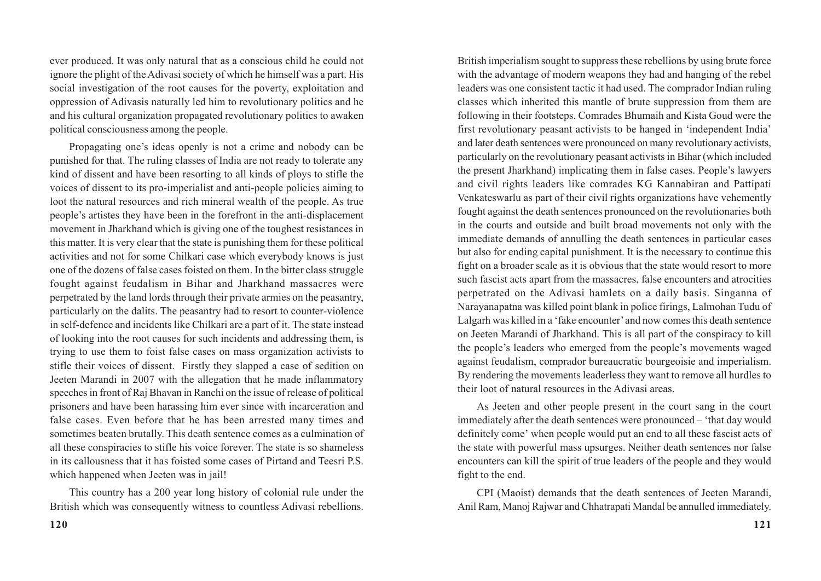ever produced. It was only natural that as a conscious child he could not ignore the plight of the Adivasi society of which he himself was a part. His social investigation of the root causes for the poverty, exploitation and oppression of Adivasis naturally led him to revolutionary politics and he and his cultural organization propagated revolutionary politics to awaken political consciousness among the people.

Propagating one's ideas openly is not a crime and nobody can be punished for that. The ruling classes of India are not ready to tolerate any kind of dissent and have been resorting to all kinds of ploys to stifle the voices of dissent to its pro-imperialist and anti-people policies aiming to loot the natural resources and rich mineral wealth of the people. As true people's artistes they have been in the forefront in the anti-displacement movement in Jharkhand which is giving one of the toughest resistances in this matter. It is very clear that the state is punishing them for these political activities and not for some Chilkari case which everybody knows is just one of the dozens of false cases foisted on them. In the bitter class struggle fought against feudalism in Bihar and Jharkhand massacres were perpetrated by the land lords through their private armies on the peasantry, particularly on the dalits. The peasantry had to resort to counter-violence in self-defence and incidents like Chilkari are a part of it. The state instead of looking into the root causes for such incidents and addressing them, is trying to use them to foist false cases on mass organization activists to stifle their voices of dissent. Firstly they slapped a case of sedition on Jeeten Marandi in 2007 with the allegation that he made inflammatory speeches in front of Raj Bhavan in Ranchi on the issue of release of political prisoners and have been harassing him ever since with incarceration and false cases. Even before that he has been arrested many times and sometimes beaten brutally. This death sentence comes as a culmination of all these conspiracies to stifle his voice forever. The state is so shameless in its callousness that it has foisted some cases of Pirtand and Teesri P.S. which happened when Jeeten was in jail!

This country has a 200 year long history of colonial rule under the British which was consequently witness to countless Adivasi rebellions.

British imperialism sought to suppress these rebellions by using brute force with the advantage of modern weapons they had and hanging of the rebel leaders was one consistent tactic it had used. The comprador Indian ruling classes which inherited this mantle of brute suppression from them are following in their footsteps. Comrades Bhumaih and Kista Goud were the first revolutionary peasant activists to be hanged in 'independent India' and later death sentences were pronounced on many revolutionary activists, particularly on the revolutionary peasant activists in Bihar (which included the present Jharkhand) implicating them in false cases. People's lawyers and civil rights leaders like comrades KG Kannabiran and Pattipati Venkateswarlu as part of their civil rights organizations have vehemently fought against the death sentences pronounced on the revolutionaries both in the courts and outside and built broad movements not only with the immediate demands of annulling the death sentences in particular cases but also for ending capital punishment. It is the necessary to continue this fight on a broader scale as it is obvious that the state would resort to more such fascist acts apart from the massacres, false encounters and atrocities perpetrated on the Adivasi hamlets on a daily basis. Singanna of Narayanapatna was killed point blank in police firings, Lalmohan Tudu of Lalgarh was killed in a 'fake encounter' and now comes this death sentence on Jeeten Marandi of Jharkhand. This is all part of the conspiracy to kill the people's leaders who emerged from the people's movements waged against feudalism, comprador bureaucratic bourgeoisie and imperialism. By rendering the movements leaderless they want to remove all hurdles to their loot of natural resources in the Adivasi areas.

As Jeeten and other people present in the court sang in the court immediately after the death sentences were pronounced – 'that day would definitely come' when people would put an end to all these fascist acts of the state with powerful mass upsurges. Neither death sentences nor false encounters can kill the spirit of true leaders of the people and they would fight to the end.

CPI (Maoist) demands that the death sentences of Jeeten Marandi, Anil Ram, Manoj Rajwar and Chhatrapati Mandal be annulled immediately.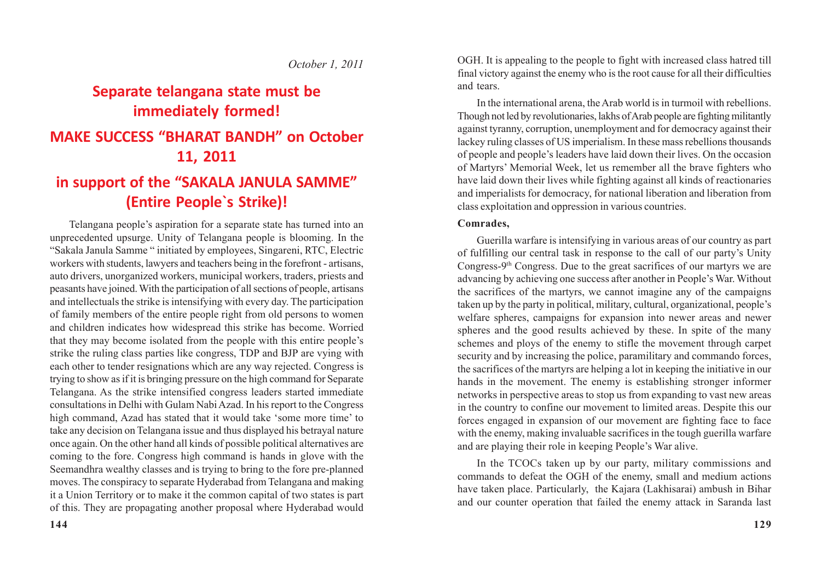### *October 1, 2011*

### **Separate telangana state must be immediately formed!**

### **MAKE SUCCESS "BHARAT BANDH" on October 11, 2011**

## **in support of the "SAKALA JANULA SAMME" (Entire People`s Strike)!**

Telangana people's aspiration for a separate state has turned into an unprecedented upsurge. Unity of Telangana people is blooming. In the "Sakala Janula Samme " initiated by employees, Singareni, RTC, Electric workers with students, lawyers and teachers being in the forefront - artisans, auto drivers, unorganized workers, municipal workers, traders, priests and peasants have joined. With the participation of all sections of people, artisans and intellectuals the strike is intensifying with every day. The participation of family members of the entire people right from old persons to women and children indicates how widespread this strike has become. Worried that they may become isolated from the people with this entire people's strike the ruling class parties like congress, TDP and BJP are vying with each other to tender resignations which are any way rejected. Congress is trying to show as if it is bringing pressure on the high command for Separate Telangana. As the strike intensified congress leaders started immediate consultations in Delhi with Gulam Nabi Azad. In his report to the Congress high command, Azad has stated that it would take 'some more time' to take any decision on Telangana issue and thus displayed his betrayal nature once again. On the other hand all kinds of possible political alternatives are coming to the fore. Congress high command is hands in glove with the Seemandhra wealthy classes and is trying to bring to the fore pre-planned moves. The conspiracy to separate Hyderabad from Telangana and making it a Union Territory or to make it the common capital of two states is part of this. They are propagating another proposal where Hyderabad would

OGH. It is appealing to the people to fight with increased class hatred till final victory against the enemy who is the root cause for all their difficulties and tears.

In the international arena, the Arab world is in turmoil with rebellions. Though not led by revolutionaries, lakhs of Arab people are fighting militantly against tyranny, corruption, unemployment and for democracy against their lackey ruling classes of US imperialism. In these mass rebellions thousands of people and people's leaders have laid down their lives. On the occasion of Martyrs' Memorial Week, let us remember all the brave fighters who have laid down their lives while fighting against all kinds of reactionaries and imperialists for democracy, for national liberation and liberation from class exploitation and oppression in various countries.

#### **Comrades,**

Guerilla warfare is intensifying in various areas of our country as part of fulfilling our central task in response to the call of our party's Unity Congress-9th Congress. Due to the great sacrifices of our martyrs we are advancing by achieving one success after another in People's War. Without the sacrifices of the martyrs, we cannot imagine any of the campaigns taken up by the party in political, military, cultural, organizational, people's welfare spheres, campaigns for expansion into newer areas and newer spheres and the good results achieved by these. In spite of the many schemes and ploys of the enemy to stifle the movement through carpet security and by increasing the police, paramilitary and commando forces, the sacrifices of the martyrs are helping a lot in keeping the initiative in our hands in the movement. The enemy is establishing stronger informer networks in perspective areas to stop us from expanding to vast new areas in the country to confine our movement to limited areas. Despite this our forces engaged in expansion of our movement are fighting face to face with the enemy, making invaluable sacrifices in the tough guerilla warfare and are playing their role in keeping People's War alive.

In the TCOCs taken up by our party, military commissions and commands to defeat the OGH of the enemy, small and medium actions have taken place. Particularly, the Kajara (Lakhisarai) ambush in Bihar and our counter operation that failed the enemy attack in Saranda last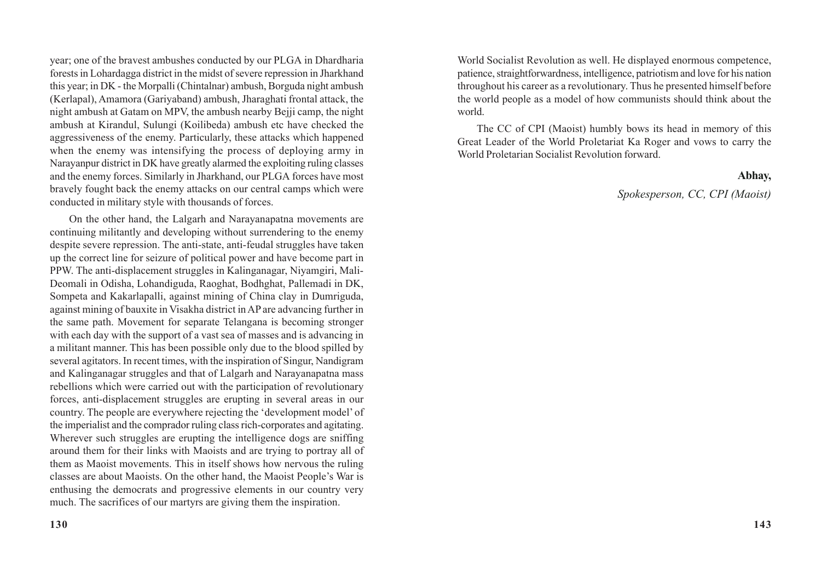year; one of the bravest ambushes conducted by our PLGA in Dhardharia forests in Lohardagga district in the midst of severe repression in Jharkhand this year; in DK - the Morpalli (Chintalnar) ambush, Borguda night ambush (Kerlapal), Amamora (Gariyaband) ambush, Jharaghati frontal attack, the night ambush at Gatam on MPV, the ambush nearby Bejji camp, the night ambush at Kirandul, Sulungi (Koilibeda) ambush etc have checked the aggressiveness of the enemy. Particularly, these attacks which happened when the enemy was intensifying the process of deploying army in Narayanpur district in DK have greatly alarmed the exploiting ruling classes and the enemy forces. Similarly in Jharkhand, our PLGA forces have most bravely fought back the enemy attacks on our central camps which were conducted in military style with thousands of forces.

On the other hand, the Lalgarh and Narayanapatna movements are continuing militantly and developing without surrendering to the enemy despite severe repression. The anti-state, anti-feudal struggles have taken up the correct line for seizure of political power and have become part in PPW. The anti-displacement struggles in Kalinganagar, Niyamgiri, Mali-Deomali in Odisha, Lohandiguda, Raoghat, Bodhghat, Pallemadi in DK, Sompeta and Kakarlapalli, against mining of China clay in Dumriguda, against mining of bauxite in Visakha district in AP are advancing further in the same path. Movement for separate Telangana is becoming stronger with each day with the support of a vast sea of masses and is advancing in a militant manner. This has been possible only due to the blood spilled by several agitators. In recent times, with the inspiration of Singur, Nandigram and Kalinganagar struggles and that of Lalgarh and Narayanapatna mass rebellions which were carried out with the participation of revolutionary forces, anti-displacement struggles are erupting in several areas in our country. The people are everywhere rejecting the 'development model' of the imperialist and the comprador ruling class rich-corporates and agitating. Wherever such struggles are erupting the intelligence dogs are sniffing around them for their links with Maoists and are trying to portray all of them as Maoist movements. This in itself shows how nervous the ruling classes are about Maoists. On the other hand, the Maoist People's War is enthusing the democrats and progressive elements in our country very much. The sacrifices of our martyrs are giving them the inspiration.

World Socialist Revolution as well. He displayed enormous competence, patience, straightforwardness, intelligence, patriotism and love for his nation throughout his career as a revolutionary. Thus he presented himself before the world people as a model of how communists should think about the world.

The CC of CPI (Maoist) humbly bows its head in memory of this Great Leader of the World Proletariat Ka Roger and vows to carry the World Proletarian Socialist Revolution forward.

#### **Abhay,**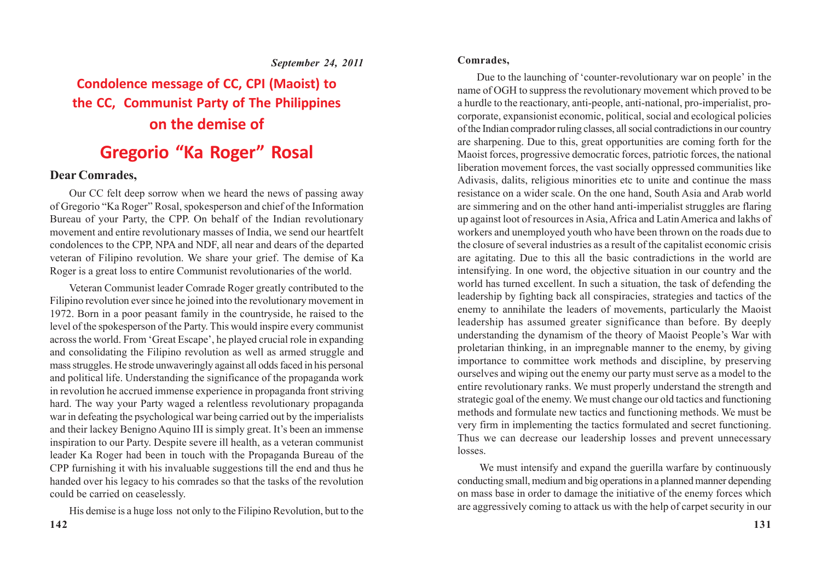#### *September 24, 2011*

# **Condolence message of CC, CPI (Maoist) to the CC, Communist Party of The Philippines on the demise of**

# **Gregorio "Ka Roger" Rosal**

### **Dear Comrades,**

Our CC felt deep sorrow when we heard the news of passing away of Gregorio "Ka Roger" Rosal, spokesperson and chief of the Information Bureau of your Party, the CPP. On behalf of the Indian revolutionary movement and entire revolutionary masses of India, we send our heartfelt condolences to the CPP, NPA and NDF, all near and dears of the departed veteran of Filipino revolution. We share your grief. The demise of Ka Roger is a great loss to entire Communist revolutionaries of the world.

Veteran Communist leader Comrade Roger greatly contributed to the Filipino revolution ever since he joined into the revolutionary movement in 1972. Born in a poor peasant family in the countryside, he raised to the level of the spokesperson of the Party. This would inspire every communist across the world. From 'Great Escape', he played crucial role in expanding and consolidating the Filipino revolution as well as armed struggle and mass struggles. He strode unwaveringly against all odds faced in his personal and political life. Understanding the significance of the propaganda work in revolution he accrued immense experience in propaganda front striving hard. The way your Party waged a relentless revolutionary propaganda war in defeating the psychological war being carried out by the imperialists and their lackey Benigno Aquino III is simply great. It's been an immense inspiration to our Party. Despite severe ill health, as a veteran communist leader Ka Roger had been in touch with the Propaganda Bureau of the CPP furnishing it with his invaluable suggestions till the end and thus he handed over his legacy to his comrades so that the tasks of the revolution could be carried on ceaselessly.

His demise is a huge loss not only to the Filipino Revolution, but to the

Due to the launching of 'counter-revolutionary war on people' in the name of OGH to suppress the revolutionary movement which proved to be a hurdle to the reactionary, anti-people, anti-national, pro-imperialist, procorporate, expansionist economic, political, social and ecological policies of the Indian comprador ruling classes, all social contradictions in our country are sharpening. Due to this, great opportunities are coming forth for the Maoist forces, progressive democratic forces, patriotic forces, the national liberation movement forces, the vast socially oppressed communities like Adivasis, dalits, religious minorities etc to unite and continue the mass resistance on a wider scale. On the one hand, South Asia and Arab world are simmering and on the other hand anti-imperialist struggles are flaring up against loot of resources in Asia, Africa and Latin America and lakhs of workers and unemployed youth who have been thrown on the roads due to the closure of several industries as a result of the capitalist economic crisis are agitating. Due to this all the basic contradictions in the world are intensifying. In one word, the objective situation in our country and the world has turned excellent. In such a situation, the task of defending the leadership by fighting back all conspiracies, strategies and tactics of the enemy to annihilate the leaders of movements, particularly the Maoist leadership has assumed greater significance than before. By deeply understanding the dynamism of the theory of Maoist People's War with proletarian thinking, in an impregnable manner to the enemy, by giving importance to committee work methods and discipline, by preserving ourselves and wiping out the enemy our party must serve as a model to the entire revolutionary ranks. We must properly understand the strength and strategic goal of the enemy. We must change our old tactics and functioning methods and formulate new tactics and functioning methods. We must be very firm in implementing the tactics formulated and secret functioning. Thus we can decrease our leadership losses and prevent unnecessary losses.

We must intensify and expand the guerilla warfare by continuously conducting small, medium and big operations in a planned manner depending on mass base in order to damage the initiative of the enemy forces which are aggressively coming to attack us with the help of carpet security in our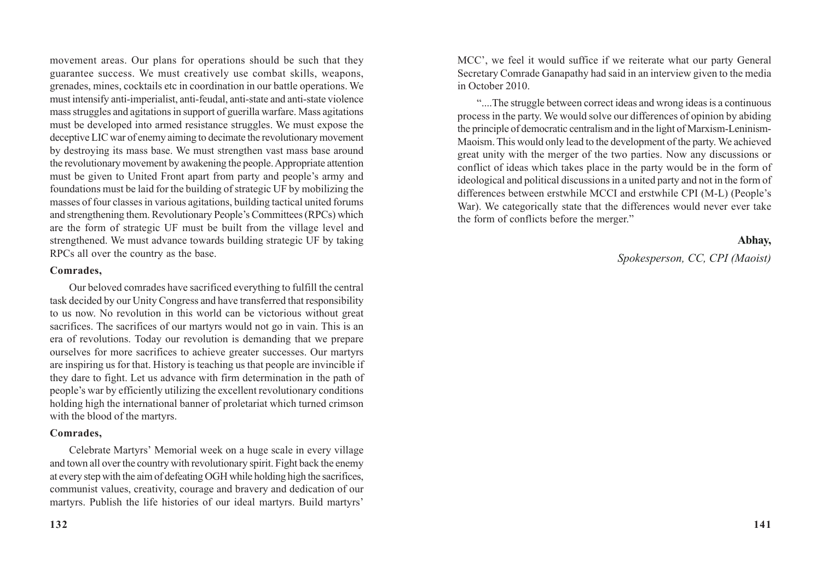movement areas. Our plans for operations should be such that they guarantee success. We must creatively use combat skills, weapons, grenades, mines, cocktails etc in coordination in our battle operations. We must intensify anti-imperialist, anti-feudal, anti-state and anti-state violence mass struggles and agitations in support of guerilla warfare. Mass agitations must be developed into armed resistance struggles. We must expose the deceptive LIC war of enemy aiming to decimate the revolutionary movement by destroying its mass base. We must strengthen vast mass base around the revolutionary movement by awakening the people. Appropriate attention must be given to United Front apart from party and people's army and foundations must be laid for the building of strategic UF by mobilizing the masses of four classes in various agitations, building tactical united forums and strengthening them. Revolutionary People's Committees (RPCs) which are the form of strategic UF must be built from the village level and strengthened. We must advance towards building strategic UF by taking RPCs all over the country as the base.

#### **Comrades,**

Our beloved comrades have sacrificed everything to fulfill the central task decided by our Unity Congress and have transferred that responsibility to us now. No revolution in this world can be victorious without great sacrifices. The sacrifices of our martyrs would not go in vain. This is an era of revolutions. Today our revolution is demanding that we prepare ourselves for more sacrifices to achieve greater successes. Our martyrs are inspiring us for that. History is teaching us that people are invincible if they dare to fight. Let us advance with firm determination in the path of people's war by efficiently utilizing the excellent revolutionary conditions holding high the international banner of proletariat which turned crimson with the blood of the martyrs.

#### **Comrades,**

Celebrate Martyrs' Memorial week on a huge scale in every village and town all over the country with revolutionary spirit. Fight back the enemy at every step with the aim of defeating OGH while holding high the sacrifices, communist values, creativity, courage and bravery and dedication of our martyrs. Publish the life histories of our ideal martyrs. Build martyrs'

MCC', we feel it would suffice if we reiterate what our party General Secretary Comrade Ganapathy had said in an interview given to the media in October 2010.

"....The struggle between correct ideas and wrong ideas is a continuous process in the party. We would solve our differences of opinion by abiding the principle of democratic centralism and in the light of Marxism-Leninism-Maoism. This would only lead to the development of the party. We achieved great unity with the merger of the two parties. Now any discussions or conflict of ideas which takes place in the party would be in the form of ideological and political discussions in a united party and not in the form of differences between erstwhile MCCI and erstwhile CPI (M-L) (People's War). We categorically state that the differences would never ever take the form of conflicts before the merger."

### **Abhay,**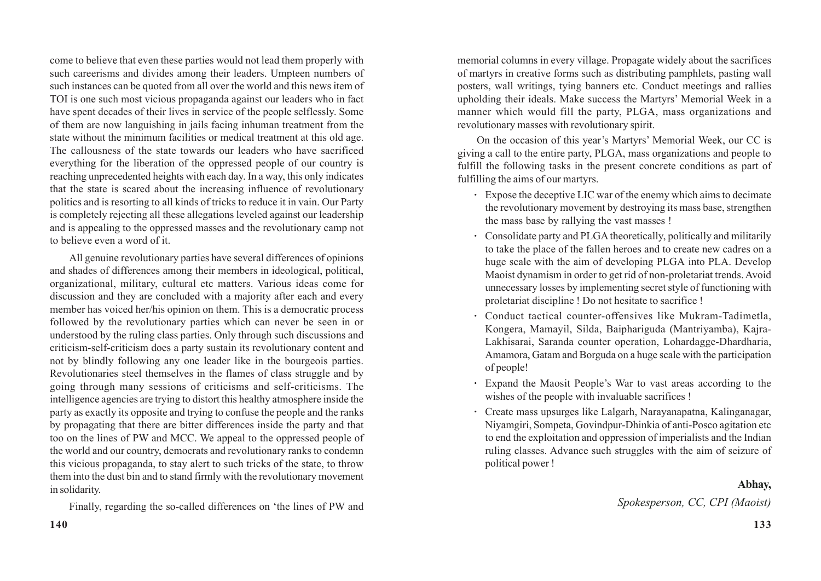come to believe that even these parties would not lead them properly with such careerisms and divides among their leaders. Umpteen numbers of such instances can be quoted from all over the world and this news item of TOI is one such most vicious propaganda against our leaders who in fact have spent decades of their lives in service of the people selflessly. Some of them are now languishing in jails facing inhuman treatment from the state without the minimum facilities or medical treatment at this old age. The callousness of the state towards our leaders who have sacrificed everything for the liberation of the oppressed people of our country is reaching unprecedented heights with each day. In a way, this only indicates that the state is scared about the increasing influence of revolutionary politics and is resorting to all kinds of tricks to reduce it in vain. Our Party is completely rejecting all these allegations leveled against our leadership and is appealing to the oppressed masses and the revolutionary camp not to believe even a word of it.

All genuine revolutionary parties have several differences of opinions and shades of differences among their members in ideological, political, organizational, military, cultural etc matters. Various ideas come for discussion and they are concluded with a majority after each and every member has voiced her/his opinion on them. This is a democratic process followed by the revolutionary parties which can never be seen in or understood by the ruling class parties. Only through such discussions and criticism-self-criticism does a party sustain its revolutionary content and not by blindly following any one leader like in the bourgeois parties. Revolutionaries steel themselves in the flames of class struggle and by going through many sessions of criticisms and self-criticisms. The intelligence agencies are trying to distort this healthy atmosphere inside the party as exactly its opposite and trying to confuse the people and the ranks by propagating that there are bitter differences inside the party and that too on the lines of PW and MCC. We appeal to the oppressed people of the world and our country, democrats and revolutionary ranks to condemn this vicious propaganda, to stay alert to such tricks of the state, to throw them into the dust bin and to stand firmly with the revolutionary movement in solidarity.

Finally, regarding the so-called differences on 'the lines of PW and

memorial columns in every village. Propagate widely about the sacrifices of martyrs in creative forms such as distributing pamphlets, pasting wall posters, wall writings, tying banners etc. Conduct meetings and rallies upholding their ideals. Make success the Martyrs' Memorial Week in a manner which would fill the party, PLGA, mass organizations and revolutionary masses with revolutionary spirit.

On the occasion of this year's Martyrs' Memorial Week, our CC is giving a call to the entire party, PLGA, mass organizations and people to fulfill the following tasks in the present concrete conditions as part of fulfilling the aims of our martyrs.

- **·** Expose the deceptive LIC war of the enemy which aims to decimate the revolutionary movement by destroying its mass base, strengthen the mass base by rallying the vast masses !
- **·** Consolidate party and PLGA theoretically, politically and militarily to take the place of the fallen heroes and to create new cadres on a huge scale with the aim of developing PLGA into PLA. Develop Maoist dynamism in order to get rid of non-proletariat trends. Avoid unnecessary losses by implementing secret style of functioning with proletariat discipline ! Do not hesitate to sacrifice !
- **·** Conduct tactical counter-offensives like Mukram-Tadimetla, Kongera, Mamayil, Silda, Baiphariguda (Mantriyamba), Kajra-Lakhisarai, Saranda counter operation, Lohardagge-Dhardharia, Amamora, Gatam and Borguda on a huge scale with the participation of people!
- **·** Expand the Maosit People's War to vast areas according to the wishes of the people with invaluable sacrifices !
- **·** Create mass upsurges like Lalgarh, Narayanapatna, Kalinganagar, Niyamgiri, Sompeta, Govindpur-Dhinkia of anti-Posco agitation etc to end the exploitation and oppression of imperialists and the Indian ruling classes. Advance such struggles with the aim of seizure of political power !

#### **Abhay,**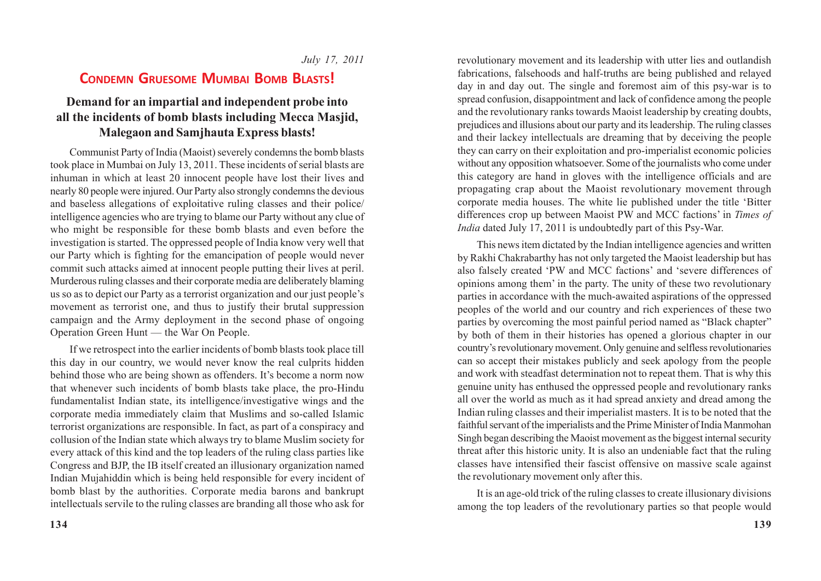### *July 17, 2011*

### **CONDEMN GRUESOME MUMBAI BOMB BLASTS!**

### **Demand for an impartial and independent probe into all the incidents of bomb blasts including Mecca Masjid, Malegaon and Samjhauta Express blasts!**

Communist Party of India (Maoist) severely condemns the bomb blasts took place in Mumbai on July 13, 2011. These incidents of serial blasts are inhuman in which at least 20 innocent people have lost their lives and nearly 80 people were injured. Our Party also strongly condemns the devious and baseless allegations of exploitative ruling classes and their police/ intelligence agencies who are trying to blame our Party without any clue of who might be responsible for these bomb blasts and even before the investigation is started. The oppressed people of India know very well that our Party which is fighting for the emancipation of people would never commit such attacks aimed at innocent people putting their lives at peril. Murderous ruling classes and their corporate media are deliberately blaming us so as to depict our Party as a terrorist organization and our just people's movement as terrorist one, and thus to justify their brutal suppression campaign and the Army deployment in the second phase of ongoing Operation Green Hunt — the War On People.

If we retrospect into the earlier incidents of bomb blasts took place till this day in our country, we would never know the real culprits hidden behind those who are being shown as offenders. It's become a norm now that whenever such incidents of bomb blasts take place, the pro-Hindu fundamentalist Indian state, its intelligence/investigative wings and the corporate media immediately claim that Muslims and so-called Islamic terrorist organizations are responsible. In fact, as part of a conspiracy and collusion of the Indian state which always try to blame Muslim society for every attack of this kind and the top leaders of the ruling class parties like Congress and BJP, the IB itself created an illusionary organization named Indian Mujahiddin which is being held responsible for every incident of bomb blast by the authorities. Corporate media barons and bankrupt intellectuals servile to the ruling classes are branding all those who ask for revolutionary movement and its leadership with utter lies and outlandish fabrications, falsehoods and half-truths are being published and relayed day in and day out. The single and foremost aim of this psy-war is to spread confusion, disappointment and lack of confidence among the people and the revolutionary ranks towards Maoist leadership by creating doubts, prejudices and illusions about our party and its leadership. The ruling classes and their lackey intellectuals are dreaming that by deceiving the people they can carry on their exploitation and pro-imperialist economic policies without any opposition whatsoever. Some of the journalists who come under this category are hand in gloves with the intelligence officials and are propagating crap about the Maoist revolutionary movement through corporate media houses. The white lie published under the title 'Bitter differences crop up between Maoist PW and MCC factions' in *Times of India* dated July 17, 2011 is undoubtedly part of this Psy-War.

This news item dictated by the Indian intelligence agencies and written by Rakhi Chakrabarthy has not only targeted the Maoist leadership but has also falsely created 'PW and MCC factions' and 'severe differences of opinions among them' in the party. The unity of these two revolutionary parties in accordance with the much-awaited aspirations of the oppressed peoples of the world and our country and rich experiences of these two parties by overcoming the most painful period named as "Black chapter" by both of them in their histories has opened a glorious chapter in our country's revolutionary movement. Only genuine and selfless revolutionaries can so accept their mistakes publicly and seek apology from the people and work with steadfast determination not to repeat them. That is why this genuine unity has enthused the oppressed people and revolutionary ranks all over the world as much as it had spread anxiety and dread among the Indian ruling classes and their imperialist masters. It is to be noted that the faithful servant of the imperialists and the Prime Minister of India Manmohan Singh began describing the Maoist movement as the biggest internal security threat after this historic unity. It is also an undeniable fact that the ruling classes have intensified their fascist offensive on massive scale against the revolutionary movement only after this.

It is an age-old trick of the ruling classes to create illusionary divisions among the top leaders of the revolutionary parties so that people would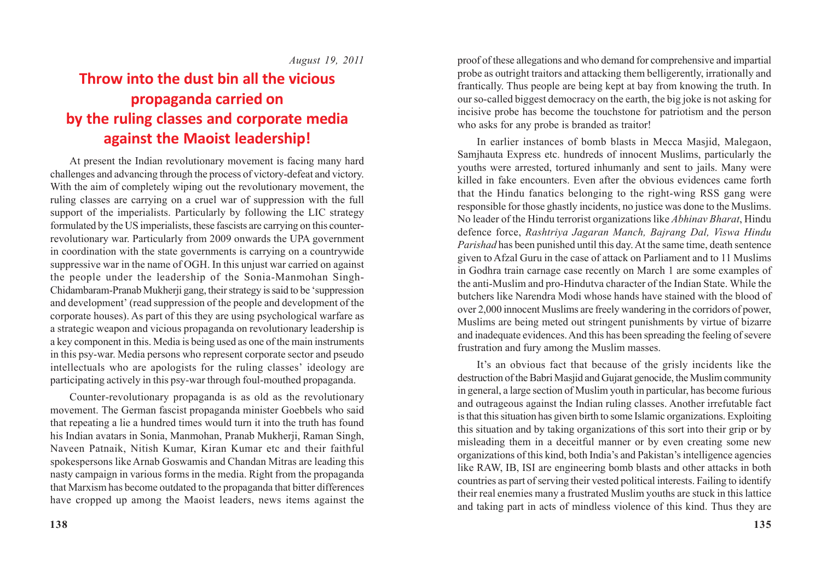*August 19, 2011*

# **Throw into the dust bin all the vicious propaganda carried on by the ruling classes and corporate media against the Maoist leadership!**

At present the Indian revolutionary movement is facing many hard challenges and advancing through the process of victory-defeat and victory. With the aim of completely wiping out the revolutionary movement, the ruling classes are carrying on a cruel war of suppression with the full support of the imperialists. Particularly by following the LIC strategy formulated by the US imperialists, these fascists are carrying on this counterrevolutionary war. Particularly from 2009 onwards the UPA government in coordination with the state governments is carrying on a countrywide suppressive war in the name of OGH. In this unjust war carried on against the people under the leadership of the Sonia-Manmohan Singh-Chidambaram-Pranab Mukherji gang, their strategy is said to be 'suppression and development' (read suppression of the people and development of the corporate houses). As part of this they are using psychological warfare as a strategic weapon and vicious propaganda on revolutionary leadership is a key component in this. Media is being used as one of the main instruments in this psy-war. Media persons who represent corporate sector and pseudo intellectuals who are apologists for the ruling classes' ideology are participating actively in this psy-war through foul-mouthed propaganda.

Counter-revolutionary propaganda is as old as the revolutionary movement. The German fascist propaganda minister Goebbels who said that repeating a lie a hundred times would turn it into the truth has found his Indian avatars in Sonia, Manmohan, Pranab Mukherji, Raman Singh, Naveen Patnaik, Nitish Kumar, Kiran Kumar etc and their faithful spokespersons like Arnab Goswamis and Chandan Mitras are leading this nasty campaign in various forms in the media. Right from the propaganda that Marxism has become outdated to the propaganda that bitter differences have cropped up among the Maoist leaders, news items against the proof of these allegations and who demand for comprehensive and impartial probe as outright traitors and attacking them belligerently, irrationally and frantically. Thus people are being kept at bay from knowing the truth. In our so-called biggest democracy on the earth, the big joke is not asking for incisive probe has become the touchstone for patriotism and the person who asks for any probe is branded as traitor!

In earlier instances of bomb blasts in Mecca Masjid, Malegaon, Samjhauta Express etc. hundreds of innocent Muslims, particularly the youths were arrested, tortured inhumanly and sent to jails. Many were killed in fake encounters. Even after the obvious evidences came forth that the Hindu fanatics belonging to the right-wing RSS gang were responsible for those ghastly incidents, no justice was done to the Muslims. No leader of the Hindu terrorist organizations like *Abhinav Bharat*, Hindu defence force, *Rashtriya Jagaran Manch, Bajrang Dal, Viswa Hindu Parishad* has been punished until this day. At the same time, death sentence given to Afzal Guru in the case of attack on Parliament and to 11 Muslims in Godhra train carnage case recently on March 1 are some examples of the anti-Muslim and pro-Hindutva character of the Indian State. While the butchers like Narendra Modi whose hands have stained with the blood of over 2,000 innocent Muslims are freely wandering in the corridors of power, Muslims are being meted out stringent punishments by virtue of bizarre and inadequate evidences. And this has been spreading the feeling of severe frustration and fury among the Muslim masses.

It's an obvious fact that because of the grisly incidents like the destruction of the Babri Masjid and Gujarat genocide, the Muslim community in general, a large section of Muslim youth in particular, has become furious and outrageous against the Indian ruling classes. Another irrefutable fact is that this situation has given birth to some Islamic organizations. Exploiting this situation and by taking organizations of this sort into their grip or by misleading them in a deceitful manner or by even creating some new organizations of this kind, both India's and Pakistan's intelligence agencies like RAW, IB, ISI are engineering bomb blasts and other attacks in both countries as part of serving their vested political interests. Failing to identify their real enemies many a frustrated Muslim youths are stuck in this lattice and taking part in acts of mindless violence of this kind. Thus they are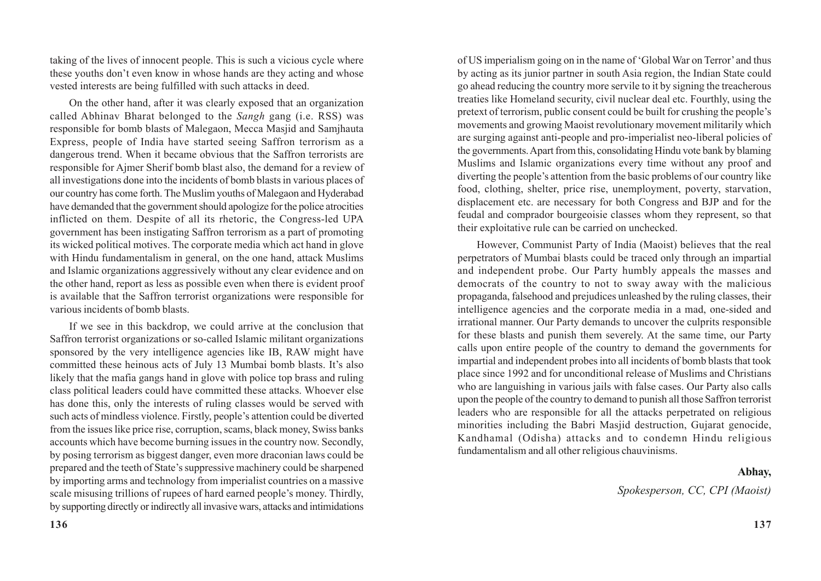taking of the lives of innocent people. This is such a vicious cycle where these youths don't even know in whose hands are they acting and whose vested interests are being fulfilled with such attacks in deed.

On the other hand, after it was clearly exposed that an organization called Abhinav Bharat belonged to the *Sangh* gang (i.e. RSS) was responsible for bomb blasts of Malegaon, Mecca Masjid and Samjhauta Express, people of India have started seeing Saffron terrorism as a dangerous trend. When it became obvious that the Saffron terrorists are responsible for Ajmer Sherif bomb blast also, the demand for a review of all investigations done into the incidents of bomb blasts in various places of our country has come forth. The Muslim youths of Malegaon and Hyderabad have demanded that the government should apologize for the police atrocities inflicted on them. Despite of all its rhetoric, the Congress-led UPA government has been instigating Saffron terrorism as a part of promoting its wicked political motives. The corporate media which act hand in glove with Hindu fundamentalism in general, on the one hand, attack Muslims and Islamic organizations aggressively without any clear evidence and on the other hand, report as less as possible even when there is evident proof is available that the Saffron terrorist organizations were responsible for various incidents of bomb blasts.

If we see in this backdrop, we could arrive at the conclusion that Saffron terrorist organizations or so-called Islamic militant organizations sponsored by the very intelligence agencies like IB, RAW might have committed these heinous acts of July 13 Mumbai bomb blasts. It's also likely that the mafia gangs hand in glove with police top brass and ruling class political leaders could have committed these attacks. Whoever else has done this, only the interests of ruling classes would be served with such acts of mindless violence. Firstly, people's attention could be diverted from the issues like price rise, corruption, scams, black money, Swiss banks accounts which have become burning issues in the country now. Secondly, by posing terrorism as biggest danger, even more draconian laws could be prepared and the teeth of State's suppressive machinery could be sharpened by importing arms and technology from imperialist countries on a massive scale misusing trillions of rupees of hard earned people's money. Thirdly, by supporting directly or indirectly all invasive wars, attacks and intimidations

of US imperialism going on in the name of 'Global War on Terror' and thus by acting as its junior partner in south Asia region, the Indian State could go ahead reducing the country more servile to it by signing the treacherous treaties like Homeland security, civil nuclear deal etc. Fourthly, using the pretext of terrorism, public consent could be built for crushing the people's movements and growing Maoist revolutionary movement militarily which are surging against anti-people and pro-imperialist neo-liberal policies of the governments. Apart from this, consolidating Hindu vote bank by blaming Muslims and Islamic organizations every time without any proof and diverting the people's attention from the basic problems of our country like food, clothing, shelter, price rise, unemployment, poverty, starvation, displacement etc. are necessary for both Congress and BJP and for the feudal and comprador bourgeoisie classes whom they represent, so that their exploitative rule can be carried on unchecked.

However, Communist Party of India (Maoist) believes that the real perpetrators of Mumbai blasts could be traced only through an impartial and independent probe. Our Party humbly appeals the masses and democrats of the country to not to sway away with the malicious propaganda, falsehood and prejudices unleashed by the ruling classes, their intelligence agencies and the corporate media in a mad, one-sided and irrational manner. Our Party demands to uncover the culprits responsible for these blasts and punish them severely. At the same time, our Party calls upon entire people of the country to demand the governments for impartial and independent probes into all incidents of bomb blasts that took place since 1992 and for unconditional release of Muslims and Christians who are languishing in various jails with false cases. Our Party also calls upon the people of the country to demand to punish all those Saffron terrorist leaders who are responsible for all the attacks perpetrated on religious minorities including the Babri Masjid destruction, Gujarat genocide, Kandhamal (Odisha) attacks and to condemn Hindu religious fundamentalism and all other religious chauvinisms.

#### **Abhay,**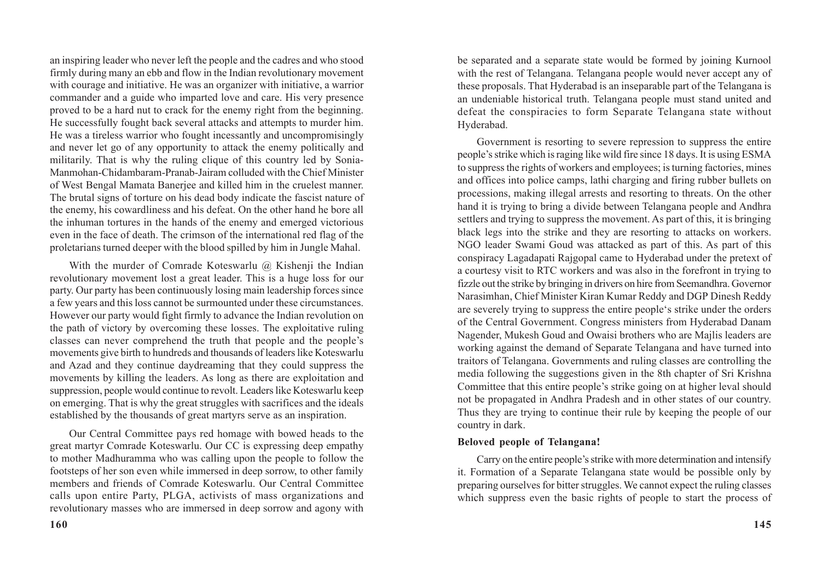an inspiring leader who never left the people and the cadres and who stood firmly during many an ebb and flow in the Indian revolutionary movement with courage and initiative. He was an organizer with initiative, a warrior commander and a guide who imparted love and care. His very presence proved to be a hard nut to crack for the enemy right from the beginning. He successfully fought back several attacks and attempts to murder him. He was a tireless warrior who fought incessantly and uncompromisingly and never let go of any opportunity to attack the enemy politically and militarily. That is why the ruling clique of this country led by Sonia-Manmohan-Chidambaram-Pranab-Jairam colluded with the Chief Minister of West Bengal Mamata Banerjee and killed him in the cruelest manner. The brutal signs of torture on his dead body indicate the fascist nature of the enemy, his cowardliness and his defeat. On the other hand he bore all the inhuman tortures in the hands of the enemy and emerged victorious even in the face of death. The crimson of the international red flag of the proletarians turned deeper with the blood spilled by him in Jungle Mahal.

With the murder of Comrade Koteswarlu @ Kishenji the Indian revolutionary movement lost a great leader. This is a huge loss for our party. Our party has been continuously losing main leadership forces since a few years and this loss cannot be surmounted under these circumstances. However our party would fight firmly to advance the Indian revolution on the path of victory by overcoming these losses. The exploitative ruling classes can never comprehend the truth that people and the people's movements give birth to hundreds and thousands of leaders like Koteswarlu and Azad and they continue daydreaming that they could suppress the movements by killing the leaders. As long as there are exploitation and suppression, people would continue to revolt. Leaders like Koteswarlu keep on emerging. That is why the great struggles with sacrifices and the ideals established by the thousands of great martyrs serve as an inspiration.

Our Central Committee pays red homage with bowed heads to the great martyr Comrade Koteswarlu. Our CC is expressing deep empathy to mother Madhuramma who was calling upon the people to follow the footsteps of her son even while immersed in deep sorrow, to other family members and friends of Comrade Koteswarlu. Our Central Committee calls upon entire Party, PLGA, activists of mass organizations and revolutionary masses who are immersed in deep sorrow and agony with

**160**

be separated and a separate state would be formed by joining Kurnool with the rest of Telangana. Telangana people would never accept any of these proposals. That Hyderabad is an inseparable part of the Telangana is an undeniable historical truth. Telangana people must stand united and defeat the conspiracies to form Separate Telangana state without Hyderabad.

Government is resorting to severe repression to suppress the entire people's strike which is raging like wild fire since 18 days. It is using ESMA to suppress the rights of workers and employees; is turning factories, mines and offices into police camps, lathi charging and firing rubber bullets on processions, making illegal arrests and resorting to threats. On the other hand it is trying to bring a divide between Telangana people and Andhra settlers and trying to suppress the movement. As part of this, it is bringing black legs into the strike and they are resorting to attacks on workers. NGO leader Swami Goud was attacked as part of this. As part of this conspiracy Lagadapati Rajgopal came to Hyderabad under the pretext of a courtesy visit to RTC workers and was also in the forefront in trying to fizzle out the strike by bringing in drivers on hire from Seemandhra. Governor Narasimhan, Chief Minister Kiran Kumar Reddy and DGP Dinesh Reddy are severely trying to suppress the entire people's strike under the orders of the Central Government. Congress ministers from Hyderabad Danam Nagender, Mukesh Goud and Owaisi brothers who are Majlis leaders are working against the demand of Separate Telangana and have turned into traitors of Telangana. Governments and ruling classes are controlling the media following the suggestions given in the 8th chapter of Sri Krishna Committee that this entire people's strike going on at higher leval should not be propagated in Andhra Pradesh and in other states of our country. Thus they are trying to continue their rule by keeping the people of our country in dark.

#### **Beloved people of Telangana!**

Carry on the entire people's strike with more determination and intensify it. Formation of a Separate Telangana state would be possible only by preparing ourselves for bitter struggles. We cannot expect the ruling classes which suppress even the basic rights of people to start the process of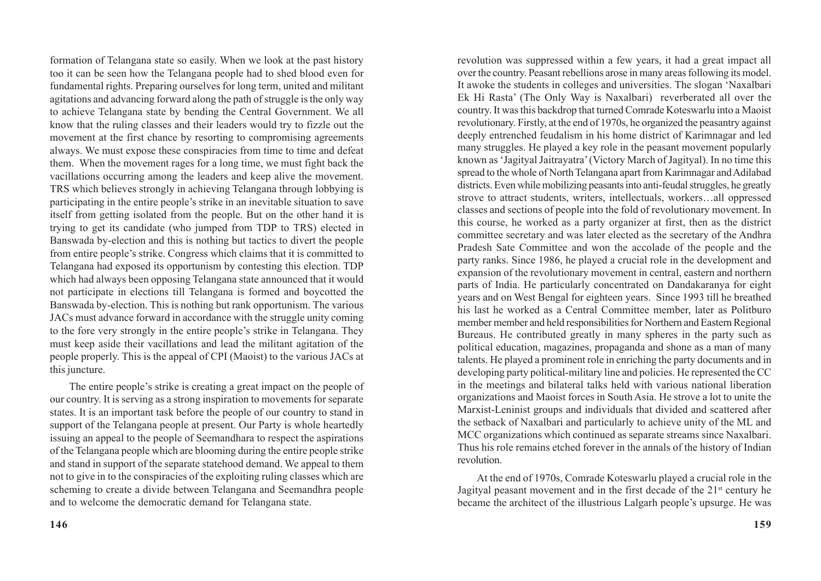formation of Telangana state so easily. When we look at the past history too it can be seen how the Telangana people had to shed blood even for fundamental rights. Preparing ourselves for long term, united and militant agitations and advancing forward along the path of struggle is the only way to achieve Telangana state by bending the Central Government. We all know that the ruling classes and their leaders would try to fizzle out the movement at the first chance by resorting to compromising agreements always. We must expose these conspiracies from time to time and defeat them. When the movement rages for a long time, we must fight back the vacillations occurring among the leaders and keep alive the movement. TRS which believes strongly in achieving Telangana through lobbying is participating in the entire people's strike in an inevitable situation to save itself from getting isolated from the people. But on the other hand it is trying to get its candidate (who jumped from TDP to TRS) elected in Banswada by-election and this is nothing but tactics to divert the people from entire people's strike. Congress which claims that it is committed to Telangana had exposed its opportunism by contesting this election. TDP which had always been opposing Telangana state announced that it would not participate in elections till Telangana is formed and boycotted the Banswada by-election. This is nothing but rank opportunism. The various JACs must advance forward in accordance with the struggle unity coming to the fore very strongly in the entire people's strike in Telangana. They must keep aside their vacillations and lead the militant agitation of the people properly. This is the appeal of CPI (Maoist) to the various JACs at this juncture.

The entire people's strike is creating a great impact on the people of our country. It is serving as a strong inspiration to movements for separate states. It is an important task before the people of our country to stand in support of the Telangana people at present. Our Party is whole heartedly issuing an appeal to the people of Seemandhara to respect the aspirations of the Telangana people which are blooming during the entire people strike and stand in support of the separate statehood demand. We appeal to them not to give in to the conspiracies of the exploiting ruling classes which are scheming to create a divide between Telangana and Seemandhra people and to welcome the democratic demand for Telangana state.

revolution was suppressed within a few years, it had a great impact all over the country. Peasant rebellions arose in many areas following its model. It awoke the students in colleges and universities. The slogan 'Naxalbari Ek Hi Rasta' (The Only Way is Naxalbari) reverberated all over the country. It was this backdrop that turned Comrade Koteswarlu into a Maoist revolutionary. Firstly, at the end of 1970s, he organized the peasantry against deeply entrenched feudalism in his home district of Karimnagar and led many struggles. He played a key role in the peasant movement popularly known as 'Jagityal Jaitrayatra' (Victory March of Jagityal). In no time this spread to the whole of North Telangana apart from Karimnagar and Adilabad districts. Even while mobilizing peasants into anti-feudal struggles, he greatly strove to attract students, writers, intellectuals, workers…all oppressed classes and sections of people into the fold of revolutionary movement. In this course, he worked as a party organizer at first, then as the district committee secretary and was later elected as the secretary of the Andhra Pradesh Sate Committee and won the accolade of the people and the party ranks. Since 1986, he played a crucial role in the development and expansion of the revolutionary movement in central, eastern and northern parts of India. He particularly concentrated on Dandakaranya for eight years and on West Bengal for eighteen years. Since 1993 till he breathed his last he worked as a Central Committee member, later as Politburo member member and held responsibilities for Northern and Eastern Regional Bureaus. He contributed greatly in many spheres in the party such as political education, magazines, propaganda and shone as a man of many talents. He played a prominent role in enriching the party documents and in developing party political-military line and policies. He represented the CC in the meetings and bilateral talks held with various national liberation organizations and Maoist forces in South Asia. He strove a lot to unite the Marxist-Leninist groups and individuals that divided and scattered after the setback of Naxalbari and particularly to achieve unity of the ML and MCC organizations which continued as separate streams since Naxalbari. Thus his role remains etched forever in the annals of the history of Indian revolution.

At the end of 1970s, Comrade Koteswarlu played a crucial role in the Jagityal peasant movement and in the first decade of the 21<sup>st</sup> century he became the architect of the illustrious Lalgarh people's upsurge. He was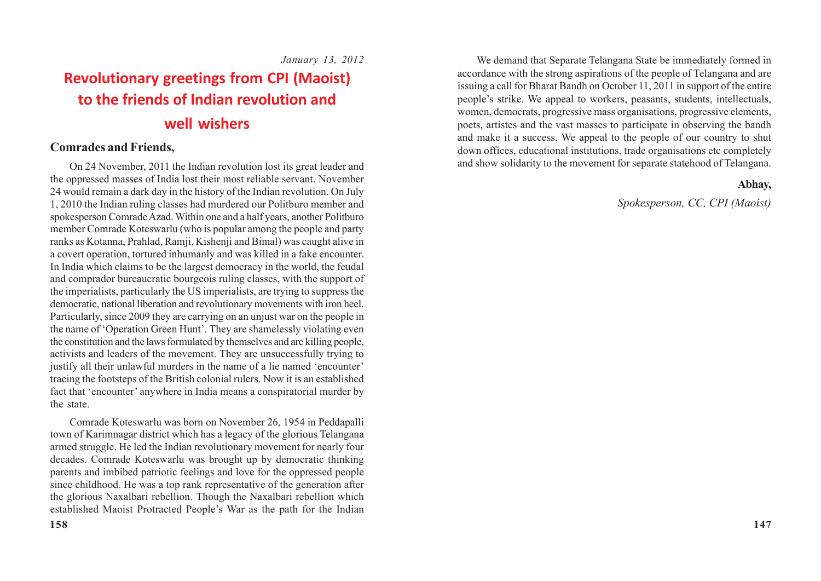*January 13, 2012*

# **Revolutionary greetings from CPI (Maoist) to the friends of Indian revolution and well wishers**

### **Comrades and Friends,**

On 24 November, 2011 the Indian revolution lost its great leader and the oppressed masses of India lost their most reliable servant. November 24 would remain a dark day in the history of the Indian revolution. On July 1, 2010 the Indian ruling classes had murdered our Politburo member and spokesperson Comrade Azad. Within one and a half years, another Politburo member Comrade Koteswarlu (who is popular among the people and party ranks as Kotanna, Prahlad, Ramji, Kishenji and Bimal) was caught alive in a covert operation, tortured inhumanly and was killed in a fake encounter. In India which claims to be the largest democracy in the world, the feudal and comprador bureaucratic bourgeois ruling classes, with the support of the imperialists, particularly the US imperialists, are trying to suppress the democratic, national liberation and revolutionary movements with iron heel. Particularly, since 2009 they are carrying on an unjust war on the people in the name of 'Operation Green Hunt'. They are shamelessly violating even the constitution and the laws formulated by themselves and are killing people, activists and leaders of the movement. They are unsuccessfully trying to justify all their unlawful murders in the name of a lie named 'encounter' tracing the footsteps of the British colonial rulers. Now it is an established fact that 'encounter' anywhere in India means a conspiratorial murder by the state.

Comrade Koteswarlu was born on November 26, 1954 in Peddapalli town of Karimnagar district which has a legacy of the glorious Telangana armed struggle. He led the Indian revolutionary movement for nearly four decades. Comrade Koteswarlu was brought up by democratic thinking parents and imbibed patriotic feelings and love for the oppressed people since childhood. He was a top rank representative of the generation after the glorious Naxalbari rebellion. Though the Naxalbari rebellion which established Maoist Protracted People's War as the path for the Indian

We demand that Separate Telangana State be immediately formed in accordance with the strong aspirations of the people of Telangana and are issuing a call for Bharat Bandh on October 11, 2011 in support of the entire people's strike. We appeal to workers, peasants, students, intellectuals, women, democrats, progressive mass organisations, progressive elements, poets, artistes and the vast masses to participate in observing the bandh and make it a success. We appeal to the people of our country to shut down offices, educational institutions, trade organisations etc completely and show solidarity to the movement for separate statehood of Telangana.

### **Abhay,**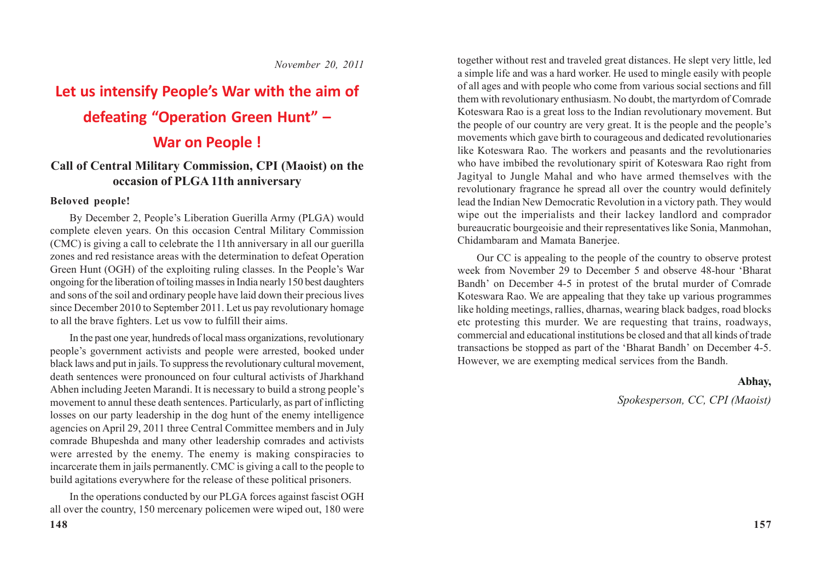*November 20, 2011*

# **Let us intensify People's War with the aim of**

### **defeating "Operation Green Hunt" –**

### **War on People !**

### **Call of Central Military Commission, CPI (Maoist) on the occasion of PLGA 11th anniversary**

### **Beloved people!**

By December 2, People's Liberation Guerilla Army (PLGA) would complete eleven years. On this occasion Central Military Commission (CMC) is giving a call to celebrate the 11th anniversary in all our guerilla zones and red resistance areas with the determination to defeat Operation Green Hunt (OGH) of the exploiting ruling classes. In the People's War ongoing for the liberation of toiling masses in India nearly 150 best daughters and sons of the soil and ordinary people have laid down their precious lives since December 2010 to September 2011. Let us pay revolutionary homage to all the brave fighters. Let us vow to fulfill their aims.

In the past one year, hundreds of local mass organizations, revolutionary people's government activists and people were arrested, booked under black laws and put in jails. To suppress the revolutionary cultural movement, death sentences were pronounced on four cultural activists of Jharkhand Abhen including Jeeten Marandi. It is necessary to build a strong people's movement to annul these death sentences. Particularly, as part of inflicting losses on our party leadership in the dog hunt of the enemy intelligence agencies on April 29, 2011 three Central Committee members and in July comrade Bhupeshda and many other leadership comrades and activists were arrested by the enemy. The enemy is making conspiracies to incarcerate them in jails permanently. CMC is giving a call to the people to build agitations everywhere for the release of these political prisoners.

In the operations conducted by our PLGA forces against fascist OGH all over the country, 150 mercenary policemen were wiped out, 180 were together without rest and traveled great distances. He slept very little, led a simple life and was a hard worker. He used to mingle easily with people of all ages and with people who come from various social sections and fill them with revolutionary enthusiasm. No doubt, the martyrdom of Comrade Koteswara Rao is a great loss to the Indian revolutionary movement. But the people of our country are very great. It is the people and the people's movements which gave birth to courageous and dedicated revolutionaries like Koteswara Rao. The workers and peasants and the revolutionaries who have imbibed the revolutionary spirit of Koteswara Rao right from Jagityal to Jungle Mahal and who have armed themselves with the revolutionary fragrance he spread all over the country would definitely lead the Indian New Democratic Revolution in a victory path. They would wipe out the imperialists and their lackey landlord and comprador bureaucratic bourgeoisie and their representatives like Sonia, Manmohan, Chidambaram and Mamata Banerjee.

Our CC is appealing to the people of the country to observe protest week from November 29 to December 5 and observe 48-hour 'Bharat Bandh' on December 4-5 in protest of the brutal murder of Comrade Koteswara Rao. We are appealing that they take up various programmes like holding meetings, rallies, dharnas, wearing black badges, road blocks etc protesting this murder. We are requesting that trains, roadways, commercial and educational institutions be closed and that all kinds of trade transactions be stopped as part of the 'Bharat Bandh' on December 4-5. However, we are exempting medical services from the Bandh.

### **Abhay,**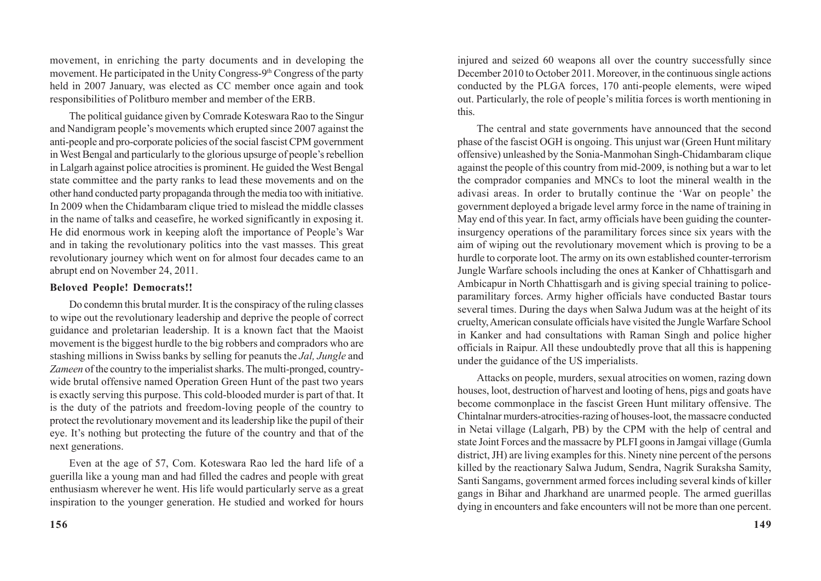movement, in enriching the party documents and in developing the movement. He participated in the Unity Congress-9<sup>th</sup> Congress of the party held in 2007 January, was elected as CC member once again and took responsibilities of Politburo member and member of the ERB.

The political guidance given by Comrade Koteswara Rao to the Singur and Nandigram people's movements which erupted since 2007 against the anti-people and pro-corporate policies of the social fascist CPM government in West Bengal and particularly to the glorious upsurge of people's rebellion in Lalgarh against police atrocities is prominent. He guided the West Bengal state committee and the party ranks to lead these movements and on the other hand conducted party propaganda through the media too with initiative. In 2009 when the Chidambaram clique tried to mislead the middle classes in the name of talks and ceasefire, he worked significantly in exposing it. He did enormous work in keeping aloft the importance of People's War and in taking the revolutionary politics into the vast masses. This great revolutionary journey which went on for almost four decades came to an abrupt end on November 24, 2011.

#### **Beloved People! Democrats!!**

Do condemn this brutal murder. It is the conspiracy of the ruling classes to wipe out the revolutionary leadership and deprive the people of correct guidance and proletarian leadership. It is a known fact that the Maoist movement is the biggest hurdle to the big robbers and compradors who are stashing millions in Swiss banks by selling for peanuts the *Jal, Jungle* and *Zameen* of the country to the imperialist sharks. The multi-pronged, countrywide brutal offensive named Operation Green Hunt of the past two years is exactly serving this purpose. This cold-blooded murder is part of that. It is the duty of the patriots and freedom-loving people of the country to protect the revolutionary movement and its leadership like the pupil of their eye. It's nothing but protecting the future of the country and that of the next generations.

Even at the age of 57, Com. Koteswara Rao led the hard life of a guerilla like a young man and had filled the cadres and people with great enthusiasm wherever he went. His life would particularly serve as a great inspiration to the younger generation. He studied and worked for hours

injured and seized 60 weapons all over the country successfully since December 2010 to October 2011. Moreover, in the continuous single actions conducted by the PLGA forces, 170 anti-people elements, were wiped out. Particularly, the role of people's militia forces is worth mentioning in this.

The central and state governments have announced that the second phase of the fascist OGH is ongoing. This unjust war (Green Hunt military offensive) unleashed by the Sonia-Manmohan Singh-Chidambaram clique against the people of this country from mid-2009, is nothing but a war to let the comprador companies and MNCs to loot the mineral wealth in the adivasi areas. In order to brutally continue the 'War on people' the government deployed a brigade level army force in the name of training in May end of this year. In fact, army officials have been guiding the counterinsurgency operations of the paramilitary forces since six years with the aim of wiping out the revolutionary movement which is proving to be a hurdle to corporate loot. The army on its own established counter-terrorism Jungle Warfare schools including the ones at Kanker of Chhattisgarh and Ambicapur in North Chhattisgarh and is giving special training to policeparamilitary forces. Army higher officials have conducted Bastar tours several times. During the days when Salwa Judum was at the height of its cruelty, American consulate officials have visited the Jungle Warfare School in Kanker and had consultations with Raman Singh and police higher officials in Raipur. All these undoubtedly prove that all this is happening under the guidance of the US imperialists.

Attacks on people, murders, sexual atrocities on women, razing down houses, loot, destruction of harvest and looting of hens, pigs and goats have become commonplace in the fascist Green Hunt military offensive. The Chintalnar murders-atrocities-razing of houses-loot, the massacre conducted in Netai village (Lalgarh, PB) by the CPM with the help of central and state Joint Forces and the massacre by PLFI goons in Jamgai village (Gumla district, JH) are living examples for this. Ninety nine percent of the persons killed by the reactionary Salwa Judum, Sendra, Nagrik Suraksha Samity, Santi Sangams, government armed forces including several kinds of killer gangs in Bihar and Jharkhand are unarmed people. The armed guerillas dying in encounters and fake encounters will not be more than one percent.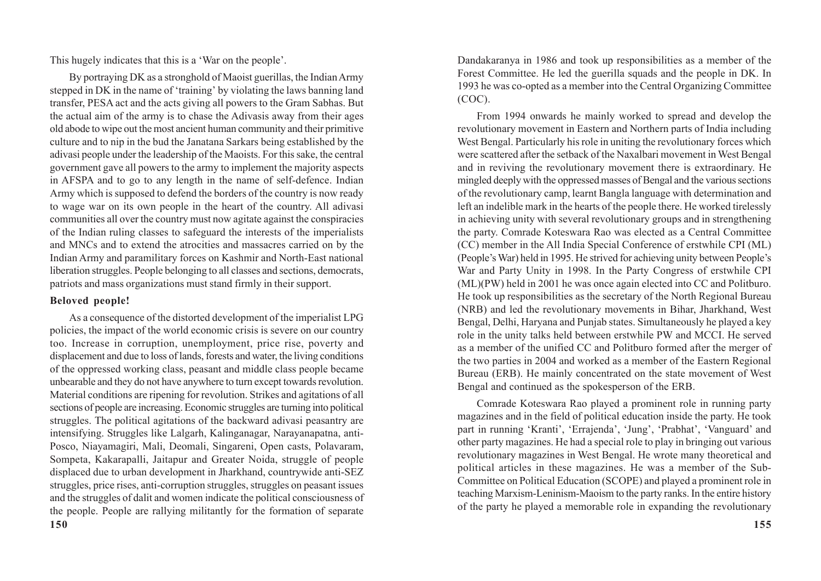This hugely indicates that this is a 'War on the people'.

By portraying DK as a stronghold of Maoist guerillas, the Indian Army stepped in DK in the name of 'training' by violating the laws banning land transfer, PESA act and the acts giving all powers to the Gram Sabhas. But the actual aim of the army is to chase the Adivasis away from their ages old abode to wipe out the most ancient human community and their primitive culture and to nip in the bud the Janatana Sarkars being established by the adivasi people under the leadership of the Maoists. For this sake, the central government gave all powers to the army to implement the majority aspects in AFSPA and to go to any length in the name of self-defence. Indian Army which is supposed to defend the borders of the country is now ready to wage war on its own people in the heart of the country. All adivasi communities all over the country must now agitate against the conspiracies of the Indian ruling classes to safeguard the interests of the imperialists and MNCs and to extend the atrocities and massacres carried on by the Indian Army and paramilitary forces on Kashmir and North-East national liberation struggles. People belonging to all classes and sections, democrats, patriots and mass organizations must stand firmly in their support.

### **Beloved people!**

As a consequence of the distorted development of the imperialist LPG policies, the impact of the world economic crisis is severe on our country too. Increase in corruption, unemployment, price rise, poverty and displacement and due to loss of lands, forests and water, the living conditions of the oppressed working class, peasant and middle class people became unbearable and they do not have anywhere to turn except towards revolution. Material conditions are ripening for revolution. Strikes and agitations of all sections of people are increasing. Economic struggles are turning into political struggles. The political agitations of the backward adivasi peasantry are intensifying. Struggles like Lalgarh, Kalinganagar, Narayanapatna, anti-Posco, Niayamagiri, Mali, Deomali, Singareni, Open casts, Polavaram, Sompeta, Kakarapalli, Jaitapur and Greater Noida, struggle of people displaced due to urban development in Jharkhand, countrywide anti-SEZ struggles, price rises, anti-corruption struggles, struggles on peasant issues and the struggles of dalit and women indicate the political consciousness of the people. People are rallying militantly for the formation of separate

Dandakaranya in 1986 and took up responsibilities as a member of the Forest Committee. He led the guerilla squads and the people in DK. In 1993 he was co-opted as a member into the Central Organizing Committee (COC).

From 1994 onwards he mainly worked to spread and develop the revolutionary movement in Eastern and Northern parts of India including West Bengal. Particularly his role in uniting the revolutionary forces which were scattered after the setback of the Naxalbari movement in West Bengal and in reviving the revolutionary movement there is extraordinary. He mingled deeply with the oppressed masses of Bengal and the various sections of the revolutionary camp, learnt Bangla language with determination and left an indelible mark in the hearts of the people there. He worked tirelessly in achieving unity with several revolutionary groups and in strengthening the party. Comrade Koteswara Rao was elected as a Central Committee (CC) member in the All India Special Conference of erstwhile CPI (ML) (People's War) held in 1995. He strived for achieving unity between People's War and Party Unity in 1998. In the Party Congress of erstwhile CPI (ML)(PW) held in 2001 he was once again elected into CC and Politburo. He took up responsibilities as the secretary of the North Regional Bureau (NRB) and led the revolutionary movements in Bihar, Jharkhand, West Bengal, Delhi, Haryana and Punjab states. Simultaneously he played a key role in the unity talks held between erstwhile PW and MCCI. He served as a member of the unified CC and Politburo formed after the merger of the two parties in 2004 and worked as a member of the Eastern Regional Bureau (ERB). He mainly concentrated on the state movement of West Bengal and continued as the spokesperson of the ERB.

Comrade Koteswara Rao played a prominent role in running party magazines and in the field of political education inside the party. He took part in running 'Kranti', 'Errajenda', 'Jung', 'Prabhat', 'Vanguard' and other party magazines. He had a special role to play in bringing out various revolutionary magazines in West Bengal. He wrote many theoretical and political articles in these magazines. He was a member of the Sub-Committee on Political Education (SCOPE) and played a prominent role in teaching Marxism-Leninism-Maoism to the party ranks. In the entire history of the party he played a memorable role in expanding the revolutionary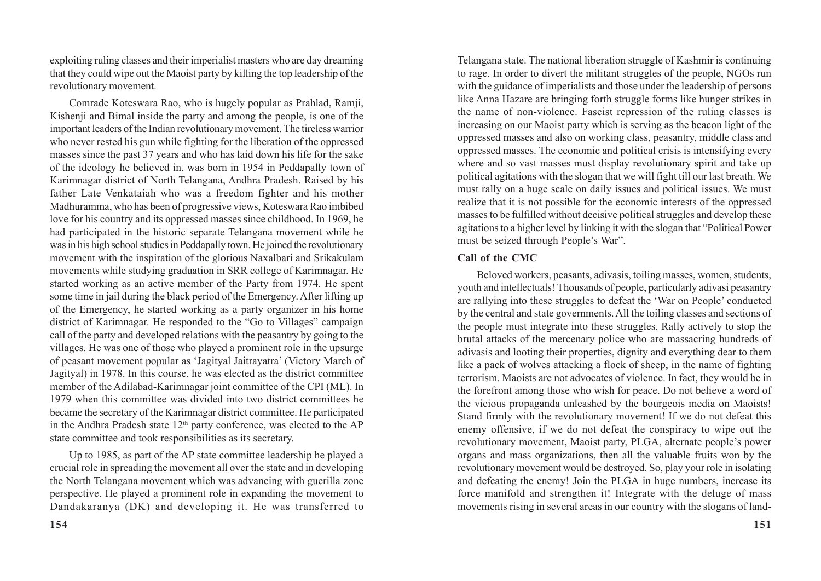exploiting ruling classes and their imperialist masters who are day dreaming that they could wipe out the Maoist party by killing the top leadership of the revolutionary movement.

Comrade Koteswara Rao, who is hugely popular as Prahlad, Ramji, Kishenii and Bimal inside the party and among the people, is one of the important leaders of the Indian revolutionary movement. The tireless warrior who never rested his gun while fighting for the liberation of the oppressed masses since the past 37 years and who has laid down his life for the sake of the ideology he believed in, was born in 1954 in Peddapally town of Karimnagar district of North Telangana, Andhra Pradesh. Raised by his father Late Venkataiah who was a freedom fighter and his mother Madhuramma, who has been of progressive views, Koteswara Rao imbibed love for his country and its oppressed masses since childhood. In 1969, he had participated in the historic separate Telangana movement while he was in his high school studies in Peddapally town. He joined the revolutionary movement with the inspiration of the glorious Naxalbari and Srikakulam movements while studying graduation in SRR college of Karimnagar. He started working as an active member of the Party from 1974. He spent some time in jail during the black period of the Emergency. After lifting up of the Emergency, he started working as a party organizer in his home district of Karimnagar. He responded to the "Go to Villages" campaign call of the party and developed relations with the peasantry by going to the villages. He was one of those who played a prominent role in the upsurge of peasant movement popular as 'Jagityal Jaitrayatra' (Victory March of Jagityal) in 1978. In this course, he was elected as the district committee member of the Adilabad-Karimnagar joint committee of the CPI (ML). In 1979 when this committee was divided into two district committees he became the secretary of the Karimnagar district committee. He participated in the Andhra Pradesh state 12<sup>th</sup> party conference, was elected to the AP state committee and took responsibilities as its secretary.

Up to 1985, as part of the AP state committee leadership he played a crucial role in spreading the movement all over the state and in developing the North Telangana movement which was advancing with guerilla zone perspective. He played a prominent role in expanding the movement to Dandakaranya (DK) and developing it. He was transferred to Telangana state. The national liberation struggle of Kashmir is continuing to rage. In order to divert the militant struggles of the people, NGOs run with the guidance of imperialists and those under the leadership of persons like Anna Hazare are bringing forth struggle forms like hunger strikes in the name of non-violence. Fascist repression of the ruling classes is increasing on our Maoist party which is serving as the beacon light of the oppressed masses and also on working class, peasantry, middle class and oppressed masses. The economic and political crisis is intensifying every where and so vast masses must display revolutionary spirit and take up political agitations with the slogan that we will fight till our last breath. We must rally on a huge scale on daily issues and political issues. We must realize that it is not possible for the economic interests of the oppressed masses to be fulfilled without decisive political struggles and develop these agitations to a higher level by linking it with the slogan that "Political Power must be seized through People's War".

#### **Call of the CMC**

Beloved workers, peasants, adivasis, toiling masses, women, students, youth and intellectuals! Thousands of people, particularly adivasi peasantry are rallying into these struggles to defeat the 'War on People' conducted by the central and state governments. All the toiling classes and sections of the people must integrate into these struggles. Rally actively to stop the brutal attacks of the mercenary police who are massacring hundreds of adivasis and looting their properties, dignity and everything dear to them like a pack of wolves attacking a flock of sheep, in the name of fighting terrorism. Maoists are not advocates of violence. In fact, they would be in the forefront among those who wish for peace. Do not believe a word of the vicious propaganda unleashed by the bourgeois media on Maoists! Stand firmly with the revolutionary movement! If we do not defeat this enemy offensive, if we do not defeat the conspiracy to wipe out the revolutionary movement, Maoist party, PLGA, alternate people's power organs and mass organizations, then all the valuable fruits won by the revolutionary movement would be destroyed. So, play your role in isolating and defeating the enemy! Join the PLGA in huge numbers, increase its force manifold and strengthen it! Integrate with the deluge of mass movements rising in several areas in our country with the slogans of land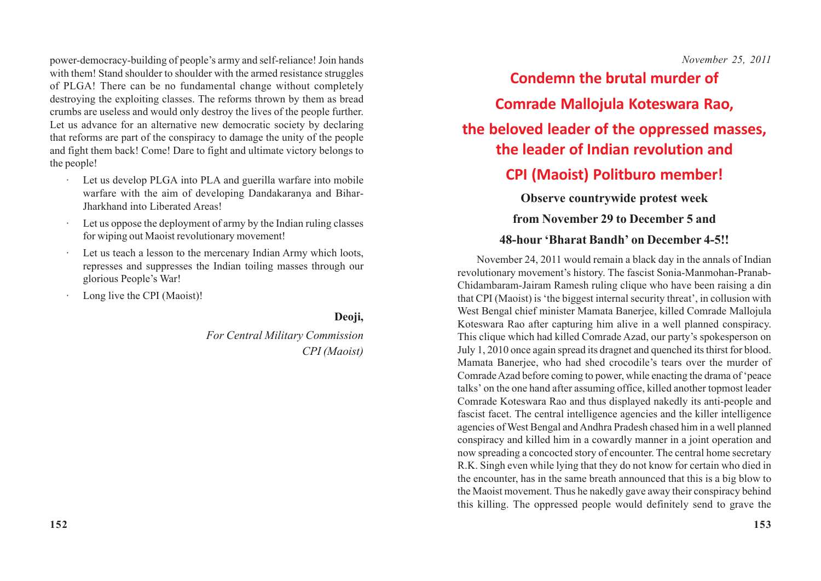power-democracy-building of people's army and self-reliance! Join hands with them! Stand shoulder to shoulder with the armed resistance struggles of PLGA! There can be no fundamental change without completely destroying the exploiting classes. The reforms thrown by them as bread crumbs are useless and would only destroy the lives of the people further. Let us advance for an alternative new democratic society by declaring that reforms are part of the conspiracy to damage the unity of the people and fight them back! Come! Dare to fight and ultimate victory belongs to the people!

- · Let us develop PLGA into PLA and guerilla warfare into mobile warfare with the aim of developing Dandakaranya and Bihar-Jharkhand into Liberated Areas!
- Let us oppose the deployment of army by the Indian ruling classes for wiping out Maoist revolutionary movement!
- · Let us teach a lesson to the mercenary Indian Army which loots, represses and suppresses the Indian toiling masses through our glorious People's War!
- Long live the CPI (Maoist)!

**152**

**Deoji,**

*For Central Military Commission CPI (Maoist)* *November 25, 2011*

### **Condemn the brutal murder of**

**Comrade Mallojula Koteswara Rao,**

### **the beloved leader of the oppressed masses, the leader of Indian revolution and**

### **CPI (Maoist) Politburo member!**

**Observe countrywide protest week**

### **from November 29 to December 5 and**

### **48-hour 'Bharat Bandh' on December 4-5!!**

November 24, 2011 would remain a black day in the annals of Indian revolutionary movement's history. The fascist Sonia-Manmohan-Pranab-Chidambaram-Jairam Ramesh ruling clique who have been raising a din that CPI (Maoist) is 'the biggest internal security threat', in collusion with West Bengal chief minister Mamata Banerjee, killed Comrade Mallojula Koteswara Rao after capturing him alive in a well planned conspiracy. This clique which had killed Comrade Azad, our party's spokesperson on July 1, 2010 once again spread its dragnet and quenched its thirst for blood. Mamata Banerjee, who had shed crocodile's tears over the murder of Comrade Azad before coming to power, while enacting the drama of 'peace talks' on the one hand after assuming office, killed another topmost leader Comrade Koteswara Rao and thus displayed nakedly its anti-people and fascist facet. The central intelligence agencies and the killer intelligence agencies of West Bengal and Andhra Pradesh chased him in a well planned conspiracy and killed him in a cowardly manner in a joint operation and now spreading a concocted story of encounter. The central home secretary R.K. Singh even while lying that they do not know for certain who died in the encounter, has in the same breath announced that this is a big blow to the Maoist movement. Thus he nakedly gave away their conspiracy behind this killing. The oppressed people would definitely send to grave the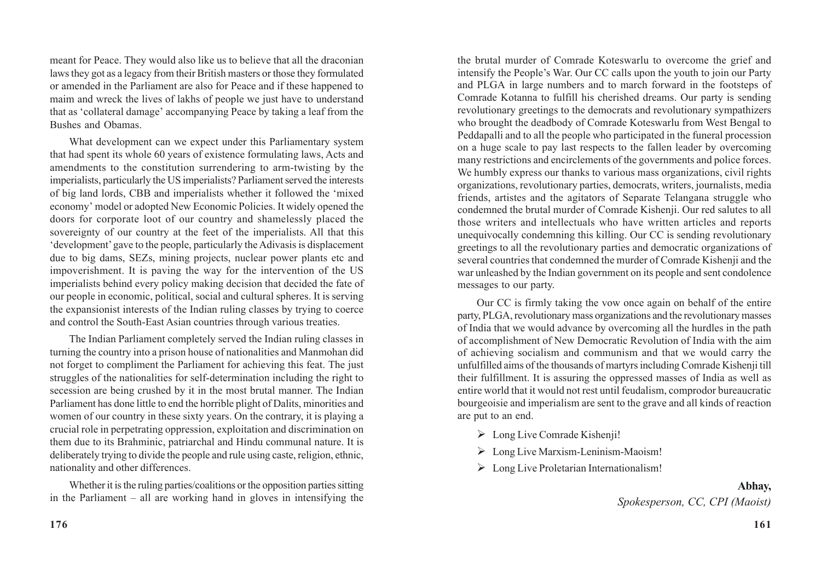meant for Peace. They would also like us to believe that all the draconian laws they got as a legacy from their British masters or those they formulated or amended in the Parliament are also for Peace and if these happened to maim and wreck the lives of lakhs of people we just have to understand that as 'collateral damage' accompanying Peace by taking a leaf from the Bushes and Obamas.

What development can we expect under this Parliamentary system that had spent its whole 60 years of existence formulating laws, Acts and amendments to the constitution surrendering to arm-twisting by the imperialists, particularly the US imperialists? Parliament served the interests of big land lords, CBB and imperialists whether it followed the 'mixed economy' model or adopted New Economic Policies. It widely opened the doors for corporate loot of our country and shamelessly placed the sovereignty of our country at the feet of the imperialists. All that this 'development' gave to the people, particularly the Adivasis is displacement due to big dams, SEZs, mining projects, nuclear power plants etc and impoverishment. It is paving the way for the intervention of the US imperialists behind every policy making decision that decided the fate of our people in economic, political, social and cultural spheres. It is serving the expansionist interests of the Indian ruling classes by trying to coerce and control the South-East Asian countries through various treaties.

The Indian Parliament completely served the Indian ruling classes in turning the country into a prison house of nationalities and Manmohan did not forget to compliment the Parliament for achieving this feat. The just struggles of the nationalities for self-determination including the right to secession are being crushed by it in the most brutal manner. The Indian Parliament has done little to end the horrible plight of Dalits, minorities and women of our country in these sixty years. On the contrary, it is playing a crucial role in perpetrating oppression, exploitation and discrimination on them due to its Brahminic, patriarchal and Hindu communal nature. It is deliberately trying to divide the people and rule using caste, religion, ethnic, nationality and other differences.

Whether it is the ruling parties/coalitions or the opposition parties sitting in the Parliament – all are working hand in gloves in intensifying the the brutal murder of Comrade Koteswarlu to overcome the grief and intensify the People's War. Our CC calls upon the youth to join our Party and PLGA in large numbers and to march forward in the footsteps of Comrade Kotanna to fulfill his cherished dreams. Our party is sending revolutionary greetings to the democrats and revolutionary sympathizers who brought the deadbody of Comrade Koteswarlu from West Bengal to Peddapalli and to all the people who participated in the funeral procession on a huge scale to pay last respects to the fallen leader by overcoming many restrictions and encirclements of the governments and police forces. We humbly express our thanks to various mass organizations, civil rights organizations, revolutionary parties, democrats, writers, journalists, media friends, artistes and the agitators of Separate Telangana struggle who condemned the brutal murder of Comrade Kishenji. Our red salutes to all those writers and intellectuals who have written articles and reports unequivocally condemning this killing. Our CC is sending revolutionary greetings to all the revolutionary parties and democratic organizations of several countries that condemned the murder of Comrade Kishenji and the war unleashed by the Indian government on its people and sent condolence messages to our party.

Our CC is firmly taking the vow once again on behalf of the entire party, PLGA, revolutionary mass organizations and the revolutionary masses of India that we would advance by overcoming all the hurdles in the path of accomplishment of New Democratic Revolution of India with the aim of achieving socialism and communism and that we would carry the unfulfilled aims of the thousands of martyrs including Comrade Kishenji till their fulfillment. It is assuring the oppressed masses of India as well as entire world that it would not rest until feudalism, comprodor bureaucratic bourgeoisie and imperialism are sent to the grave and all kinds of reaction are put to an end.

- $\triangleright$  Long Live Comrade Kishenii!
- $\triangleright$  Long Live Marxism-Leninism-Maoism!
- **EXECUTE:** Long Live Proletarian Internationalism!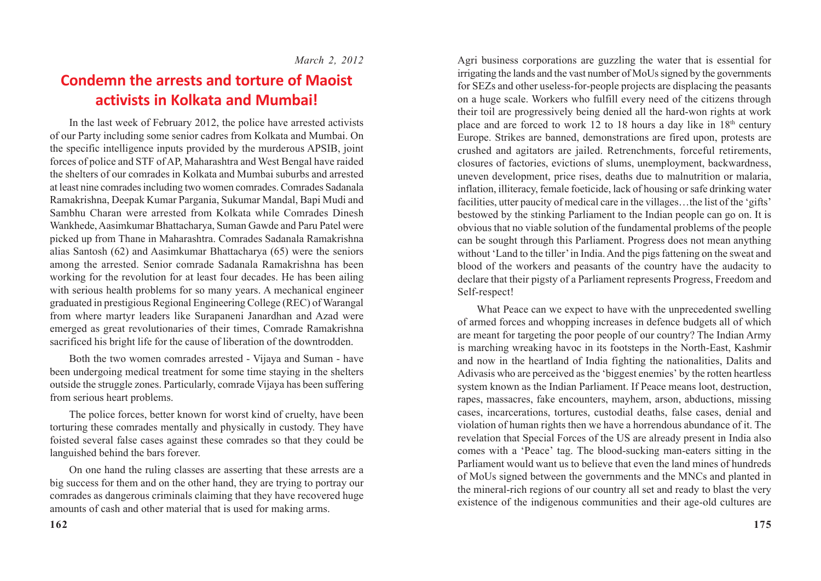### **Condemn the arrests and torture of Maoist activists in Kolkata and Mumbai!**

In the last week of February 2012, the police have arrested activists of our Party including some senior cadres from Kolkata and Mumbai. On the specific intelligence inputs provided by the murderous APSIB, joint forces of police and STF of AP, Maharashtra and West Bengal have raided the shelters of our comrades in Kolkata and Mumbai suburbs and arrested at least nine comrades including two women comrades. Comrades Sadanala Ramakrishna, Deepak Kumar Pargania, Sukumar Mandal, Bapi Mudi and Sambhu Charan were arrested from Kolkata while Comrades Dinesh Wankhede, Aasimkumar Bhattacharya, Suman Gawde and Paru Patel were picked up from Thane in Maharashtra. Comrades Sadanala Ramakrishna alias Santosh (62) and Aasimkumar Bhattacharya (65) were the seniors among the arrested. Senior comrade Sadanala Ramakrishna has been working for the revolution for at least four decades. He has been ailing with serious health problems for so many years. A mechanical engineer graduated in prestigious Regional Engineering College (REC) of Warangal from where martyr leaders like Surapaneni Janardhan and Azad were emerged as great revolutionaries of their times, Comrade Ramakrishna sacrificed his bright life for the cause of liberation of the downtrodden.

Both the two women comrades arrested - Vijaya and Suman - have been undergoing medical treatment for some time staying in the shelters outside the struggle zones. Particularly, comrade Vijaya has been suffering from serious heart problems.

The police forces, better known for worst kind of cruelty, have been torturing these comrades mentally and physically in custody. They have foisted several false cases against these comrades so that they could be languished behind the bars forever.

On one hand the ruling classes are asserting that these arrests are a big success for them and on the other hand, they are trying to portray our comrades as dangerous criminals claiming that they have recovered huge amounts of cash and other material that is used for making arms.

Agri business corporations are guzzling the water that is essential for irrigating the lands and the vast number of MoUs signed by the governments for SEZs and other useless-for-people projects are displacing the peasants on a huge scale. Workers who fulfill every need of the citizens through their toil are progressively being denied all the hard-won rights at work place and are forced to work 12 to 18 hours a day like in  $18<sup>th</sup>$  century Europe. Strikes are banned, demonstrations are fired upon, protests are crushed and agitators are jailed. Retrenchments, forceful retirements, closures of factories, evictions of slums, unemployment, backwardness, uneven development, price rises, deaths due to malnutrition or malaria, inflation, illiteracy, female foeticide, lack of housing or safe drinking water facilities, utter paucity of medical care in the villages…the list of the 'gifts' bestowed by the stinking Parliament to the Indian people can go on. It is obvious that no viable solution of the fundamental problems of the people can be sought through this Parliament. Progress does not mean anything without 'Land to the tiller' in India. And the pigs fattening on the sweat and blood of the workers and peasants of the country have the audacity to declare that their pigsty of a Parliament represents Progress, Freedom and Self-respect!

What Peace can we expect to have with the unprecedented swelling of armed forces and whopping increases in defence budgets all of which are meant for targeting the poor people of our country? The Indian Army is marching wreaking havoc in its footsteps in the North-East, Kashmir and now in the heartland of India fighting the nationalities, Dalits and Adivasis who are perceived as the 'biggest enemies' by the rotten heartless system known as the Indian Parliament. If Peace means loot, destruction, rapes, massacres, fake encounters, mayhem, arson, abductions, missing cases, incarcerations, tortures, custodial deaths, false cases, denial and violation of human rights then we have a horrendous abundance of it. The revelation that Special Forces of the US are already present in India also comes with a 'Peace' tag. The blood-sucking man-eaters sitting in the Parliament would want us to believe that even the land mines of hundreds of MoUs signed between the governments and the MNCs and planted in the mineral-rich regions of our country all set and ready to blast the very existence of the indigenous communities and their age-old cultures are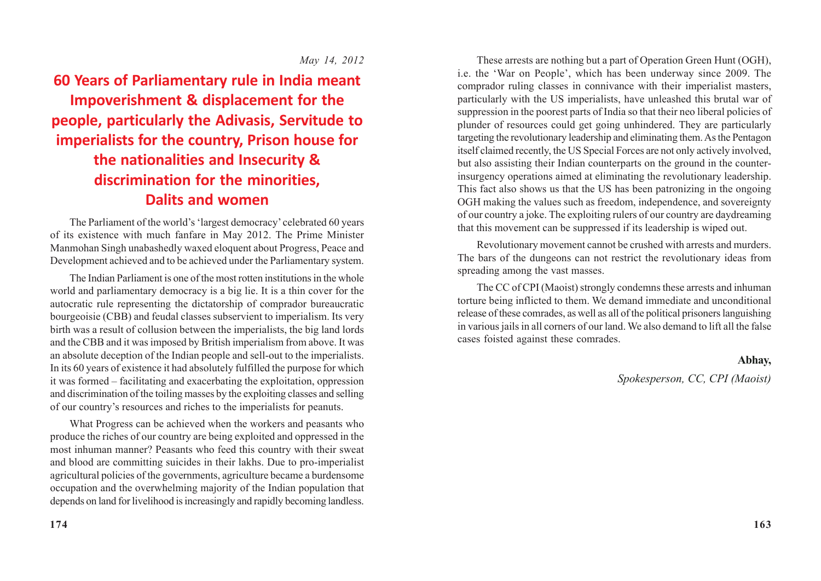### *May 14, 2012*

**60 Years of Parliamentary rule in India meant Impoverishment & displacement for the people, particularly the Adivasis, Servitude to imperialists for the country, Prison house for the nationalities and Insecurity & discrimination for the minorities, Dalits and women**

The Parliament of the world's 'largest democracy' celebrated 60 years of its existence with much fanfare in May 2012. The Prime Minister Manmohan Singh unabashedly waxed eloquent about Progress, Peace and Development achieved and to be achieved under the Parliamentary system.

The Indian Parliament is one of the most rotten institutions in the whole world and parliamentary democracy is a big lie. It is a thin cover for the autocratic rule representing the dictatorship of comprador bureaucratic bourgeoisie (CBB) and feudal classes subservient to imperialism. Its very birth was a result of collusion between the imperialists, the big land lords and the CBB and it was imposed by British imperialism from above. It was an absolute deception of the Indian people and sell-out to the imperialists. In its 60 years of existence it had absolutely fulfilled the purpose for which it was formed – facilitating and exacerbating the exploitation, oppression and discrimination of the toiling masses by the exploiting classes and selling of our country's resources and riches to the imperialists for peanuts.

What Progress can be achieved when the workers and peasants who produce the riches of our country are being exploited and oppressed in the most inhuman manner? Peasants who feed this country with their sweat and blood are committing suicides in their lakhs. Due to pro-imperialist agricultural policies of the governments, agriculture became a burdensome occupation and the overwhelming majority of the Indian population that depends on land for livelihood is increasingly and rapidly becoming landless.

These arrests are nothing but a part of Operation Green Hunt (OGH), i.e. the 'War on People', which has been underway since 2009. The comprador ruling classes in connivance with their imperialist masters, particularly with the US imperialists, have unleashed this brutal war of suppression in the poorest parts of India so that their neo liberal policies of plunder of resources could get going unhindered. They are particularly targeting the revolutionary leadership and eliminating them. As the Pentagon itself claimed recently, the US Special Forces are not only actively involved, but also assisting their Indian counterparts on the ground in the counterinsurgency operations aimed at eliminating the revolutionary leadership. This fact also shows us that the US has been patronizing in the ongoing OGH making the values such as freedom, independence, and sovereignty of our country a joke. The exploiting rulers of our country are daydreaming that this movement can be suppressed if its leadership is wiped out.

Revolutionary movement cannot be crushed with arrests and murders. The bars of the dungeons can not restrict the revolutionary ideas from spreading among the vast masses.

The CC of CPI (Maoist) strongly condemns these arrests and inhuman torture being inflicted to them. We demand immediate and unconditional release of these comrades, as well as all of the political prisoners languishing in various jails in all corners of our land. We also demand to lift all the false cases foisted against these comrades.

#### **Abhay,**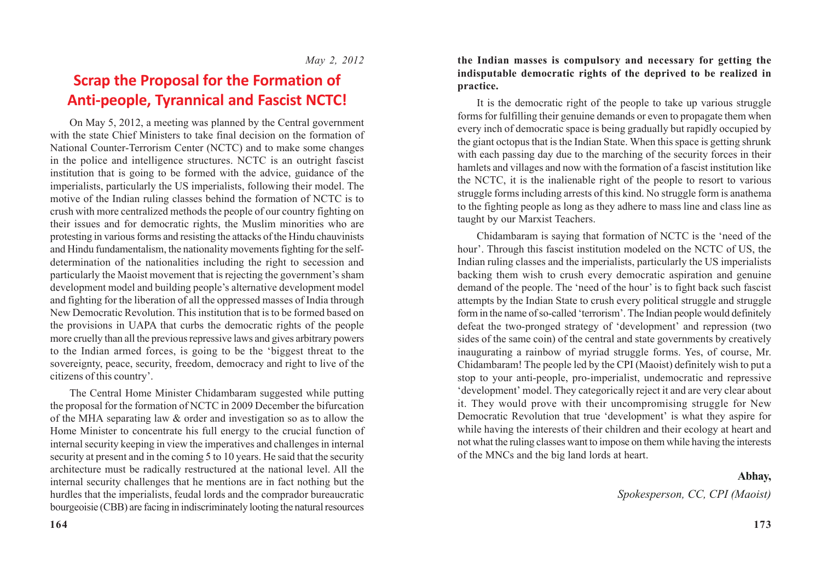### **Scrap the Proposal for the Formation of Anti-people, Tyrannical and Fascist NCTC!**

On May 5, 2012, a meeting was planned by the Central government with the state Chief Ministers to take final decision on the formation of National Counter-Terrorism Center (NCTC) and to make some changes in the police and intelligence structures. NCTC is an outright fascist institution that is going to be formed with the advice, guidance of the imperialists, particularly the US imperialists, following their model. The motive of the Indian ruling classes behind the formation of NCTC is to crush with more centralized methods the people of our country fighting on their issues and for democratic rights, the Muslim minorities who are protesting in various forms and resisting the attacks of the Hindu chauvinists and Hindu fundamentalism, the nationality movements fighting for the selfdetermination of the nationalities including the right to secession and particularly the Maoist movement that is rejecting the government's sham development model and building people's alternative development model and fighting for the liberation of all the oppressed masses of India through New Democratic Revolution. This institution that is to be formed based on the provisions in UAPA that curbs the democratic rights of the people more cruelly than all the previous repressive laws and gives arbitrary powers to the Indian armed forces, is going to be the 'biggest threat to the sovereignty, peace, security, freedom, democracy and right to live of the citizens of this country'.

The Central Home Minister Chidambaram suggested while putting the proposal for the formation of NCTC in 2009 December the bifurcation of the MHA separating law & order and investigation so as to allow the Home Minister to concentrate his full energy to the crucial function of internal security keeping in view the imperatives and challenges in internal security at present and in the coming 5 to 10 years. He said that the security architecture must be radically restructured at the national level. All the internal security challenges that he mentions are in fact nothing but the hurdles that the imperialists, feudal lords and the comprador bureaucratic bourgeoisie (CBB) are facing in indiscriminately looting the natural resources

**the Indian masses is compulsory and necessary for getting the indisputable democratic rights of the deprived to be realized in practice.**

It is the democratic right of the people to take up various struggle forms for fulfilling their genuine demands or even to propagate them when every inch of democratic space is being gradually but rapidly occupied by the giant octopus that is the Indian State. When this space is getting shrunk with each passing day due to the marching of the security forces in their hamlets and villages and now with the formation of a fascist institution like the NCTC, it is the inalienable right of the people to resort to various struggle forms including arrests of this kind. No struggle form is anathema to the fighting people as long as they adhere to mass line and class line as taught by our Marxist Teachers.

Chidambaram is saying that formation of NCTC is the 'need of the hour'. Through this fascist institution modeled on the NCTC of US, the Indian ruling classes and the imperialists, particularly the US imperialists backing them wish to crush every democratic aspiration and genuine demand of the people. The 'need of the hour' is to fight back such fascist attempts by the Indian State to crush every political struggle and struggle form in the name of so-called 'terrorism'. The Indian people would definitely defeat the two-pronged strategy of 'development' and repression (two sides of the same coin) of the central and state governments by creatively inaugurating a rainbow of myriad struggle forms. Yes, of course, Mr. Chidambaram! The people led by the CPI (Maoist) definitely wish to put a stop to your anti-people, pro-imperialist, undemocratic and repressive 'development' model. They categorically reject it and are very clear about it. They would prove with their uncompromising struggle for New Democratic Revolution that true 'development' is what they aspire for while having the interests of their children and their ecology at heart and not what the ruling classes want to impose on them while having the interests of the MNCs and the big land lords at heart.

### **Abhay,**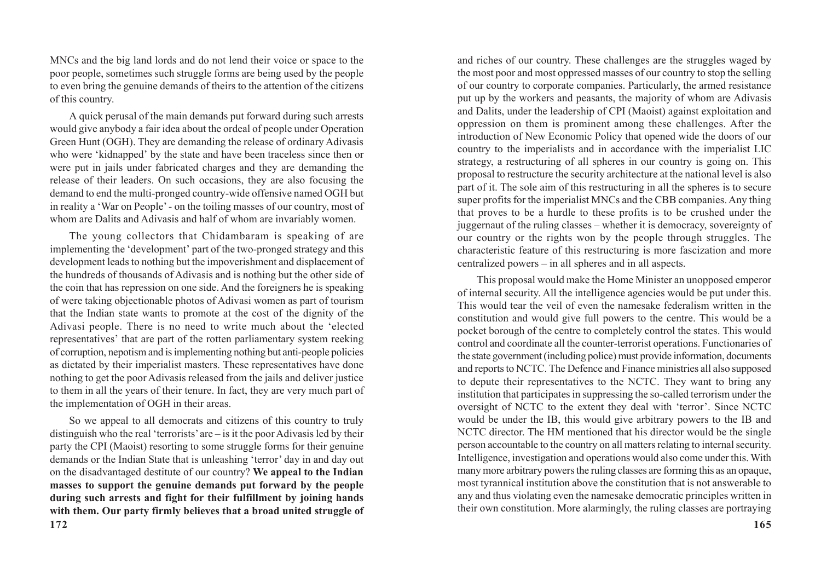MNCs and the big land lords and do not lend their voice or space to the poor people, sometimes such struggle forms are being used by the people to even bring the genuine demands of theirs to the attention of the citizens of this country.

A quick perusal of the main demands put forward during such arrests would give anybody a fair idea about the ordeal of people under Operation Green Hunt (OGH). They are demanding the release of ordinary Adivasis who were 'kidnapped' by the state and have been traceless since then or were put in jails under fabricated charges and they are demanding the release of their leaders. On such occasions, they are also focusing the demand to end the multi-pronged country-wide offensive named OGH but in reality a 'War on People' - on the toiling masses of our country, most of whom are Dalits and Adivasis and half of whom are invariably women.

The young collectors that Chidambaram is speaking of are implementing the 'development' part of the two-pronged strategy and this development leads to nothing but the impoverishment and displacement of the hundreds of thousands of Adivasis and is nothing but the other side of the coin that has repression on one side. And the foreigners he is speaking of were taking objectionable photos of Adivasi women as part of tourism that the Indian state wants to promote at the cost of the dignity of the Adivasi people. There is no need to write much about the 'elected representatives' that are part of the rotten parliamentary system reeking of corruption, nepotism and is implementing nothing but anti-people policies as dictated by their imperialist masters. These representatives have done nothing to get the poor Adivasis released from the jails and deliver justice to them in all the years of their tenure. In fact, they are very much part of the implementation of OGH in their areas.

**172** So we appeal to all democrats and citizens of this country to truly distinguish who the real 'terrorists' are  $-\overline{\phantom{a}}$  is it the poor Adivasis led by their party the CPI (Maoist) resorting to some struggle forms for their genuine demands or the Indian State that is unleashing 'terror' day in and day out on the disadvantaged destitute of our country? **We appeal to the Indian masses to support the genuine demands put forward by the people during such arrests and fight for their fulfillment by joining hands with them. Our party firmly believes that a broad united struggle of** and riches of our country. These challenges are the struggles waged by the most poor and most oppressed masses of our country to stop the selling of our country to corporate companies. Particularly, the armed resistance put up by the workers and peasants, the majority of whom are Adivasis and Dalits, under the leadership of CPI (Maoist) against exploitation and oppression on them is prominent among these challenges. After the introduction of New Economic Policy that opened wide the doors of our country to the imperialists and in accordance with the imperialist LIC strategy, a restructuring of all spheres in our country is going on. This proposal to restructure the security architecture at the national level is also part of it. The sole aim of this restructuring in all the spheres is to secure super profits for the imperialist MNCs and the CBB companies. Any thing that proves to be a hurdle to these profits is to be crushed under the juggernaut of the ruling classes – whether it is democracy, sovereignty of our country or the rights won by the people through struggles. The characteristic feature of this restructuring is more fascization and more centralized powers – in all spheres and in all aspects.

This proposal would make the Home Minister an unopposed emperor of internal security. All the intelligence agencies would be put under this. This would tear the veil of even the namesake federalism written in the constitution and would give full powers to the centre. This would be a pocket borough of the centre to completely control the states. This would control and coordinate all the counter-terrorist operations. Functionaries of the state government (including police) must provide information, documents and reports to NCTC. The Defence and Finance ministries all also supposed to depute their representatives to the NCTC. They want to bring any institution that participates in suppressing the so-called terrorism under the oversight of NCTC to the extent they deal with 'terror'. Since NCTC would be under the IB, this would give arbitrary powers to the IB and NCTC director. The HM mentioned that his director would be the single person accountable to the country on all matters relating to internal security. Intelligence, investigation and operations would also come under this. With many more arbitrary powers the ruling classes are forming this as an opaque, most tyrannical institution above the constitution that is not answerable to any and thus violating even the namesake democratic principles written in their own constitution. More alarmingly, the ruling classes are portraying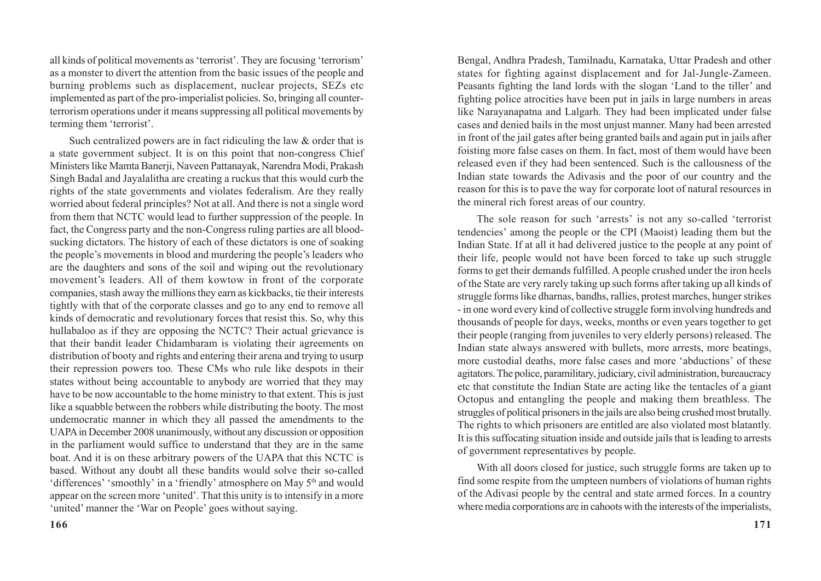all kinds of political movements as 'terrorist'. They are focusing 'terrorism' as a monster to divert the attention from the basic issues of the people and burning problems such as displacement, nuclear projects, SEZs etc implemented as part of the pro-imperialist policies. So, bringing all counterterrorism operations under it means suppressing all political movements by terming them 'terrorist'.

Such centralized powers are in fact ridiculing the law & order that is a state government subject. It is on this point that non-congress Chief Ministers like Mamta Banerji, Naveen Pattanayak, Narendra Modi, Prakash Singh Badal and Jayalalitha are creating a ruckus that this would curb the rights of the state governments and violates federalism. Are they really worried about federal principles? Not at all. And there is not a single word from them that NCTC would lead to further suppression of the people. In fact, the Congress party and the non-Congress ruling parties are all bloodsucking dictators. The history of each of these dictators is one of soaking the people's movements in blood and murdering the people's leaders who are the daughters and sons of the soil and wiping out the revolutionary movement's leaders. All of them kowtow in front of the corporate companies, stash away the millions they earn as kickbacks, tie their interests tightly with that of the corporate classes and go to any end to remove all kinds of democratic and revolutionary forces that resist this. So, why this hullabaloo as if they are opposing the NCTC? Their actual grievance is that their bandit leader Chidambaram is violating their agreements on distribution of booty and rights and entering their arena and trying to usurp their repression powers too. These CMs who rule like despots in their states without being accountable to anybody are worried that they may have to be now accountable to the home ministry to that extent. This is just like a squabble between the robbers while distributing the booty. The most undemocratic manner in which they all passed the amendments to the UAPA in December 2008 unanimously, without any discussion or opposition in the parliament would suffice to understand that they are in the same boat. And it is on these arbitrary powers of the UAPA that this NCTC is based. Without any doubt all these bandits would solve their so-called 'differences' 'smoothly' in a 'friendly' atmosphere on May 5<sup>th</sup> and would appear on the screen more 'united'. That this unity is to intensify in a more 'united' manner the 'War on People' goes without saying.

Bengal, Andhra Pradesh, Tamilnadu, Karnataka, Uttar Pradesh and other states for fighting against displacement and for Jal-Jungle-Zameen. Peasants fighting the land lords with the slogan 'Land to the tiller' and fighting police atrocities have been put in jails in large numbers in areas like Narayanapatna and Lalgarh. They had been implicated under false cases and denied bails in the most unjust manner. Many had been arrested in front of the jail gates after being granted bails and again put in jails after foisting more false cases on them. In fact, most of them would have been released even if they had been sentenced. Such is the callousness of the Indian state towards the Adivasis and the poor of our country and the reason for this is to pave the way for corporate loot of natural resources in the mineral rich forest areas of our country.

The sole reason for such 'arrests' is not any so-called 'terrorist tendencies' among the people or the CPI (Maoist) leading them but the Indian State. If at all it had delivered justice to the people at any point of their life, people would not have been forced to take up such struggle forms to get their demands fulfilled. A people crushed under the iron heels of the State are very rarely taking up such forms after taking up all kinds of struggle forms like dharnas, bandhs, rallies, protest marches, hunger strikes - in one word every kind of collective struggle form involving hundreds and thousands of people for days, weeks, months or even years together to get their people (ranging from juveniles to very elderly persons) released. The Indian state always answered with bullets, more arrests, more beatings, more custodial deaths, more false cases and more 'abductions' of these agitators. The police, paramilitary, judiciary, civil administration, bureaucracy etc that constitute the Indian State are acting like the tentacles of a giant Octopus and entangling the people and making them breathless. The struggles of political prisoners in the jails are also being crushed most brutally. The rights to which prisoners are entitled are also violated most blatantly. It is this suffocating situation inside and outside jails that is leading to arrests of government representatives by people.

With all doors closed for justice, such struggle forms are taken up to find some respite from the umpteen numbers of violations of human rights of the Adivasi people by the central and state armed forces. In a country where media corporations are in cahoots with the interests of the imperialists,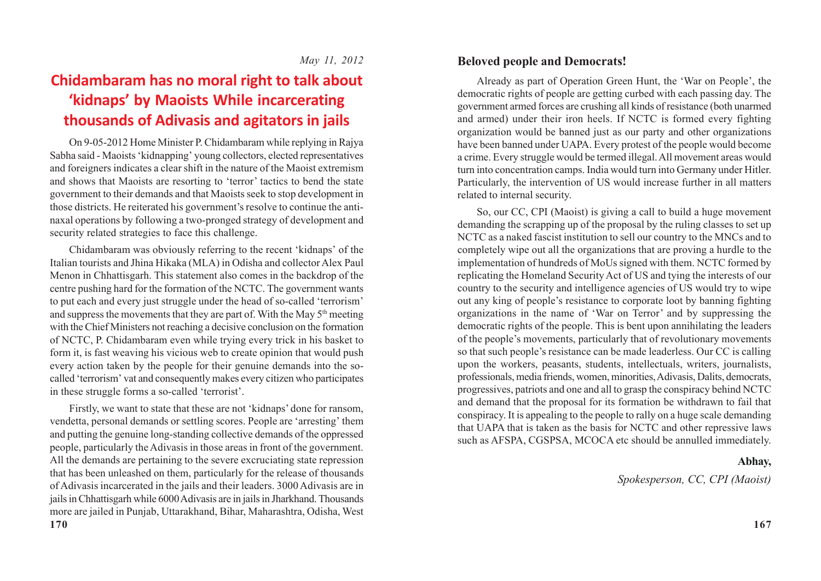### **Chidambaram has no moral right to talk about 'kidnaps' by Maoists While incarcerating thousands of Adivasis and agitators in jails**

On 9-05-2012 Home Minister P. Chidambaram while replying in Rajya Sabha said - Maoists 'kidnapping' young collectors, elected representatives and foreigners indicates a clear shift in the nature of the Maoist extremism and shows that Maoists are resorting to 'terror' tactics to bend the state government to their demands and that Maoists seek to stop development in those districts. He reiterated his government's resolve to continue the antinaxal operations by following a two-pronged strategy of development and security related strategies to face this challenge.

Chidambaram was obviously referring to the recent 'kidnaps' of the Italian tourists and Jhina Hikaka (MLA) in Odisha and collector Alex Paul Menon in Chhattisgarh. This statement also comes in the backdrop of the centre pushing hard for the formation of the NCTC. The government wants to put each and every just struggle under the head of so-called 'terrorism' and suppress the movements that they are part of. With the May 5th meeting with the Chief Ministers not reaching a decisive conclusion on the formation of NCTC, P. Chidambaram even while trying every trick in his basket to form it, is fast weaving his vicious web to create opinion that would push every action taken by the people for their genuine demands into the socalled 'terrorism' vat and consequently makes every citizen who participates in these struggle forms a so-called 'terrorist'.

Firstly, we want to state that these are not 'kidnaps' done for ransom, vendetta, personal demands or settling scores. People are 'arresting' them and putting the genuine long-standing collective demands of the oppressed people, particularly the Adivasis in those areas in front of the government. All the demands are pertaining to the severe excruciating state repression that has been unleashed on them, particularly for the release of thousands of Adivasis incarcerated in the jails and their leaders. 3000 Adivasis are in jails in Chhattisgarh while 6000 Adivasis are in jails in Jharkhand. Thousands more are jailed in Punjab, Uttarakhand, Bihar, Maharashtra, Odisha, West

### **Beloved people and Democrats!**

Already as part of Operation Green Hunt, the 'War on People', the democratic rights of people are getting curbed with each passing day. The government armed forces are crushing all kinds of resistance (both unarmed and armed) under their iron heels. If NCTC is formed every fighting organization would be banned just as our party and other organizations have been banned under UAPA. Every protest of the people would become a crime. Every struggle would be termed illegal. All movement areas would turn into concentration camps. India would turn into Germany under Hitler. Particularly, the intervention of US would increase further in all matters related to internal security.

So, our CC, CPI (Maoist) is giving a call to build a huge movement demanding the scrapping up of the proposal by the ruling classes to set up NCTC as a naked fascist institution to sell our country to the MNCs and to completely wipe out all the organizations that are proving a hurdle to the implementation of hundreds of MoUs signed with them. NCTC formed by replicating the Homeland Security Act of US and tying the interests of our country to the security and intelligence agencies of US would try to wipe out any king of people's resistance to corporate loot by banning fighting organizations in the name of 'War on Terror' and by suppressing the democratic rights of the people. This is bent upon annihilating the leaders of the people's movements, particularly that of revolutionary movements so that such people's resistance can be made leaderless. Our CC is calling upon the workers, peasants, students, intellectuals, writers, journalists, professionals, media friends, women, minorities, Adivasis, Dalits, democrats, progressives, patriots and one and all to grasp the conspiracy behind NCTC and demand that the proposal for its formation be withdrawn to fail that conspiracy. It is appealing to the people to rally on a huge scale demanding that UAPA that is taken as the basis for NCTC and other repressive laws such as AFSPA, CGSPSA, MCOCA etc should be annulled immediately.

### **Abhay,**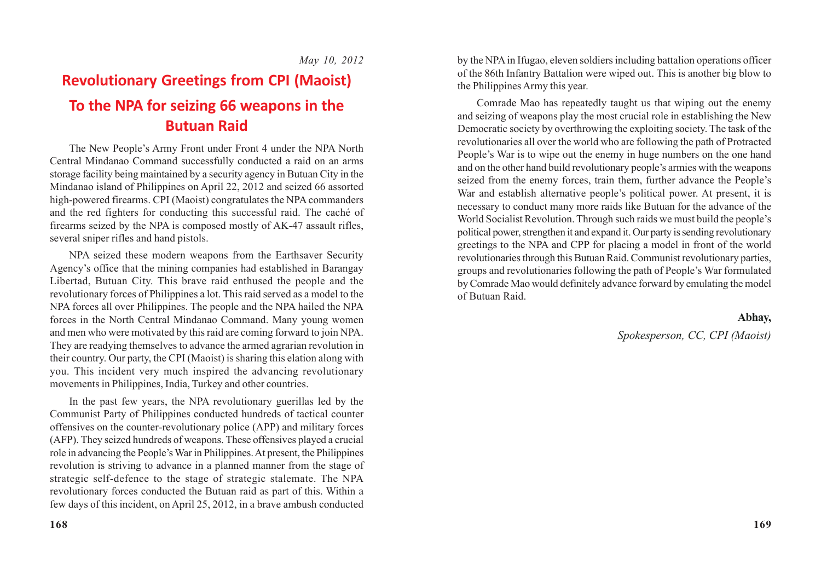*May 10, 2012*

# **Revolutionary Greetings from CPI (Maoist) To the NPA for seizing 66 weapons in the Butuan Raid**

The New People's Army Front under Front 4 under the NPA North Central Mindanao Command successfully conducted a raid on an arms storage facility being maintained by a security agency in Butuan City in the Mindanao island of Philippines on April 22, 2012 and seized 66 assorted high-powered firearms. CPI (Maoist) congratulates the NPA commanders and the red fighters for conducting this successful raid. The caché of firearms seized by the NPA is composed mostly of AK-47 assault rifles, several sniper rifles and hand pistols.

NPA seized these modern weapons from the Earthsaver Security Agency's office that the mining companies had established in Barangay Libertad, Butuan City. This brave raid enthused the people and the revolutionary forces of Philippines a lot. This raid served as a model to the NPA forces all over Philippines. The people and the NPA hailed the NPA forces in the North Central Mindanao Command. Many young women and men who were motivated by this raid are coming forward to join NPA. They are readying themselves to advance the armed agrarian revolution in their country. Our party, the CPI (Maoist) is sharing this elation along with you. This incident very much inspired the advancing revolutionary movements in Philippines, India, Turkey and other countries.

In the past few years, the NPA revolutionary guerillas led by the Communist Party of Philippines conducted hundreds of tactical counter offensives on the counter-revolutionary police (APP) and military forces (AFP). They seized hundreds of weapons. These offensives played a crucial role in advancing the People's War in Philippines. At present, the Philippines revolution is striving to advance in a planned manner from the stage of strategic self-defence to the stage of strategic stalemate. The NPA revolutionary forces conducted the Butuan raid as part of this. Within a few days of this incident, on April 25, 2012, in a brave ambush conducted

by the NPA in Ifugao, eleven soldiers including battalion operations officer of the 86th Infantry Battalion were wiped out. This is another big blow to the Philippines Army this year.

Comrade Mao has repeatedly taught us that wiping out the enemy and seizing of weapons play the most crucial role in establishing the New Democratic society by overthrowing the exploiting society. The task of the revolutionaries all over the world who are following the path of Protracted People's War is to wipe out the enemy in huge numbers on the one hand and on the other hand build revolutionary people's armies with the weapons seized from the enemy forces, train them, further advance the People's War and establish alternative people's political power. At present, it is necessary to conduct many more raids like Butuan for the advance of the World Socialist Revolution. Through such raids we must build the people's political power, strengthen it and expand it. Our party is sending revolutionary greetings to the NPA and CPP for placing a model in front of the world revolutionaries through this Butuan Raid. Communist revolutionary parties, groups and revolutionaries following the path of People's War formulated by Comrade Mao would definitely advance forward by emulating the model of Butuan Raid.

### **Abhay,**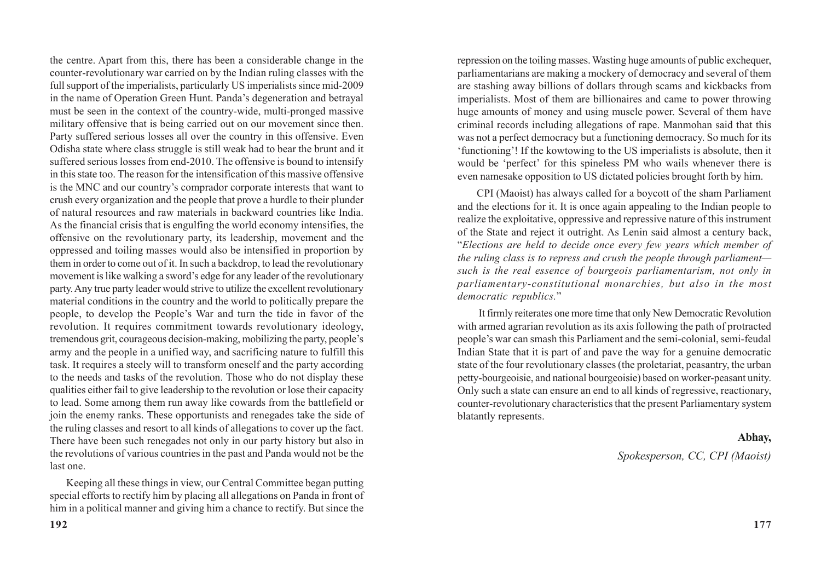the centre. Apart from this, there has been a considerable change in the counter-revolutionary war carried on by the Indian ruling classes with the full support of the imperialists, particularly US imperialists since mid-2009 in the name of Operation Green Hunt. Panda's degeneration and betrayal must be seen in the context of the country-wide, multi-pronged massive military offensive that is being carried out on our movement since then. Party suffered serious losses all over the country in this offensive. Even Odisha state where class struggle is still weak had to bear the brunt and it suffered serious losses from end-2010. The offensive is bound to intensify in this state too. The reason for the intensification of this massive offensive is the MNC and our country's comprador corporate interests that want to crush every organization and the people that prove a hurdle to their plunder of natural resources and raw materials in backward countries like India. As the financial crisis that is engulfing the world economy intensifies, the offensive on the revolutionary party, its leadership, movement and the oppressed and toiling masses would also be intensified in proportion by them in order to come out of it. In such a backdrop, to lead the revolutionary movement is like walking a sword's edge for any leader of the revolutionary party. Any true party leader would strive to utilize the excellent revolutionary material conditions in the country and the world to politically prepare the people, to develop the People's War and turn the tide in favor of the revolution. It requires commitment towards revolutionary ideology, tremendous grit, courageous decision-making, mobilizing the party, people's army and the people in a unified way, and sacrificing nature to fulfill this task. It requires a steely will to transform oneself and the party according to the needs and tasks of the revolution. Those who do not display these qualities either fail to give leadership to the revolution or lose their capacity to lead. Some among them run away like cowards from the battlefield or join the enemy ranks. These opportunists and renegades take the side of the ruling classes and resort to all kinds of allegations to cover up the fact. There have been such renegades not only in our party history but also in the revolutions of various countries in the past and Panda would not be the last one.

Keeping all these things in view, our Central Committee began putting special efforts to rectify him by placing all allegations on Panda in front of him in a political manner and giving him a chance to rectify. But since the

repression on the toiling masses. Wasting huge amounts of public exchequer, parliamentarians are making a mockery of democracy and several of them are stashing away billions of dollars through scams and kickbacks from imperialists. Most of them are billionaires and came to power throwing huge amounts of money and using muscle power. Several of them have criminal records including allegations of rape. Manmohan said that this was not a perfect democracy but a functioning democracy. So much for its 'functioning'! If the kowtowing to the US imperialists is absolute, then it would be 'perfect' for this spineless PM who wails whenever there is even namesake opposition to US dictated policies brought forth by him.

CPI (Maoist) has always called for a boycott of the sham Parliament and the elections for it. It is once again appealing to the Indian people to realize the exploitative, oppressive and repressive nature of this instrument of the State and reject it outright. As Lenin said almost a century back, "*Elections are held to decide once every few years which member of the ruling class is to repress and crush the people through parliament such is the real essence of bourgeois parliamentarism, not only in parliamentary-constitutional monarchies, but also in the most democratic republics.*"

 It firmly reiterates one more time that only New Democratic Revolution with armed agrarian revolution as its axis following the path of protracted people's war can smash this Parliament and the semi-colonial, semi-feudal Indian State that it is part of and pave the way for a genuine democratic state of the four revolutionary classes (the proletariat, peasantry, the urban petty-bourgeoisie, and national bourgeoisie) based on worker-peasant unity. Only such a state can ensure an end to all kinds of regressive, reactionary, counter-revolutionary characteristics that the present Parliamentary system blatantly represents.

### **Abhay,**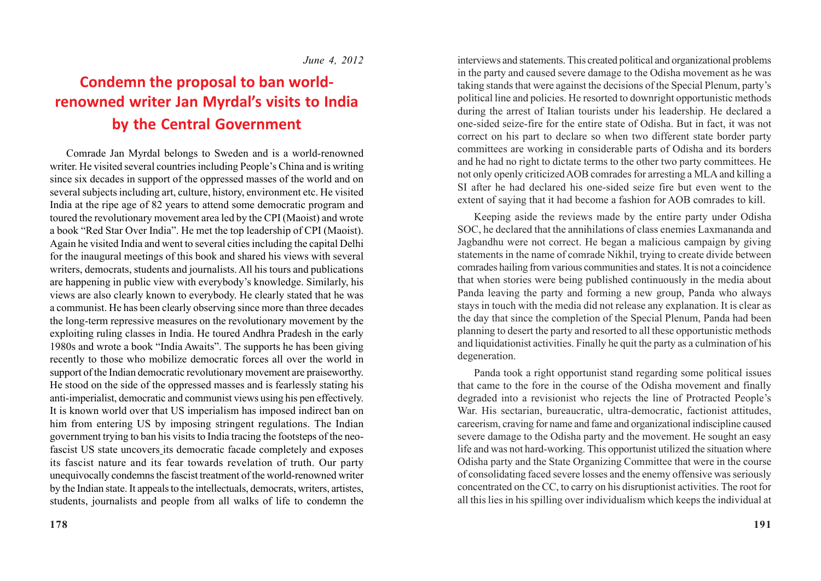### *June 4, 2012*

# **Condemn the proposal to ban worldrenowned writer Jan Myrdal's visits to India by the Central Government**

Comrade Jan Myrdal belongs to Sweden and is a world-renowned writer. He visited several countries including People's China and is writing since six decades in support of the oppressed masses of the world and on several subjects including art, culture, history, environment etc. He visited India at the ripe age of 82 years to attend some democratic program and toured the revolutionary movement area led by the CPI (Maoist) and wrote a book "Red Star Over India". He met the top leadership of CPI (Maoist). Again he visited India and went to several cities including the capital Delhi for the inaugural meetings of this book and shared his views with several writers, democrats, students and journalists. All his tours and publications are happening in public view with everybody's knowledge. Similarly, his views are also clearly known to everybody. He clearly stated that he was a communist. He has been clearly observing since more than three decades the long-term repressive measures on the revolutionary movement by the exploiting ruling classes in India. He toured Andhra Pradesh in the early 1980s and wrote a book "India Awaits". The supports he has been giving recently to those who mobilize democratic forces all over the world in support of the Indian democratic revolutionary movement are praiseworthy. He stood on the side of the oppressed masses and is fearlessly stating his anti-imperialist, democratic and communist views using his pen effectively. It is known world over that US imperialism has imposed indirect ban on him from entering US by imposing stringent regulations. The Indian government trying to ban his visits to India tracing the footsteps of the neofascist US state uncovers its democratic facade completely and exposes its fascist nature and its fear towards revelation of truth. Our party unequivocally condemns the fascist treatment of the world-renowned writer by the Indian state. It appeals to the intellectuals, democrats, writers, artistes, students, journalists and people from all walks of life to condemn the interviews and statements. This created political and organizational problems in the party and caused severe damage to the Odisha movement as he was taking stands that were against the decisions of the Special Plenum, party's political line and policies. He resorted to downright opportunistic methods during the arrest of Italian tourists under his leadership. He declared a one-sided seize-fire for the entire state of Odisha. But in fact, it was not correct on his part to declare so when two different state border party committees are working in considerable parts of Odisha and its borders and he had no right to dictate terms to the other two party committees. He not only openly criticized AOB comrades for arresting a MLA and killing a SI after he had declared his one-sided seize fire but even went to the extent of saying that it had become a fashion for AOB comrades to kill.

Keeping aside the reviews made by the entire party under Odisha SOC, he declared that the annihilations of class enemies Laxmananda and Jagbandhu were not correct. He began a malicious campaign by giving statements in the name of comrade Nikhil, trying to create divide between comrades hailing from various communities and states. It is not a coincidence that when stories were being published continuously in the media about Panda leaving the party and forming a new group, Panda who always stays in touch with the media did not release any explanation. It is clear as the day that since the completion of the Special Plenum, Panda had been planning to desert the party and resorted to all these opportunistic methods and liquidationist activities. Finally he quit the party as a culmination of his degeneration.

Panda took a right opportunist stand regarding some political issues that came to the fore in the course of the Odisha movement and finally degraded into a revisionist who rejects the line of Protracted People's War. His sectarian, bureaucratic, ultra-democratic, factionist attitudes, careerism, craving for name and fame and organizational indiscipline caused severe damage to the Odisha party and the movement. He sought an easy life and was not hard-working. This opportunist utilized the situation where Odisha party and the State Organizing Committee that were in the course of consolidating faced severe losses and the enemy offensive was seriously concentrated on the CC, to carry on his disruptionist activities. The root for all this lies in his spilling over individualism which keeps the individual at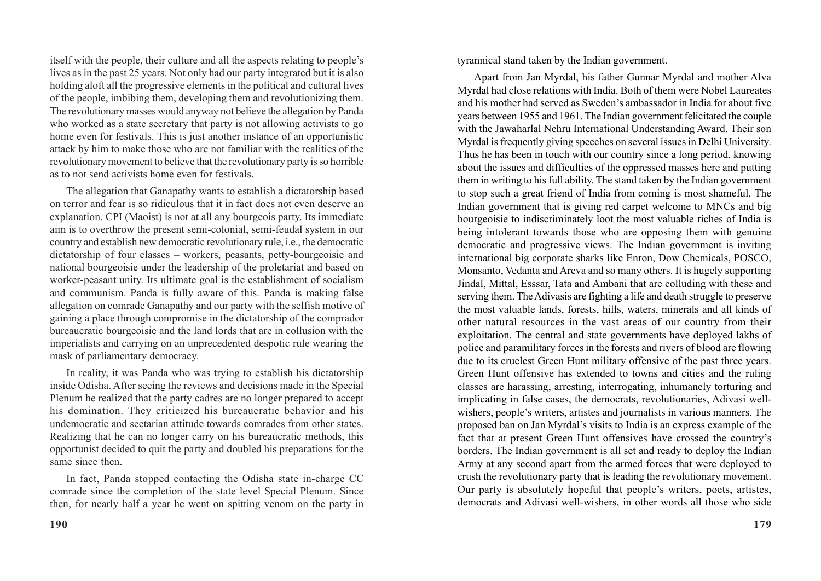itself with the people, their culture and all the aspects relating to people's lives as in the past 25 years. Not only had our party integrated but it is also holding aloft all the progressive elements in the political and cultural lives of the people, imbibing them, developing them and revolutionizing them. The revolutionary masses would anyway not believe the allegation by Panda who worked as a state secretary that party is not allowing activists to go home even for festivals. This is just another instance of an opportunistic attack by him to make those who are not familiar with the realities of the revolutionary movement to believe that the revolutionary party is so horrible as to not send activists home even for festivals.

The allegation that Ganapathy wants to establish a dictatorship based on terror and fear is so ridiculous that it in fact does not even deserve an explanation. CPI (Maoist) is not at all any bourgeois party. Its immediate aim is to overthrow the present semi-colonial, semi-feudal system in our country and establish new democratic revolutionary rule, i.e., the democratic dictatorship of four classes – workers, peasants, petty-bourgeoisie and national bourgeoisie under the leadership of the proletariat and based on worker-peasant unity. Its ultimate goal is the establishment of socialism and communism. Panda is fully aware of this. Panda is making false allegation on comrade Ganapathy and our party with the selfish motive of gaining a place through compromise in the dictatorship of the comprador bureaucratic bourgeoisie and the land lords that are in collusion with the imperialists and carrying on an unprecedented despotic rule wearing the mask of parliamentary democracy.

In reality, it was Panda who was trying to establish his dictatorship inside Odisha. After seeing the reviews and decisions made in the Special Plenum he realized that the party cadres are no longer prepared to accept his domination. They criticized his bureaucratic behavior and his undemocratic and sectarian attitude towards comrades from other states. Realizing that he can no longer carry on his bureaucratic methods, this opportunist decided to quit the party and doubled his preparations for the same since then.

In fact, Panda stopped contacting the Odisha state in-charge CC comrade since the completion of the state level Special Plenum. Since then, for nearly half a year he went on spitting venom on the party in tyrannical stand taken by the Indian government.

Apart from Jan Myrdal, his father Gunnar Myrdal and mother Alva Myrdal had close relations with India. Both of them were Nobel Laureates and his mother had served as Sweden's ambassador in India for about five years between 1955 and 1961. The Indian government felicitated the couple with the Jawaharlal Nehru International Understanding Award. Their son Myrdal is frequently giving speeches on several issues in Delhi University. Thus he has been in touch with our country since a long period, knowing about the issues and difficulties of the oppressed masses here and putting them in writing to his full ability. The stand taken by the Indian government to stop such a great friend of India from coming is most shameful. The Indian government that is giving red carpet welcome to MNCs and big bourgeoisie to indiscriminately loot the most valuable riches of India is being intolerant towards those who are opposing them with genuine democratic and progressive views. The Indian government is inviting international big corporate sharks like Enron, Dow Chemicals, POSCO, Monsanto, Vedanta and Areva and so many others. It is hugely supporting Jindal, Mittal, Esssar, Tata and Ambani that are colluding with these and serving them. The Adivasis are fighting a life and death struggle to preserve the most valuable lands, forests, hills, waters, minerals and all kinds of other natural resources in the vast areas of our country from their exploitation. The central and state governments have deployed lakhs of police and paramilitary forces in the forests and rivers of blood are flowing due to its cruelest Green Hunt military offensive of the past three years. Green Hunt offensive has extended to towns and cities and the ruling classes are harassing, arresting, interrogating, inhumanely torturing and implicating in false cases, the democrats, revolutionaries, Adivasi wellwishers, people's writers, artistes and journalists in various manners. The proposed ban on Jan Myrdal's visits to India is an express example of the fact that at present Green Hunt offensives have crossed the country's borders. The Indian government is all set and ready to deploy the Indian Army at any second apart from the armed forces that were deployed to crush the revolutionary party that is leading the revolutionary movement. Our party is absolutely hopeful that people's writers, poets, artistes, democrats and Adivasi well-wishers, in other words all those who side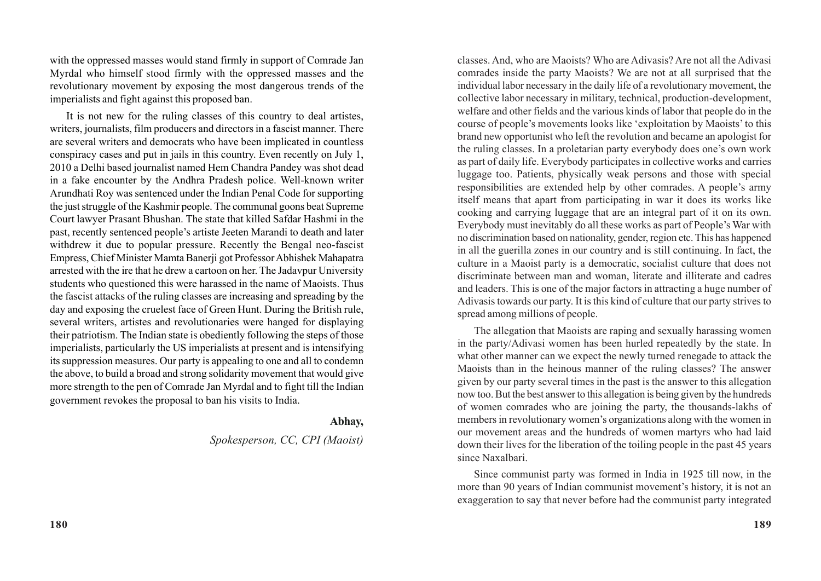with the oppressed masses would stand firmly in support of Comrade Jan Myrdal who himself stood firmly with the oppressed masses and the revolutionary movement by exposing the most dangerous trends of the imperialists and fight against this proposed ban.

It is not new for the ruling classes of this country to deal artistes, writers, journalists, film producers and directors in a fascist manner. There are several writers and democrats who have been implicated in countless conspiracy cases and put in jails in this country. Even recently on July 1, 2010 a Delhi based journalist named Hem Chandra Pandey was shot dead in a fake encounter by the Andhra Pradesh police. Well-known writer Arundhati Roy was sentenced under the Indian Penal Code for supporting the just struggle of the Kashmir people. The communal goons beat Supreme Court lawyer Prasant Bhushan. The state that killed Safdar Hashmi in the past, recently sentenced people's artiste Jeeten Marandi to death and later withdrew it due to popular pressure. Recently the Bengal neo-fascist Empress, Chief Minister Mamta Banerji got Professor Abhishek Mahapatra arrested with the ire that he drew a cartoon on her. The Jadavpur University students who questioned this were harassed in the name of Maoists. Thus the fascist attacks of the ruling classes are increasing and spreading by the day and exposing the cruelest face of Green Hunt. During the British rule, several writers, artistes and revolutionaries were hanged for displaying their patriotism. The Indian state is obediently following the steps of those imperialists, particularly the US imperialists at present and is intensifying its suppression measures. Our party is appealing to one and all to condemn the above, to build a broad and strong solidarity movement that would give more strength to the pen of Comrade Jan Myrdal and to fight till the Indian government revokes the proposal to ban his visits to India.

#### **Abhay,**

*Spokesperson, CC, CPI (Maoist)*

classes. And, who are Maoists? Who are Adivasis? Are not all the Adivasi comrades inside the party Maoists? We are not at all surprised that the individual labor necessary in the daily life of a revolutionary movement, the collective labor necessary in military, technical, production-development, welfare and other fields and the various kinds of labor that people do in the course of people's movements looks like 'exploitation by Maoists' to this brand new opportunist who left the revolution and became an apologist for the ruling classes. In a proletarian party everybody does one's own work as part of daily life. Everybody participates in collective works and carries luggage too. Patients, physically weak persons and those with special responsibilities are extended help by other comrades. A people's army itself means that apart from participating in war it does its works like cooking and carrying luggage that are an integral part of it on its own. Everybody must inevitably do all these works as part of People's War with no discrimination based on nationality, gender, region etc. This has happened in all the guerilla zones in our country and is still continuing. In fact, the culture in a Maoist party is a democratic, socialist culture that does not discriminate between man and woman, literate and illiterate and cadres and leaders. This is one of the major factors in attracting a huge number of Adivasis towards our party. It is this kind of culture that our party strives to spread among millions of people.

The allegation that Maoists are raping and sexually harassing women in the party/Adivasi women has been hurled repeatedly by the state. In what other manner can we expect the newly turned renegade to attack the Maoists than in the heinous manner of the ruling classes? The answer given by our party several times in the past is the answer to this allegation now too. But the best answer to this allegation is being given by the hundreds of women comrades who are joining the party, the thousands-lakhs of members in revolutionary women's organizations along with the women in our movement areas and the hundreds of women martyrs who had laid down their lives for the liberation of the toiling people in the past 45 years since Naxalbari.

Since communist party was formed in India in 1925 till now, in the more than 90 years of Indian communist movement's history, it is not an exaggeration to say that never before had the communist party integrated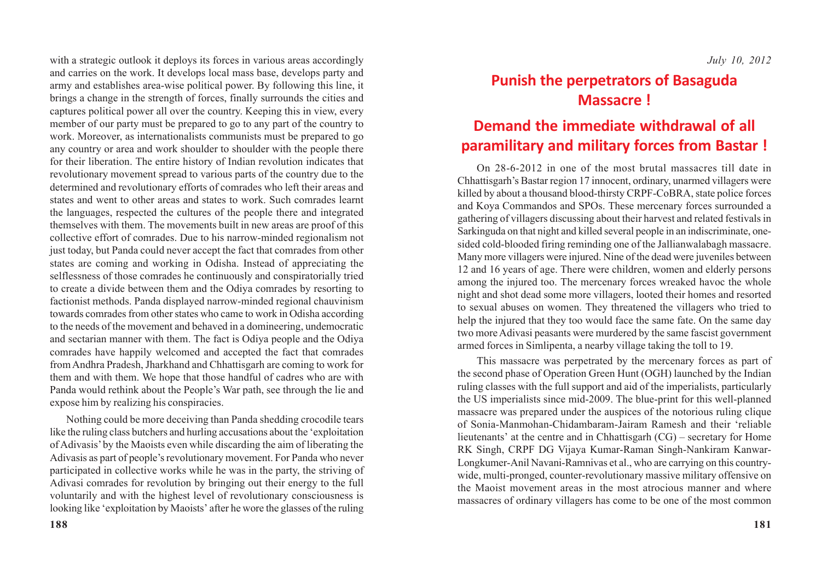with a strategic outlook it deploys its forces in various areas accordingly and carries on the work. It develops local mass base, develops party and army and establishes area-wise political power. By following this line, it brings a change in the strength of forces, finally surrounds the cities and captures political power all over the country. Keeping this in view, every member of our party must be prepared to go to any part of the country to work. Moreover, as internationalists communists must be prepared to go any country or area and work shoulder to shoulder with the people there for their liberation. The entire history of Indian revolution indicates that revolutionary movement spread to various parts of the country due to the determined and revolutionary efforts of comrades who left their areas and states and went to other areas and states to work. Such comrades learnt the languages, respected the cultures of the people there and integrated themselves with them. The movements built in new areas are proof of this collective effort of comrades. Due to his narrow-minded regionalism not just today, but Panda could never accept the fact that comrades from other states are coming and working in Odisha. Instead of appreciating the selflessness of those comrades he continuously and conspiratorially tried to create a divide between them and the Odiya comrades by resorting to factionist methods. Panda displayed narrow-minded regional chauvinism towards comrades from other states who came to work in Odisha according to the needs of the movement and behaved in a domineering, undemocratic and sectarian manner with them. The fact is Odiya people and the Odiya comrades have happily welcomed and accepted the fact that comrades from Andhra Pradesh, Jharkhand and Chhattisgarh are coming to work for them and with them. We hope that those handful of cadres who are with Panda would rethink about the People's War path, see through the lie and expose him by realizing his conspiracies.

Nothing could be more deceiving than Panda shedding crocodile tears like the ruling class butchers and hurling accusations about the 'exploitation of Adivasis' by the Maoists even while discarding the aim of liberating the Adivasis as part of people's revolutionary movement. For Panda who never participated in collective works while he was in the party, the striving of Adivasi comrades for revolution by bringing out their energy to the full voluntarily and with the highest level of revolutionary consciousness is looking like 'exploitation by Maoists' after he wore the glasses of the ruling

### **Punish the perpetrators of Basaguda Massacre !**

### **Demand the immediate withdrawal of all paramilitary and military forces from Bastar !**

On 28-6-2012 in one of the most brutal massacres till date in Chhattisgarh's Bastar region 17 innocent, ordinary, unarmed villagers were killed by about a thousand blood-thirsty CRPF-CoBRA, state police forces and Koya Commandos and SPOs. These mercenary forces surrounded a gathering of villagers discussing about their harvest and related festivals in Sarkinguda on that night and killed several people in an indiscriminate, onesided cold-blooded firing reminding one of the Jallianwalabagh massacre. Many more villagers were injured. Nine of the dead were juveniles between 12 and 16 years of age. There were children, women and elderly persons among the injured too. The mercenary forces wreaked havoc the whole night and shot dead some more villagers, looted their homes and resorted to sexual abuses on women. They threatened the villagers who tried to help the injured that they too would face the same fate. On the same day two more Adivasi peasants were murdered by the same fascist government armed forces in Simlipenta, a nearby village taking the toll to 19.

This massacre was perpetrated by the mercenary forces as part of the second phase of Operation Green Hunt (OGH) launched by the Indian ruling classes with the full support and aid of the imperialists, particularly the US imperialists since mid-2009. The blue-print for this well-planned massacre was prepared under the auspices of the notorious ruling clique of Sonia-Manmohan-Chidambaram-Jairam Ramesh and their 'reliable lieutenants' at the centre and in Chhattisgarh (CG) – secretary for Home RK Singh, CRPF DG Vijaya Kumar-Raman Singh-Nankiram Kanwar-Longkumer-Anil Navani-Ramnivas et al., who are carrying on this countrywide, multi-pronged, counter-revolutionary massive military offensive on the Maoist movement areas in the most atrocious manner and where massacres of ordinary villagers has come to be one of the most common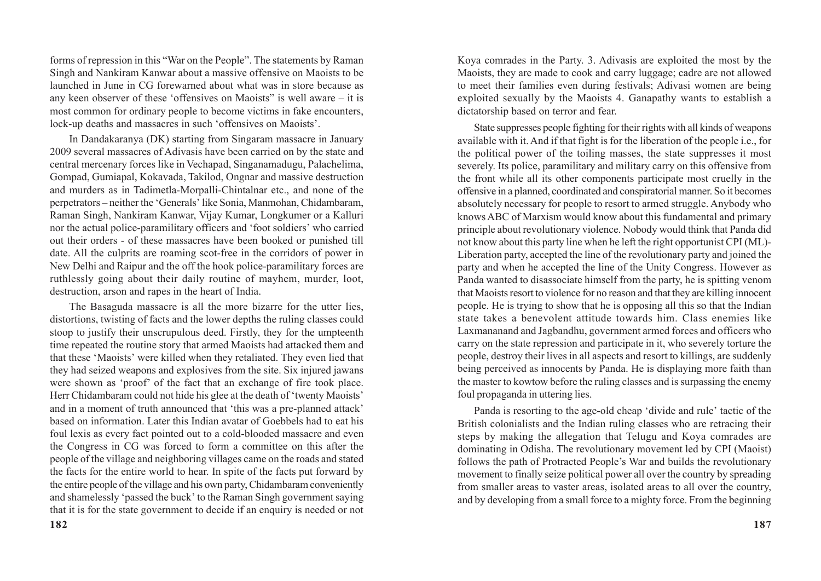forms of repression in this "War on the People". The statements by Raman Singh and Nankiram Kanwar about a massive offensive on Maoists to be launched in June in CG forewarned about what was in store because as any keen observer of these 'offensives on Maoists" is well aware – it is most common for ordinary people to become victims in fake encounters, lock-up deaths and massacres in such 'offensives on Maoists'.

In Dandakaranya (DK) starting from Singaram massacre in January 2009 several massacres of Adivasis have been carried on by the state and central mercenary forces like in Vechapad, Singanamadugu, Palachelima, Gompad, Gumiapal, Kokavada, Takilod, Ongnar and massive destruction and murders as in Tadimetla-Morpalli-Chintalnar etc., and none of the perpetrators – neither the 'Generals' like Sonia, Manmohan, Chidambaram, Raman Singh, Nankiram Kanwar, Vijay Kumar, Longkumer or a Kalluri nor the actual police-paramilitary officers and 'foot soldiers' who carried out their orders - of these massacres have been booked or punished till date. All the culprits are roaming scot-free in the corridors of power in New Delhi and Raipur and the off the hook police-paramilitary forces are ruthlessly going about their daily routine of mayhem, murder, loot, destruction, arson and rapes in the heart of India.

The Basaguda massacre is all the more bizarre for the utter lies, distortions, twisting of facts and the lower depths the ruling classes could stoop to justify their unscrupulous deed. Firstly, they for the umpteenth time repeated the routine story that armed Maoists had attacked them and that these 'Maoists' were killed when they retaliated. They even lied that they had seized weapons and explosives from the site. Six injured jawans were shown as 'proof' of the fact that an exchange of fire took place. Herr Chidambaram could not hide his glee at the death of 'twenty Maoists' and in a moment of truth announced that 'this was a pre-planned attack' based on information. Later this Indian avatar of Goebbels had to eat his foul lexis as every fact pointed out to a cold-blooded massacre and even the Congress in CG was forced to form a committee on this after the people of the village and neighboring villages came on the roads and stated the facts for the entire world to hear. In spite of the facts put forward by the entire people of the village and his own party, Chidambaram conveniently and shamelessly 'passed the buck' to the Raman Singh government saying that it is for the state government to decide if an enquiry is needed or not Koya comrades in the Party. 3. Adivasis are exploited the most by the Maoists, they are made to cook and carry luggage; cadre are not allowed to meet their families even during festivals; Adivasi women are being exploited sexually by the Maoists 4. Ganapathy wants to establish a dictatorship based on terror and fear.

State suppresses people fighting for their rights with all kinds of weapons available with it. And if that fight is for the liberation of the people i.e., for the political power of the toiling masses, the state suppresses it most severely. Its police, paramilitary and military carry on this offensive from the front while all its other components participate most cruelly in the offensive in a planned, coordinated and conspiratorial manner. So it becomes absolutely necessary for people to resort to armed struggle. Anybody who knows ABC of Marxism would know about this fundamental and primary principle about revolutionary violence. Nobody would think that Panda did not know about this party line when he left the right opportunist CPI (ML)- Liberation party, accepted the line of the revolutionary party and joined the party and when he accepted the line of the Unity Congress. However as Panda wanted to disassociate himself from the party, he is spitting venom that Maoists resort to violence for no reason and that they are killing innocent people. He is trying to show that he is opposing all this so that the Indian state takes a benevolent attitude towards him. Class enemies like Laxmananand and Jagbandhu, government armed forces and officers who carry on the state repression and participate in it, who severely torture the people, destroy their lives in all aspects and resort to killings, are suddenly being perceived as innocents by Panda. He is displaying more faith than the master to kowtow before the ruling classes and is surpassing the enemy foul propaganda in uttering lies.

Panda is resorting to the age-old cheap 'divide and rule' tactic of the British colonialists and the Indian ruling classes who are retracing their steps by making the allegation that Telugu and Koya comrades are dominating in Odisha. The revolutionary movement led by CPI (Maoist) follows the path of Protracted People's War and builds the revolutionary movement to finally seize political power all over the country by spreading from smaller areas to vaster areas, isolated areas to all over the country, and by developing from a small force to a mighty force. From the beginning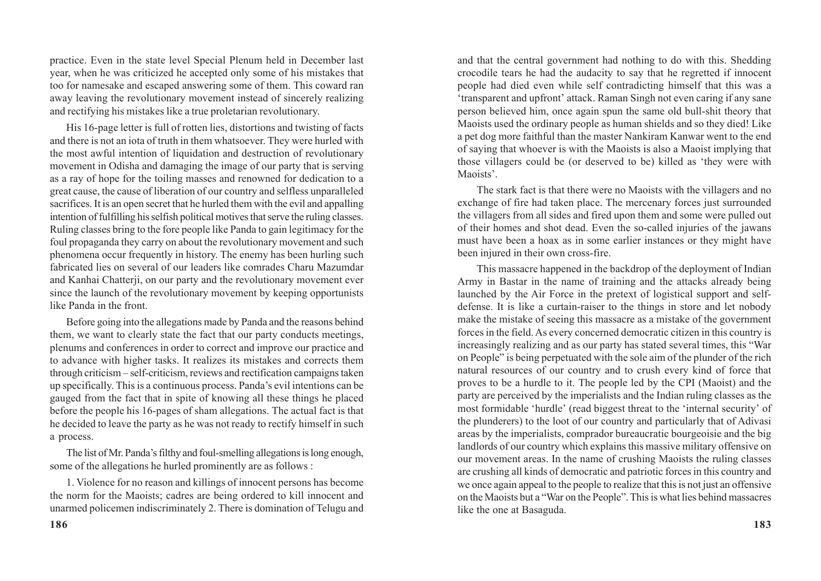practice. Even in the state level Special Plenum held in December last year, when he was criticized he accepted only some of his mistakes that too for namesake and escaped answering some of them. This coward ran away leaving the revolutionary movement instead of sincerely realizing and rectifying his mistakes like a true proletarian revolutionary.

His 16-page letter is full of rotten lies, distortions and twisting of facts and there is not an iota of truth in them whatsoever. They were hurled with the most awful intention of liquidation and destruction of revolutionary movement in Odisha and damaging the image of our party that is serving as a ray of hope for the toiling masses and renowned for dedication to a great cause, the cause of liberation of our country and selfless unparalleled sacrifices. It is an open secret that he hurled them with the evil and appalling intention of fulfilling his selfish political motives that serve the ruling classes. Ruling classes bring to the fore people like Panda to gain legitimacy for the foul propaganda they carry on about the revolutionary movement and such phenomena occur frequently in history. The enemy has been hurling such fabricated lies on several of our leaders like comrades Charu Mazumdar and Kanhai Chatterji, on our party and the revolutionary movement ever since the launch of the revolutionary movement by keeping opportunists like Panda in the front.

Before going into the allegations made by Panda and the reasons behind them, we want to clearly state the fact that our party conducts meetings, plenums and conferences in order to correct and improve our practice and to advance with higher tasks. It realizes its mistakes and corrects them through criticism – self-criticism, reviews and rectification campaigns taken up specifically. This is a continuous process. Panda's evil intentions can be gauged from the fact that in spite of knowing all these things he placed before the people his 16-pages of sham allegations. The actual fact is that he decided to leave the party as he was not ready to rectify himself in such a process.

The list of Mr. Panda's filthy and foul-smelling allegations is long enough, some of the allegations he hurled prominently are as follows :

1. Violence for no reason and killings of innocent persons has become the norm for the Maoists; cadres are being ordered to kill innocent and unarmed policemen indiscriminately 2. There is domination of Telugu and

and that the central government had nothing to do with this. Shedding crocodile tears he had the audacity to say that he regretted if innocent people had died even while self contradicting himself that this was a 'transparent and upfront' attack. Raman Singh not even caring if any sane person believed him, once again spun the same old bull-shit theory that Maoists used the ordinary people as human shields and so they died! Like a pet dog more faithful than the master Nankiram Kanwar went to the end of saying that whoever is with the Maoists is also a Maoist implying that those villagers could be (or deserved to be) killed as 'they were with Maoists'.

The stark fact is that there were no Maoists with the villagers and no exchange of fire had taken place. The mercenary forces just surrounded the villagers from all sides and fired upon them and some were pulled out of their homes and shot dead. Even the so-called injuries of the jawans must have been a hoax as in some earlier instances or they might have been injured in their own cross-fire.

This massacre happened in the backdrop of the deployment of Indian Army in Bastar in the name of training and the attacks already being launched by the Air Force in the pretext of logistical support and selfdefense. It is like a curtain-raiser to the things in store and let nobody make the mistake of seeing this massacre as a mistake of the government forces in the field. As every concerned democratic citizen in this country is increasingly realizing and as our party has stated several times, this "War on People" is being perpetuated with the sole aim of the plunder of the rich natural resources of our country and to crush every kind of force that proves to be a hurdle to it. The people led by the CPI (Maoist) and the party are perceived by the imperialists and the Indian ruling classes as the most formidable 'hurdle' (read biggest threat to the 'internal security' of the plunderers) to the loot of our country and particularly that of Adivasi areas by the imperialists, comprador bureaucratic bourgeoisie and the big landlords of our country which explains this massive military offensive on our movement areas. In the name of crushing Maoists the ruling classes are crushing all kinds of democratic and patriotic forces in this country and we once again appeal to the people to realize that this is not just an offensive on the Maoists but a "War on the People". This is what lies behind massacres like the one at Basaguda.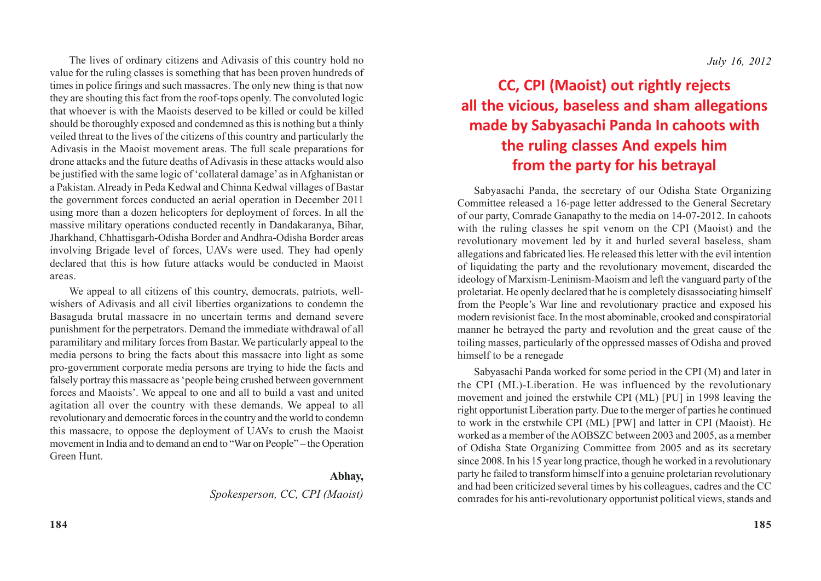The lives of ordinary citizens and Adivasis of this country hold no value for the ruling classes is something that has been proven hundreds of times in police firings and such massacres. The only new thing is that now they are shouting this fact from the roof-tops openly. The convoluted logic that whoever is with the Maoists deserved to be killed or could be killed should be thoroughly exposed and condemned as this is nothing but a thinly veiled threat to the lives of the citizens of this country and particularly the Adivasis in the Maoist movement areas. The full scale preparations for drone attacks and the future deaths of Adivasis in these attacks would also be justified with the same logic of 'collateral damage' as in Afghanistan or a Pakistan. Already in Peda Kedwal and Chinna Kedwal villages of Bastar the government forces conducted an aerial operation in December 2011 using more than a dozen helicopters for deployment of forces. In all the massive military operations conducted recently in Dandakaranya, Bihar, Jharkhand, Chhattisgarh-Odisha Border and Andhra-Odisha Border areas involving Brigade level of forces, UAVs were used. They had openly declared that this is how future attacks would be conducted in Maoist areas.

We appeal to all citizens of this country, democrats, patriots, wellwishers of Adivasis and all civil liberties organizations to condemn the Basaguda brutal massacre in no uncertain terms and demand severe punishment for the perpetrators. Demand the immediate withdrawal of all paramilitary and military forces from Bastar. We particularly appeal to the media persons to bring the facts about this massacre into light as some pro-government corporate media persons are trying to hide the facts and falsely portray this massacre as 'people being crushed between government forces and Maoists'. We appeal to one and all to build a vast and united agitation all over the country with these demands. We appeal to all revolutionary and democratic forces in the country and the world to condemn this massacre, to oppose the deployment of UAVs to crush the Maoist movement in India and to demand an end to "War on People" – the Operation Green Hunt.

#### **Abhay,**

*Spokesperson, CC, CPI (Maoist)*

### **CC, CPI (Maoist) out rightly rejects all the vicious, baseless and sham allegations made by Sabyasachi Panda In cahoots with the ruling classes And expels him from the party for his betrayal**

Sabyasachi Panda, the secretary of our Odisha State Organizing Committee released a 16-page letter addressed to the General Secretary of our party, Comrade Ganapathy to the media on 14-07-2012. In cahoots with the ruling classes he spit venom on the CPI (Maoist) and the revolutionary movement led by it and hurled several baseless, sham allegations and fabricated lies. He released this letter with the evil intention of liquidating the party and the revolutionary movement, discarded the ideology of Marxism-Leninism-Maoism and left the vanguard party of the proletariat. He openly declared that he is completely disassociating himself from the People's War line and revolutionary practice and exposed his modern revisionist face. In the most abominable, crooked and conspiratorial manner he betrayed the party and revolution and the great cause of the toiling masses, particularly of the oppressed masses of Odisha and proved himself to be a renegade

Sabyasachi Panda worked for some period in the CPI (M) and later in the CPI (ML)-Liberation. He was influenced by the revolutionary movement and joined the erstwhile CPI (ML) [PU] in 1998 leaving the right opportunist Liberation party. Due to the merger of parties he continued to work in the erstwhile CPI (ML) [PW] and latter in CPI (Maoist). He worked as a member of the AOBSZC between 2003 and 2005, as a member of Odisha State Organizing Committee from 2005 and as its secretary since 2008. In his 15 year long practice, though he worked in a revolutionary party he failed to transform himself into a genuine proletarian revolutionary and had been criticized several times by his colleagues, cadres and the CC comrades for his anti-revolutionary opportunist political views, stands and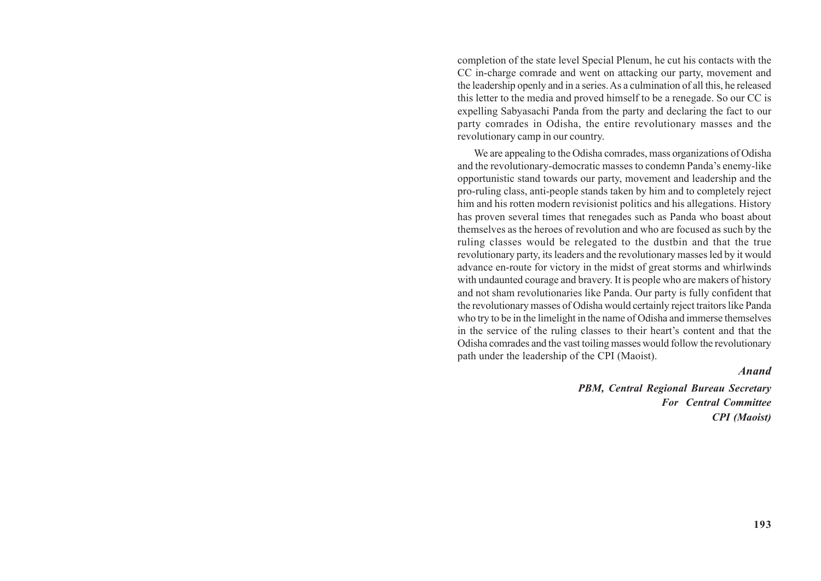completion of the state level Special Plenum, he cut his contacts with the CC in-charge comrade and went on attacking our party, movement and the leadership openly and in a series. As a culmination of all this, he released this letter to the media and proved himself to be a renegade. So our CC is expelling Sabyasachi Panda from the party and declaring the fact to our party comrades in Odisha, the entire revolutionary masses and the revolutionary camp in our country.

We are appealing to the Odisha comrades, mass organizations of Odisha and the revolutionary-democratic masses to condemn Panda's enemy-like opportunistic stand towards our party, movement and leadership and the pro-ruling class, anti-people stands taken by him and to completely reject him and his rotten modern revisionist politics and his allegations. History has proven several times that renegades such as Panda who boast about themselves as the heroes of revolution and who are focused as such by the ruling classes would be relegated to the dustbin and that the true revolutionary party, its leaders and the revolutionary masses led by it would advance en-route for victory in the midst of great storms and whirlwinds with undaunted courage and bravery. It is people who are makers of history and not sham revolutionaries like Panda. Our party is fully confident that the revolutionary masses of Odisha would certainly reject traitors like Panda who try to be in the limelight in the name of Odisha and immerse themselves in the service of the ruling classes to their heart's content and that the Odisha comrades and the vast toiling masses would follow the revolutionary path under the leadership of the CPI (Maoist).

#### *Anand*

*PBM, Central Regional Bureau Secretary For Central Committee CPI (Maoist)*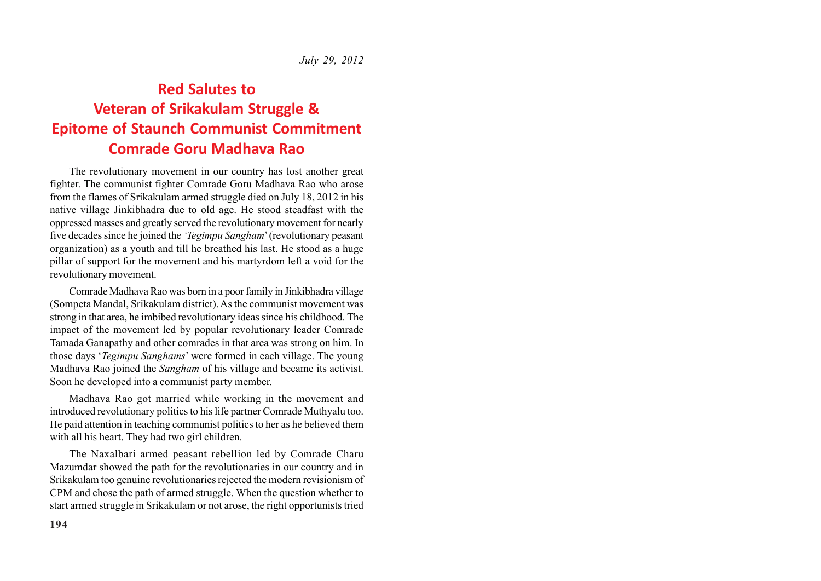*July 29, 2012*

### **Red Salutes to Veteran of Srikakulam Struggle & Epitome of Staunch Communist Commitment Comrade Goru Madhava Rao**

The revolutionary movement in our country has lost another great fighter. The communist fighter Comrade Goru Madhava Rao who arose from the flames of Srikakulam armed struggle died on July 18, 2012 in his native village Jinkibhadra due to old age. He stood steadfast with the oppressed masses and greatly served the revolutionary movement for nearly five decades since he joined the *'Tegimpu Sangham*' (revolutionary peasant organization) as a youth and till he breathed his last. He stood as a huge pillar of support for the movement and his martyrdom left a void for the revolutionary movement.

Comrade Madhava Rao was born in a poor family in Jinkibhadra village (Sompeta Mandal, Srikakulam district). As the communist movement was strong in that area, he imbibed revolutionary ideas since his childhood. The impact of the movement led by popular revolutionary leader Comrade Tamada Ganapathy and other comrades in that area was strong on him. In those days '*Tegimpu Sanghams*' were formed in each village. The young Madhava Rao joined the *Sangham* of his village and became its activist. Soon he developed into a communist party member.

Madhava Rao got married while working in the movement and introduced revolutionary politics to his life partner Comrade Muthyalu too. He paid attention in teaching communist politics to her as he believed them with all his heart. They had two girl children.

The Naxalbari armed peasant rebellion led by Comrade Charu Mazumdar showed the path for the revolutionaries in our country and in Srikakulam too genuine revolutionaries rejected the modern revisionism of CPM and chose the path of armed struggle. When the question whether to start armed struggle in Srikakulam or not arose, the right opportunists tried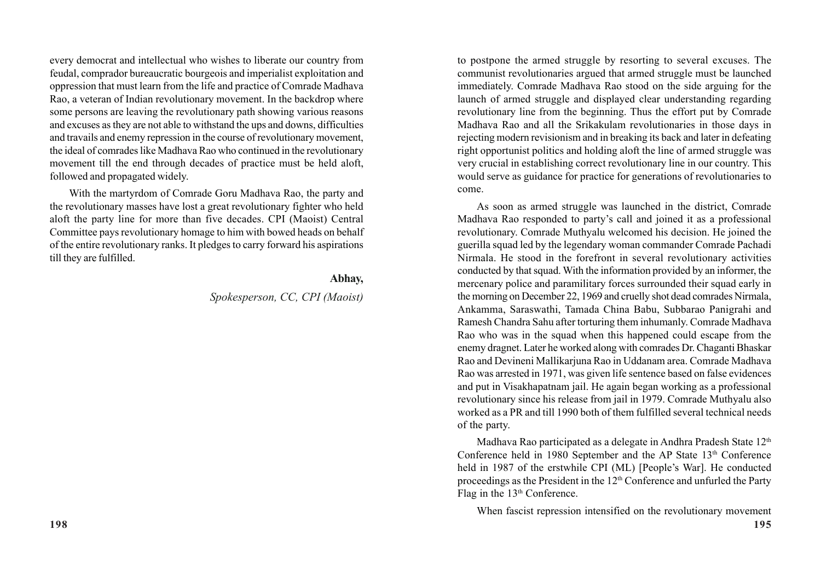every democrat and intellectual who wishes to liberate our country from feudal, comprador bureaucratic bourgeois and imperialist exploitation and oppression that must learn from the life and practice of Comrade Madhava Rao, a veteran of Indian revolutionary movement. In the backdrop where some persons are leaving the revolutionary path showing various reasons and excuses as they are not able to withstand the ups and downs, difficulties and travails and enemy repression in the course of revolutionary movement, the ideal of comrades like Madhava Rao who continued in the revolutionary movement till the end through decades of practice must be held aloft, followed and propagated widely.

With the martyrdom of Comrade Goru Madhava Rao, the party and the revolutionary masses have lost a great revolutionary fighter who held aloft the party line for more than five decades. CPI (Maoist) Central Committee pays revolutionary homage to him with bowed heads on behalf of the entire revolutionary ranks. It pledges to carry forward his aspirations till they are fulfilled.

#### **Abhay,**

*Spokesperson, CC, CPI (Maoist)*

to postpone the armed struggle by resorting to several excuses. The communist revolutionaries argued that armed struggle must be launched immediately. Comrade Madhava Rao stood on the side arguing for the launch of armed struggle and displayed clear understanding regarding revolutionary line from the beginning. Thus the effort put by Comrade Madhava Rao and all the Srikakulam revolutionaries in those days in rejecting modern revisionism and in breaking its back and later in defeating right opportunist politics and holding aloft the line of armed struggle was very crucial in establishing correct revolutionary line in our country. This would serve as guidance for practice for generations of revolutionaries to come.

As soon as armed struggle was launched in the district, Comrade Madhava Rao responded to party's call and joined it as a professional revolutionary. Comrade Muthyalu welcomed his decision. He joined the guerilla squad led by the legendary woman commander Comrade Pachadi Nirmala. He stood in the forefront in several revolutionary activities conducted by that squad. With the information provided by an informer, the mercenary police and paramilitary forces surrounded their squad early in the morning on December 22, 1969 and cruelly shot dead comrades Nirmala, Ankamma, Saraswathi, Tamada China Babu, Subbarao Panigrahi and Ramesh Chandra Sahu after torturing them inhumanly. Comrade Madhava Rao who was in the squad when this happened could escape from the enemy dragnet. Later he worked along with comrades Dr. Chaganti Bhaskar Rao and Devineni Mallikarjuna Rao in Uddanam area. Comrade Madhava Rao was arrested in 1971, was given life sentence based on false evidences and put in Visakhapatnam jail. He again began working as a professional revolutionary since his release from jail in 1979. Comrade Muthyalu also worked as a PR and till 1990 both of them fulfilled several technical needs of the party.

Madhava Rao participated as a delegate in Andhra Pradesh State 12<sup>th</sup> Conference held in 1980 September and the AP State 13<sup>th</sup> Conference held in 1987 of the erstwhile CPI (ML) [People's War]. He conducted proceedings as the President in the  $12<sup>th</sup>$  Conference and unfurled the Party Flag in the 13<sup>th</sup> Conference.

When fascist repression intensified on the revolutionary movement